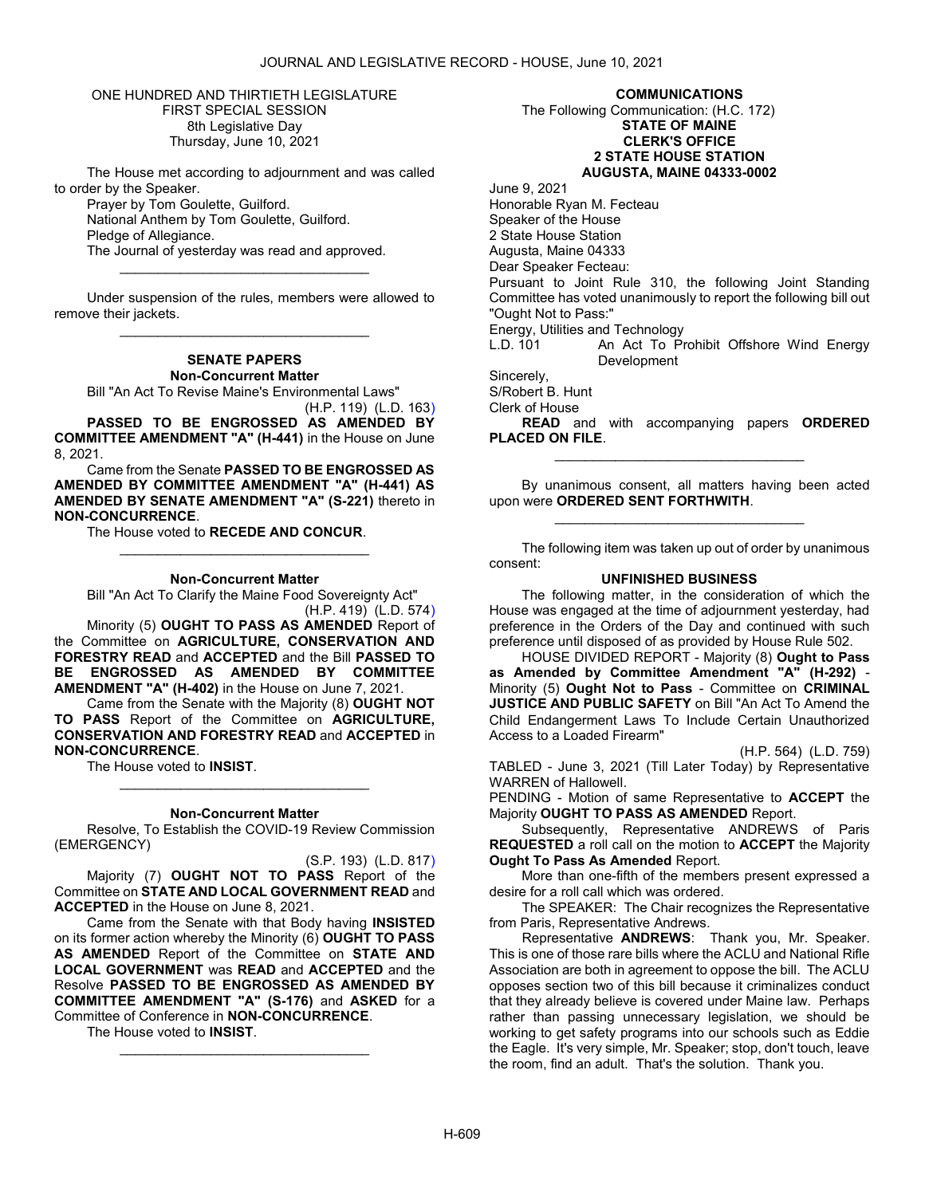ONE HUNDRED AND THIRTIETH LEGISLATURE FIRST SPECIAL SESSION 8th Legislative Day Thursday, June 10, 2021

 The House met according to adjournment and was called to order by the Speaker.

 Prayer by Tom Goulette, Guilford. National Anthem by Tom Goulette, Guilford. Pledge of Allegiance. The Journal of yesterday was read and approved.

 Under suspension of the rules, members were allowed to remove their jackets. \_\_\_\_\_\_\_\_\_\_\_\_\_\_\_\_\_\_\_\_\_\_\_\_\_\_\_\_\_\_\_\_\_

\_\_\_\_\_\_\_\_\_\_\_\_\_\_\_\_\_\_\_\_\_\_\_\_\_\_\_\_\_\_\_\_\_

# SENATE PAPERS Non-Concurrent Matter

Bill "An Act To Revise Maine's Environmental Laws"

(H.P. 119) (L.D. 163) PASSED TO BE ENGROSSED AS AMENDED BY COMMITTEE AMENDMENT "A" (H-441) in the House on June 8, 2021.

 Came from the Senate PASSED TO BE ENGROSSED AS AMENDED BY COMMITTEE AMENDMENT "A" (H-441) AS AMENDED BY SENATE AMENDMENT "A" (S-221) thereto in NON-CONCURRENCE.

The House voted to RECEDE AND CONCUR.

#### Non-Concurrent Matter

\_\_\_\_\_\_\_\_\_\_\_\_\_\_\_\_\_\_\_\_\_\_\_\_\_\_\_\_\_\_\_\_\_

 Bill "An Act To Clarify the Maine Food Sovereignty Act" (H.P. 419) (L.D. 574)

Minority (5) OUGHT TO PASS AS AMENDED Report of the Committee on AGRICULTURE, CONSERVATION AND FORESTRY READ and ACCEPTED and the Bill PASSED TO BE ENGROSSED AS AMENDED BY COMMITTEE AMENDMENT "A" (H-402) in the House on June 7, 2021.

 Came from the Senate with the Majority (8) OUGHT NOT TO PASS Report of the Committee on AGRICULTURE, CONSERVATION AND FORESTRY READ and ACCEPTED in NON-CONCURRENCE.

The House voted to **INSIST**.

#### Non-Concurrent Matter

\_\_\_\_\_\_\_\_\_\_\_\_\_\_\_\_\_\_\_\_\_\_\_\_\_\_\_\_\_\_\_\_\_

 Resolve, To Establish the COVID-19 Review Commission (EMERGENCY)

(S.P. 193) (L.D. 817) Majority (7) OUGHT NOT TO PASS Report of the Committee on STATE AND LOCAL GOVERNMENT READ and ACCEPTED in the House on June 8, 2021.

 Came from the Senate with that Body having INSISTED on its former action whereby the Minority (6) OUGHT TO PASS AS AMENDED Report of the Committee on STATE AND LOCAL GOVERNMENT was READ and ACCEPTED and the Resolve PASSED TO BE ENGROSSED AS AMENDED BY COMMITTEE AMENDMENT "A" (S-176) and ASKED for a Committee of Conference in NON-CONCURRENCE.

\_\_\_\_\_\_\_\_\_\_\_\_\_\_\_\_\_\_\_\_\_\_\_\_\_\_\_\_\_\_\_\_\_

The House voted to INSIST.

COMMUNICATIONS

 The Following Communication: (H.C. 172) STATE OF MAINE CLERK'S OFFICE 2 STATE HOUSE STATION AUGUSTA, MAINE 04333-0002

June 9, 2021 Honorable Ryan M. Fecteau Speaker of the House 2 State House Station Augusta, Maine 04333 Dear Speaker Fecteau: Pursuant to Joint Rule 310, the following Joint Standing Committee has voted unanimously to report the following bill out "Ought Not to Pass:" Energy, Utilities and Technology An Act To Prohibit Offshore Wind Energy **Development** Sincerely,

S/Robert B. Hunt

Clerk of House

READ and with accompanying papers ORDERED PLACED ON FILE. \_\_\_\_\_\_\_\_\_\_\_\_\_\_\_\_\_\_\_\_\_\_\_\_\_\_\_\_\_\_\_\_\_

 By unanimous consent, all matters having been acted upon were ORDERED SENT FORTHWITH. \_\_\_\_\_\_\_\_\_\_\_\_\_\_\_\_\_\_\_\_\_\_\_\_\_\_\_\_\_\_\_\_\_

 The following item was taken up out of order by unanimous consent:

#### UNFINISHED BUSINESS

 The following matter, in the consideration of which the House was engaged at the time of adjournment yesterday, had preference in the Orders of the Day and continued with such preference until disposed of as provided by House Rule 502.

 HOUSE DIVIDED REPORT - Majority (8) Ought to Pass as Amended by Committee Amendment "A" (H-292) - Minority (5) Ought Not to Pass - Committee on CRIMINAL JUSTICE AND PUBLIC SAFETY on Bill "An Act To Amend the Child Endangerment Laws To Include Certain Unauthorized Access to a Loaded Firearm"

(H.P. 564) (L.D. 759)

TABLED - June 3, 2021 (Till Later Today) by Representative WARREN of Hallowell.

PENDING - Motion of same Representative to ACCEPT the Majority OUGHT TO PASS AS AMENDED Report.

 Subsequently, Representative ANDREWS of Paris REQUESTED a roll call on the motion to ACCEPT the Majority Ought To Pass As Amended Report.

 More than one-fifth of the members present expressed a desire for a roll call which was ordered.

The SPEAKER: The Chair recognizes the Representative from Paris, Representative Andrews.

Representative ANDREWS: Thank you, Mr. Speaker. This is one of those rare bills where the ACLU and National Rifle Association are both in agreement to oppose the bill. The ACLU opposes section two of this bill because it criminalizes conduct that they already believe is covered under Maine law. Perhaps rather than passing unnecessary legislation, we should be working to get safety programs into our schools such as Eddie the Eagle. It's very simple, Mr. Speaker; stop, don't touch, leave the room, find an adult. That's the solution. Thank you.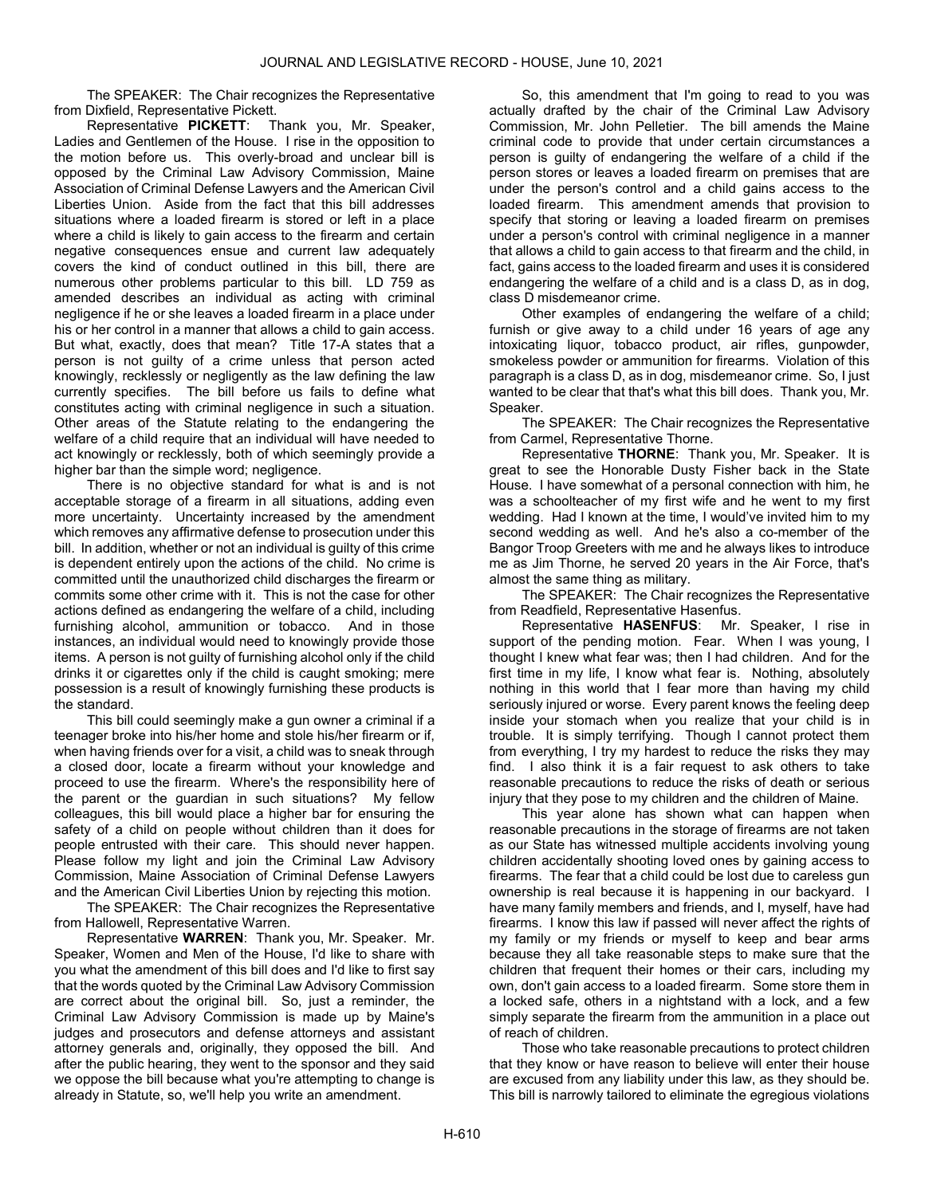The SPEAKER: The Chair recognizes the Representative from Dixfield, Representative Pickett.

Representative PICKETT: Thank you, Mr. Speaker, Ladies and Gentlemen of the House. I rise in the opposition to the motion before us. This overly-broad and unclear bill is opposed by the Criminal Law Advisory Commission, Maine Association of Criminal Defense Lawyers and the American Civil Liberties Union. Aside from the fact that this bill addresses situations where a loaded firearm is stored or left in a place where a child is likely to gain access to the firearm and certain negative consequences ensue and current law adequately covers the kind of conduct outlined in this bill, there are numerous other problems particular to this bill. LD 759 as amended describes an individual as acting with criminal negligence if he or she leaves a loaded firearm in a place under his or her control in a manner that allows a child to gain access. But what, exactly, does that mean? Title 17-A states that a person is not guilty of a crime unless that person acted knowingly, recklessly or negligently as the law defining the law currently specifies. The bill before us fails to define what constitutes acting with criminal negligence in such a situation. Other areas of the Statute relating to the endangering the welfare of a child require that an individual will have needed to act knowingly or recklessly, both of which seemingly provide a higher bar than the simple word; negligence.

There is no objective standard for what is and is not acceptable storage of a firearm in all situations, adding even more uncertainty. Uncertainty increased by the amendment which removes any affirmative defense to prosecution under this bill. In addition, whether or not an individual is guilty of this crime is dependent entirely upon the actions of the child. No crime is committed until the unauthorized child discharges the firearm or commits some other crime with it. This is not the case for other actions defined as endangering the welfare of a child, including furnishing alcohol, ammunition or tobacco. And in those instances, an individual would need to knowingly provide those items. A person is not guilty of furnishing alcohol only if the child drinks it or cigarettes only if the child is caught smoking; mere possession is a result of knowingly furnishing these products is the standard.

This bill could seemingly make a gun owner a criminal if a teenager broke into his/her home and stole his/her firearm or if, when having friends over for a visit, a child was to sneak through a closed door, locate a firearm without your knowledge and proceed to use the firearm. Where's the responsibility here of the parent or the guardian in such situations? My fellow colleagues, this bill would place a higher bar for ensuring the safety of a child on people without children than it does for people entrusted with their care. This should never happen. Please follow my light and join the Criminal Law Advisory Commission, Maine Association of Criminal Defense Lawyers and the American Civil Liberties Union by rejecting this motion.

The SPEAKER: The Chair recognizes the Representative from Hallowell, Representative Warren.

Representative WARREN: Thank you, Mr. Speaker. Mr. Speaker, Women and Men of the House, I'd like to share with you what the amendment of this bill does and I'd like to first say that the words quoted by the Criminal Law Advisory Commission are correct about the original bill. So, just a reminder, the Criminal Law Advisory Commission is made up by Maine's judges and prosecutors and defense attorneys and assistant attorney generals and, originally, they opposed the bill. And after the public hearing, they went to the sponsor and they said we oppose the bill because what you're attempting to change is already in Statute, so, we'll help you write an amendment.

So, this amendment that I'm going to read to you was actually drafted by the chair of the Criminal Law Advisory Commission, Mr. John Pelletier. The bill amends the Maine criminal code to provide that under certain circumstances a person is guilty of endangering the welfare of a child if the person stores or leaves a loaded firearm on premises that are under the person's control and a child gains access to the loaded firearm. This amendment amends that provision to specify that storing or leaving a loaded firearm on premises under a person's control with criminal negligence in a manner that allows a child to gain access to that firearm and the child, in fact, gains access to the loaded firearm and uses it is considered endangering the welfare of a child and is a class D, as in dog, class D misdemeanor crime.

Other examples of endangering the welfare of a child; furnish or give away to a child under 16 years of age any intoxicating liquor, tobacco product, air rifles, gunpowder, smokeless powder or ammunition for firearms. Violation of this paragraph is a class D, as in dog, misdemeanor crime. So, I just wanted to be clear that that's what this bill does. Thank you, Mr. Speaker.

The SPEAKER: The Chair recognizes the Representative from Carmel, Representative Thorne.

Representative THORNE: Thank you, Mr. Speaker. It is great to see the Honorable Dusty Fisher back in the State House. I have somewhat of a personal connection with him, he was a schoolteacher of my first wife and he went to my first wedding. Had I known at the time, I would've invited him to my second wedding as well. And he's also a co-member of the Bangor Troop Greeters with me and he always likes to introduce me as Jim Thorne, he served 20 years in the Air Force, that's almost the same thing as military.

The SPEAKER: The Chair recognizes the Representative from Readfield, Representative Hasenfus.

Representative HASENFUS: Mr. Speaker, I rise in support of the pending motion. Fear. When I was young, I thought I knew what fear was; then I had children. And for the first time in my life, I know what fear is. Nothing, absolutely nothing in this world that I fear more than having my child seriously injured or worse. Every parent knows the feeling deep inside your stomach when you realize that your child is in trouble. It is simply terrifying. Though I cannot protect them from everything, I try my hardest to reduce the risks they may find. I also think it is a fair request to ask others to take reasonable precautions to reduce the risks of death or serious injury that they pose to my children and the children of Maine.

This year alone has shown what can happen when reasonable precautions in the storage of firearms are not taken as our State has witnessed multiple accidents involving young children accidentally shooting loved ones by gaining access to firearms. The fear that a child could be lost due to careless gun ownership is real because it is happening in our backyard. I have many family members and friends, and I, myself, have had firearms. I know this law if passed will never affect the rights of my family or my friends or myself to keep and bear arms because they all take reasonable steps to make sure that the children that frequent their homes or their cars, including my own, don't gain access to a loaded firearm. Some store them in a locked safe, others in a nightstand with a lock, and a few simply separate the firearm from the ammunition in a place out of reach of children.

Those who take reasonable precautions to protect children that they know or have reason to believe will enter their house are excused from any liability under this law, as they should be. This bill is narrowly tailored to eliminate the egregious violations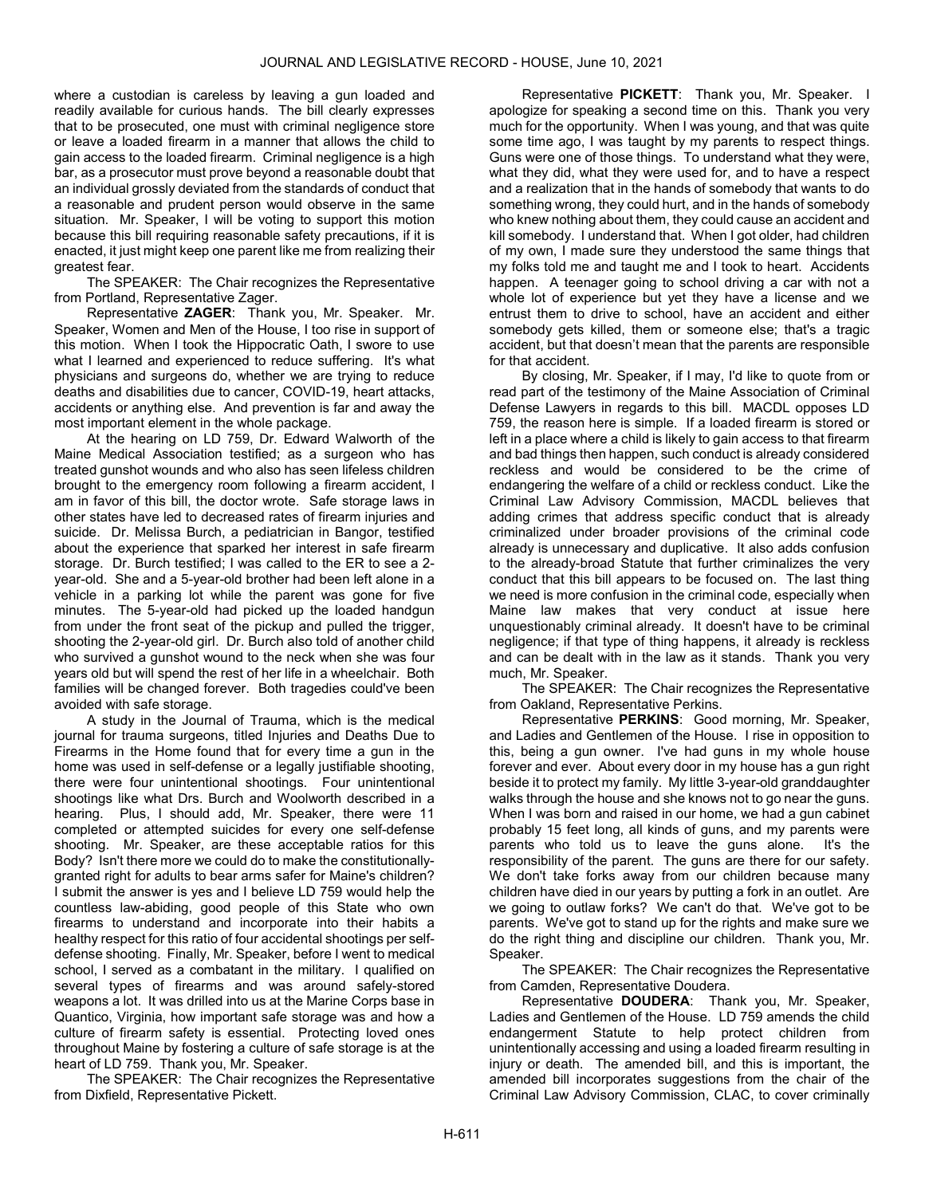where a custodian is careless by leaving a gun loaded and readily available for curious hands. The bill clearly expresses that to be prosecuted, one must with criminal negligence store or leave a loaded firearm in a manner that allows the child to gain access to the loaded firearm. Criminal negligence is a high bar, as a prosecutor must prove beyond a reasonable doubt that an individual grossly deviated from the standards of conduct that a reasonable and prudent person would observe in the same situation. Mr. Speaker, I will be voting to support this motion because this bill requiring reasonable safety precautions, if it is enacted, it just might keep one parent like me from realizing their greatest fear.

The SPEAKER: The Chair recognizes the Representative from Portland, Representative Zager.

Representative ZAGER: Thank you, Mr. Speaker. Mr. Speaker, Women and Men of the House, I too rise in support of this motion. When I took the Hippocratic Oath, I swore to use what I learned and experienced to reduce suffering. It's what physicians and surgeons do, whether we are trying to reduce deaths and disabilities due to cancer, COVID-19, heart attacks, accidents or anything else. And prevention is far and away the most important element in the whole package.

At the hearing on LD 759, Dr. Edward Walworth of the Maine Medical Association testified; as a surgeon who has treated gunshot wounds and who also has seen lifeless children brought to the emergency room following a firearm accident, I am in favor of this bill, the doctor wrote. Safe storage laws in other states have led to decreased rates of firearm injuries and suicide. Dr. Melissa Burch, a pediatrician in Bangor, testified about the experience that sparked her interest in safe firearm storage. Dr. Burch testified; I was called to the ER to see a 2 year-old. She and a 5-year-old brother had been left alone in a vehicle in a parking lot while the parent was gone for five minutes. The 5-year-old had picked up the loaded handgun from under the front seat of the pickup and pulled the trigger. shooting the 2-year-old girl. Dr. Burch also told of another child who survived a gunshot wound to the neck when she was four years old but will spend the rest of her life in a wheelchair. Both families will be changed forever. Both tragedies could've been avoided with safe storage.

A study in the Journal of Trauma, which is the medical journal for trauma surgeons, titled Injuries and Deaths Due to Firearms in the Home found that for every time a gun in the home was used in self-defense or a legally justifiable shooting, there were four unintentional shootings. Four unintentional shootings like what Drs. Burch and Woolworth described in a hearing. Plus, I should add, Mr. Speaker, there were 11 completed or attempted suicides for every one self-defense shooting. Mr. Speaker, are these acceptable ratios for this Body? Isn't there more we could do to make the constitutionallygranted right for adults to bear arms safer for Maine's children? I submit the answer is yes and I believe LD 759 would help the countless law-abiding, good people of this State who own firearms to understand and incorporate into their habits a healthy respect for this ratio of four accidental shootings per selfdefense shooting. Finally, Mr. Speaker, before I went to medical school, I served as a combatant in the military. I qualified on several types of firearms and was around safely-stored weapons a lot. It was drilled into us at the Marine Corps base in Quantico, Virginia, how important safe storage was and how a culture of firearm safety is essential. Protecting loved ones throughout Maine by fostering a culture of safe storage is at the heart of LD 759. Thank you, Mr. Speaker.

The SPEAKER: The Chair recognizes the Representative from Dixfield, Representative Pickett.

Representative PICKETT: Thank you, Mr. Speaker. I apologize for speaking a second time on this. Thank you very much for the opportunity. When I was young, and that was quite some time ago, I was taught by my parents to respect things. Guns were one of those things. To understand what they were, what they did, what they were used for, and to have a respect and a realization that in the hands of somebody that wants to do something wrong, they could hurt, and in the hands of somebody who knew nothing about them, they could cause an accident and kill somebody. I understand that. When I got older, had children of my own, I made sure they understood the same things that my folks told me and taught me and I took to heart. Accidents happen. A teenager going to school driving a car with not a whole lot of experience but yet they have a license and we entrust them to drive to school, have an accident and either somebody gets killed, them or someone else; that's a tragic accident, but that doesn't mean that the parents are responsible for that accident.

By closing, Mr. Speaker, if I may, I'd like to quote from or read part of the testimony of the Maine Association of Criminal Defense Lawyers in regards to this bill. MACDL opposes LD 759, the reason here is simple. If a loaded firearm is stored or left in a place where a child is likely to gain access to that firearm and bad things then happen, such conduct is already considered reckless and would be considered to be the crime of endangering the welfare of a child or reckless conduct. Like the Criminal Law Advisory Commission, MACDL believes that adding crimes that address specific conduct that is already criminalized under broader provisions of the criminal code already is unnecessary and duplicative. It also adds confusion to the already-broad Statute that further criminalizes the very conduct that this bill appears to be focused on. The last thing we need is more confusion in the criminal code, especially when Maine law makes that very conduct at issue here unquestionably criminal already. It doesn't have to be criminal negligence; if that type of thing happens, it already is reckless and can be dealt with in the law as it stands. Thank you very much, Mr. Speaker.

The SPEAKER: The Chair recognizes the Representative from Oakland, Representative Perkins.

Representative PERKINS: Good morning, Mr. Speaker, and Ladies and Gentlemen of the House. I rise in opposition to this, being a gun owner. I've had guns in my whole house forever and ever. About every door in my house has a gun right beside it to protect my family. My little 3-year-old granddaughter walks through the house and she knows not to go near the guns. When I was born and raised in our home, we had a gun cabinet probably 15 feet long, all kinds of guns, and my parents were parents who told us to leave the guns alone. It's the responsibility of the parent. The guns are there for our safety. We don't take forks away from our children because many children have died in our years by putting a fork in an outlet. Are we going to outlaw forks? We can't do that. We've got to be parents. We've got to stand up for the rights and make sure we do the right thing and discipline our children. Thank you, Mr. Speaker.

The SPEAKER: The Chair recognizes the Representative from Camden, Representative Doudera.

Representative DOUDERA: Thank you, Mr. Speaker, Ladies and Gentlemen of the House. LD 759 amends the child endangerment Statute to help protect children from unintentionally accessing and using a loaded firearm resulting in injury or death. The amended bill, and this is important, the amended bill incorporates suggestions from the chair of the Criminal Law Advisory Commission, CLAC, to cover criminally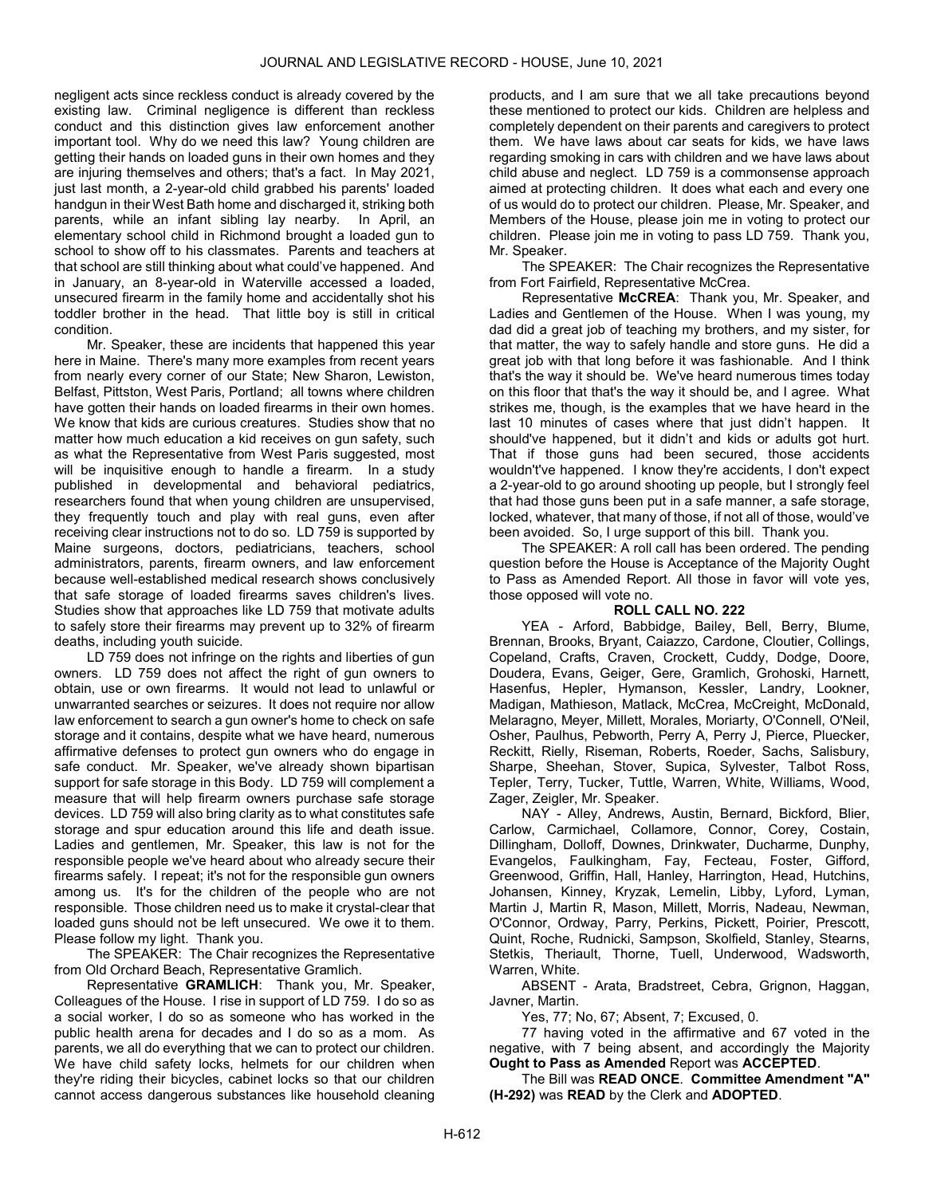negligent acts since reckless conduct is already covered by the existing law. Criminal negligence is different than reckless conduct and this distinction gives law enforcement another important tool. Why do we need this law? Young children are getting their hands on loaded guns in their own homes and they are injuring themselves and others; that's a fact. In May 2021, just last month, a 2-year-old child grabbed his parents' loaded handgun in their West Bath home and discharged it, striking both parents, while an infant sibling lay nearby. In April, an elementary school child in Richmond brought a loaded gun to school to show off to his classmates. Parents and teachers at that school are still thinking about what could've happened. And in January, an 8-year-old in Waterville accessed a loaded, unsecured firearm in the family home and accidentally shot his toddler brother in the head. That little boy is still in critical condition.

Mr. Speaker, these are incidents that happened this year here in Maine. There's many more examples from recent years from nearly every corner of our State; New Sharon, Lewiston, Belfast, Pittston, West Paris, Portland; all towns where children have gotten their hands on loaded firearms in their own homes. We know that kids are curious creatures. Studies show that no matter how much education a kid receives on gun safety, such as what the Representative from West Paris suggested, most will be inquisitive enough to handle a firearm. In a study published in developmental and behavioral pediatrics, researchers found that when young children are unsupervised, they frequently touch and play with real guns, even after receiving clear instructions not to do so. LD 759 is supported by Maine surgeons, doctors, pediatricians, teachers, school administrators, parents, firearm owners, and law enforcement because well-established medical research shows conclusively that safe storage of loaded firearms saves children's lives. Studies show that approaches like LD 759 that motivate adults to safely store their firearms may prevent up to 32% of firearm deaths, including youth suicide.

LD 759 does not infringe on the rights and liberties of gun owners. LD 759 does not affect the right of gun owners to obtain, use or own firearms. It would not lead to unlawful or unwarranted searches or seizures. It does not require nor allow law enforcement to search a gun owner's home to check on safe storage and it contains, despite what we have heard, numerous affirmative defenses to protect gun owners who do engage in safe conduct. Mr. Speaker, we've already shown bipartisan support for safe storage in this Body. LD 759 will complement a measure that will help firearm owners purchase safe storage devices. LD 759 will also bring clarity as to what constitutes safe storage and spur education around this life and death issue. Ladies and gentlemen, Mr. Speaker, this law is not for the responsible people we've heard about who already secure their firearms safely. I repeat; it's not for the responsible gun owners among us. It's for the children of the people who are not responsible. Those children need us to make it crystal-clear that loaded guns should not be left unsecured. We owe it to them. Please follow my light. Thank you.

The SPEAKER: The Chair recognizes the Representative from Old Orchard Beach, Representative Gramlich.

Representative GRAMLICH: Thank you, Mr. Speaker, Colleagues of the House. I rise in support of LD 759. I do so as a social worker, I do so as someone who has worked in the public health arena for decades and I do so as a mom. As parents, we all do everything that we can to protect our children. We have child safety locks, helmets for our children when they're riding their bicycles, cabinet locks so that our children cannot access dangerous substances like household cleaning

products, and I am sure that we all take precautions beyond these mentioned to protect our kids. Children are helpless and completely dependent on their parents and caregivers to protect them. We have laws about car seats for kids, we have laws regarding smoking in cars with children and we have laws about child abuse and neglect. LD 759 is a commonsense approach aimed at protecting children. It does what each and every one of us would do to protect our children. Please, Mr. Speaker, and Members of the House, please join me in voting to protect our children. Please join me in voting to pass LD 759. Thank you, Mr. Speaker.

The SPEAKER: The Chair recognizes the Representative from Fort Fairfield, Representative McCrea.

Representative McCREA: Thank you, Mr. Speaker, and Ladies and Gentlemen of the House. When I was young, my dad did a great job of teaching my brothers, and my sister, for that matter, the way to safely handle and store guns. He did a great job with that long before it was fashionable. And I think that's the way it should be. We've heard numerous times today on this floor that that's the way it should be, and I agree. What strikes me, though, is the examples that we have heard in the last 10 minutes of cases where that just didn't happen. It should've happened, but it didn't and kids or adults got hurt. That if those guns had been secured, those accidents wouldn't've happened. I know they're accidents, I don't expect a 2-year-old to go around shooting up people, but I strongly feel that had those guns been put in a safe manner, a safe storage, locked, whatever, that many of those, if not all of those, would've been avoided. So, I urge support of this bill. Thank you.

 The SPEAKER: A roll call has been ordered. The pending question before the House is Acceptance of the Majority Ought to Pass as Amended Report. All those in favor will vote yes, those opposed will vote no.

# ROLL CALL NO. 222

 YEA - Arford, Babbidge, Bailey, Bell, Berry, Blume, Brennan, Brooks, Bryant, Caiazzo, Cardone, Cloutier, Collings, Copeland, Crafts, Craven, Crockett, Cuddy, Dodge, Doore, Doudera, Evans, Geiger, Gere, Gramlich, Grohoski, Harnett, Hasenfus, Hepler, Hymanson, Kessler, Landry, Lookner, Madigan, Mathieson, Matlack, McCrea, McCreight, McDonald, Melaragno, Meyer, Millett, Morales, Moriarty, O'Connell, O'Neil, Osher, Paulhus, Pebworth, Perry A, Perry J, Pierce, Pluecker, Reckitt, Rielly, Riseman, Roberts, Roeder, Sachs, Salisbury, Sharpe, Sheehan, Stover, Supica, Sylvester, Talbot Ross, Tepler, Terry, Tucker, Tuttle, Warren, White, Williams, Wood, Zager, Zeigler, Mr. Speaker.

 NAY - Alley, Andrews, Austin, Bernard, Bickford, Blier, Carlow, Carmichael, Collamore, Connor, Corey, Costain, Dillingham, Dolloff, Downes, Drinkwater, Ducharme, Dunphy, Evangelos, Faulkingham, Fay, Fecteau, Foster, Gifford, Greenwood, Griffin, Hall, Hanley, Harrington, Head, Hutchins, Johansen, Kinney, Kryzak, Lemelin, Libby, Lyford, Lyman, Martin J, Martin R, Mason, Millett, Morris, Nadeau, Newman, O'Connor, Ordway, Parry, Perkins, Pickett, Poirier, Prescott, Quint, Roche, Rudnicki, Sampson, Skolfield, Stanley, Stearns, Stetkis, Theriault, Thorne, Tuell, Underwood, Wadsworth, Warren, White.

 ABSENT - Arata, Bradstreet, Cebra, Grignon, Haggan, Javner, Martin.

Yes, 77; No, 67; Absent, 7; Excused, 0.

 77 having voted in the affirmative and 67 voted in the negative, with 7 being absent, and accordingly the Majority Ought to Pass as Amended Report was ACCEPTED.

 The Bill was READ ONCE. Committee Amendment "A" (H-292) was READ by the Clerk and ADOPTED.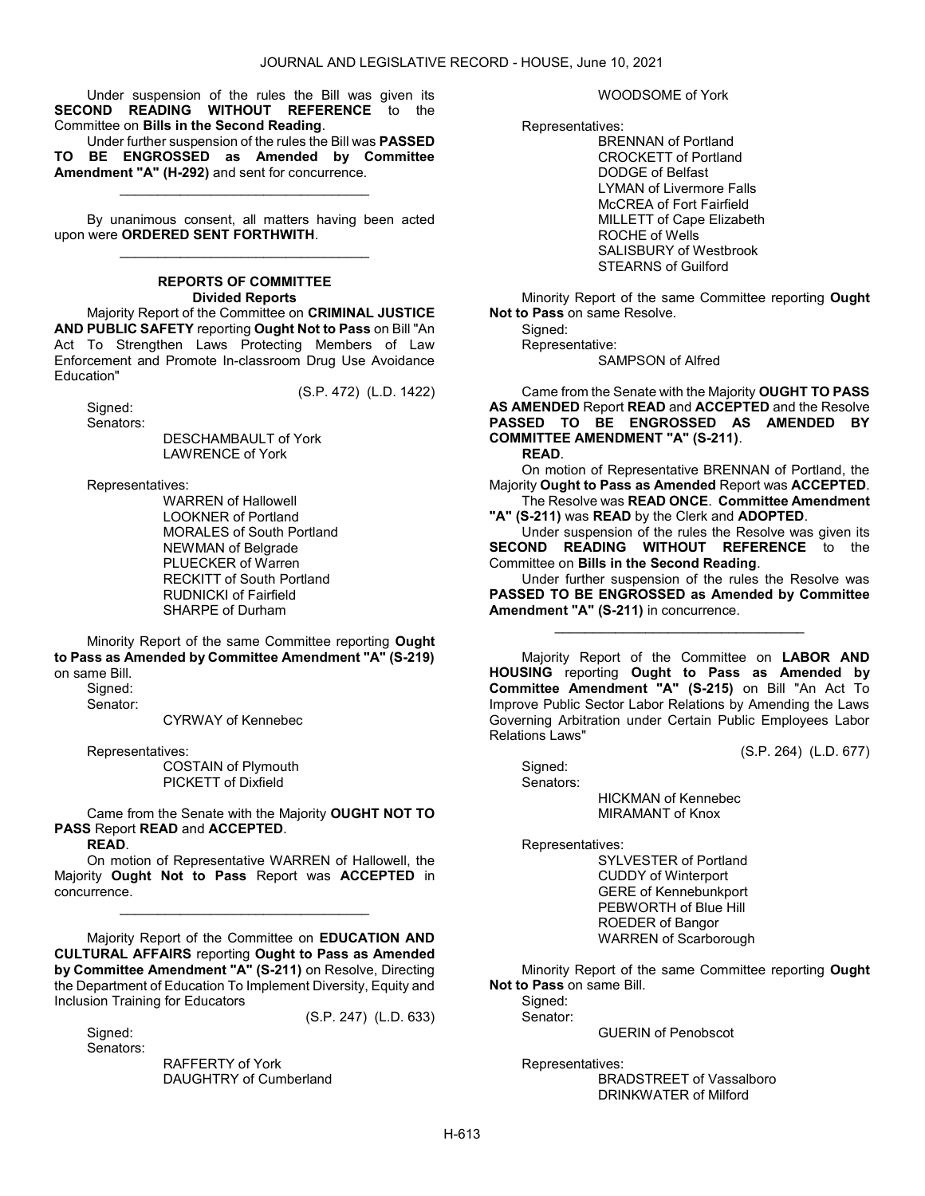Under suspension of the rules the Bill was given its SECOND READING WITHOUT REFERENCE to the Committee on Bills in the Second Reading.

 Under further suspension of the rules the Bill was PASSED TO BE ENGROSSED as Amended by Committee Amendment "A" (H-292) and sent for concurrence.

\_\_\_\_\_\_\_\_\_\_\_\_\_\_\_\_\_\_\_\_\_\_\_\_\_\_\_\_\_\_\_\_\_

 By unanimous consent, all matters having been acted upon were ORDERED SENT FORTHWITH. \_\_\_\_\_\_\_\_\_\_\_\_\_\_\_\_\_\_\_\_\_\_\_\_\_\_\_\_\_\_\_\_\_

#### REPORTS OF COMMITTEE Divided Reports Majority Report of the Committee on CRIMINAL JUSTICE

AND PUBLIC SAFETY reporting Ought Not to Pass on Bill "An Act To Strengthen Laws Protecting Members of Law Enforcement and Promote In-classroom Drug Use Avoidance Education"

(S.P. 472) (L.D. 1422)

 Signed: Senators:

 DESCHAMBAULT of York LAWRENCE of York

Representatives:

 WARREN of Hallowell LOOKNER of Portland MORALES of South Portland NEWMAN of Belgrade PLUECKER of Warren RECKITT of South Portland RUDNICKI of Fairfield SHARPE of Durham

 Minority Report of the same Committee reporting Ought to Pass as Amended by Committee Amendment "A" (S-219) on same Bill.

 Signed: Senator:

CYRWAY of Kennebec

Representatives:

 COSTAIN of Plymouth PICKETT of Dixfield

 Came from the Senate with the Majority OUGHT NOT TO PASS Report READ and ACCEPTED.

READ.

 On motion of Representative WARREN of Hallowell, the Majority Ought Not to Pass Report was ACCEPTED in concurrence.

\_\_\_\_\_\_\_\_\_\_\_\_\_\_\_\_\_\_\_\_\_\_\_\_\_\_\_\_\_\_\_\_\_

 Majority Report of the Committee on EDUCATION AND CULTURAL AFFAIRS reporting Ought to Pass as Amended by Committee Amendment "A" (S-211) on Resolve, Directing the Department of Education To Implement Diversity, Equity and Inclusion Training for Educators (S.P. 247) (L.D. 633)

Sianed: Senators:

> RAFFERTY of York DAUGHTRY of Cumberland

WOODSOME of York

Representatives:

 BRENNAN of Portland CROCKETT of Portland DODGE of Belfast LYMAN of Livermore Falls McCREA of Fort Fairfield MILLETT of Cape Elizabeth ROCHE of Wells SALISBURY of Westbrook STEARNS of Guilford

 Minority Report of the same Committee reporting Ought Not to Pass on same Resolve.

 Signed: Representative:

SAMPSON of Alfred

 Came from the Senate with the Majority OUGHT TO PASS AS AMENDED Report READ and ACCEPTED and the Resolve PASSED TO BE ENGROSSED AS AMENDED BY COMMITTEE AMENDMENT "A" (S-211).

READ.

 On motion of Representative BRENNAN of Portland, the Majority Ought to Pass as Amended Report was ACCEPTED.

 The Resolve was READ ONCE. Committee Amendment "A" (S-211) was READ by the Clerk and ADOPTED.

 Under suspension of the rules the Resolve was given its SECOND READING WITHOUT REFERENCE to the Committee on Bills in the Second Reading.

 Under further suspension of the rules the Resolve was PASSED TO BE ENGROSSED as Amended by Committee Amendment "A" (S-211) in concurrence.

\_\_\_\_\_\_\_\_\_\_\_\_\_\_\_\_\_\_\_\_\_\_\_\_\_\_\_\_\_\_\_\_\_

 Majority Report of the Committee on LABOR AND HOUSING reporting Ought to Pass as Amended by Committee Amendment "A" (S-215) on Bill "An Act To Improve Public Sector Labor Relations by Amending the Laws Governing Arbitration under Certain Public Employees Labor Relations Laws"

(S.P. 264) (L.D. 677)

 Signed: Senators: HICKMAN of Kennebec MIRAMANT of Knox

Representatives:

 SYLVESTER of Portland CUDDY of Winterport GERE of Kennebunkport PEBWORTH of Blue Hill ROEDER of Bangor WARREN of Scarborough

 Minority Report of the same Committee reporting Ought Not to Pass on same Bill.

Signed: Senator:

GUERIN of Penobscot

Representatives:

 BRADSTREET of Vassalboro DRINKWATER of Milford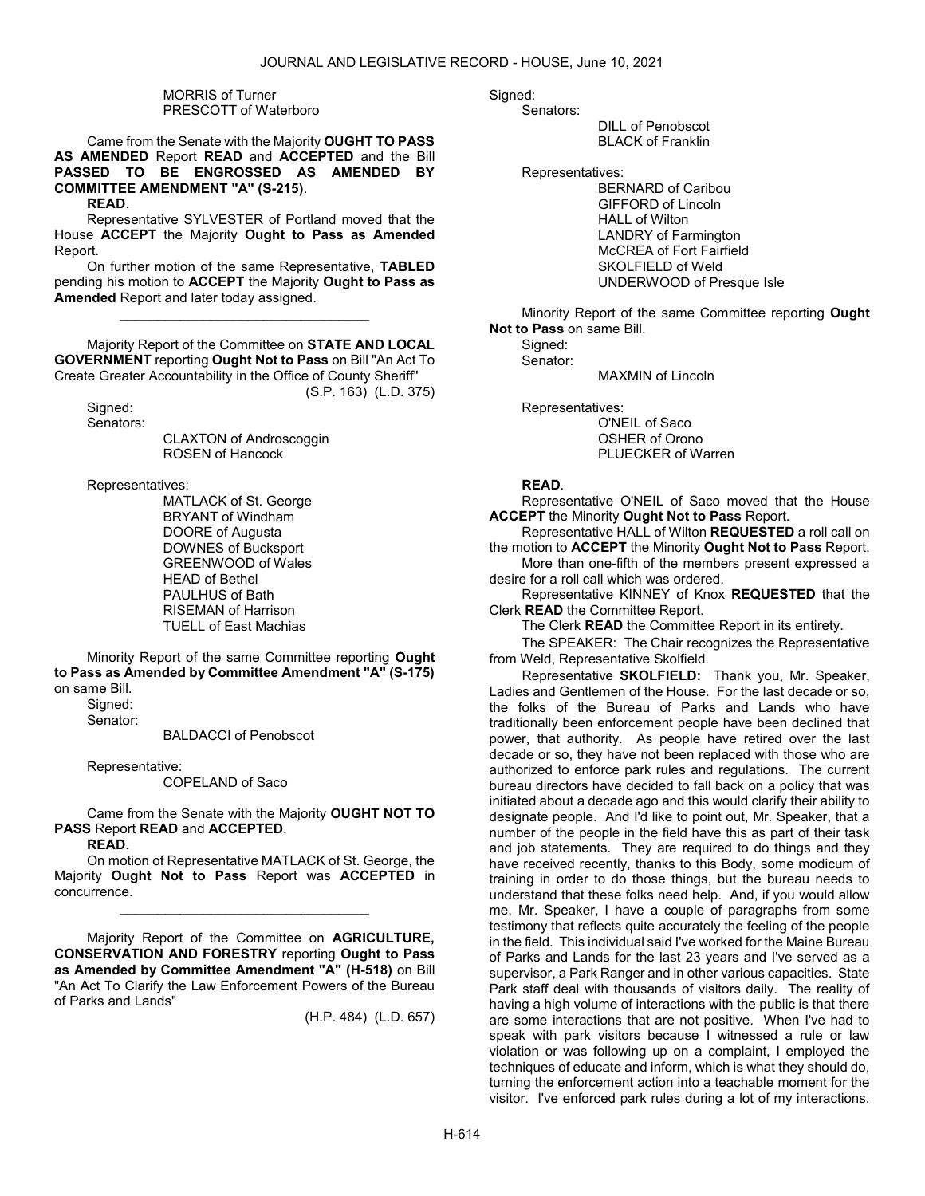## MORRIS of Turner PRESCOTT of Waterboro

 Came from the Senate with the Majority OUGHT TO PASS AS AMENDED Report READ and ACCEPTED and the Bill PASSED TO BE ENGROSSED AS AMENDED BY COMMITTEE AMENDMENT "A" (S-215).

READ.

 Representative SYLVESTER of Portland moved that the House ACCEPT the Majority Ought to Pass as Amended Report.

 On further motion of the same Representative, TABLED pending his motion to ACCEPT the Majority Ought to Pass as Amended Report and later today assigned.

\_\_\_\_\_\_\_\_\_\_\_\_\_\_\_\_\_\_\_\_\_\_\_\_\_\_\_\_\_\_\_\_\_

 Majority Report of the Committee on STATE AND LOCAL GOVERNMENT reporting Ought Not to Pass on Bill "An Act To Create Greater Accountability in the Office of County Sheriff" (S.P. 163) (L.D. 375)

 Signed: Senators:

 CLAXTON of Androscoggin ROSEN of Hancock

Representatives:

 MATLACK of St. George BRYANT of Windham DOORE of Augusta DOWNES of Bucksport GREENWOOD of Wales HEAD of Bethel PAULHUS of Bath RISEMAN of Harrison TUELL of East Machias

 Minority Report of the same Committee reporting Ought to Pass as Amended by Committee Amendment "A" (S-175) on same Bill.

Signed:

Senator:

BALDACCI of Penobscot

Representative:

COPELAND of Saco

 Came from the Senate with the Majority OUGHT NOT TO PASS Report READ and ACCEPTED.

READ.

 On motion of Representative MATLACK of St. George, the Majority Ought Not to Pass Report was ACCEPTED in concurrence.

\_\_\_\_\_\_\_\_\_\_\_\_\_\_\_\_\_\_\_\_\_\_\_\_\_\_\_\_\_\_\_\_\_

 Majority Report of the Committee on AGRICULTURE, CONSERVATION AND FORESTRY reporting Ought to Pass as Amended by Committee Amendment "A" (H-518) on Bill "An Act To Clarify the Law Enforcement Powers of the Bureau of Parks and Lands"

(H.P. 484) (L.D. 657)

#### Sianed:

Senators:

 DILL of Penobscot BLACK of Franklin

Representatives:

 BERNARD of Caribou GIFFORD of Lincoln HALL of Wilton LANDRY of Farmington McCREA of Fort Fairfield SKOLFIELD of Weld UNDERWOOD of Presque Isle

 Minority Report of the same Committee reporting Ought Not to Pass on same Bill.

 Signed: Senator: MAXMIN of Lincoln

 Representatives: O'NEIL of Saco OSHER of Orono PLUECKER of Warren

# READ.

 Representative O'NEIL of Saco moved that the House ACCEPT the Minority Ought Not to Pass Report.

 Representative HALL of Wilton REQUESTED a roll call on the motion to ACCEPT the Minority Ought Not to Pass Report. More than one-fifth of the members present expressed a

desire for a roll call which was ordered. Representative KINNEY of Knox REQUESTED that the

Clerk READ the Committee Report.

The Clerk **READ** the Committee Report in its entirety.

The SPEAKER: The Chair recognizes the Representative from Weld, Representative Skolfield.

Representative SKOLFIELD: Thank you, Mr. Speaker, Ladies and Gentlemen of the House. For the last decade or so, the folks of the Bureau of Parks and Lands who have traditionally been enforcement people have been declined that power, that authority. As people have retired over the last decade or so, they have not been replaced with those who are authorized to enforce park rules and regulations. The current bureau directors have decided to fall back on a policy that was initiated about a decade ago and this would clarify their ability to designate people. And I'd like to point out, Mr. Speaker, that a number of the people in the field have this as part of their task and job statements. They are required to do things and they have received recently, thanks to this Body, some modicum of training in order to do those things, but the bureau needs to understand that these folks need help. And, if you would allow me, Mr. Speaker, I have a couple of paragraphs from some testimony that reflects quite accurately the feeling of the people in the field. This individual said I've worked for the Maine Bureau of Parks and Lands for the last 23 years and I've served as a supervisor, a Park Ranger and in other various capacities. State Park staff deal with thousands of visitors daily. The reality of having a high volume of interactions with the public is that there are some interactions that are not positive. When I've had to speak with park visitors because I witnessed a rule or law violation or was following up on a complaint, I employed the techniques of educate and inform, which is what they should do, turning the enforcement action into a teachable moment for the visitor. I've enforced park rules during a lot of my interactions.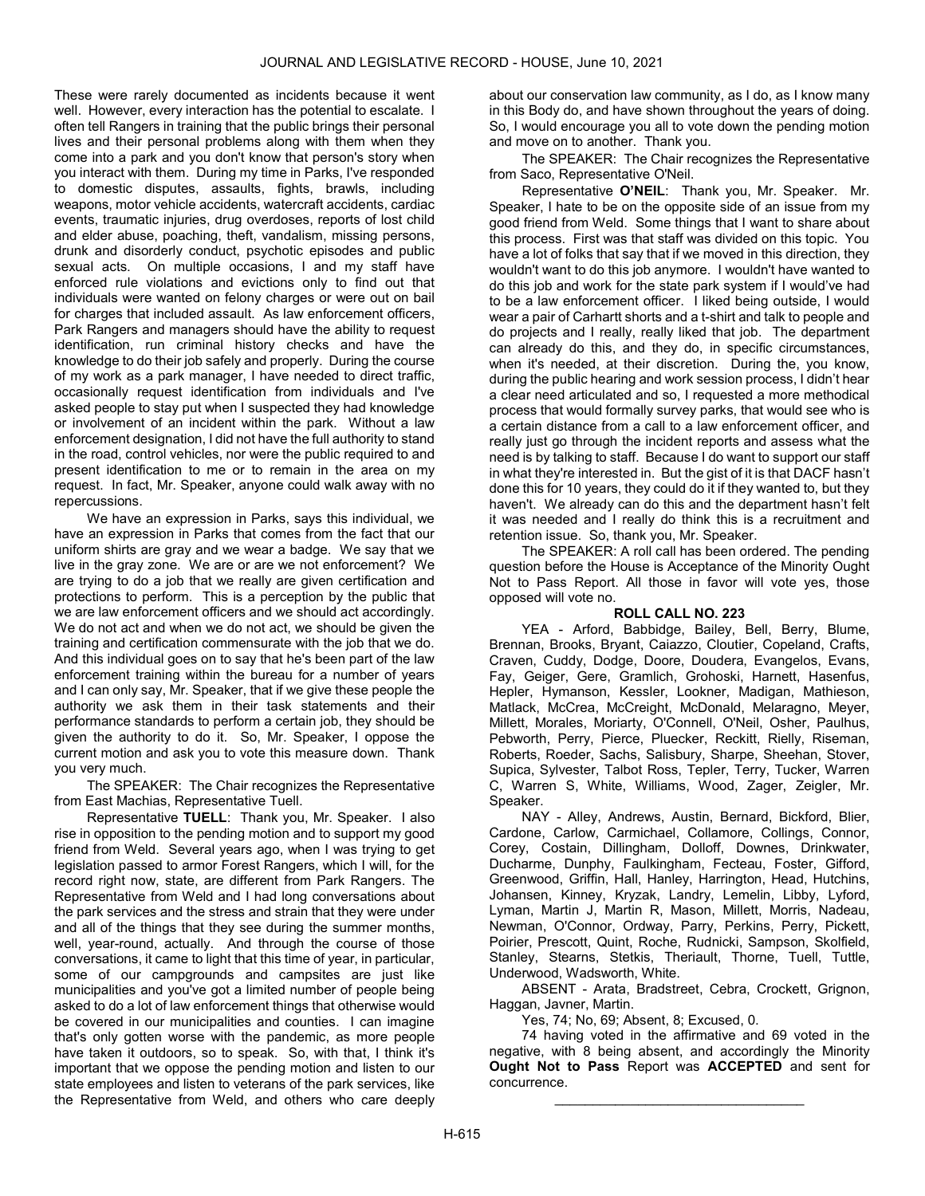These were rarely documented as incidents because it went well. However, every interaction has the potential to escalate. I often tell Rangers in training that the public brings their personal lives and their personal problems along with them when they come into a park and you don't know that person's story when you interact with them. During my time in Parks, I've responded to domestic disputes, assaults, fights, brawls, including weapons, motor vehicle accidents, watercraft accidents, cardiac events, traumatic injuries, drug overdoses, reports of lost child and elder abuse, poaching, theft, vandalism, missing persons, drunk and disorderly conduct, psychotic episodes and public sexual acts. On multiple occasions, I and my staff have enforced rule violations and evictions only to find out that individuals were wanted on felony charges or were out on bail for charges that included assault. As law enforcement officers, Park Rangers and managers should have the ability to request identification, run criminal history checks and have the knowledge to do their job safely and properly. During the course of my work as a park manager, I have needed to direct traffic, occasionally request identification from individuals and I've asked people to stay put when I suspected they had knowledge or involvement of an incident within the park. Without a law enforcement designation, I did not have the full authority to stand in the road, control vehicles, nor were the public required to and present identification to me or to remain in the area on my request. In fact, Mr. Speaker, anyone could walk away with no repercussions.

We have an expression in Parks, says this individual, we have an expression in Parks that comes from the fact that our uniform shirts are gray and we wear a badge. We say that we live in the gray zone. We are or are we not enforcement? We are trying to do a job that we really are given certification and protections to perform. This is a perception by the public that we are law enforcement officers and we should act accordingly. We do not act and when we do not act, we should be given the training and certification commensurate with the job that we do. And this individual goes on to say that he's been part of the law enforcement training within the bureau for a number of years and I can only say, Mr. Speaker, that if we give these people the authority we ask them in their task statements and their performance standards to perform a certain job, they should be given the authority to do it. So, Mr. Speaker, I oppose the current motion and ask you to vote this measure down. Thank you very much.

The SPEAKER: The Chair recognizes the Representative from East Machias, Representative Tuell.

Representative TUELL: Thank you, Mr. Speaker. I also rise in opposition to the pending motion and to support my good friend from Weld. Several years ago, when I was trying to get legislation passed to armor Forest Rangers, which I will, for the record right now, state, are different from Park Rangers. The Representative from Weld and I had long conversations about the park services and the stress and strain that they were under and all of the things that they see during the summer months, well, year-round, actually. And through the course of those conversations, it came to light that this time of year, in particular, some of our campgrounds and campsites are just like municipalities and you've got a limited number of people being asked to do a lot of law enforcement things that otherwise would be covered in our municipalities and counties. I can imagine that's only gotten worse with the pandemic, as more people have taken it outdoors, so to speak. So, with that, I think it's important that we oppose the pending motion and listen to our state employees and listen to veterans of the park services, like the Representative from Weld, and others who care deeply

about our conservation law community, as I do, as I know many in this Body do, and have shown throughout the years of doing. So, I would encourage you all to vote down the pending motion and move on to another. Thank you.

The SPEAKER: The Chair recognizes the Representative from Saco, Representative O'Neil.

Representative O'NEIL: Thank you, Mr. Speaker. Mr. Speaker, I hate to be on the opposite side of an issue from my good friend from Weld. Some things that I want to share about this process. First was that staff was divided on this topic. You have a lot of folks that say that if we moved in this direction, they wouldn't want to do this job anymore. I wouldn't have wanted to do this job and work for the state park system if I would've had to be a law enforcement officer. I liked being outside, I would wear a pair of Carhartt shorts and a t-shirt and talk to people and do projects and I really, really liked that job. The department can already do this, and they do, in specific circumstances, when it's needed, at their discretion. During the, you know, during the public hearing and work session process, I didn't hear a clear need articulated and so, I requested a more methodical process that would formally survey parks, that would see who is a certain distance from a call to a law enforcement officer, and really just go through the incident reports and assess what the need is by talking to staff. Because I do want to support our staff in what they're interested in. But the gist of it is that DACF hasn't done this for 10 years, they could do it if they wanted to, but they haven't. We already can do this and the department hasn't felt it was needed and I really do think this is a recruitment and retention issue. So, thank you, Mr. Speaker.

 The SPEAKER: A roll call has been ordered. The pending question before the House is Acceptance of the Minority Ought Not to Pass Report. All those in favor will vote yes, those opposed will vote no.

# ROLL CALL NO. 223

 YEA - Arford, Babbidge, Bailey, Bell, Berry, Blume, Brennan, Brooks, Bryant, Caiazzo, Cloutier, Copeland, Crafts, Craven, Cuddy, Dodge, Doore, Doudera, Evangelos, Evans, Fay, Geiger, Gere, Gramlich, Grohoski, Harnett, Hasenfus, Hepler, Hymanson, Kessler, Lookner, Madigan, Mathieson, Matlack, McCrea, McCreight, McDonald, Melaragno, Meyer, Millett, Morales, Moriarty, O'Connell, O'Neil, Osher, Paulhus, Pebworth, Perry, Pierce, Pluecker, Reckitt, Rielly, Riseman, Roberts, Roeder, Sachs, Salisbury, Sharpe, Sheehan, Stover, Supica, Sylvester, Talbot Ross, Tepler, Terry, Tucker, Warren C, Warren S, White, Williams, Wood, Zager, Zeigler, Mr. Speaker.

 NAY - Alley, Andrews, Austin, Bernard, Bickford, Blier, Cardone, Carlow, Carmichael, Collamore, Collings, Connor, Corey, Costain, Dillingham, Dolloff, Downes, Drinkwater, Ducharme, Dunphy, Faulkingham, Fecteau, Foster, Gifford, Greenwood, Griffin, Hall, Hanley, Harrington, Head, Hutchins, Johansen, Kinney, Kryzak, Landry, Lemelin, Libby, Lyford, Lyman, Martin J, Martin R, Mason, Millett, Morris, Nadeau, Newman, O'Connor, Ordway, Parry, Perkins, Perry, Pickett, Poirier, Prescott, Quint, Roche, Rudnicki, Sampson, Skolfield, Stanley, Stearns, Stetkis, Theriault, Thorne, Tuell, Tuttle, Underwood, Wadsworth, White.

 ABSENT - Arata, Bradstreet, Cebra, Crockett, Grignon, Haggan, Javner, Martin.

Yes, 74; No, 69; Absent, 8; Excused, 0.

 74 having voted in the affirmative and 69 voted in the negative, with 8 being absent, and accordingly the Minority Ought Not to Pass Report was ACCEPTED and sent for concurrence.

\_\_\_\_\_\_\_\_\_\_\_\_\_\_\_\_\_\_\_\_\_\_\_\_\_\_\_\_\_\_\_\_\_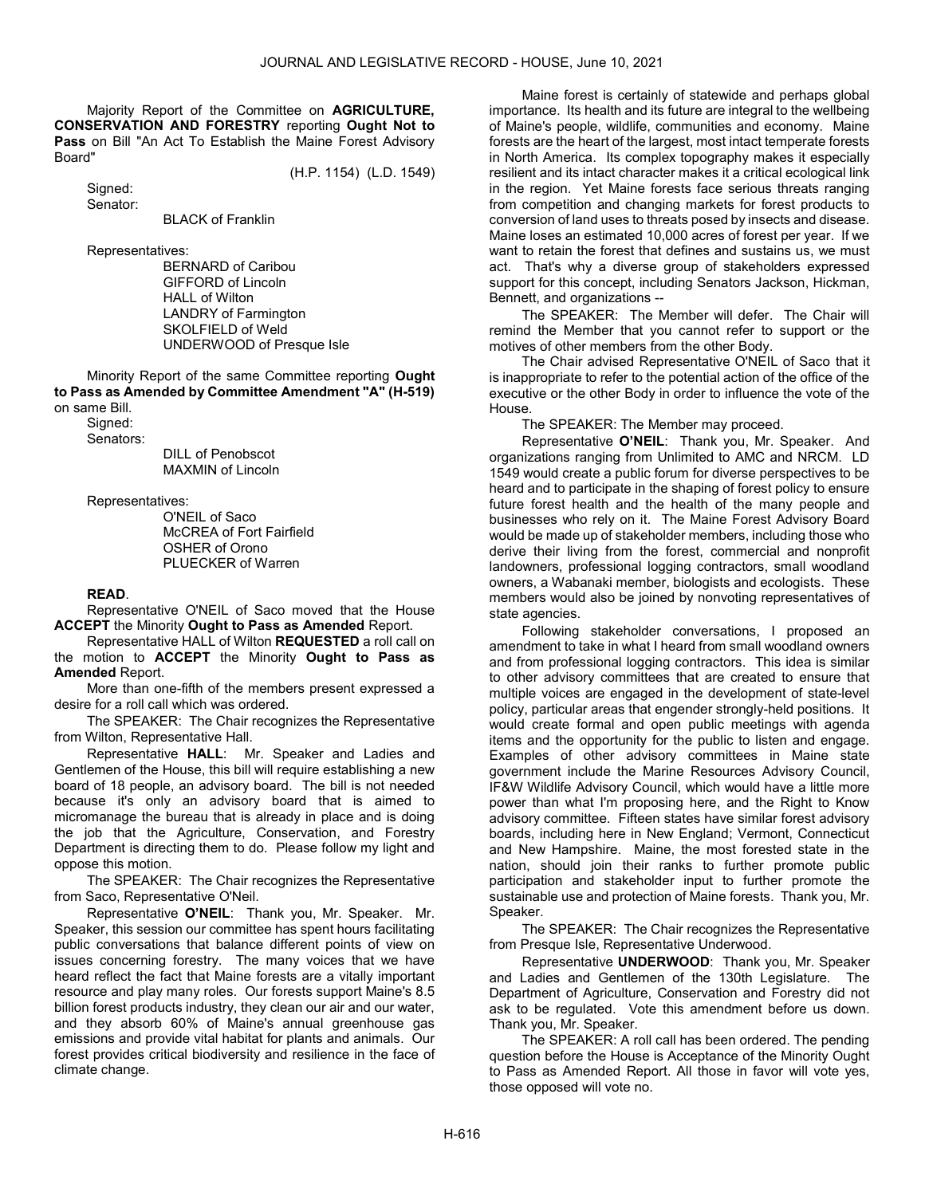Majority Report of the Committee on AGRICULTURE, CONSERVATION AND FORESTRY reporting Ought Not to Pass on Bill "An Act To Establish the Maine Forest Advisory Board"

(H.P. 1154) (L.D. 1549)

 Signed: Senator:

BLACK of Franklin

Representatives:

 BERNARD of Caribou GIFFORD of Lincoln HALL of Wilton LANDRY of Farmington SKOLFIELD of Weld UNDERWOOD of Presque Isle

 Minority Report of the same Committee reporting Ought to Pass as Amended by Committee Amendment "A" (H-519) on same Bill.

 Signed: Senators:

 DILL of Penobscot MAXMIN of Lincoln

Representatives:

 O'NEIL of Saco McCREA of Fort Fairfield OSHER of Orono PLUECKER of Warren

## READ.

 Representative O'NEIL of Saco moved that the House ACCEPT the Minority Ought to Pass as Amended Report.

 Representative HALL of Wilton REQUESTED a roll call on the motion to **ACCEPT** the Minority **Ought to Pass as** Amended Report.

 More than one-fifth of the members present expressed a desire for a roll call which was ordered.

The SPEAKER: The Chair recognizes the Representative from Wilton, Representative Hall.

Representative HALL: Mr. Speaker and Ladies and Gentlemen of the House, this bill will require establishing a new board of 18 people, an advisory board. The bill is not needed because it's only an advisory board that is aimed to micromanage the bureau that is already in place and is doing the job that the Agriculture, Conservation, and Forestry Department is directing them to do. Please follow my light and oppose this motion.

The SPEAKER: The Chair recognizes the Representative from Saco, Representative O'Neil.

Representative O'NEIL: Thank you, Mr. Speaker. Mr. Speaker, this session our committee has spent hours facilitating public conversations that balance different points of view on issues concerning forestry. The many voices that we have heard reflect the fact that Maine forests are a vitally important resource and play many roles. Our forests support Maine's 8.5 billion forest products industry, they clean our air and our water, and they absorb 60% of Maine's annual greenhouse gas emissions and provide vital habitat for plants and animals. Our forest provides critical biodiversity and resilience in the face of climate change.

Maine forest is certainly of statewide and perhaps global importance. Its health and its future are integral to the wellbeing of Maine's people, wildlife, communities and economy. Maine forests are the heart of the largest, most intact temperate forests in North America. Its complex topography makes it especially resilient and its intact character makes it a critical ecological link in the region. Yet Maine forests face serious threats ranging from competition and changing markets for forest products to conversion of land uses to threats posed by insects and disease. Maine loses an estimated 10,000 acres of forest per year. If we want to retain the forest that defines and sustains us, we must act. That's why a diverse group of stakeholders expressed support for this concept, including Senators Jackson, Hickman, Bennett, and organizations --

The SPEAKER: The Member will defer. The Chair will remind the Member that you cannot refer to support or the motives of other members from the other Body.

 The Chair advised Representative O'NEIL of Saco that it is inappropriate to refer to the potential action of the office of the executive or the other Body in order to influence the vote of the House.

The SPEAKER: The Member may proceed.

Representative O'NEIL: Thank you, Mr. Speaker. And organizations ranging from Unlimited to AMC and NRCM. LD 1549 would create a public forum for diverse perspectives to be heard and to participate in the shaping of forest policy to ensure future forest health and the health of the many people and businesses who rely on it. The Maine Forest Advisory Board would be made up of stakeholder members, including those who derive their living from the forest, commercial and nonprofit landowners, professional logging contractors, small woodland owners, a Wabanaki member, biologists and ecologists. These members would also be joined by nonvoting representatives of state agencies.

Following stakeholder conversations, I proposed an amendment to take in what I heard from small woodland owners and from professional logging contractors. This idea is similar to other advisory committees that are created to ensure that multiple voices are engaged in the development of state-level policy, particular areas that engender strongly-held positions. It would create formal and open public meetings with agenda items and the opportunity for the public to listen and engage. Examples of other advisory committees in Maine state government include the Marine Resources Advisory Council, IF&W Wildlife Advisory Council, which would have a little more power than what I'm proposing here, and the Right to Know advisory committee. Fifteen states have similar forest advisory boards, including here in New England; Vermont, Connecticut and New Hampshire. Maine, the most forested state in the nation, should join their ranks to further promote public participation and stakeholder input to further promote the sustainable use and protection of Maine forests. Thank you, Mr. Speaker.

The SPEAKER: The Chair recognizes the Representative from Presque Isle, Representative Underwood.

Representative UNDERWOOD: Thank you, Mr. Speaker and Ladies and Gentlemen of the 130th Legislature. The Department of Agriculture, Conservation and Forestry did not ask to be regulated. Vote this amendment before us down. Thank you, Mr. Speaker.

 The SPEAKER: A roll call has been ordered. The pending question before the House is Acceptance of the Minority Ought to Pass as Amended Report. All those in favor will vote yes, those opposed will vote no.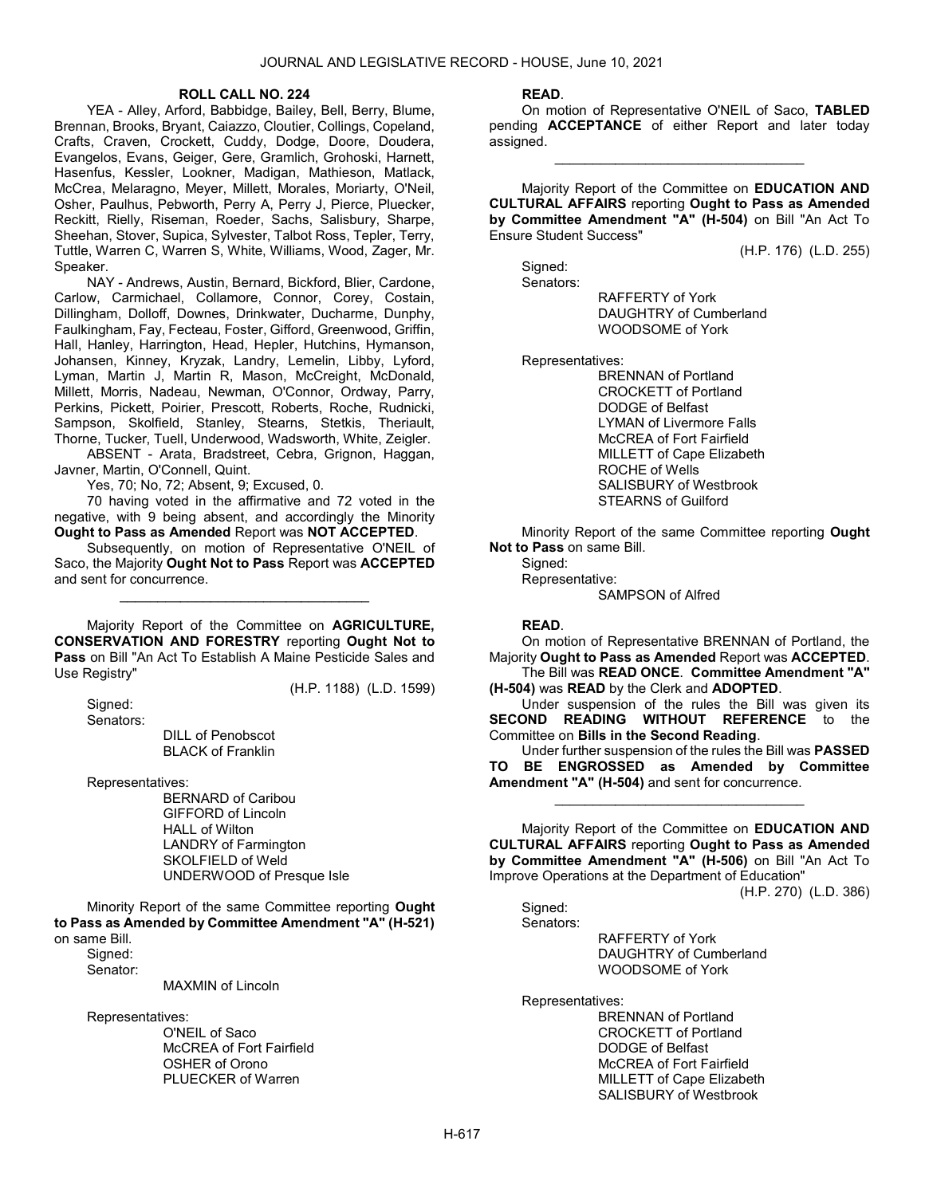#### ROLL CALL NO. 224

 YEA - Alley, Arford, Babbidge, Bailey, Bell, Berry, Blume, Brennan, Brooks, Bryant, Caiazzo, Cloutier, Collings, Copeland, Crafts, Craven, Crockett, Cuddy, Dodge, Doore, Doudera, Evangelos, Evans, Geiger, Gere, Gramlich, Grohoski, Harnett, Hasenfus, Kessler, Lookner, Madigan, Mathieson, Matlack, McCrea, Melaragno, Meyer, Millett, Morales, Moriarty, O'Neil, Osher, Paulhus, Pebworth, Perry A, Perry J, Pierce, Pluecker, Reckitt, Rielly, Riseman, Roeder, Sachs, Salisbury, Sharpe, Sheehan, Stover, Supica, Sylvester, Talbot Ross, Tepler, Terry, Tuttle, Warren C, Warren S, White, Williams, Wood, Zager, Mr. Speaker.

 NAY - Andrews, Austin, Bernard, Bickford, Blier, Cardone, Carlow, Carmichael, Collamore, Connor, Corey, Costain, Dillingham, Dolloff, Downes, Drinkwater, Ducharme, Dunphy, Faulkingham, Fay, Fecteau, Foster, Gifford, Greenwood, Griffin, Hall, Hanley, Harrington, Head, Hepler, Hutchins, Hymanson, Johansen, Kinney, Kryzak, Landry, Lemelin, Libby, Lyford, Lyman, Martin J, Martin R, Mason, McCreight, McDonald, Millett, Morris, Nadeau, Newman, O'Connor, Ordway, Parry, Perkins, Pickett, Poirier, Prescott, Roberts, Roche, Rudnicki, Sampson, Skolfield, Stanley, Stearns, Stetkis, Theriault, Thorne, Tucker, Tuell, Underwood, Wadsworth, White, Zeigler.

 ABSENT - Arata, Bradstreet, Cebra, Grignon, Haggan, Javner, Martin, O'Connell, Quint.

Yes, 70; No, 72; Absent, 9; Excused, 0.

 70 having voted in the affirmative and 72 voted in the negative, with 9 being absent, and accordingly the Minority Ought to Pass as Amended Report was NOT ACCEPTED.

 Subsequently, on motion of Representative O'NEIL of Saco, the Majority Ought Not to Pass Report was ACCEPTED and sent for concurrence.

\_\_\_\_\_\_\_\_\_\_\_\_\_\_\_\_\_\_\_\_\_\_\_\_\_\_\_\_\_\_\_\_\_

 Majority Report of the Committee on AGRICULTURE, CONSERVATION AND FORESTRY reporting Ought Not to Pass on Bill "An Act To Establish A Maine Pesticide Sales and Use Registry"

(H.P. 1188) (L.D. 1599)

 Signed: Senators:

 DILL of Penobscot BLACK of Franklin

Representatives:

 BERNARD of Caribou GIFFORD of Lincoln HALL of Wilton LANDRY of Farmington SKOLFIELD of Weld UNDERWOOD of Presque Isle

 Minority Report of the same Committee reporting Ought to Pass as Amended by Committee Amendment "A" (H-521) on same Bill.

Signed:

Senator:

MAXMIN of Lincoln

Representatives:

 O'NEIL of Saco McCREA of Fort Fairfield OSHER of Orono PLUECKER of Warren

#### READ.

 On motion of Representative O'NEIL of Saco, TABLED pending **ACCEPTANCE** of either Report and later today assigned.

\_\_\_\_\_\_\_\_\_\_\_\_\_\_\_\_\_\_\_\_\_\_\_\_\_\_\_\_\_\_\_\_\_

 Majority Report of the Committee on EDUCATION AND CULTURAL AFFAIRS reporting Ought to Pass as Amended by Committee Amendment "A" (H-504) on Bill "An Act To Ensure Student Success"

(H.P. 176) (L.D. 255)

 Signed: Senators:

 RAFFERTY of York DAUGHTRY of Cumberland WOODSOME of York

Representatives:

 BRENNAN of Portland CROCKETT of Portland DODGE of Belfast LYMAN of Livermore Falls McCREA of Fort Fairfield MILLETT of Cape Elizabeth ROCHE of Wells SALISBURY of Westbrook STEARNS of Guilford

 Minority Report of the same Committee reporting Ought Not to Pass on same Bill.

Signed: Representative: SAMPSON of Alfred

# READ.

 On motion of Representative BRENNAN of Portland, the Majority Ought to Pass as Amended Report was ACCEPTED.

 The Bill was READ ONCE. Committee Amendment "A" (H-504) was READ by the Clerk and ADOPTED.

 Under suspension of the rules the Bill was given its SECOND READING WITHOUT REFERENCE to the Committee on Bills in the Second Reading.

 Under further suspension of the rules the Bill was PASSED TO BE ENGROSSED as Amended by Committee Amendment "A" (H-504) and sent for concurrence.

\_\_\_\_\_\_\_\_\_\_\_\_\_\_\_\_\_\_\_\_\_\_\_\_\_\_\_\_\_\_\_\_\_

 Majority Report of the Committee on EDUCATION AND CULTURAL AFFAIRS reporting Ought to Pass as Amended by Committee Amendment "A" (H-506) on Bill "An Act To Improve Operations at the Department of Education"

(H.P. 270) (L.D. 386)

 Signed: Senators:

> RAFFERTY of York DAUGHTRY of Cumberland WOODSOME of York

Representatives:

 BRENNAN of Portland CROCKETT of Portland DODGE of Belfast McCREA of Fort Fairfield MILLETT of Cape Elizabeth SALISBURY of Westbrook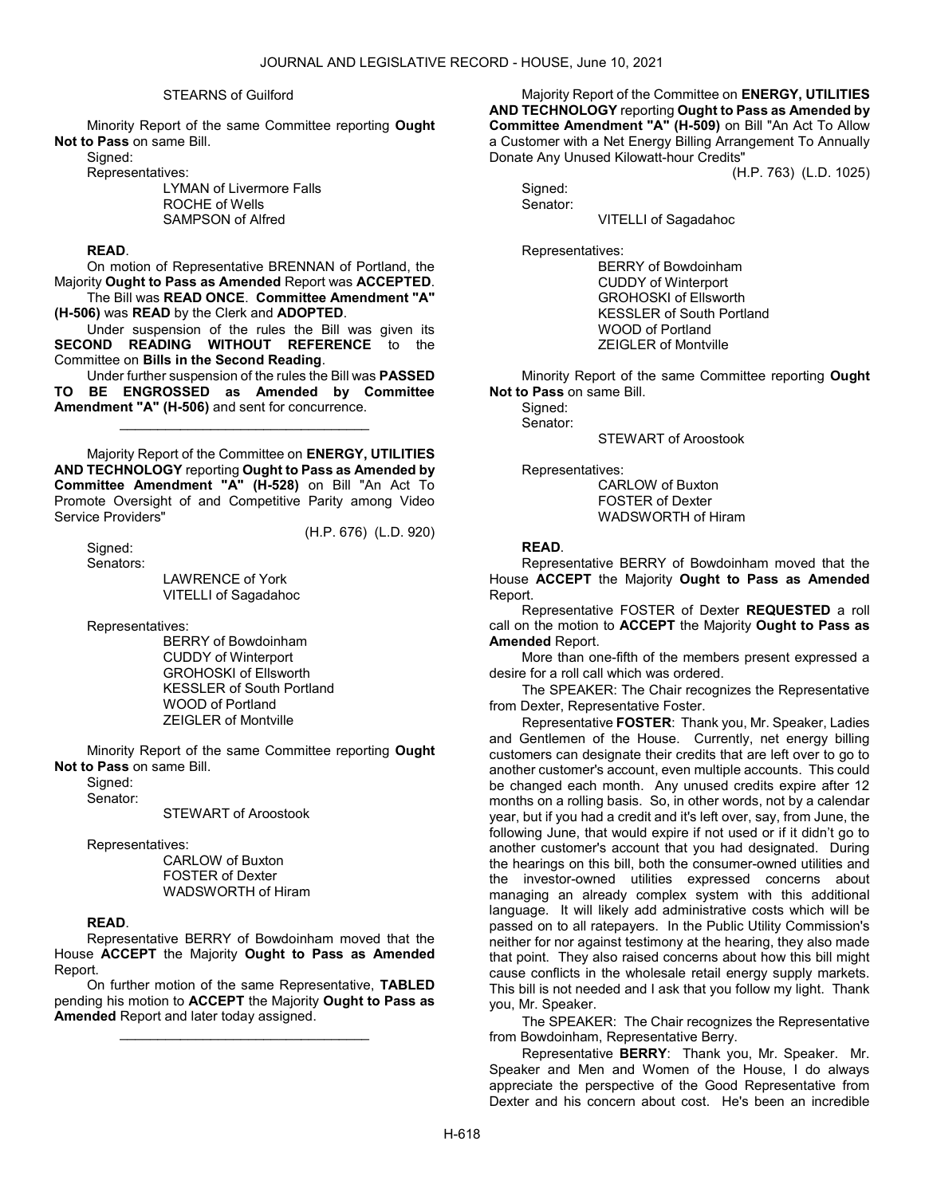#### STEARNS of Guilford

 Minority Report of the same Committee reporting Ought Not to Pass on same Bill.

Signed:

Representatives:

 LYMAN of Livermore Falls ROCHE of Wells SAMPSON of Alfred

# READ.

 On motion of Representative BRENNAN of Portland, the Majority Ought to Pass as Amended Report was ACCEPTED.

 The Bill was READ ONCE. Committee Amendment "A" (H-506) was READ by the Clerk and ADOPTED.

 Under suspension of the rules the Bill was given its SECOND READING WITHOUT REFERENCE to the Committee on Bills in the Second Reading.

 Under further suspension of the rules the Bill was PASSED TO BE ENGROSSED as Amended by Committee Amendment "A" (H-506) and sent for concurrence.

\_\_\_\_\_\_\_\_\_\_\_\_\_\_\_\_\_\_\_\_\_\_\_\_\_\_\_\_\_\_\_\_\_

 Majority Report of the Committee on ENERGY, UTILITIES AND TECHNOLOGY reporting Ought to Pass as Amended by Committee Amendment "A" (H-528) on Bill "An Act To Promote Oversight of and Competitive Parity among Video Service Providers"

Signed:

(H.P. 676) (L.D. 920)

 Senators: LAWRENCE of York VITELLI of Sagadahoc

Representatives:

 BERRY of Bowdoinham CUDDY of Winterport GROHOSKI of Ellsworth KESSLER of South Portland WOOD of Portland ZEIGLER of Montville

 Minority Report of the same Committee reporting Ought Not to Pass on same Bill.

Sianed:

Senator:

STEWART of Aroostook

Representatives:

 CARLOW of Buxton FOSTER of Dexter WADSWORTH of Hiram

# READ.

 Representative BERRY of Bowdoinham moved that the House ACCEPT the Majority Ought to Pass as Amended Report.

 On further motion of the same Representative, TABLED pending his motion to ACCEPT the Majority Ought to Pass as Amended Report and later today assigned.

\_\_\_\_\_\_\_\_\_\_\_\_\_\_\_\_\_\_\_\_\_\_\_\_\_\_\_\_\_\_\_\_\_

 Majority Report of the Committee on ENERGY, UTILITIES AND TECHNOLOGY reporting Ought to Pass as Amended by Committee Amendment "A" (H-509) on Bill "An Act To Allow a Customer with a Net Energy Billing Arrangement To Annually Donate Any Unused Kilowatt-hour Credits"

(H.P. 763) (L.D. 1025)

 Signed: Senator:

VITELLI of Sagadahoc

Representatives:

 BERRY of Bowdoinham CUDDY of Winterport GROHOSKI of Ellsworth KESSLER of South Portland WOOD of Portland ZEIGLER of Montville

 Minority Report of the same Committee reporting Ought Not to Pass on same Bill.

Sianed:

Senator:

STEWART of Aroostook

Representatives:

 CARLOW of Buxton FOSTER of Dexter WADSWORTH of Hiram

#### READ.

 Representative BERRY of Bowdoinham moved that the House ACCEPT the Majority Ought to Pass as Amended Report.

 Representative FOSTER of Dexter REQUESTED a roll call on the motion to ACCEPT the Majority Ought to Pass as Amended Report.

 More than one-fifth of the members present expressed a desire for a roll call which was ordered.

The SPEAKER: The Chair recognizes the Representative from Dexter, Representative Foster.

Representative FOSTER: Thank you, Mr. Speaker, Ladies and Gentlemen of the House. Currently, net energy billing customers can designate their credits that are left over to go to another customer's account, even multiple accounts. This could be changed each month. Any unused credits expire after 12 months on a rolling basis. So, in other words, not by a calendar year, but if you had a credit and it's left over, say, from June, the following June, that would expire if not used or if it didn't go to another customer's account that you had designated. During the hearings on this bill, both the consumer-owned utilities and the investor-owned utilities expressed concerns about managing an already complex system with this additional language. It will likely add administrative costs which will be passed on to all ratepayers. In the Public Utility Commission's neither for nor against testimony at the hearing, they also made that point. They also raised concerns about how this bill might cause conflicts in the wholesale retail energy supply markets. This bill is not needed and I ask that you follow my light. Thank you, Mr. Speaker.

The SPEAKER: The Chair recognizes the Representative from Bowdoinham, Representative Berry.

Representative BERRY: Thank you, Mr. Speaker. Mr. Speaker and Men and Women of the House, I do always appreciate the perspective of the Good Representative from Dexter and his concern about cost. He's been an incredible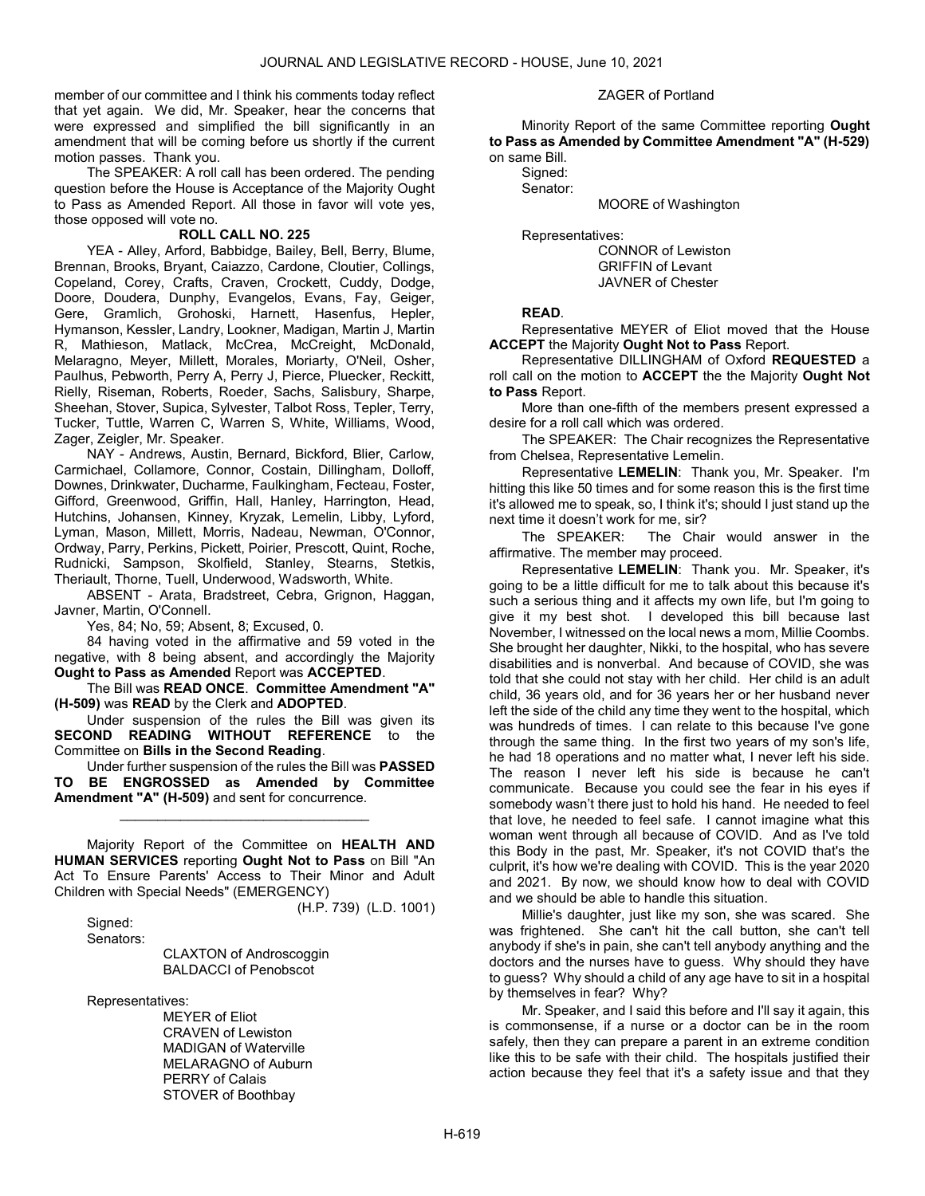member of our committee and I think his comments today reflect that yet again. We did, Mr. Speaker, hear the concerns that were expressed and simplified the bill significantly in an amendment that will be coming before us shortly if the current motion passes. Thank you.

 The SPEAKER: A roll call has been ordered. The pending question before the House is Acceptance of the Majority Ought to Pass as Amended Report. All those in favor will vote yes, those opposed will vote no.

#### ROLL CALL NO. 225

 YEA - Alley, Arford, Babbidge, Bailey, Bell, Berry, Blume, Brennan, Brooks, Bryant, Caiazzo, Cardone, Cloutier, Collings, Copeland, Corey, Crafts, Craven, Crockett, Cuddy, Dodge, Doore, Doudera, Dunphy, Evangelos, Evans, Fay, Geiger, Gere, Gramlich, Grohoski, Harnett, Hasenfus, Hepler, Hymanson, Kessler, Landry, Lookner, Madigan, Martin J, Martin R, Mathieson, Matlack, McCrea, McCreight, McDonald, Melaragno, Meyer, Millett, Morales, Moriarty, O'Neil, Osher, Paulhus, Pebworth, Perry A, Perry J, Pierce, Pluecker, Reckitt, Rielly, Riseman, Roberts, Roeder, Sachs, Salisbury, Sharpe, Sheehan, Stover, Supica, Sylvester, Talbot Ross, Tepler, Terry, Tucker, Tuttle, Warren C, Warren S, White, Williams, Wood, Zager, Zeigler, Mr. Speaker.

 NAY - Andrews, Austin, Bernard, Bickford, Blier, Carlow, Carmichael, Collamore, Connor, Costain, Dillingham, Dolloff, Downes, Drinkwater, Ducharme, Faulkingham, Fecteau, Foster, Gifford, Greenwood, Griffin, Hall, Hanley, Harrington, Head, Hutchins, Johansen, Kinney, Kryzak, Lemelin, Libby, Lyford, Lyman, Mason, Millett, Morris, Nadeau, Newman, O'Connor, Ordway, Parry, Perkins, Pickett, Poirier, Prescott, Quint, Roche, Rudnicki, Sampson, Skolfield, Stanley, Stearns, Stetkis, Theriault, Thorne, Tuell, Underwood, Wadsworth, White.

 ABSENT - Arata, Bradstreet, Cebra, Grignon, Haggan, Javner, Martin, O'Connell.

Yes, 84; No, 59; Absent, 8; Excused, 0.

 84 having voted in the affirmative and 59 voted in the negative, with 8 being absent, and accordingly the Majority Ought to Pass as Amended Report was ACCEPTED.

 The Bill was READ ONCE. Committee Amendment "A" (H-509) was READ by the Clerk and ADOPTED.

 Under suspension of the rules the Bill was given its SECOND READING WITHOUT REFERENCE to the Committee on Bills in the Second Reading.

 Under further suspension of the rules the Bill was PASSED TO BE ENGROSSED as Amended by Committee Amendment "A" (H-509) and sent for concurrence.

\_\_\_\_\_\_\_\_\_\_\_\_\_\_\_\_\_\_\_\_\_\_\_\_\_\_\_\_\_\_\_\_\_

 Majority Report of the Committee on HEALTH AND HUMAN SERVICES reporting Ought Not to Pass on Bill "An Act To Ensure Parents' Access to Their Minor and Adult Children with Special Needs" (EMERGENCY)

(H.P. 739) (L.D. 1001)

 Signed: Senators:

> CLAXTON of Androscoggin BALDACCI of Penobscot

Representatives:

 MEYER of Eliot CRAVEN of Lewiston MADIGAN of Waterville MELARAGNO of Auburn PERRY of Calais STOVER of Boothbay

#### ZAGER of Portland

 Minority Report of the same Committee reporting Ought to Pass as Amended by Committee Amendment "A" (H-529) on same Bill.

 Signed: Senator:

MOORE of Washington

Representatives:

 CONNOR of Lewiston GRIFFIN of Levant JAVNER of Chester

#### READ.

 Representative MEYER of Eliot moved that the House ACCEPT the Majority Ought Not to Pass Report.

 Representative DILLINGHAM of Oxford REQUESTED a roll call on the motion to ACCEPT the the Majority Ought Not to Pass Report.

 More than one-fifth of the members present expressed a desire for a roll call which was ordered.

The SPEAKER: The Chair recognizes the Representative from Chelsea, Representative Lemelin.

Representative LEMELIN: Thank you, Mr. Speaker. I'm hitting this like 50 times and for some reason this is the first time it's allowed me to speak, so, I think it's; should I just stand up the next time it doesn't work for me, sir?

The SPEAKER: The Chair would answer in the affirmative. The member may proceed.

Representative LEMELIN: Thank you. Mr. Speaker, it's going to be a little difficult for me to talk about this because it's such a serious thing and it affects my own life, but I'm going to give it my best shot. I developed this bill because last November, I witnessed on the local news a mom, Millie Coombs. She brought her daughter, Nikki, to the hospital, who has severe disabilities and is nonverbal. And because of COVID, she was told that she could not stay with her child. Her child is an adult child, 36 years old, and for 36 years her or her husband never left the side of the child any time they went to the hospital, which was hundreds of times. I can relate to this because I've gone through the same thing. In the first two years of my son's life, he had 18 operations and no matter what, I never left his side. The reason I never left his side is because he can't communicate. Because you could see the fear in his eyes if somebody wasn't there just to hold his hand. He needed to feel that love, he needed to feel safe. I cannot imagine what this woman went through all because of COVID. And as I've told this Body in the past, Mr. Speaker, it's not COVID that's the culprit, it's how we're dealing with COVID. This is the year 2020 and 2021. By now, we should know how to deal with COVID and we should be able to handle this situation.

Millie's daughter, just like my son, she was scared. She was frightened. She can't hit the call button, she can't tell anybody if she's in pain, she can't tell anybody anything and the doctors and the nurses have to guess. Why should they have to guess? Why should a child of any age have to sit in a hospital by themselves in fear? Why?

Mr. Speaker, and I said this before and I'll say it again, this is commonsense, if a nurse or a doctor can be in the room safely, then they can prepare a parent in an extreme condition like this to be safe with their child. The hospitals justified their action because they feel that it's a safety issue and that they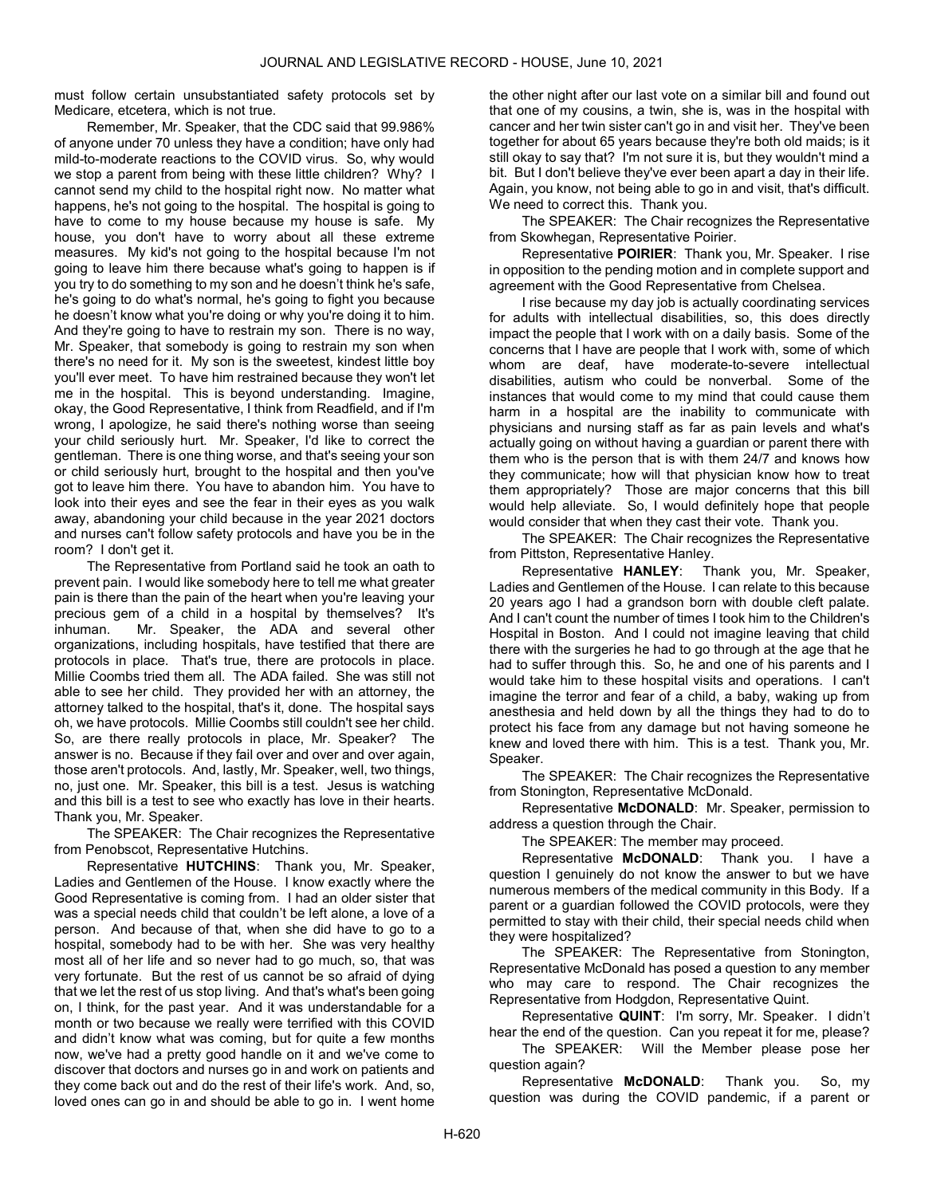must follow certain unsubstantiated safety protocols set by Medicare, etcetera, which is not true.

Remember, Mr. Speaker, that the CDC said that 99.986% of anyone under 70 unless they have a condition; have only had mild-to-moderate reactions to the COVID virus. So, why would we stop a parent from being with these little children? Why? I cannot send my child to the hospital right now. No matter what happens, he's not going to the hospital. The hospital is going to have to come to my house because my house is safe. My house, you don't have to worry about all these extreme measures. My kid's not going to the hospital because I'm not going to leave him there because what's going to happen is if you try to do something to my son and he doesn't think he's safe, he's going to do what's normal, he's going to fight you because he doesn't know what you're doing or why you're doing it to him. And they're going to have to restrain my son. There is no way, Mr. Speaker, that somebody is going to restrain my son when there's no need for it. My son is the sweetest, kindest little boy you'll ever meet. To have him restrained because they won't let me in the hospital. This is beyond understanding. Imagine, okay, the Good Representative, I think from Readfield, and if I'm wrong, I apologize, he said there's nothing worse than seeing your child seriously hurt. Mr. Speaker, I'd like to correct the gentleman. There is one thing worse, and that's seeing your son or child seriously hurt, brought to the hospital and then you've got to leave him there. You have to abandon him. You have to look into their eyes and see the fear in their eyes as you walk away, abandoning your child because in the year 2021 doctors and nurses can't follow safety protocols and have you be in the room? I don't get it.

The Representative from Portland said he took an oath to prevent pain. I would like somebody here to tell me what greater pain is there than the pain of the heart when you're leaving your precious gem of a child in a hospital by themselves? It's inhuman. Mr. Speaker, the ADA and several other organizations, including hospitals, have testified that there are protocols in place. That's true, there are protocols in place. Millie Coombs tried them all. The ADA failed. She was still not able to see her child. They provided her with an attorney, the attorney talked to the hospital, that's it, done. The hospital says oh, we have protocols. Millie Coombs still couldn't see her child. So, are there really protocols in place, Mr. Speaker? The answer is no. Because if they fail over and over and over again, those aren't protocols. And, lastly, Mr. Speaker, well, two things, no, just one. Mr. Speaker, this bill is a test. Jesus is watching and this bill is a test to see who exactly has love in their hearts. Thank you, Mr. Speaker.

The SPEAKER: The Chair recognizes the Representative from Penobscot, Representative Hutchins.

Representative HUTCHINS: Thank you, Mr. Speaker, Ladies and Gentlemen of the House. I know exactly where the Good Representative is coming from. I had an older sister that was a special needs child that couldn't be left alone, a love of a person. And because of that, when she did have to go to a hospital, somebody had to be with her. She was very healthy most all of her life and so never had to go much, so, that was very fortunate. But the rest of us cannot be so afraid of dying that we let the rest of us stop living. And that's what's been going on, I think, for the past year. And it was understandable for a month or two because we really were terrified with this COVID and didn't know what was coming, but for quite a few months now, we've had a pretty good handle on it and we've come to discover that doctors and nurses go in and work on patients and they come back out and do the rest of their life's work. And, so, loved ones can go in and should be able to go in. I went home

the other night after our last vote on a similar bill and found out that one of my cousins, a twin, she is, was in the hospital with cancer and her twin sister can't go in and visit her. They've been together for about 65 years because they're both old maids; is it still okay to say that? I'm not sure it is, but they wouldn't mind a bit. But I don't believe they've ever been apart a day in their life. Again, you know, not being able to go in and visit, that's difficult. We need to correct this. Thank you.

The SPEAKER: The Chair recognizes the Representative from Skowhegan, Representative Poirier.

Representative POIRIER: Thank you, Mr. Speaker. I rise in opposition to the pending motion and in complete support and agreement with the Good Representative from Chelsea.

I rise because my day job is actually coordinating services for adults with intellectual disabilities, so, this does directly impact the people that I work with on a daily basis. Some of the concerns that I have are people that I work with, some of which whom are deaf, have moderate-to-severe intellectual disabilities, autism who could be nonverbal. Some of the instances that would come to my mind that could cause them harm in a hospital are the inability to communicate with physicians and nursing staff as far as pain levels and what's actually going on without having a guardian or parent there with them who is the person that is with them 24/7 and knows how they communicate; how will that physician know how to treat them appropriately? Those are major concerns that this bill would help alleviate. So, I would definitely hope that people would consider that when they cast their vote. Thank you.

The SPEAKER: The Chair recognizes the Representative from Pittston, Representative Hanley.

Representative HANLEY: Thank you, Mr. Speaker, Ladies and Gentlemen of the House. I can relate to this because 20 years ago I had a grandson born with double cleft palate. And I can't count the number of times I took him to the Children's Hospital in Boston. And I could not imagine leaving that child there with the surgeries he had to go through at the age that he had to suffer through this. So, he and one of his parents and I would take him to these hospital visits and operations. I can't imagine the terror and fear of a child, a baby, waking up from anesthesia and held down by all the things they had to do to protect his face from any damage but not having someone he knew and loved there with him. This is a test. Thank you, Mr. Speaker.

The SPEAKER: The Chair recognizes the Representative from Stonington, Representative McDonald.

Representative McDONALD: Mr. Speaker, permission to address a question through the Chair.

The SPEAKER: The member may proceed.

Representative McDONALD: Thank you. I have a question I genuinely do not know the answer to but we have numerous members of the medical community in this Body. If a parent or a guardian followed the COVID protocols, were they permitted to stay with their child, their special needs child when they were hospitalized?

 The SPEAKER: The Representative from Stonington, Representative McDonald has posed a question to any member who may care to respond. The Chair recognizes the Representative from Hodgdon, Representative Quint.

Representative QUINT: I'm sorry, Mr. Speaker. I didn't hear the end of the question. Can you repeat it for me, please?

The SPEAKER: Will the Member please pose her question again?

Representative McDONALD: Thank you. So, my question was during the COVID pandemic, if a parent or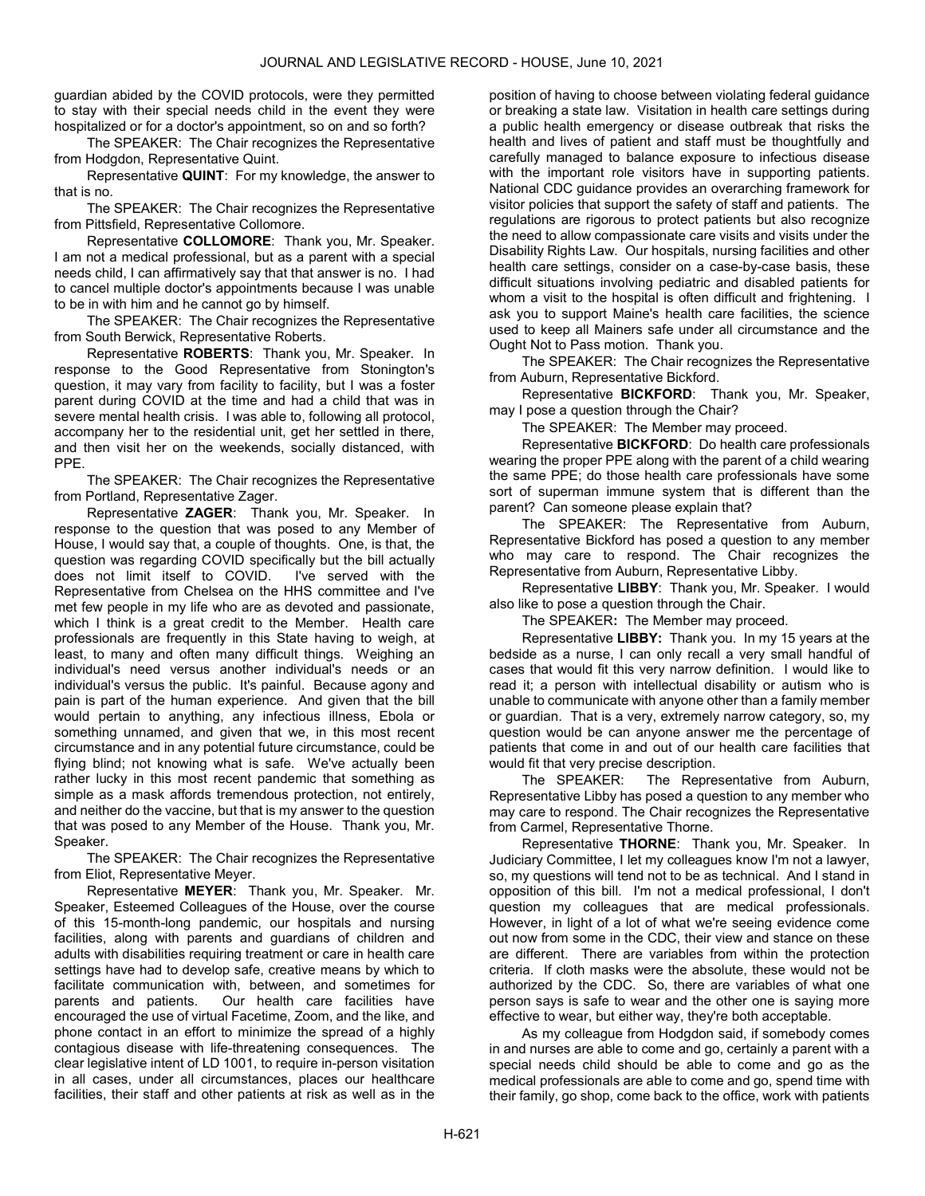guardian abided by the COVID protocols, were they permitted to stay with their special needs child in the event they were hospitalized or for a doctor's appointment, so on and so forth?

The SPEAKER: The Chair recognizes the Representative from Hodgdon, Representative Quint.

Representative QUINT: For my knowledge, the answer to that is no.

The SPEAKER: The Chair recognizes the Representative from Pittsfield, Representative Collomore.

Representative COLLOMORE: Thank you, Mr. Speaker. I am not a medical professional, but as a parent with a special needs child, I can affirmatively say that that answer is no. I had to cancel multiple doctor's appointments because I was unable to be in with him and he cannot go by himself.

The SPEAKER: The Chair recognizes the Representative from South Berwick, Representative Roberts.

Representative ROBERTS: Thank you, Mr. Speaker. In response to the Good Representative from Stonington's question, it may vary from facility to facility, but I was a foster parent during COVID at the time and had a child that was in severe mental health crisis. I was able to, following all protocol, accompany her to the residential unit, get her settled in there, and then visit her on the weekends, socially distanced, with PPE.

The SPEAKER: The Chair recognizes the Representative from Portland, Representative Zager.

Representative ZAGER: Thank you, Mr. Speaker. In response to the question that was posed to any Member of House, I would say that, a couple of thoughts. One, is that, the question was regarding COVID specifically but the bill actually does not limit itself to COVID. I've served with the Representative from Chelsea on the HHS committee and I've met few people in my life who are as devoted and passionate, which I think is a great credit to the Member. Health care professionals are frequently in this State having to weigh, at least, to many and often many difficult things. Weighing an individual's need versus another individual's needs or an individual's versus the public. It's painful. Because agony and pain is part of the human experience. And given that the bill would pertain to anything, any infectious illness, Ebola or something unnamed, and given that we, in this most recent circumstance and in any potential future circumstance, could be flying blind; not knowing what is safe. We've actually been rather lucky in this most recent pandemic that something as simple as a mask affords tremendous protection, not entirely, and neither do the vaccine, but that is my answer to the question that was posed to any Member of the House. Thank you, Mr. Speaker.

The SPEAKER: The Chair recognizes the Representative from Eliot, Representative Meyer.

Representative MEYER: Thank you, Mr. Speaker. Mr. Speaker, Esteemed Colleagues of the House, over the course of this 15-month-long pandemic, our hospitals and nursing facilities, along with parents and guardians of children and adults with disabilities requiring treatment or care in health care settings have had to develop safe, creative means by which to facilitate communication with, between, and sometimes for parents and patients. Our health care facilities have encouraged the use of virtual Facetime, Zoom, and the like, and phone contact in an effort to minimize the spread of a highly contagious disease with life-threatening consequences. The clear legislative intent of LD 1001, to require in-person visitation in all cases, under all circumstances, places our healthcare facilities, their staff and other patients at risk as well as in the position of having to choose between violating federal guidance or breaking a state law. Visitation in health care settings during a public health emergency or disease outbreak that risks the health and lives of patient and staff must be thoughtfully and carefully managed to balance exposure to infectious disease with the important role visitors have in supporting patients. National CDC guidance provides an overarching framework for visitor policies that support the safety of staff and patients. The regulations are rigorous to protect patients but also recognize the need to allow compassionate care visits and visits under the Disability Rights Law. Our hospitals, nursing facilities and other health care settings, consider on a case-by-case basis, these difficult situations involving pediatric and disabled patients for whom a visit to the hospital is often difficult and frightening. I ask you to support Maine's health care facilities, the science used to keep all Mainers safe under all circumstance and the Ought Not to Pass motion. Thank you.

The SPEAKER: The Chair recognizes the Representative from Auburn, Representative Bickford.

Representative BICKFORD: Thank you, Mr. Speaker, may I pose a question through the Chair?

The SPEAKER: The Member may proceed.

Representative BICKFORD: Do health care professionals wearing the proper PPE along with the parent of a child wearing the same PPE; do those health care professionals have some sort of superman immune system that is different than the parent? Can someone please explain that?

The SPEAKER: The Representative from Auburn, Representative Bickford has posed a question to any member who may care to respond. The Chair recognizes the Representative from Auburn, Representative Libby.

Representative LIBBY: Thank you, Mr. Speaker. I would also like to pose a question through the Chair.

The SPEAKER: The Member may proceed.

Representative LIBBY: Thank you. In my 15 years at the bedside as a nurse, I can only recall a very small handful of cases that would fit this very narrow definition. I would like to read it; a person with intellectual disability or autism who is unable to communicate with anyone other than a family member or guardian. That is a very, extremely narrow category, so, my question would be can anyone answer me the percentage of patients that come in and out of our health care facilities that would fit that very precise description.

The SPEAKER: The Representative from Auburn, Representative Libby has posed a question to any member who may care to respond. The Chair recognizes the Representative from Carmel, Representative Thorne.

Representative THORNE: Thank you, Mr. Speaker. In Judiciary Committee, I let my colleagues know I'm not a lawyer, so, my questions will tend not to be as technical. And I stand in opposition of this bill. I'm not a medical professional, I don't question my colleagues that are medical professionals. However, in light of a lot of what we're seeing evidence come out now from some in the CDC, their view and stance on these are different. There are variables from within the protection criteria. If cloth masks were the absolute, these would not be authorized by the CDC. So, there are variables of what one person says is safe to wear and the other one is saying more effective to wear, but either way, they're both acceptable.

As my colleague from Hodgdon said, if somebody comes in and nurses are able to come and go, certainly a parent with a special needs child should be able to come and go as the medical professionals are able to come and go, spend time with their family, go shop, come back to the office, work with patients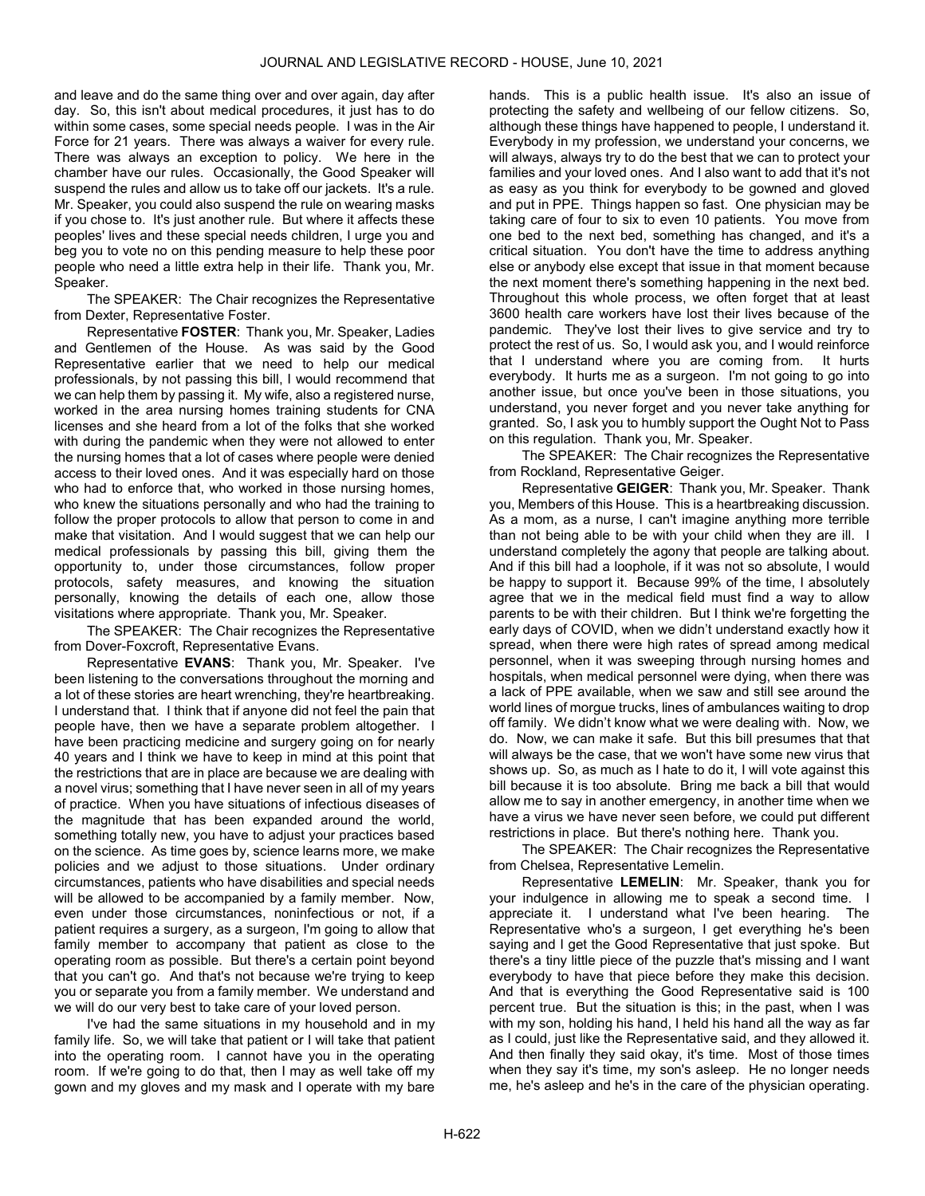and leave and do the same thing over and over again, day after day. So, this isn't about medical procedures, it just has to do within some cases, some special needs people. I was in the Air Force for 21 years. There was always a waiver for every rule. There was always an exception to policy. We here in the chamber have our rules. Occasionally, the Good Speaker will suspend the rules and allow us to take off our jackets. It's a rule. Mr. Speaker, you could also suspend the rule on wearing masks if you chose to. It's just another rule. But where it affects these peoples' lives and these special needs children, I urge you and beg you to vote no on this pending measure to help these poor people who need a little extra help in their life. Thank you, Mr. Speaker.

The SPEAKER: The Chair recognizes the Representative from Dexter, Representative Foster.

Representative FOSTER: Thank you, Mr. Speaker, Ladies and Gentlemen of the House. As was said by the Good Representative earlier that we need to help our medical professionals, by not passing this bill, I would recommend that we can help them by passing it. My wife, also a registered nurse, worked in the area nursing homes training students for CNA licenses and she heard from a lot of the folks that she worked with during the pandemic when they were not allowed to enter the nursing homes that a lot of cases where people were denied access to their loved ones. And it was especially hard on those who had to enforce that, who worked in those nursing homes, who knew the situations personally and who had the training to follow the proper protocols to allow that person to come in and make that visitation. And I would suggest that we can help our medical professionals by passing this bill, giving them the opportunity to, under those circumstances, follow proper protocols, safety measures, and knowing the situation personally, knowing the details of each one, allow those visitations where appropriate. Thank you, Mr. Speaker.

The SPEAKER: The Chair recognizes the Representative from Dover-Foxcroft, Representative Evans.

Representative EVANS: Thank you, Mr. Speaker. I've been listening to the conversations throughout the morning and a lot of these stories are heart wrenching, they're heartbreaking. I understand that. I think that if anyone did not feel the pain that people have, then we have a separate problem altogether. I have been practicing medicine and surgery going on for nearly 40 years and I think we have to keep in mind at this point that the restrictions that are in place are because we are dealing with a novel virus; something that I have never seen in all of my years of practice. When you have situations of infectious diseases of the magnitude that has been expanded around the world, something totally new, you have to adjust your practices based on the science. As time goes by, science learns more, we make policies and we adjust to those situations. Under ordinary circumstances, patients who have disabilities and special needs will be allowed to be accompanied by a family member. Now, even under those circumstances, noninfectious or not, if a patient requires a surgery, as a surgeon, I'm going to allow that family member to accompany that patient as close to the operating room as possible. But there's a certain point beyond that you can't go. And that's not because we're trying to keep you or separate you from a family member. We understand and we will do our very best to take care of your loved person.

I've had the same situations in my household and in my family life. So, we will take that patient or I will take that patient into the operating room. I cannot have you in the operating room. If we're going to do that, then I may as well take off my gown and my gloves and my mask and I operate with my bare

hands. This is a public health issue. It's also an issue of protecting the safety and wellbeing of our fellow citizens. So, although these things have happened to people, I understand it. Everybody in my profession, we understand your concerns, we will always, always try to do the best that we can to protect your families and your loved ones. And I also want to add that it's not as easy as you think for everybody to be gowned and gloved and put in PPE. Things happen so fast. One physician may be taking care of four to six to even 10 patients. You move from one bed to the next bed, something has changed, and it's a critical situation. You don't have the time to address anything else or anybody else except that issue in that moment because the next moment there's something happening in the next bed. Throughout this whole process, we often forget that at least 3600 health care workers have lost their lives because of the pandemic. They've lost their lives to give service and try to protect the rest of us. So, I would ask you, and I would reinforce that I understand where you are coming from. It hurts everybody. It hurts me as a surgeon. I'm not going to go into another issue, but once you've been in those situations, you understand, you never forget and you never take anything for granted. So, I ask you to humbly support the Ought Not to Pass on this regulation. Thank you, Mr. Speaker.

The SPEAKER: The Chair recognizes the Representative from Rockland, Representative Geiger.

Representative GEIGER: Thank you, Mr. Speaker. Thank you, Members of this House. This is a heartbreaking discussion. As a mom, as a nurse, I can't imagine anything more terrible than not being able to be with your child when they are ill. I understand completely the agony that people are talking about. And if this bill had a loophole, if it was not so absolute, I would be happy to support it. Because 99% of the time, I absolutely agree that we in the medical field must find a way to allow parents to be with their children. But I think we're forgetting the early days of COVID, when we didn't understand exactly how it spread, when there were high rates of spread among medical personnel, when it was sweeping through nursing homes and hospitals, when medical personnel were dying, when there was a lack of PPE available, when we saw and still see around the world lines of morgue trucks, lines of ambulances waiting to drop off family. We didn't know what we were dealing with. Now, we do. Now, we can make it safe. But this bill presumes that that will always be the case, that we won't have some new virus that shows up. So, as much as I hate to do it, I will vote against this bill because it is too absolute. Bring me back a bill that would allow me to say in another emergency, in another time when we have a virus we have never seen before, we could put different restrictions in place. But there's nothing here. Thank you.

The SPEAKER: The Chair recognizes the Representative from Chelsea, Representative Lemelin.

Representative LEMELIN: Mr. Speaker, thank you for your indulgence in allowing me to speak a second time. I appreciate it. I understand what I've been hearing. The Representative who's a surgeon, I get everything he's been saying and I get the Good Representative that just spoke. But there's a tiny little piece of the puzzle that's missing and I want everybody to have that piece before they make this decision. And that is everything the Good Representative said is 100 percent true. But the situation is this; in the past, when I was with my son, holding his hand, I held his hand all the way as far as I could, just like the Representative said, and they allowed it. And then finally they said okay, it's time. Most of those times when they say it's time, my son's asleep. He no longer needs me, he's asleep and he's in the care of the physician operating.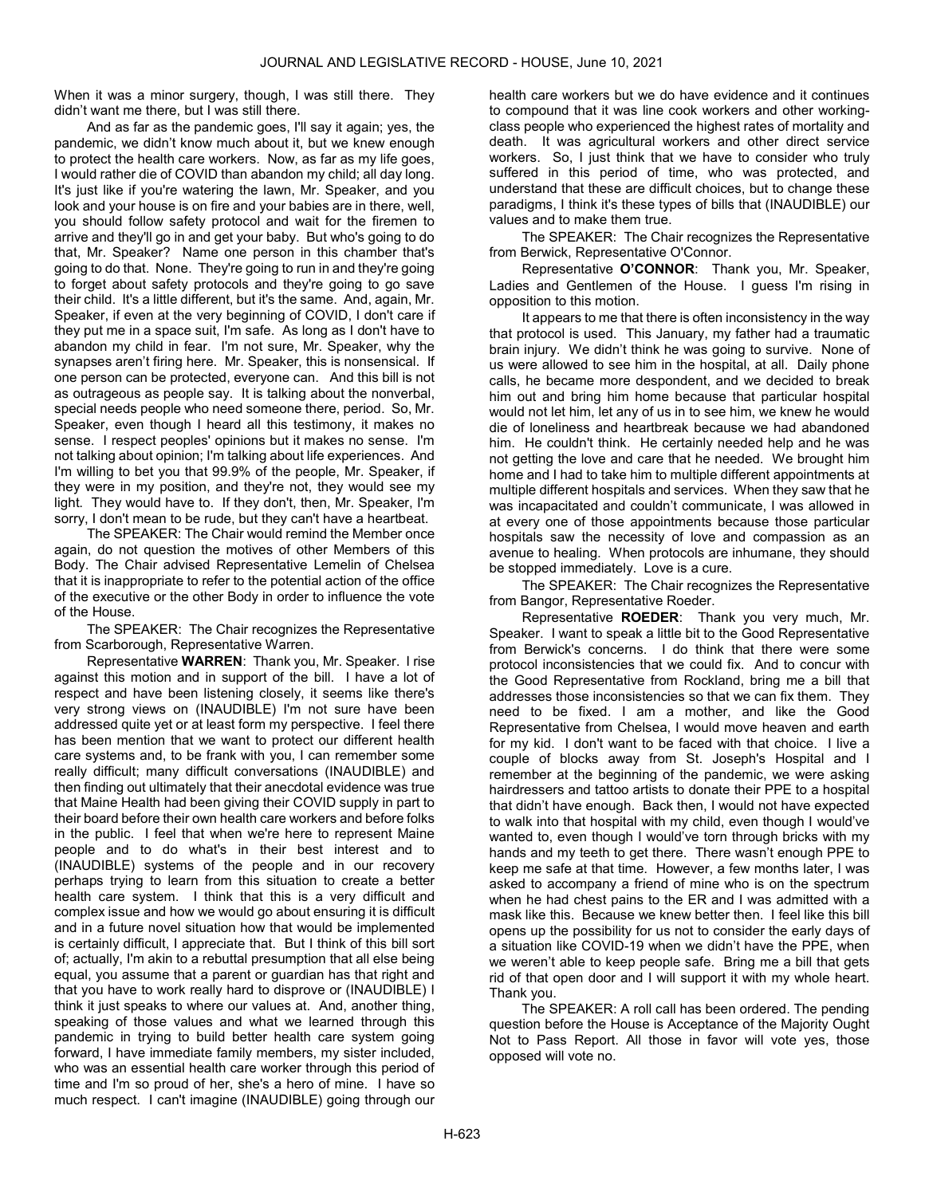When it was a minor surgery, though, I was still there. They didn't want me there, but I was still there.

And as far as the pandemic goes, I'll say it again; yes, the pandemic, we didn't know much about it, but we knew enough to protect the health care workers. Now, as far as my life goes, I would rather die of COVID than abandon my child; all day long. It's just like if you're watering the lawn, Mr. Speaker, and you look and your house is on fire and your babies are in there, well, you should follow safety protocol and wait for the firemen to arrive and they'll go in and get your baby. But who's going to do that, Mr. Speaker? Name one person in this chamber that's going to do that. None. They're going to run in and they're going to forget about safety protocols and they're going to go save their child. It's a little different, but it's the same. And, again, Mr. Speaker, if even at the very beginning of COVID, I don't care if they put me in a space suit, I'm safe. As long as I don't have to abandon my child in fear. I'm not sure, Mr. Speaker, why the synapses aren't firing here. Mr. Speaker, this is nonsensical. If one person can be protected, everyone can. And this bill is not as outrageous as people say. It is talking about the nonverbal, special needs people who need someone there, period. So, Mr. Speaker, even though I heard all this testimony, it makes no sense. I respect peoples' opinions but it makes no sense. I'm not talking about opinion; I'm talking about life experiences. And I'm willing to bet you that 99.9% of the people, Mr. Speaker, if they were in my position, and they're not, they would see my light. They would have to. If they don't, then, Mr. Speaker, I'm sorry, I don't mean to be rude, but they can't have a heartbeat.

 The SPEAKER: The Chair would remind the Member once again, do not question the motives of other Members of this Body. The Chair advised Representative Lemelin of Chelsea that it is inappropriate to refer to the potential action of the office of the executive or the other Body in order to influence the vote of the House.

The SPEAKER: The Chair recognizes the Representative from Scarborough, Representative Warren.

Representative WARREN: Thank you, Mr. Speaker. I rise against this motion and in support of the bill. I have a lot of respect and have been listening closely, it seems like there's very strong views on (INAUDIBLE) I'm not sure have been addressed quite yet or at least form my perspective. I feel there has been mention that we want to protect our different health care systems and, to be frank with you, I can remember some really difficult; many difficult conversations (INAUDIBLE) and then finding out ultimately that their anecdotal evidence was true that Maine Health had been giving their COVID supply in part to their board before their own health care workers and before folks in the public. I feel that when we're here to represent Maine people and to do what's in their best interest and to (INAUDIBLE) systems of the people and in our recovery perhaps trying to learn from this situation to create a better health care system. I think that this is a very difficult and complex issue and how we would go about ensuring it is difficult and in a future novel situation how that would be implemented is certainly difficult, I appreciate that. But I think of this bill sort of; actually, I'm akin to a rebuttal presumption that all else being equal, you assume that a parent or guardian has that right and that you have to work really hard to disprove or (INAUDIBLE) I think it just speaks to where our values at. And, another thing, speaking of those values and what we learned through this pandemic in trying to build better health care system going forward, I have immediate family members, my sister included, who was an essential health care worker through this period of time and I'm so proud of her, she's a hero of mine. I have so much respect. I can't imagine (INAUDIBLE) going through our

health care workers but we do have evidence and it continues to compound that it was line cook workers and other workingclass people who experienced the highest rates of mortality and death. It was agricultural workers and other direct service workers. So, I just think that we have to consider who truly suffered in this period of time, who was protected, and understand that these are difficult choices, but to change these paradigms, I think it's these types of bills that (INAUDIBLE) our values and to make them true.

The SPEAKER: The Chair recognizes the Representative from Berwick, Representative O'Connor.

Representative O'CONNOR: Thank you, Mr. Speaker, Ladies and Gentlemen of the House. I guess I'm rising in opposition to this motion.

It appears to me that there is often inconsistency in the way that protocol is used. This January, my father had a traumatic brain injury. We didn't think he was going to survive. None of us were allowed to see him in the hospital, at all. Daily phone calls, he became more despondent, and we decided to break him out and bring him home because that particular hospital would not let him, let any of us in to see him, we knew he would die of loneliness and heartbreak because we had abandoned him. He couldn't think. He certainly needed help and he was not getting the love and care that he needed. We brought him home and I had to take him to multiple different appointments at multiple different hospitals and services. When they saw that he was incapacitated and couldn't communicate, I was allowed in at every one of those appointments because those particular hospitals saw the necessity of love and compassion as an avenue to healing. When protocols are inhumane, they should be stopped immediately. Love is a cure.

The SPEAKER: The Chair recognizes the Representative from Bangor, Representative Roeder.

Representative ROEDER: Thank you very much, Mr. Speaker. I want to speak a little bit to the Good Representative from Berwick's concerns. I do think that there were some protocol inconsistencies that we could fix. And to concur with the Good Representative from Rockland, bring me a bill that addresses those inconsistencies so that we can fix them. They need to be fixed. I am a mother, and like the Good Representative from Chelsea, I would move heaven and earth for my kid. I don't want to be faced with that choice. I live a couple of blocks away from St. Joseph's Hospital and I remember at the beginning of the pandemic, we were asking hairdressers and tattoo artists to donate their PPE to a hospital that didn't have enough. Back then, I would not have expected to walk into that hospital with my child, even though I would've wanted to, even though I would've torn through bricks with my hands and my teeth to get there. There wasn't enough PPE to keep me safe at that time. However, a few months later, I was asked to accompany a friend of mine who is on the spectrum when he had chest pains to the ER and I was admitted with a mask like this. Because we knew better then. I feel like this bill opens up the possibility for us not to consider the early days of a situation like COVID-19 when we didn't have the PPE, when we weren't able to keep people safe. Bring me a bill that gets rid of that open door and I will support it with my whole heart. Thank you.

 The SPEAKER: A roll call has been ordered. The pending question before the House is Acceptance of the Majority Ought Not to Pass Report. All those in favor will vote yes, those opposed will vote no.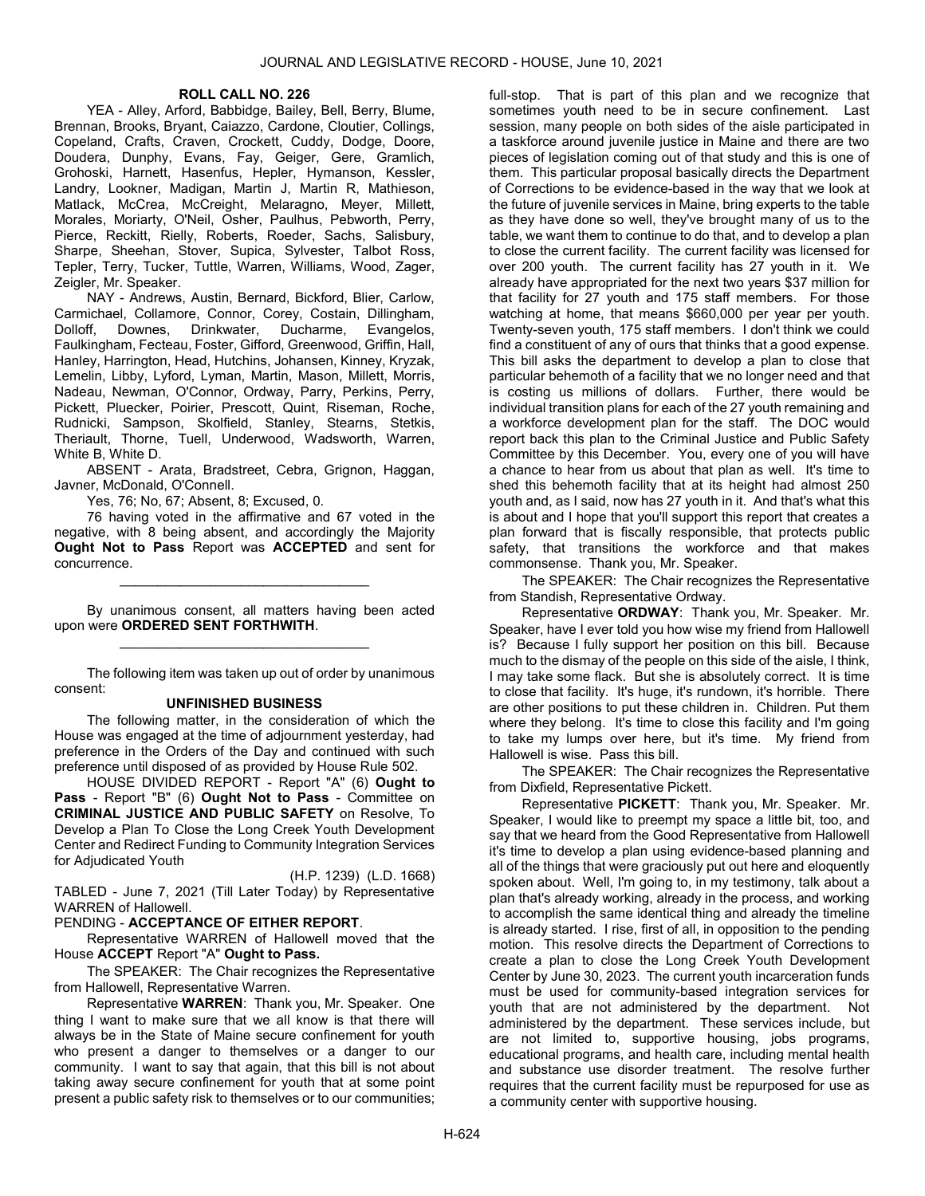## ROLL CALL NO. 226

 YEA - Alley, Arford, Babbidge, Bailey, Bell, Berry, Blume, Brennan, Brooks, Bryant, Caiazzo, Cardone, Cloutier, Collings, Copeland, Crafts, Craven, Crockett, Cuddy, Dodge, Doore, Doudera, Dunphy, Evans, Fay, Geiger, Gere, Gramlich, Grohoski, Harnett, Hasenfus, Hepler, Hymanson, Kessler, Landry, Lookner, Madigan, Martin J, Martin R, Mathieson, Matlack, McCrea, McCreight, Melaragno, Meyer, Millett, Morales, Moriarty, O'Neil, Osher, Paulhus, Pebworth, Perry, Pierce, Reckitt, Rielly, Roberts, Roeder, Sachs, Salisbury, Sharpe, Sheehan, Stover, Supica, Sylvester, Talbot Ross, Tepler, Terry, Tucker, Tuttle, Warren, Williams, Wood, Zager, Zeigler, Mr. Speaker.

 NAY - Andrews, Austin, Bernard, Bickford, Blier, Carlow, Carmichael, Collamore, Connor, Corey, Costain, Dillingham, Dolloff, Downes, Drinkwater, Ducharme, Evangelos, Faulkingham, Fecteau, Foster, Gifford, Greenwood, Griffin, Hall, Hanley, Harrington, Head, Hutchins, Johansen, Kinney, Kryzak, Lemelin, Libby, Lyford, Lyman, Martin, Mason, Millett, Morris, Nadeau, Newman, O'Connor, Ordway, Parry, Perkins, Perry, Pickett, Pluecker, Poirier, Prescott, Quint, Riseman, Roche, Rudnicki, Sampson, Skolfield, Stanley, Stearns, Stetkis, Theriault, Thorne, Tuell, Underwood, Wadsworth, Warren, White B, White D.

 ABSENT - Arata, Bradstreet, Cebra, Grignon, Haggan, Javner, McDonald, O'Connell.

Yes, 76; No, 67; Absent, 8; Excused, 0.

 76 having voted in the affirmative and 67 voted in the negative, with 8 being absent, and accordingly the Majority Ought Not to Pass Report was ACCEPTED and sent for concurrence.

 By unanimous consent, all matters having been acted upon were ORDERED SENT FORTHWITH. \_\_\_\_\_\_\_\_\_\_\_\_\_\_\_\_\_\_\_\_\_\_\_\_\_\_\_\_\_\_\_\_\_

\_\_\_\_\_\_\_\_\_\_\_\_\_\_\_\_\_\_\_\_\_\_\_\_\_\_\_\_\_\_\_\_\_

 The following item was taken up out of order by unanimous consent:

#### UNFINISHED BUSINESS

 The following matter, in the consideration of which the House was engaged at the time of adjournment yesterday, had preference in the Orders of the Day and continued with such preference until disposed of as provided by House Rule 502.

 HOUSE DIVIDED REPORT - Report "A" (6) Ought to Pass - Report "B" (6) Ought Not to Pass - Committee on CRIMINAL JUSTICE AND PUBLIC SAFETY on Resolve, To Develop a Plan To Close the Long Creek Youth Development Center and Redirect Funding to Community Integration Services for Adjudicated Youth

(H.P. 1239) (L.D. 1668) TABLED - June 7, 2021 (Till Later Today) by Representative WARREN of Hallowell.

# PENDING - ACCEPTANCE OF EITHER REPORT.

 Representative WARREN of Hallowell moved that the House ACCEPT Report "A" Ought to Pass.

The SPEAKER: The Chair recognizes the Representative from Hallowell, Representative Warren.

Representative WARREN: Thank you, Mr. Speaker. One thing I want to make sure that we all know is that there will always be in the State of Maine secure confinement for youth who present a danger to themselves or a danger to our community. I want to say that again, that this bill is not about taking away secure confinement for youth that at some point present a public safety risk to themselves or to our communities;

full-stop. That is part of this plan and we recognize that sometimes youth need to be in secure confinement. Last session, many people on both sides of the aisle participated in a taskforce around juvenile justice in Maine and there are two pieces of legislation coming out of that study and this is one of them. This particular proposal basically directs the Department of Corrections to be evidence-based in the way that we look at the future of juvenile services in Maine, bring experts to the table as they have done so well, they've brought many of us to the table, we want them to continue to do that, and to develop a plan to close the current facility. The current facility was licensed for over 200 youth. The current facility has 27 youth in it. We already have appropriated for the next two years \$37 million for that facility for 27 youth and 175 staff members. For those watching at home, that means \$660,000 per year per youth. Twenty-seven youth, 175 staff members. I don't think we could find a constituent of any of ours that thinks that a good expense. This bill asks the department to develop a plan to close that particular behemoth of a facility that we no longer need and that is costing us millions of dollars. Further, there would be individual transition plans for each of the 27 youth remaining and a workforce development plan for the staff. The DOC would report back this plan to the Criminal Justice and Public Safety Committee by this December. You, every one of you will have a chance to hear from us about that plan as well. It's time to shed this behemoth facility that at its height had almost 250 youth and, as I said, now has 27 youth in it. And that's what this is about and I hope that you'll support this report that creates a plan forward that is fiscally responsible, that protects public safety, that transitions the workforce and that makes commonsense. Thank you, Mr. Speaker.

The SPEAKER: The Chair recognizes the Representative from Standish, Representative Ordway.

Representative ORDWAY: Thank you, Mr. Speaker. Mr. Speaker, have I ever told you how wise my friend from Hallowell is? Because I fully support her position on this bill. Because much to the dismay of the people on this side of the aisle, I think, I may take some flack. But she is absolutely correct. It is time to close that facility. It's huge, it's rundown, it's horrible. There are other positions to put these children in. Children. Put them where they belong. It's time to close this facility and I'm going to take my lumps over here, but it's time. My friend from Hallowell is wise. Pass this bill.

The SPEAKER: The Chair recognizes the Representative from Dixfield, Representative Pickett.

Representative PICKETT: Thank you, Mr. Speaker. Mr. Speaker, I would like to preempt my space a little bit, too, and say that we heard from the Good Representative from Hallowell it's time to develop a plan using evidence-based planning and all of the things that were graciously put out here and eloquently spoken about. Well, I'm going to, in my testimony, talk about a plan that's already working, already in the process, and working to accomplish the same identical thing and already the timeline is already started. I rise, first of all, in opposition to the pending motion. This resolve directs the Department of Corrections to create a plan to close the Long Creek Youth Development Center by June 30, 2023. The current youth incarceration funds must be used for community-based integration services for youth that are not administered by the department. Not administered by the department. These services include, but are not limited to, supportive housing, jobs programs, educational programs, and health care, including mental health and substance use disorder treatment. The resolve further requires that the current facility must be repurposed for use as a community center with supportive housing.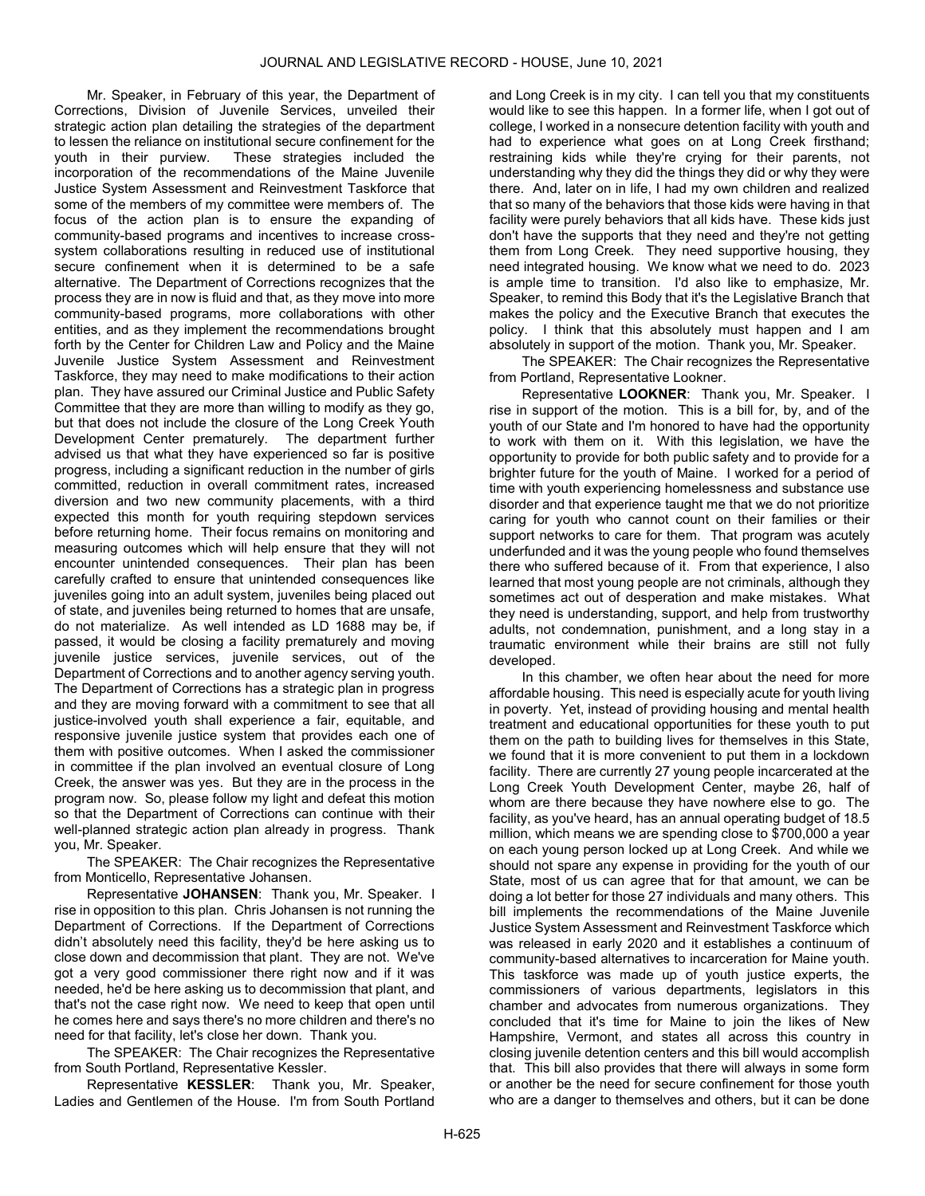Mr. Speaker, in February of this year, the Department of Corrections, Division of Juvenile Services, unveiled their strategic action plan detailing the strategies of the department to lessen the reliance on institutional secure confinement for the youth in their purview. These strategies included the incorporation of the recommendations of the Maine Juvenile Justice System Assessment and Reinvestment Taskforce that some of the members of my committee were members of. The focus of the action plan is to ensure the expanding of community-based programs and incentives to increase crosssystem collaborations resulting in reduced use of institutional secure confinement when it is determined to be a safe alternative. The Department of Corrections recognizes that the process they are in now is fluid and that, as they move into more community-based programs, more collaborations with other entities, and as they implement the recommendations brought forth by the Center for Children Law and Policy and the Maine Juvenile Justice System Assessment and Reinvestment Taskforce, they may need to make modifications to their action plan. They have assured our Criminal Justice and Public Safety Committee that they are more than willing to modify as they go, but that does not include the closure of the Long Creek Youth Development Center prematurely. The department further advised us that what they have experienced so far is positive progress, including a significant reduction in the number of girls committed, reduction in overall commitment rates, increased diversion and two new community placements, with a third expected this month for youth requiring stepdown services before returning home. Their focus remains on monitoring and measuring outcomes which will help ensure that they will not encounter unintended consequences. Their plan has been carefully crafted to ensure that unintended consequences like juveniles going into an adult system, juveniles being placed out of state, and juveniles being returned to homes that are unsafe, do not materialize. As well intended as LD 1688 may be, if passed, it would be closing a facility prematurely and moving juvenile justice services, juvenile services, out of the Department of Corrections and to another agency serving youth. The Department of Corrections has a strategic plan in progress and they are moving forward with a commitment to see that all justice-involved youth shall experience a fair, equitable, and responsive juvenile justice system that provides each one of them with positive outcomes. When I asked the commissioner in committee if the plan involved an eventual closure of Long Creek, the answer was yes. But they are in the process in the program now. So, please follow my light and defeat this motion so that the Department of Corrections can continue with their well-planned strategic action plan already in progress. Thank you, Mr. Speaker.

The SPEAKER: The Chair recognizes the Representative from Monticello, Representative Johansen.

Representative JOHANSEN: Thank you, Mr. Speaker. I rise in opposition to this plan. Chris Johansen is not running the Department of Corrections. If the Department of Corrections didn't absolutely need this facility, they'd be here asking us to close down and decommission that plant. They are not. We've got a very good commissioner there right now and if it was needed, he'd be here asking us to decommission that plant, and that's not the case right now. We need to keep that open until he comes here and says there's no more children and there's no need for that facility, let's close her down. Thank you.

The SPEAKER: The Chair recognizes the Representative from South Portland, Representative Kessler.

Representative KESSLER: Thank you, Mr. Speaker, Ladies and Gentlemen of the House. I'm from South Portland

and Long Creek is in my city. I can tell you that my constituents would like to see this happen. In a former life, when I got out of college, I worked in a nonsecure detention facility with youth and had to experience what goes on at Long Creek firsthand; restraining kids while they're crying for their parents, not understanding why they did the things they did or why they were there. And, later on in life, I had my own children and realized that so many of the behaviors that those kids were having in that facility were purely behaviors that all kids have. These kids just don't have the supports that they need and they're not getting them from Long Creek. They need supportive housing, they need integrated housing. We know what we need to do. 2023 is ample time to transition. I'd also like to emphasize, Mr. Speaker, to remind this Body that it's the Legislative Branch that makes the policy and the Executive Branch that executes the policy. I think that this absolutely must happen and I am absolutely in support of the motion. Thank you, Mr. Speaker.

The SPEAKER: The Chair recognizes the Representative from Portland, Representative Lookner.

Representative LOOKNER: Thank you, Mr. Speaker. I rise in support of the motion. This is a bill for, by, and of the youth of our State and I'm honored to have had the opportunity to work with them on it. With this legislation, we have the opportunity to provide for both public safety and to provide for a brighter future for the youth of Maine. I worked for a period of time with youth experiencing homelessness and substance use disorder and that experience taught me that we do not prioritize caring for youth who cannot count on their families or their support networks to care for them. That program was acutely underfunded and it was the young people who found themselves there who suffered because of it. From that experience, I also learned that most young people are not criminals, although they sometimes act out of desperation and make mistakes. What they need is understanding, support, and help from trustworthy adults, not condemnation, punishment, and a long stay in a traumatic environment while their brains are still not fully developed.

In this chamber, we often hear about the need for more affordable housing. This need is especially acute for youth living in poverty. Yet, instead of providing housing and mental health treatment and educational opportunities for these youth to put them on the path to building lives for themselves in this State, we found that it is more convenient to put them in a lockdown facility. There are currently 27 young people incarcerated at the Long Creek Youth Development Center, maybe 26, half of whom are there because they have nowhere else to go. The facility, as you've heard, has an annual operating budget of 18.5 million, which means we are spending close to \$700,000 a year on each young person locked up at Long Creek. And while we should not spare any expense in providing for the youth of our State, most of us can agree that for that amount, we can be doing a lot better for those 27 individuals and many others. This bill implements the recommendations of the Maine Juvenile Justice System Assessment and Reinvestment Taskforce which was released in early 2020 and it establishes a continuum of community-based alternatives to incarceration for Maine youth. This taskforce was made up of youth justice experts, the commissioners of various departments, legislators in this chamber and advocates from numerous organizations. They concluded that it's time for Maine to join the likes of New Hampshire, Vermont, and states all across this country in closing juvenile detention centers and this bill would accomplish that. This bill also provides that there will always in some form or another be the need for secure confinement for those youth who are a danger to themselves and others, but it can be done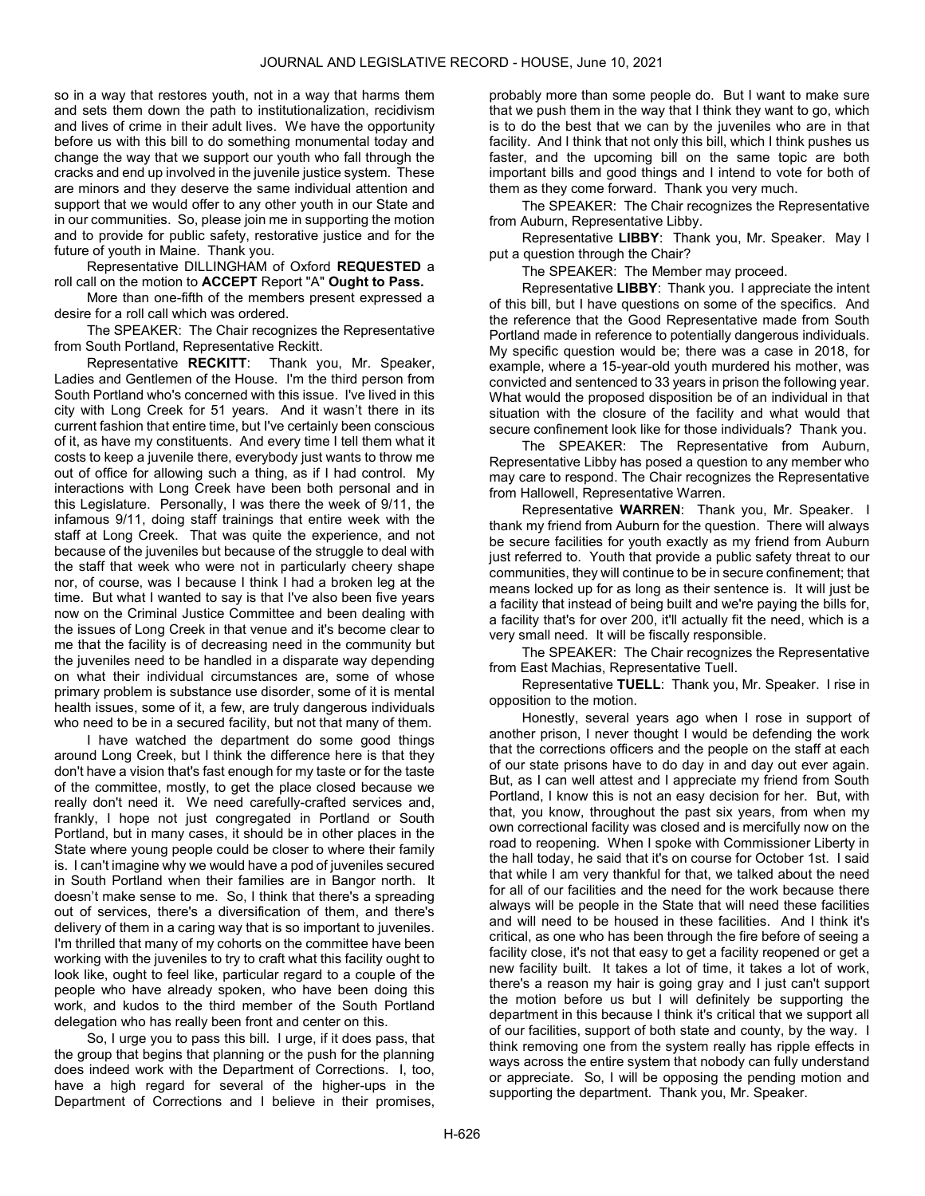so in a way that restores youth, not in a way that harms them and sets them down the path to institutionalization, recidivism and lives of crime in their adult lives. We have the opportunity before us with this bill to do something monumental today and change the way that we support our youth who fall through the cracks and end up involved in the juvenile justice system. These are minors and they deserve the same individual attention and support that we would offer to any other youth in our State and in our communities. So, please join me in supporting the motion and to provide for public safety, restorative justice and for the future of youth in Maine. Thank you.

 Representative DILLINGHAM of Oxford REQUESTED a roll call on the motion to ACCEPT Report "A" Ought to Pass.

 More than one-fifth of the members present expressed a desire for a roll call which was ordered.

The SPEAKER: The Chair recognizes the Representative from South Portland, Representative Reckitt.

Representative RECKITT: Thank you, Mr. Speaker, Ladies and Gentlemen of the House. I'm the third person from South Portland who's concerned with this issue. I've lived in this city with Long Creek for 51 years. And it wasn't there in its current fashion that entire time, but I've certainly been conscious of it, as have my constituents. And every time I tell them what it costs to keep a juvenile there, everybody just wants to throw me out of office for allowing such a thing, as if I had control. My interactions with Long Creek have been both personal and in this Legislature. Personally, I was there the week of 9/11, the infamous 9/11, doing staff trainings that entire week with the staff at Long Creek. That was quite the experience, and not because of the juveniles but because of the struggle to deal with the staff that week who were not in particularly cheery shape nor, of course, was I because I think I had a broken leg at the time. But what I wanted to say is that I've also been five years now on the Criminal Justice Committee and been dealing with the issues of Long Creek in that venue and it's become clear to me that the facility is of decreasing need in the community but the juveniles need to be handled in a disparate way depending on what their individual circumstances are, some of whose primary problem is substance use disorder, some of it is mental health issues, some of it, a few, are truly dangerous individuals who need to be in a secured facility, but not that many of them.

I have watched the department do some good things around Long Creek, but I think the difference here is that they don't have a vision that's fast enough for my taste or for the taste of the committee, mostly, to get the place closed because we really don't need it. We need carefully-crafted services and, frankly, I hope not just congregated in Portland or South Portland, but in many cases, it should be in other places in the State where young people could be closer to where their family is. I can't imagine why we would have a pod of juveniles secured in South Portland when their families are in Bangor north. It doesn't make sense to me. So, I think that there's a spreading out of services, there's a diversification of them, and there's delivery of them in a caring way that is so important to juveniles. I'm thrilled that many of my cohorts on the committee have been working with the juveniles to try to craft what this facility ought to look like, ought to feel like, particular regard to a couple of the people who have already spoken, who have been doing this work, and kudos to the third member of the South Portland delegation who has really been front and center on this.

So, I urge you to pass this bill. I urge, if it does pass, that the group that begins that planning or the push for the planning does indeed work with the Department of Corrections. I, too, have a high regard for several of the higher-ups in the Department of Corrections and I believe in their promises,

probably more than some people do. But I want to make sure that we push them in the way that I think they want to go, which is to do the best that we can by the juveniles who are in that facility. And I think that not only this bill, which I think pushes us faster, and the upcoming bill on the same topic are both important bills and good things and I intend to vote for both of them as they come forward. Thank you very much.

The SPEAKER: The Chair recognizes the Representative from Auburn, Representative Libby.

Representative LIBBY: Thank you, Mr. Speaker. May I put a question through the Chair?

The SPEAKER: The Member may proceed.

Representative LIBBY: Thank you. I appreciate the intent of this bill, but I have questions on some of the specifics. And the reference that the Good Representative made from South Portland made in reference to potentially dangerous individuals. My specific question would be; there was a case in 2018, for example, where a 15-year-old youth murdered his mother, was convicted and sentenced to 33 years in prison the following year. What would the proposed disposition be of an individual in that situation with the closure of the facility and what would that secure confinement look like for those individuals? Thank you.

The SPEAKER: The Representative from Auburn, Representative Libby has posed a question to any member who may care to respond. The Chair recognizes the Representative from Hallowell, Representative Warren.

Representative WARREN: Thank you, Mr. Speaker. I thank my friend from Auburn for the question. There will always be secure facilities for youth exactly as my friend from Auburn just referred to. Youth that provide a public safety threat to our communities, they will continue to be in secure confinement; that means locked up for as long as their sentence is. It will just be a facility that instead of being built and we're paying the bills for, a facility that's for over 200, it'll actually fit the need, which is a very small need. It will be fiscally responsible.

The SPEAKER: The Chair recognizes the Representative from East Machias, Representative Tuell.

Representative TUELL: Thank you, Mr. Speaker. I rise in opposition to the motion.

Honestly, several years ago when I rose in support of another prison, I never thought I would be defending the work that the corrections officers and the people on the staff at each of our state prisons have to do day in and day out ever again. But, as I can well attest and I appreciate my friend from South Portland, I know this is not an easy decision for her. But, with that, you know, throughout the past six years, from when my own correctional facility was closed and is mercifully now on the road to reopening. When I spoke with Commissioner Liberty in the hall today, he said that it's on course for October 1st. I said that while I am very thankful for that, we talked about the need for all of our facilities and the need for the work because there always will be people in the State that will need these facilities and will need to be housed in these facilities. And I think it's critical, as one who has been through the fire before of seeing a facility close, it's not that easy to get a facility reopened or get a new facility built. It takes a lot of time, it takes a lot of work, there's a reason my hair is going gray and I just can't support the motion before us but I will definitely be supporting the department in this because I think it's critical that we support all of our facilities, support of both state and county, by the way. I think removing one from the system really has ripple effects in ways across the entire system that nobody can fully understand or appreciate. So, I will be opposing the pending motion and supporting the department. Thank you, Mr. Speaker.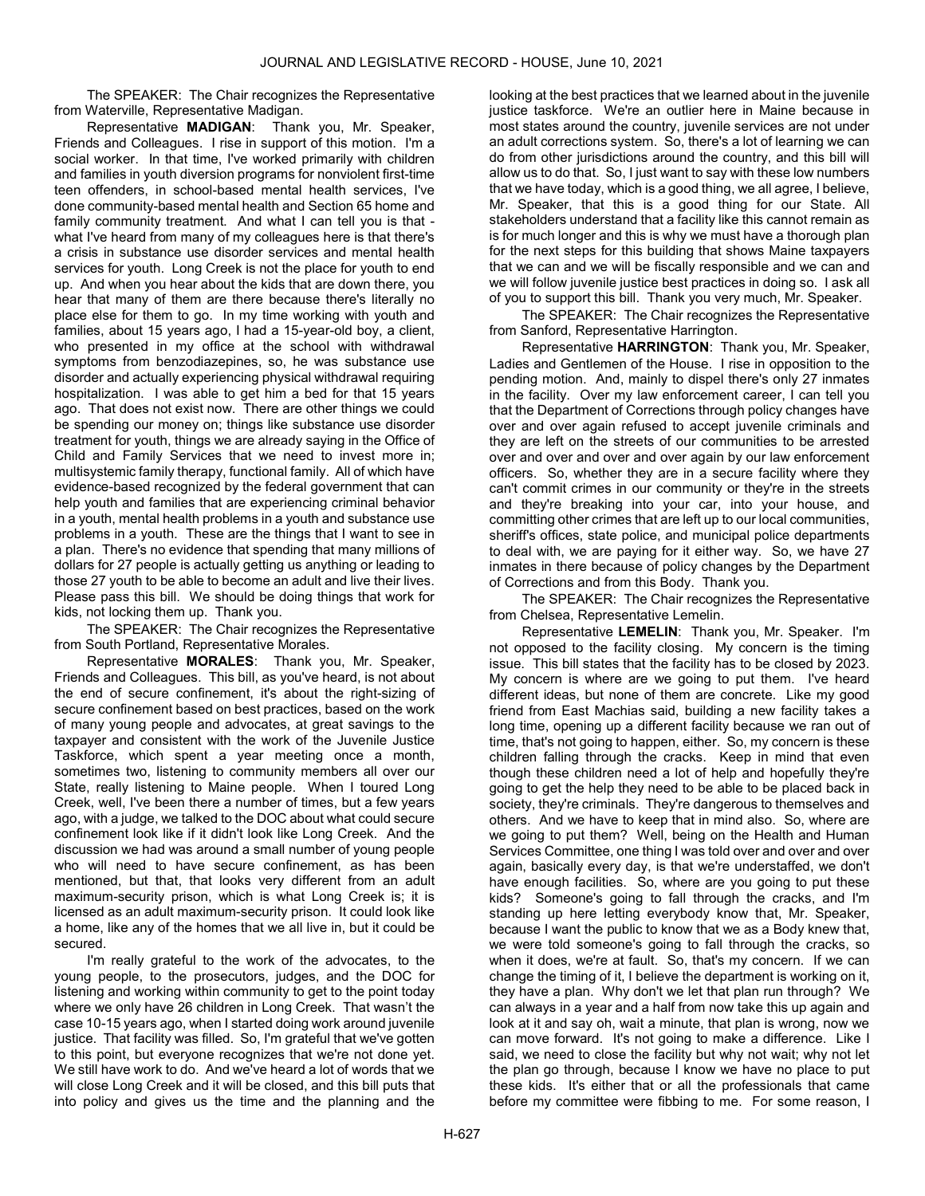The SPEAKER: The Chair recognizes the Representative from Waterville, Representative Madigan.

Representative MADIGAN: Thank you, Mr. Speaker, Friends and Colleagues. I rise in support of this motion. I'm a social worker. In that time, I've worked primarily with children and families in youth diversion programs for nonviolent first-time teen offenders, in school-based mental health services, I've done community-based mental health and Section 65 home and family community treatment. And what I can tell you is that what I've heard from many of my colleagues here is that there's a crisis in substance use disorder services and mental health services for youth. Long Creek is not the place for youth to end up. And when you hear about the kids that are down there, you hear that many of them are there because there's literally no place else for them to go. In my time working with youth and families, about 15 years ago, I had a 15-year-old boy, a client, who presented in my office at the school with withdrawal symptoms from benzodiazepines, so, he was substance use disorder and actually experiencing physical withdrawal requiring hospitalization. I was able to get him a bed for that 15 years ago. That does not exist now. There are other things we could be spending our money on; things like substance use disorder treatment for youth, things we are already saying in the Office of Child and Family Services that we need to invest more in; multisystemic family therapy, functional family. All of which have evidence-based recognized by the federal government that can help youth and families that are experiencing criminal behavior in a youth, mental health problems in a youth and substance use problems in a youth. These are the things that I want to see in a plan. There's no evidence that spending that many millions of dollars for 27 people is actually getting us anything or leading to those 27 youth to be able to become an adult and live their lives. Please pass this bill. We should be doing things that work for kids, not locking them up. Thank you.

The SPEAKER: The Chair recognizes the Representative from South Portland, Representative Morales.

Representative MORALES: Thank you, Mr. Speaker, Friends and Colleagues. This bill, as you've heard, is not about the end of secure confinement, it's about the right-sizing of secure confinement based on best practices, based on the work of many young people and advocates, at great savings to the taxpayer and consistent with the work of the Juvenile Justice Taskforce, which spent a year meeting once a month, sometimes two, listening to community members all over our State, really listening to Maine people. When I toured Long Creek, well, I've been there a number of times, but a few years ago, with a judge, we talked to the DOC about what could secure confinement look like if it didn't look like Long Creek. And the discussion we had was around a small number of young people who will need to have secure confinement, as has been mentioned, but that, that looks very different from an adult maximum-security prison, which is what Long Creek is; it is licensed as an adult maximum-security prison. It could look like a home, like any of the homes that we all live in, but it could be secured.

I'm really grateful to the work of the advocates, to the young people, to the prosecutors, judges, and the DOC for listening and working within community to get to the point today where we only have 26 children in Long Creek. That wasn't the case 10-15 years ago, when I started doing work around juvenile justice. That facility was filled. So, I'm grateful that we've gotten to this point, but everyone recognizes that we're not done yet. We still have work to do. And we've heard a lot of words that we will close Long Creek and it will be closed, and this bill puts that into policy and gives us the time and the planning and the

looking at the best practices that we learned about in the juvenile justice taskforce. We're an outlier here in Maine because in most states around the country, juvenile services are not under an adult corrections system. So, there's a lot of learning we can do from other jurisdictions around the country, and this bill will allow us to do that. So, I just want to say with these low numbers that we have today, which is a good thing, we all agree, I believe, Mr. Speaker, that this is a good thing for our State. All stakeholders understand that a facility like this cannot remain as is for much longer and this is why we must have a thorough plan for the next steps for this building that shows Maine taxpayers that we can and we will be fiscally responsible and we can and we will follow juvenile justice best practices in doing so. I ask all of you to support this bill. Thank you very much, Mr. Speaker.

The SPEAKER: The Chair recognizes the Representative from Sanford, Representative Harrington.

Representative HARRINGTON: Thank you, Mr. Speaker, Ladies and Gentlemen of the House. I rise in opposition to the pending motion. And, mainly to dispel there's only 27 inmates in the facility. Over my law enforcement career, I can tell you that the Department of Corrections through policy changes have over and over again refused to accept juvenile criminals and they are left on the streets of our communities to be arrested over and over and over and over again by our law enforcement officers. So, whether they are in a secure facility where they can't commit crimes in our community or they're in the streets and they're breaking into your car, into your house, and committing other crimes that are left up to our local communities, sheriff's offices, state police, and municipal police departments to deal with, we are paying for it either way. So, we have 27 inmates in there because of policy changes by the Department of Corrections and from this Body. Thank you.

The SPEAKER: The Chair recognizes the Representative from Chelsea, Representative Lemelin.

Representative LEMELIN: Thank you, Mr. Speaker. I'm not opposed to the facility closing. My concern is the timing issue. This bill states that the facility has to be closed by 2023. My concern is where are we going to put them. I've heard different ideas, but none of them are concrete. Like my good friend from East Machias said, building a new facility takes a long time, opening up a different facility because we ran out of time, that's not going to happen, either. So, my concern is these children falling through the cracks. Keep in mind that even though these children need a lot of help and hopefully they're going to get the help they need to be able to be placed back in society, they're criminals. They're dangerous to themselves and others. And we have to keep that in mind also. So, where are we going to put them? Well, being on the Health and Human Services Committee, one thing I was told over and over and over again, basically every day, is that we're understaffed, we don't have enough facilities. So, where are you going to put these kids? Someone's going to fall through the cracks, and I'm standing up here letting everybody know that, Mr. Speaker, because I want the public to know that we as a Body knew that, we were told someone's going to fall through the cracks, so when it does, we're at fault. So, that's my concern. If we can change the timing of it, I believe the department is working on it, they have a plan. Why don't we let that plan run through? We can always in a year and a half from now take this up again and look at it and say oh, wait a minute, that plan is wrong, now we can move forward. It's not going to make a difference. Like I said, we need to close the facility but why not wait; why not let the plan go through, because I know we have no place to put these kids. It's either that or all the professionals that came before my committee were fibbing to me. For some reason, I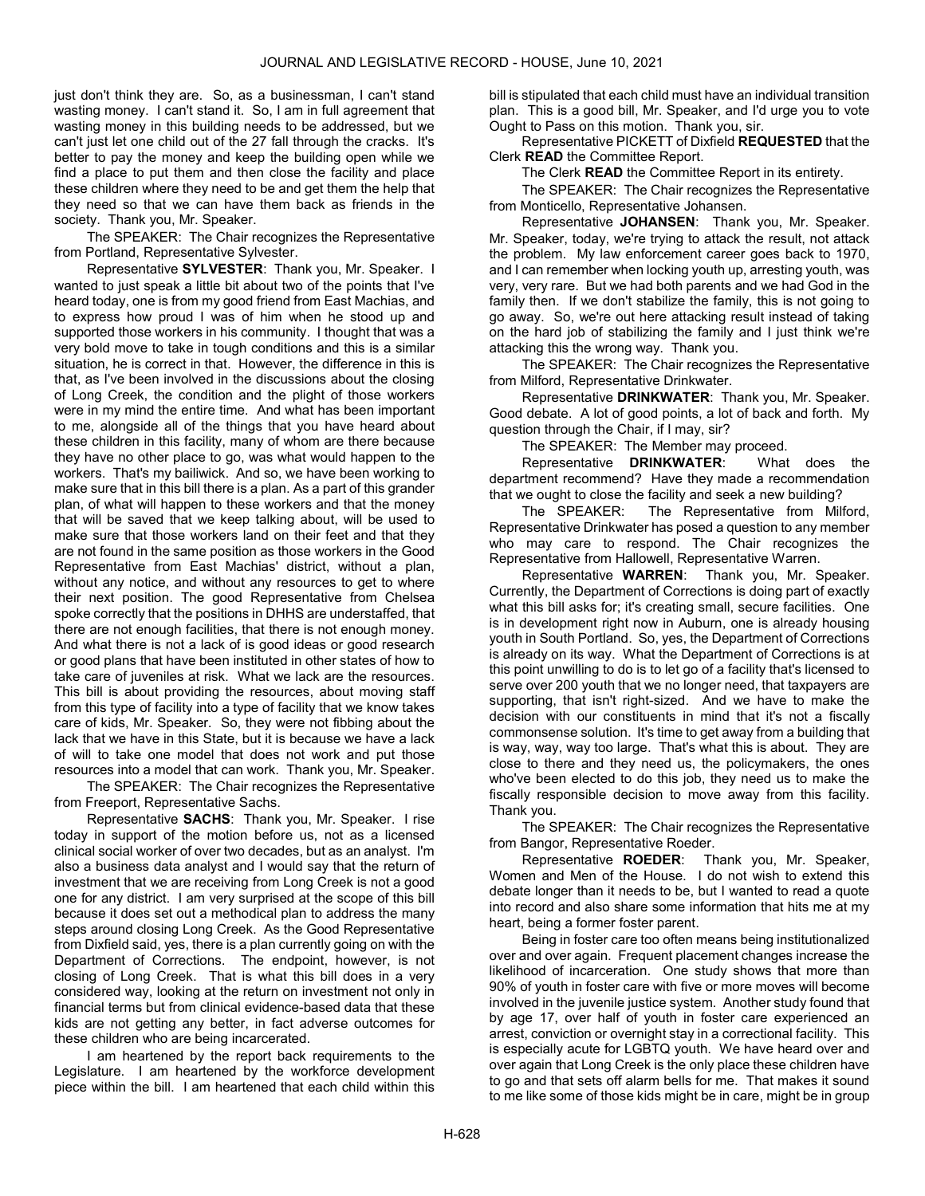just don't think they are. So, as a businessman, I can't stand wasting money. I can't stand it. So, I am in full agreement that wasting money in this building needs to be addressed, but we can't just let one child out of the 27 fall through the cracks. It's better to pay the money and keep the building open while we find a place to put them and then close the facility and place these children where they need to be and get them the help that they need so that we can have them back as friends in the society. Thank you, Mr. Speaker.

The SPEAKER: The Chair recognizes the Representative from Portland, Representative Sylvester.

Representative SYLVESTER: Thank you, Mr. Speaker. I wanted to just speak a little bit about two of the points that I've heard today, one is from my good friend from East Machias, and to express how proud I was of him when he stood up and supported those workers in his community. I thought that was a very bold move to take in tough conditions and this is a similar situation, he is correct in that. However, the difference in this is that, as I've been involved in the discussions about the closing of Long Creek, the condition and the plight of those workers were in my mind the entire time. And what has been important to me, alongside all of the things that you have heard about these children in this facility, many of whom are there because they have no other place to go, was what would happen to the workers. That's my bailiwick. And so, we have been working to make sure that in this bill there is a plan. As a part of this grander plan, of what will happen to these workers and that the money that will be saved that we keep talking about, will be used to make sure that those workers land on their feet and that they are not found in the same position as those workers in the Good Representative from East Machias' district, without a plan, without any notice, and without any resources to get to where their next position. The good Representative from Chelsea spoke correctly that the positions in DHHS are understaffed, that there are not enough facilities, that there is not enough money. And what there is not a lack of is good ideas or good research or good plans that have been instituted in other states of how to take care of juveniles at risk. What we lack are the resources. This bill is about providing the resources, about moving staff from this type of facility into a type of facility that we know takes care of kids, Mr. Speaker. So, they were not fibbing about the lack that we have in this State, but it is because we have a lack of will to take one model that does not work and put those resources into a model that can work. Thank you, Mr. Speaker.

The SPEAKER: The Chair recognizes the Representative from Freeport, Representative Sachs.

Representative SACHS: Thank you, Mr. Speaker. I rise today in support of the motion before us, not as a licensed clinical social worker of over two decades, but as an analyst. I'm also a business data analyst and I would say that the return of investment that we are receiving from Long Creek is not a good one for any district. I am very surprised at the scope of this bill because it does set out a methodical plan to address the many steps around closing Long Creek. As the Good Representative from Dixfield said, yes, there is a plan currently going on with the Department of Corrections. The endpoint, however, is not closing of Long Creek. That is what this bill does in a very considered way, looking at the return on investment not only in financial terms but from clinical evidence-based data that these kids are not getting any better, in fact adverse outcomes for these children who are being incarcerated.

I am heartened by the report back requirements to the Legislature. I am heartened by the workforce development piece within the bill. I am heartened that each child within this

bill is stipulated that each child must have an individual transition plan. This is a good bill, Mr. Speaker, and I'd urge you to vote Ought to Pass on this motion. Thank you, sir.

 Representative PICKETT of Dixfield REQUESTED that the Clerk READ the Committee Report.

The Clerk READ the Committee Report in its entirety.

The SPEAKER: The Chair recognizes the Representative from Monticello, Representative Johansen.

Representative JOHANSEN: Thank you, Mr. Speaker. Mr. Speaker, today, we're trying to attack the result, not attack the problem. My law enforcement career goes back to 1970, and I can remember when locking youth up, arresting youth, was very, very rare. But we had both parents and we had God in the family then. If we don't stabilize the family, this is not going to go away. So, we're out here attacking result instead of taking on the hard job of stabilizing the family and I just think we're attacking this the wrong way. Thank you.

The SPEAKER: The Chair recognizes the Representative from Milford, Representative Drinkwater.

Representative DRINKWATER: Thank you, Mr. Speaker. Good debate. A lot of good points, a lot of back and forth. My question through the Chair, if I may, sir?

The SPEAKER: The Member may proceed.

Representative DRINKWATER: What does the department recommend? Have they made a recommendation that we ought to close the facility and seek a new building?

The SPEAKER: The Representative from Milford, Representative Drinkwater has posed a question to any member who may care to respond. The Chair recognizes the Representative from Hallowell, Representative Warren.

Representative WARREN: Thank you, Mr. Speaker. Currently, the Department of Corrections is doing part of exactly what this bill asks for; it's creating small, secure facilities. One is in development right now in Auburn, one is already housing youth in South Portland. So, yes, the Department of Corrections is already on its way. What the Department of Corrections is at this point unwilling to do is to let go of a facility that's licensed to serve over 200 youth that we no longer need, that taxpayers are supporting, that isn't right-sized. And we have to make the decision with our constituents in mind that it's not a fiscally commonsense solution. It's time to get away from a building that is way, way, way too large. That's what this is about. They are close to there and they need us, the policymakers, the ones who've been elected to do this job, they need us to make the fiscally responsible decision to move away from this facility. Thank you.

The SPEAKER: The Chair recognizes the Representative from Bangor, Representative Roeder.

Representative ROEDER: Thank you, Mr. Speaker, Women and Men of the House. I do not wish to extend this debate longer than it needs to be, but I wanted to read a quote into record and also share some information that hits me at my heart, being a former foster parent.

Being in foster care too often means being institutionalized over and over again. Frequent placement changes increase the likelihood of incarceration. One study shows that more than 90% of youth in foster care with five or more moves will become involved in the juvenile justice system. Another study found that by age 17, over half of youth in foster care experienced an arrest, conviction or overnight stay in a correctional facility. This is especially acute for LGBTQ youth. We have heard over and over again that Long Creek is the only place these children have to go and that sets off alarm bells for me. That makes it sound to me like some of those kids might be in care, might be in group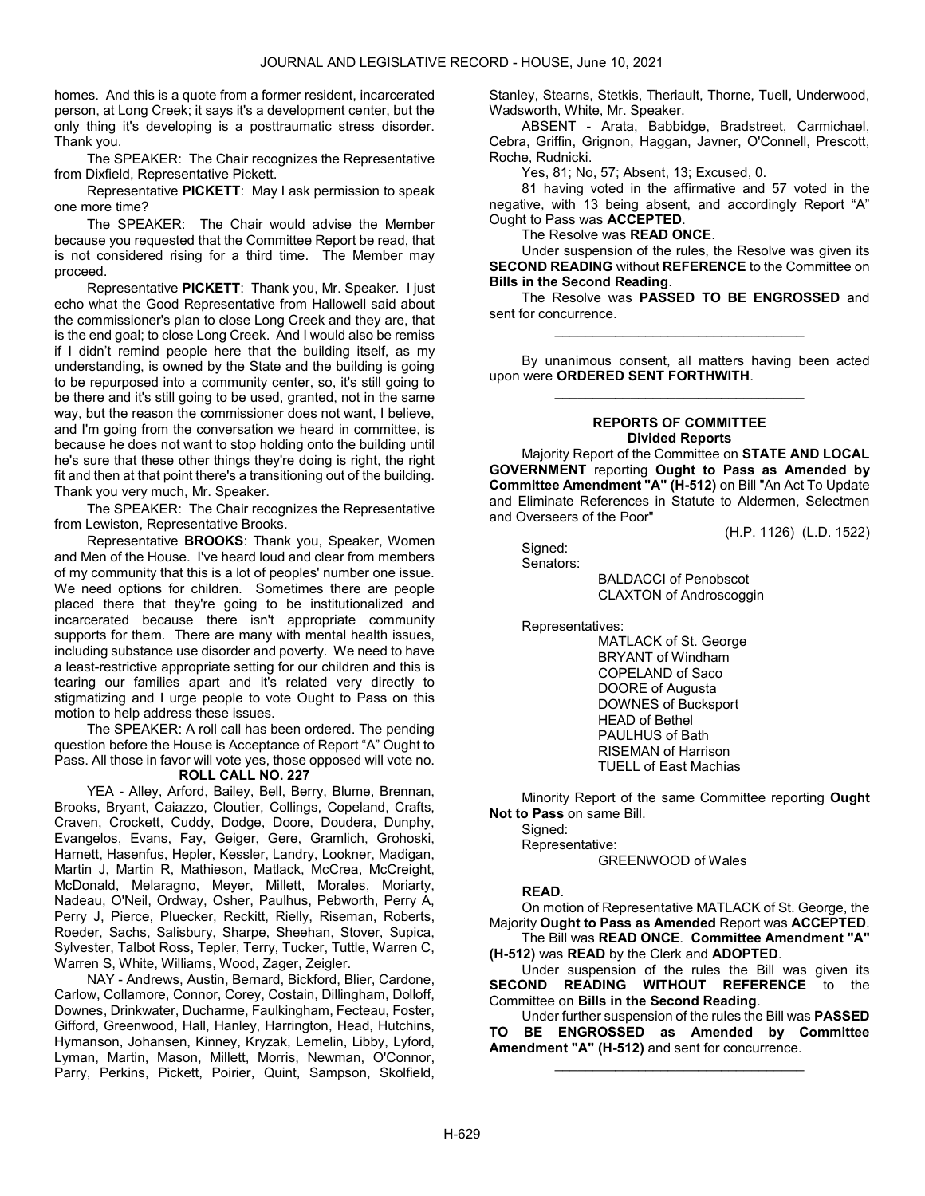homes. And this is a quote from a former resident, incarcerated person, at Long Creek; it says it's a development center, but the only thing it's developing is a posttraumatic stress disorder. Thank you.

The SPEAKER: The Chair recognizes the Representative from Dixfield, Representative Pickett.

Representative PICKETT: May I ask permission to speak one more time?

The SPEAKER: The Chair would advise the Member because you requested that the Committee Report be read, that is not considered rising for a third time. The Member may proceed.

Representative PICKETT: Thank you, Mr. Speaker. I just echo what the Good Representative from Hallowell said about the commissioner's plan to close Long Creek and they are, that is the end goal; to close Long Creek. And I would also be remiss if I didn't remind people here that the building itself, as my understanding, is owned by the State and the building is going to be repurposed into a community center, so, it's still going to be there and it's still going to be used, granted, not in the same way, but the reason the commissioner does not want, I believe, and I'm going from the conversation we heard in committee, is because he does not want to stop holding onto the building until he's sure that these other things they're doing is right, the right fit and then at that point there's a transitioning out of the building. Thank you very much, Mr. Speaker.

The SPEAKER: The Chair recognizes the Representative from Lewiston, Representative Brooks.

Representative BROOKS: Thank you, Speaker, Women and Men of the House. I've heard loud and clear from members of my community that this is a lot of peoples' number one issue. We need options for children. Sometimes there are people placed there that they're going to be institutionalized and incarcerated because there isn't appropriate community supports for them. There are many with mental health issues, including substance use disorder and poverty. We need to have a least-restrictive appropriate setting for our children and this is tearing our families apart and it's related very directly to stigmatizing and I urge people to vote Ought to Pass on this motion to help address these issues.

 The SPEAKER: A roll call has been ordered. The pending question before the House is Acceptance of Report "A" Ought to Pass. All those in favor will vote yes, those opposed will vote no. ROLL CALL NO. 227

 YEA - Alley, Arford, Bailey, Bell, Berry, Blume, Brennan, Brooks, Bryant, Caiazzo, Cloutier, Collings, Copeland, Crafts, Craven, Crockett, Cuddy, Dodge, Doore, Doudera, Dunphy, Evangelos, Evans, Fay, Geiger, Gere, Gramlich, Grohoski, Harnett, Hasenfus, Hepler, Kessler, Landry, Lookner, Madigan, Martin J, Martin R, Mathieson, Matlack, McCrea, McCreight, McDonald, Melaragno, Meyer, Millett, Morales, Moriarty, Nadeau, O'Neil, Ordway, Osher, Paulhus, Pebworth, Perry A, Perry J, Pierce, Pluecker, Reckitt, Rielly, Riseman, Roberts, Roeder, Sachs, Salisbury, Sharpe, Sheehan, Stover, Supica, Sylvester, Talbot Ross, Tepler, Terry, Tucker, Tuttle, Warren C, Warren S, White, Williams, Wood, Zager, Zeigler.

 NAY - Andrews, Austin, Bernard, Bickford, Blier, Cardone, Carlow, Collamore, Connor, Corey, Costain, Dillingham, Dolloff, Downes, Drinkwater, Ducharme, Faulkingham, Fecteau, Foster, Gifford, Greenwood, Hall, Hanley, Harrington, Head, Hutchins, Hymanson, Johansen, Kinney, Kryzak, Lemelin, Libby, Lyford, Lyman, Martin, Mason, Millett, Morris, Newman, O'Connor, Parry, Perkins, Pickett, Poirier, Quint, Sampson, Skolfield, Stanley, Stearns, Stetkis, Theriault, Thorne, Tuell, Underwood, Wadsworth, White, Mr. Speaker.

 ABSENT - Arata, Babbidge, Bradstreet, Carmichael, Cebra, Griffin, Grignon, Haggan, Javner, O'Connell, Prescott, Roche, Rudnicki.

Yes, 81; No, 57; Absent, 13; Excused, 0.

 81 having voted in the affirmative and 57 voted in the negative, with 13 being absent, and accordingly Report "A" Ought to Pass was ACCEPTED.

The Resolve was READ ONCE.

 Under suspension of the rules, the Resolve was given its SECOND READING without REFERENCE to the Committee on Bills in the Second Reading.

The Resolve was PASSED TO BE ENGROSSED and sent for concurrence. \_\_\_\_\_\_\_\_\_\_\_\_\_\_\_\_\_\_\_\_\_\_\_\_\_\_\_\_\_\_\_\_\_

 By unanimous consent, all matters having been acted upon were ORDERED SENT FORTHWITH. \_\_\_\_\_\_\_\_\_\_\_\_\_\_\_\_\_\_\_\_\_\_\_\_\_\_\_\_\_\_\_\_\_

# REPORTS OF COMMITTEE Divided Reports

 Majority Report of the Committee on STATE AND LOCAL GOVERNMENT reporting Ought to Pass as Amended by Committee Amendment "A" (H-512) on Bill "An Act To Update and Eliminate References in Statute to Aldermen, Selectmen and Overseers of the Poor"

(H.P. 1126) (L.D. 1522)

 Signed: Senators:

 BALDACCI of Penobscot CLAXTON of Androscoggin

Representatives:

 MATLACK of St. George BRYANT of Windham COPELAND of Saco DOORE of Augusta DOWNES of Bucksport HEAD of Bethel PAULHUS of Bath RISEMAN of Harrison TUELL of East Machias

 Minority Report of the same Committee reporting Ought Not to Pass on same Bill.

Signed:

Representative:

GREENWOOD of Wales

# READ.

 On motion of Representative MATLACK of St. George, the Majority Ought to Pass as Amended Report was ACCEPTED.

 The Bill was READ ONCE. Committee Amendment "A" (H-512) was READ by the Clerk and ADOPTED.

 Under suspension of the rules the Bill was given its SECOND READING WITHOUT REFERENCE to the Committee on Bills in the Second Reading.

 Under further suspension of the rules the Bill was PASSED TO BE ENGROSSED as Amended by Committee Amendment "A" (H-512) and sent for concurrence.

\_\_\_\_\_\_\_\_\_\_\_\_\_\_\_\_\_\_\_\_\_\_\_\_\_\_\_\_\_\_\_\_\_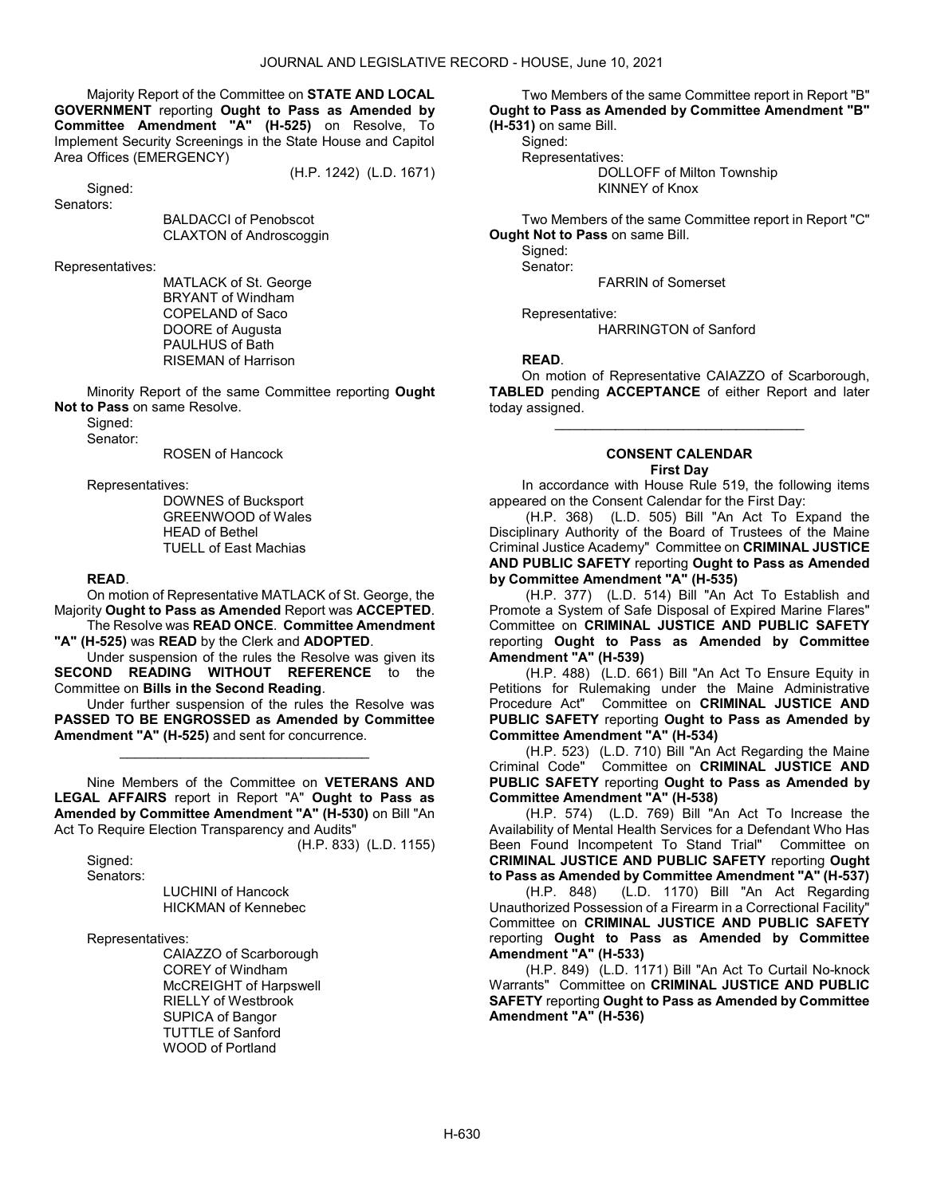Majority Report of the Committee on STATE AND LOCAL GOVERNMENT reporting Ought to Pass as Amended by Committee Amendment "A" (H-525) on Resolve, To Implement Security Screenings in the State House and Capitol Area Offices (EMERGENCY)

(H.P. 1242) (L.D. 1671)

 Signed: Senators:

BALDACCI of Penobscot

CLAXTON of Androscoggin

Representatives:

 MATLACK of St. George BRYANT of Windham COPELAND of Saco DOORE of Augusta PAULHUS of Bath RISEMAN of Harrison

 Minority Report of the same Committee reporting Ought Not to Pass on same Resolve.

 Signed: Senator:

ROSEN of Hancock

Representatives:

 DOWNES of Bucksport GREENWOOD of Wales HEAD of Bethel TUELL of East Machias

#### READ.

 On motion of Representative MATLACK of St. George, the Majority Ought to Pass as Amended Report was ACCEPTED. The Resolve was READ ONCE. Committee Amendment

"A" (H-525) was READ by the Clerk and ADOPTED.

 Under suspension of the rules the Resolve was given its SECOND READING WITHOUT REFERENCE to the Committee on Bills in the Second Reading.

 Under further suspension of the rules the Resolve was PASSED TO BE ENGROSSED as Amended by Committee Amendment "A" (H-525) and sent for concurrence.

\_\_\_\_\_\_\_\_\_\_\_\_\_\_\_\_\_\_\_\_\_\_\_\_\_\_\_\_\_\_\_\_\_

 Nine Members of the Committee on VETERANS AND LEGAL AFFAIRS report in Report "A" Ought to Pass as Amended by Committee Amendment "A" (H-530) on Bill "An Act To Require Election Transparency and Audits" (H.P. 833) (L.D. 1155)

Signed:

Senators:

 LUCHINI of Hancock HICKMAN of Kennebec

Representatives:

 CAIAZZO of Scarborough COREY of Windham McCREIGHT of Harpswell RIELLY of Westbrook SUPICA of Bangor TUTTLE of Sanford WOOD of Portland

 Two Members of the same Committee report in Report "B" Ought to Pass as Amended by Committee Amendment "B" (H-531) on same Bill.

Signed:

Representatives:

 DOLLOFF of Milton Township KINNEY of Knox

 Two Members of the same Committee report in Report "C" **Ought Not to Pass on same Bill.** 

 Signed: Senator:

FARRIN of Somerset

Representative:

HARRINGTON of Sanford

# READ.

 On motion of Representative CAIAZZO of Scarborough, TABLED pending ACCEPTANCE of either Report and later today assigned.

\_\_\_\_\_\_\_\_\_\_\_\_\_\_\_\_\_\_\_\_\_\_\_\_\_\_\_\_\_\_\_\_\_

#### CONSENT CALENDAR First Day

 In accordance with House Rule 519, the following items appeared on the Consent Calendar for the First Day:

 (H.P. 368) (L.D. 505) Bill "An Act To Expand the Disciplinary Authority of the Board of Trustees of the Maine Criminal Justice Academy" Committee on CRIMINAL JUSTICE AND PUBLIC SAFETY reporting Ought to Pass as Amended by Committee Amendment "A" (H-535)

 (H.P. 377) (L.D. 514) Bill "An Act To Establish and Promote a System of Safe Disposal of Expired Marine Flares" Committee on CRIMINAL JUSTICE AND PUBLIC SAFETY reporting Ought to Pass as Amended by Committee Amendment "A" (H-539)

 (H.P. 488) (L.D. 661) Bill "An Act To Ensure Equity in Petitions for Rulemaking under the Maine Administrative Procedure Act" Committee on CRIMINAL JUSTICE AND PUBLIC SAFETY reporting Ought to Pass as Amended by Committee Amendment "A" (H-534)

 (H.P. 523) (L.D. 710) Bill "An Act Regarding the Maine Criminal Code" Committee on CRIMINAL JUSTICE AND PUBLIC SAFETY reporting Ought to Pass as Amended by Committee Amendment "A" (H-538)

 (H.P. 574) (L.D. 769) Bill "An Act To Increase the Availability of Mental Health Services for a Defendant Who Has Been Found Incompetent To Stand Trial" Committee on CRIMINAL JUSTICE AND PUBLIC SAFETY reporting Ought to Pass as Amended by Committee Amendment "A" (H-537)

 (H.P. 848) (L.D. 1170) Bill "An Act Regarding Unauthorized Possession of a Firearm in a Correctional Facility" Committee on CRIMINAL JUSTICE AND PUBLIC SAFETY reporting Ought to Pass as Amended by Committee Amendment "A" (H-533)

 (H.P. 849) (L.D. 1171) Bill "An Act To Curtail No-knock Warrants" Committee on CRIMINAL JUSTICE AND PUBLIC SAFETY reporting Ought to Pass as Amended by Committee Amendment "A" (H-536)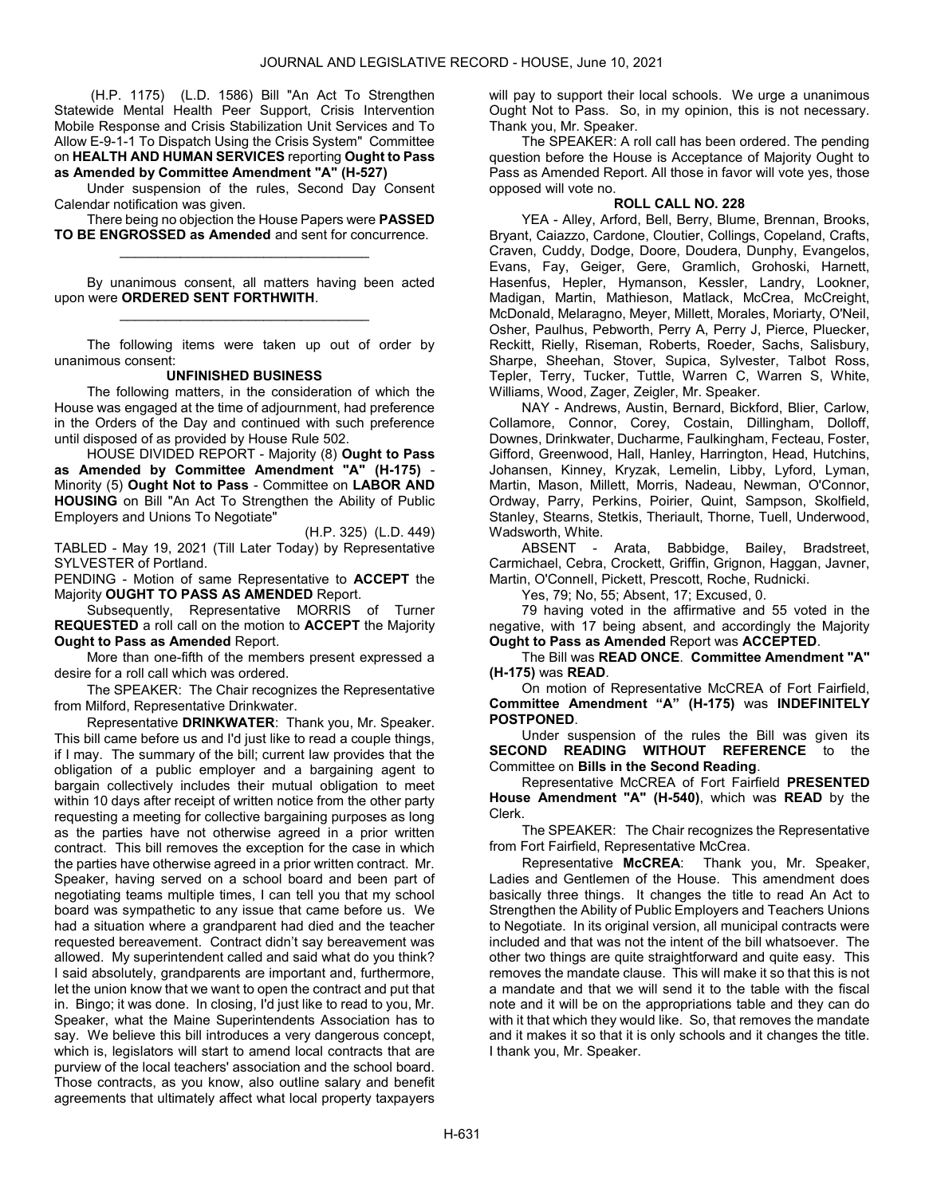(H.P. 1175) (L.D. 1586) Bill "An Act To Strengthen Statewide Mental Health Peer Support, Crisis Intervention Mobile Response and Crisis Stabilization Unit Services and To Allow E-9-1-1 To Dispatch Using the Crisis System" Committee on HEALTH AND HUMAN SERVICES reporting Ought to Pass as Amended by Committee Amendment "A" (H-527)

 Under suspension of the rules, Second Day Consent Calendar notification was given.

There being no objection the House Papers were **PASSED** TO BE ENGROSSED as Amended and sent for concurrence. \_\_\_\_\_\_\_\_\_\_\_\_\_\_\_\_\_\_\_\_\_\_\_\_\_\_\_\_\_\_\_\_\_

 By unanimous consent, all matters having been acted upon were ORDERED SENT FORTHWITH. \_\_\_\_\_\_\_\_\_\_\_\_\_\_\_\_\_\_\_\_\_\_\_\_\_\_\_\_\_\_\_\_\_

 The following items were taken up out of order by unanimous consent:

# UNFINISHED BUSINESS

 The following matters, in the consideration of which the House was engaged at the time of adjournment, had preference in the Orders of the Day and continued with such preference until disposed of as provided by House Rule 502.

 HOUSE DIVIDED REPORT - Majority (8) Ought to Pass as Amended by Committee Amendment "A" (H-175) - Minority (5) Ought Not to Pass - Committee on LABOR AND HOUSING on Bill "An Act To Strengthen the Ability of Public Employers and Unions To Negotiate"

(H.P. 325) (L.D. 449) TABLED - May 19, 2021 (Till Later Today) by Representative SYLVESTER of Portland.

PENDING - Motion of same Representative to ACCEPT the Majority OUGHT TO PASS AS AMENDED Report.

 Subsequently, Representative MORRIS of Turner REQUESTED a roll call on the motion to ACCEPT the Majority Ought to Pass as Amended Report.

 More than one-fifth of the members present expressed a desire for a roll call which was ordered.

The SPEAKER: The Chair recognizes the Representative from Milford, Representative Drinkwater.

Representative DRINKWATER: Thank you, Mr. Speaker. This bill came before us and I'd just like to read a couple things, if I may. The summary of the bill; current law provides that the obligation of a public employer and a bargaining agent to bargain collectively includes their mutual obligation to meet within 10 days after receipt of written notice from the other party requesting a meeting for collective bargaining purposes as long as the parties have not otherwise agreed in a prior written contract. This bill removes the exception for the case in which the parties have otherwise agreed in a prior written contract. Mr. Speaker, having served on a school board and been part of negotiating teams multiple times, I can tell you that my school board was sympathetic to any issue that came before us. We had a situation where a grandparent had died and the teacher requested bereavement. Contract didn't say bereavement was allowed. My superintendent called and said what do you think? I said absolutely, grandparents are important and, furthermore, let the union know that we want to open the contract and put that in. Bingo; it was done. In closing, I'd just like to read to you, Mr. Speaker, what the Maine Superintendents Association has to say. We believe this bill introduces a very dangerous concept, which is, legislators will start to amend local contracts that are purview of the local teachers' association and the school board. Those contracts, as you know, also outline salary and benefit agreements that ultimately affect what local property taxpayers

will pay to support their local schools. We urge a unanimous Ought Not to Pass. So, in my opinion, this is not necessary. Thank you, Mr. Speaker.

 The SPEAKER: A roll call has been ordered. The pending question before the House is Acceptance of Majority Ought to Pass as Amended Report. All those in favor will vote yes, those opposed will vote no.

# ROLL CALL NO. 228

 YEA - Alley, Arford, Bell, Berry, Blume, Brennan, Brooks, Bryant, Caiazzo, Cardone, Cloutier, Collings, Copeland, Crafts, Craven, Cuddy, Dodge, Doore, Doudera, Dunphy, Evangelos, Evans, Fay, Geiger, Gere, Gramlich, Grohoski, Harnett, Hasenfus, Hepler, Hymanson, Kessler, Landry, Lookner, Madigan, Martin, Mathieson, Matlack, McCrea, McCreight, McDonald, Melaragno, Meyer, Millett, Morales, Moriarty, O'Neil, Osher, Paulhus, Pebworth, Perry A, Perry J, Pierce, Pluecker, Reckitt, Rielly, Riseman, Roberts, Roeder, Sachs, Salisbury, Sharpe, Sheehan, Stover, Supica, Sylvester, Talbot Ross, Tepler, Terry, Tucker, Tuttle, Warren C, Warren S, White, Williams, Wood, Zager, Zeigler, Mr. Speaker.

 NAY - Andrews, Austin, Bernard, Bickford, Blier, Carlow, Collamore, Connor, Corey, Costain, Dillingham, Dolloff, Downes, Drinkwater, Ducharme, Faulkingham, Fecteau, Foster, Gifford, Greenwood, Hall, Hanley, Harrington, Head, Hutchins, Johansen, Kinney, Kryzak, Lemelin, Libby, Lyford, Lyman, Martin, Mason, Millett, Morris, Nadeau, Newman, O'Connor, Ordway, Parry, Perkins, Poirier, Quint, Sampson, Skolfield, Stanley, Stearns, Stetkis, Theriault, Thorne, Tuell, Underwood, Wadsworth, White.

 ABSENT - Arata, Babbidge, Bailey, Bradstreet, Carmichael, Cebra, Crockett, Griffin, Grignon, Haggan, Javner, Martin, O'Connell, Pickett, Prescott, Roche, Rudnicki.

Yes, 79; No, 55; Absent, 17; Excused, 0.

 79 having voted in the affirmative and 55 voted in the negative, with 17 being absent, and accordingly the Majority Ought to Pass as Amended Report was ACCEPTED.

 The Bill was READ ONCE. Committee Amendment "A" (H-175) was READ.

 On motion of Representative McCREA of Fort Fairfield, Committee Amendment "A" (H-175) was INDEFINITELY POSTPONED.

 Under suspension of the rules the Bill was given its SECOND READING WITHOUT REFERENCE to the Committee on Bills in the Second Reading.

 Representative McCREA of Fort Fairfield PRESENTED House Amendment "A" (H-540), which was READ by the Clerk.

The SPEAKER: The Chair recognizes the Representative from Fort Fairfield, Representative McCrea.

Representative McCREA: Thank you, Mr. Speaker, Ladies and Gentlemen of the House. This amendment does basically three things. It changes the title to read An Act to Strengthen the Ability of Public Employers and Teachers Unions to Negotiate. In its original version, all municipal contracts were included and that was not the intent of the bill whatsoever. The other two things are quite straightforward and quite easy. This removes the mandate clause. This will make it so that this is not a mandate and that we will send it to the table with the fiscal note and it will be on the appropriations table and they can do with it that which they would like. So, that removes the mandate and it makes it so that it is only schools and it changes the title. I thank you, Mr. Speaker.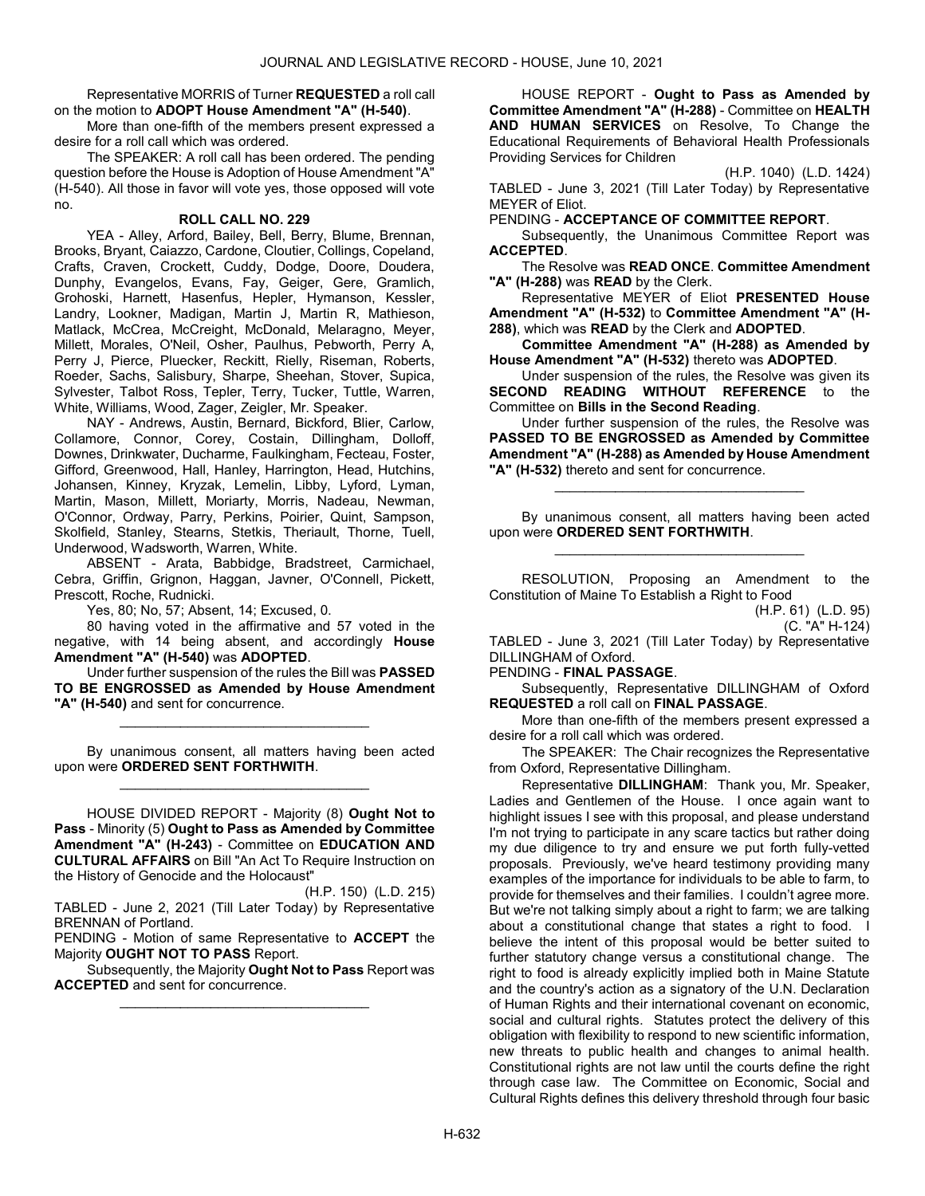Representative MORRIS of Turner REQUESTED a roll call on the motion to ADOPT House Amendment "A" (H-540).

 More than one-fifth of the members present expressed a desire for a roll call which was ordered.

 The SPEAKER: A roll call has been ordered. The pending question before the House is Adoption of House Amendment "A" (H-540). All those in favor will vote yes, those opposed will vote no.

## ROLL CALL NO. 229

 YEA - Alley, Arford, Bailey, Bell, Berry, Blume, Brennan, Brooks, Bryant, Caiazzo, Cardone, Cloutier, Collings, Copeland, Crafts, Craven, Crockett, Cuddy, Dodge, Doore, Doudera, Dunphy, Evangelos, Evans, Fay, Geiger, Gere, Gramlich, Grohoski, Harnett, Hasenfus, Hepler, Hymanson, Kessler, Landry, Lookner, Madigan, Martin J, Martin R, Mathieson, Matlack, McCrea, McCreight, McDonald, Melaragno, Meyer, Millett, Morales, O'Neil, Osher, Paulhus, Pebworth, Perry A, Perry J, Pierce, Pluecker, Reckitt, Rielly, Riseman, Roberts, Roeder, Sachs, Salisbury, Sharpe, Sheehan, Stover, Supica, Sylvester, Talbot Ross, Tepler, Terry, Tucker, Tuttle, Warren, White, Williams, Wood, Zager, Zeigler, Mr. Speaker.

 NAY - Andrews, Austin, Bernard, Bickford, Blier, Carlow, Collamore, Connor, Corey, Costain, Dillingham, Dolloff, Downes, Drinkwater, Ducharme, Faulkingham, Fecteau, Foster, Gifford, Greenwood, Hall, Hanley, Harrington, Head, Hutchins, Johansen, Kinney, Kryzak, Lemelin, Libby, Lyford, Lyman, Martin, Mason, Millett, Moriarty, Morris, Nadeau, Newman, O'Connor, Ordway, Parry, Perkins, Poirier, Quint, Sampson, Skolfield, Stanley, Stearns, Stetkis, Theriault, Thorne, Tuell, Underwood, Wadsworth, Warren, White.

 ABSENT - Arata, Babbidge, Bradstreet, Carmichael, Cebra, Griffin, Grignon, Haggan, Javner, O'Connell, Pickett, Prescott, Roche, Rudnicki.

Yes, 80; No, 57; Absent, 14; Excused, 0.

 80 having voted in the affirmative and 57 voted in the negative, with 14 being absent, and accordingly House Amendment "A" (H-540) was ADOPTED.

 Under further suspension of the rules the Bill was PASSED TO BE ENGROSSED as Amended by House Amendment "A" (H-540) and sent for concurrence.

\_\_\_\_\_\_\_\_\_\_\_\_\_\_\_\_\_\_\_\_\_\_\_\_\_\_\_\_\_\_\_\_\_

 By unanimous consent, all matters having been acted upon were ORDERED SENT FORTHWITH. \_\_\_\_\_\_\_\_\_\_\_\_\_\_\_\_\_\_\_\_\_\_\_\_\_\_\_\_\_\_\_\_\_

 HOUSE DIVIDED REPORT - Majority (8) Ought Not to Pass - Minority (5) Ought to Pass as Amended by Committee Amendment "A" (H-243) - Committee on EDUCATION AND CULTURAL AFFAIRS on Bill "An Act To Require Instruction on the History of Genocide and the Holocaust"

(H.P. 150) (L.D. 215) TABLED - June 2, 2021 (Till Later Today) by Representative BRENNAN of Portland.

PENDING - Motion of same Representative to ACCEPT the Majority OUGHT NOT TO PASS Report.

 Subsequently, the Majority Ought Not to Pass Report was ACCEPTED and sent for concurrence. \_\_\_\_\_\_\_\_\_\_\_\_\_\_\_\_\_\_\_\_\_\_\_\_\_\_\_\_\_\_\_\_\_

 HOUSE REPORT - Ought to Pass as Amended by Committee Amendment "A" (H-288) - Committee on HEALTH AND HUMAN SERVICES on Resolve, To Change the Educational Requirements of Behavioral Health Professionals Providing Services for Children

(H.P. 1040) (L.D. 1424)

TABLED - June 3, 2021 (Till Later Today) by Representative MEYER of Eliot.

PENDING - ACCEPTANCE OF COMMITTEE REPORT.

 Subsequently, the Unanimous Committee Report was ACCEPTED.

 The Resolve was READ ONCE. Committee Amendment "A" (H-288) was READ by the Clerk.

 Representative MEYER of Eliot PRESENTED House Amendment "A" (H-532) to Committee Amendment "A" (H-288), which was READ by the Clerk and ADOPTED.

Committee Amendment "A" (H-288) as Amended by House Amendment "A" (H-532) thereto was ADOPTED.

 Under suspension of the rules, the Resolve was given its SECOND READING WITHOUT REFERENCE to the Committee on Bills in the Second Reading.

 Under further suspension of the rules, the Resolve was PASSED TO BE ENGROSSED as Amended by Committee Amendment "A" (H-288) as Amended by House Amendment "A" (H-532) thereto and sent for concurrence.

\_\_\_\_\_\_\_\_\_\_\_\_\_\_\_\_\_\_\_\_\_\_\_\_\_\_\_\_\_\_\_\_\_

 By unanimous consent, all matters having been acted upon were ORDERED SENT FORTHWITH. \_\_\_\_\_\_\_\_\_\_\_\_\_\_\_\_\_\_\_\_\_\_\_\_\_\_\_\_\_\_\_\_\_

 RESOLUTION, Proposing an Amendment to the Constitution of Maine To Establish a Right to Food

(H.P. 61) (L.D. 95) (C. "A" H-124)

TABLED - June 3, 2021 (Till Later Today) by Representative DILLINGHAM of Oxford.

PENDING - FINAL PASSAGE.

 Subsequently, Representative DILLINGHAM of Oxford REQUESTED a roll call on FINAL PASSAGE.

 More than one-fifth of the members present expressed a desire for a roll call which was ordered.

The SPEAKER: The Chair recognizes the Representative from Oxford, Representative Dillingham.

Representative DILLINGHAM: Thank you, Mr. Speaker, Ladies and Gentlemen of the House. I once again want to highlight issues I see with this proposal, and please understand I'm not trying to participate in any scare tactics but rather doing my due diligence to try and ensure we put forth fully-vetted proposals. Previously, we've heard testimony providing many examples of the importance for individuals to be able to farm, to provide for themselves and their families. I couldn't agree more. But we're not talking simply about a right to farm; we are talking about a constitutional change that states a right to food. I believe the intent of this proposal would be better suited to further statutory change versus a constitutional change. The right to food is already explicitly implied both in Maine Statute and the country's action as a signatory of the U.N. Declaration of Human Rights and their international covenant on economic, social and cultural rights. Statutes protect the delivery of this obligation with flexibility to respond to new scientific information, new threats to public health and changes to animal health. Constitutional rights are not law until the courts define the right through case law. The Committee on Economic, Social and Cultural Rights defines this delivery threshold through four basic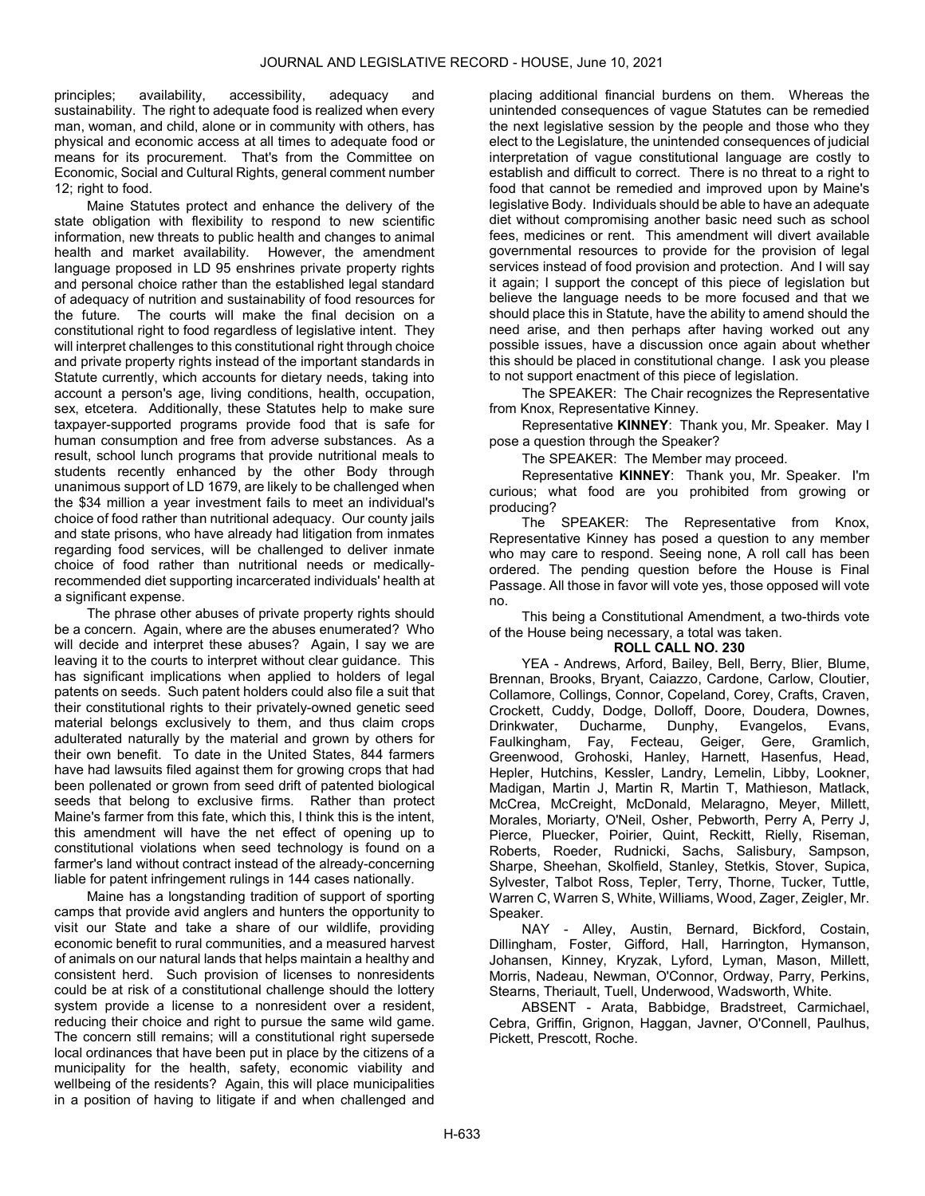principles; availability, accessibility, adequacy and sustainability. The right to adequate food is realized when every man, woman, and child, alone or in community with others, has physical and economic access at all times to adequate food or means for its procurement. That's from the Committee on Economic, Social and Cultural Rights, general comment number 12; right to food.

Maine Statutes protect and enhance the delivery of the state obligation with flexibility to respond to new scientific information, new threats to public health and changes to animal health and market availability. However, the amendment language proposed in LD 95 enshrines private property rights and personal choice rather than the established legal standard of adequacy of nutrition and sustainability of food resources for the future. The courts will make the final decision on a constitutional right to food regardless of legislative intent. They will interpret challenges to this constitutional right through choice and private property rights instead of the important standards in Statute currently, which accounts for dietary needs, taking into account a person's age, living conditions, health, occupation, sex, etcetera. Additionally, these Statutes help to make sure taxpayer-supported programs provide food that is safe for human consumption and free from adverse substances. As a result, school lunch programs that provide nutritional meals to students recently enhanced by the other Body through unanimous support of LD 1679, are likely to be challenged when the \$34 million a year investment fails to meet an individual's choice of food rather than nutritional adequacy. Our county jails and state prisons, who have already had litigation from inmates regarding food services, will be challenged to deliver inmate choice of food rather than nutritional needs or medicallyrecommended diet supporting incarcerated individuals' health at a significant expense.

The phrase other abuses of private property rights should be a concern. Again, where are the abuses enumerated? Who will decide and interpret these abuses? Again, I say we are leaving it to the courts to interpret without clear guidance. This has significant implications when applied to holders of legal patents on seeds. Such patent holders could also file a suit that their constitutional rights to their privately-owned genetic seed material belongs exclusively to them, and thus claim crops adulterated naturally by the material and grown by others for their own benefit. To date in the United States, 844 farmers have had lawsuits filed against them for growing crops that had been pollenated or grown from seed drift of patented biological seeds that belong to exclusive firms. Rather than protect Maine's farmer from this fate, which this, I think this is the intent, this amendment will have the net effect of opening up to constitutional violations when seed technology is found on a farmer's land without contract instead of the already-concerning liable for patent infringement rulings in 144 cases nationally.

Maine has a longstanding tradition of support of sporting camps that provide avid anglers and hunters the opportunity to visit our State and take a share of our wildlife, providing economic benefit to rural communities, and a measured harvest of animals on our natural lands that helps maintain a healthy and consistent herd. Such provision of licenses to nonresidents could be at risk of a constitutional challenge should the lottery system provide a license to a nonresident over a resident, reducing their choice and right to pursue the same wild game. The concern still remains; will a constitutional right supersede local ordinances that have been put in place by the citizens of a municipality for the health, safety, economic viability and wellbeing of the residents? Again, this will place municipalities in a position of having to litigate if and when challenged and

placing additional financial burdens on them. Whereas the unintended consequences of vague Statutes can be remedied the next legislative session by the people and those who they elect to the Legislature, the unintended consequences of judicial interpretation of vague constitutional language are costly to establish and difficult to correct. There is no threat to a right to food that cannot be remedied and improved upon by Maine's legislative Body. Individuals should be able to have an adequate diet without compromising another basic need such as school fees, medicines or rent. This amendment will divert available governmental resources to provide for the provision of legal services instead of food provision and protection. And I will say it again; I support the concept of this piece of legislation but believe the language needs to be more focused and that we should place this in Statute, have the ability to amend should the need arise, and then perhaps after having worked out any possible issues, have a discussion once again about whether this should be placed in constitutional change. I ask you please to not support enactment of this piece of legislation.

The SPEAKER: The Chair recognizes the Representative from Knox, Representative Kinney.

Representative KINNEY: Thank you, Mr. Speaker. May I pose a question through the Speaker?

The SPEAKER: The Member may proceed.

Representative KINNEY: Thank you, Mr. Speaker. I'm curious; what food are you prohibited from growing or producing?

 The SPEAKER: The Representative from Knox, Representative Kinney has posed a question to any member who may care to respond. Seeing none, A roll call has been ordered. The pending question before the House is Final Passage. All those in favor will vote yes, those opposed will vote no.

 This being a Constitutional Amendment, a two-thirds vote of the House being necessary, a total was taken.

# ROLL CALL NO. 230

 YEA - Andrews, Arford, Bailey, Bell, Berry, Blier, Blume, Brennan, Brooks, Bryant, Caiazzo, Cardone, Carlow, Cloutier, Collamore, Collings, Connor, Copeland, Corey, Crafts, Craven, Crockett, Cuddy, Dodge, Dolloff, Doore, Doudera, Downes, Drinkwater, Ducharme, Dunphy, Evangelos, Evans, Faulkingham, Fay, Fecteau, Geiger, Gere, Gramlich, Greenwood, Grohoski, Hanley, Harnett, Hasenfus, Head, Hepler, Hutchins, Kessler, Landry, Lemelin, Libby, Lookner, Madigan, Martin J, Martin R, Martin T, Mathieson, Matlack, McCrea, McCreight, McDonald, Melaragno, Meyer, Millett, Morales, Moriarty, O'Neil, Osher, Pebworth, Perry A, Perry J, Pierce, Pluecker, Poirier, Quint, Reckitt, Rielly, Riseman, Roberts, Roeder, Rudnicki, Sachs, Salisbury, Sampson, Sharpe, Sheehan, Skolfield, Stanley, Stetkis, Stover, Supica, Sylvester, Talbot Ross, Tepler, Terry, Thorne, Tucker, Tuttle, Warren C, Warren S, White, Williams, Wood, Zager, Zeigler, Mr. Speaker.

 NAY - Alley, Austin, Bernard, Bickford, Costain, Dillingham, Foster, Gifford, Hall, Harrington, Hymanson, Johansen, Kinney, Kryzak, Lyford, Lyman, Mason, Millett, Morris, Nadeau, Newman, O'Connor, Ordway, Parry, Perkins, Stearns, Theriault, Tuell, Underwood, Wadsworth, White.

 ABSENT - Arata, Babbidge, Bradstreet, Carmichael, Cebra, Griffin, Grignon, Haggan, Javner, O'Connell, Paulhus, Pickett, Prescott, Roche.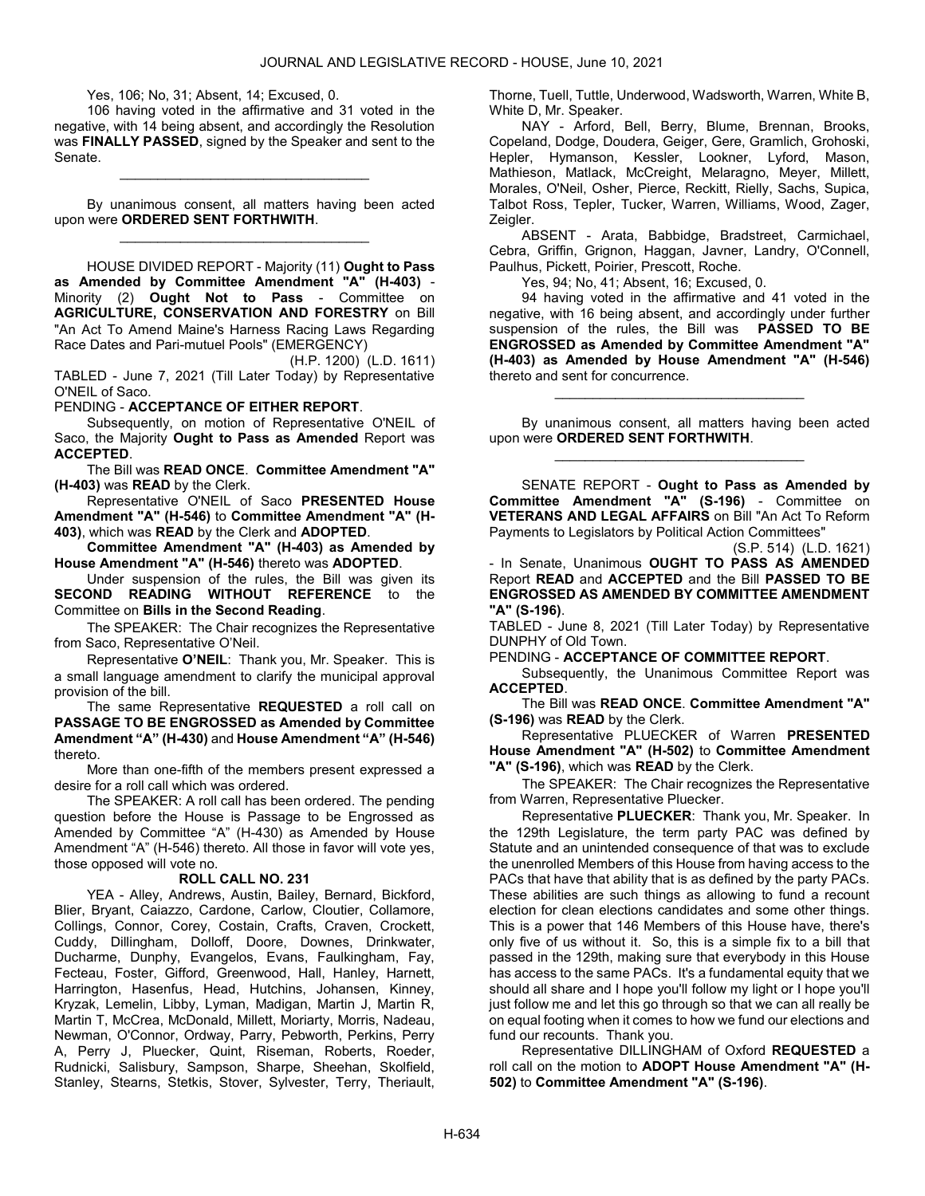Yes, 106; No, 31; Absent, 14; Excused, 0.

 106 having voted in the affirmative and 31 voted in the negative, with 14 being absent, and accordingly the Resolution was FINALLY PASSED, signed by the Speaker and sent to the Senate.

\_\_\_\_\_\_\_\_\_\_\_\_\_\_\_\_\_\_\_\_\_\_\_\_\_\_\_\_\_\_\_\_\_

 By unanimous consent, all matters having been acted upon were ORDERED SENT FORTHWITH. \_\_\_\_\_\_\_\_\_\_\_\_\_\_\_\_\_\_\_\_\_\_\_\_\_\_\_\_\_\_\_\_\_

 HOUSE DIVIDED REPORT - Majority (11) Ought to Pass as Amended by Committee Amendment "A" (H-403) - Minority (2) Ought Not to Pass - Committee on AGRICULTURE, CONSERVATION AND FORESTRY on Bill "An Act To Amend Maine's Harness Racing Laws Regarding Race Dates and Pari-mutuel Pools" (EMERGENCY)

(H.P. 1200) (L.D. 1611) TABLED - June 7, 2021 (Till Later Today) by Representative O'NEIL of Saco.

PENDING - ACCEPTANCE OF EITHER REPORT.

Subsequently, on motion of Representative O'NEIL of Saco, the Majority Ought to Pass as Amended Report was ACCEPTED.

 The Bill was READ ONCE. Committee Amendment "A" (H-403) was READ by the Clerk.

 Representative O'NEIL of Saco PRESENTED House Amendment "A" (H-546) to Committee Amendment "A" (H-403), which was READ by the Clerk and ADOPTED.

Committee Amendment "A" (H-403) as Amended by House Amendment "A" (H-546) thereto was ADOPTED.

 Under suspension of the rules, the Bill was given its SECOND READING WITHOUT REFERENCE to the Committee on Bills in the Second Reading.

The SPEAKER: The Chair recognizes the Representative from Saco, Representative O'Neil.

Representative O'NEIL: Thank you, Mr. Speaker. This is a small language amendment to clarify the municipal approval provision of the bill.

The same Representative REQUESTED a roll call on PASSAGE TO BE ENGROSSED as Amended by Committee Amendment "A" (H-430) and House Amendment "A" (H-546) thereto.

 More than one-fifth of the members present expressed a desire for a roll call which was ordered.

 The SPEAKER: A roll call has been ordered. The pending question before the House is Passage to be Engrossed as Amended by Committee "A" (H-430) as Amended by House Amendment "A" (H-546) thereto. All those in favor will vote yes, those opposed will vote no.

#### ROLL CALL NO. 231

 YEA - Alley, Andrews, Austin, Bailey, Bernard, Bickford, Blier, Bryant, Caiazzo, Cardone, Carlow, Cloutier, Collamore, Collings, Connor, Corey, Costain, Crafts, Craven, Crockett, Cuddy, Dillingham, Dolloff, Doore, Downes, Drinkwater, Ducharme, Dunphy, Evangelos, Evans, Faulkingham, Fay, Fecteau, Foster, Gifford, Greenwood, Hall, Hanley, Harnett, Harrington, Hasenfus, Head, Hutchins, Johansen, Kinney, Kryzak, Lemelin, Libby, Lyman, Madigan, Martin J, Martin R, Martin T, McCrea, McDonald, Millett, Moriarty, Morris, Nadeau, Newman, O'Connor, Ordway, Parry, Pebworth, Perkins, Perry A, Perry J, Pluecker, Quint, Riseman, Roberts, Roeder, Rudnicki, Salisbury, Sampson, Sharpe, Sheehan, Skolfield, Stanley, Stearns, Stetkis, Stover, Sylvester, Terry, Theriault, Thorne, Tuell, Tuttle, Underwood, Wadsworth, Warren, White B, White D, Mr. Speaker.

 NAY - Arford, Bell, Berry, Blume, Brennan, Brooks, Copeland, Dodge, Doudera, Geiger, Gere, Gramlich, Grohoski, Hepler, Hymanson, Kessler, Lookner, Lyford, Mason, Mathieson, Matlack, McCreight, Melaragno, Meyer, Millett, Morales, O'Neil, Osher, Pierce, Reckitt, Rielly, Sachs, Supica, Talbot Ross, Tepler, Tucker, Warren, Williams, Wood, Zager, Zeigler.

 ABSENT - Arata, Babbidge, Bradstreet, Carmichael, Cebra, Griffin, Grignon, Haggan, Javner, Landry, O'Connell, Paulhus, Pickett, Poirier, Prescott, Roche.

Yes, 94; No, 41; Absent, 16; Excused, 0.

 94 having voted in the affirmative and 41 voted in the negative, with 16 being absent, and accordingly under further suspension of the rules, the Bill was PASSED TO BE ENGROSSED as Amended by Committee Amendment "A" (H-403) as Amended by House Amendment "A" (H-546) thereto and sent for concurrence.

 By unanimous consent, all matters having been acted upon were ORDERED SENT FORTHWITH. \_\_\_\_\_\_\_\_\_\_\_\_\_\_\_\_\_\_\_\_\_\_\_\_\_\_\_\_\_\_\_\_\_

\_\_\_\_\_\_\_\_\_\_\_\_\_\_\_\_\_\_\_\_\_\_\_\_\_\_\_\_\_\_\_\_\_

 SENATE REPORT - Ought to Pass as Amended by Committee Amendment "A" (S-196) - Committee on VETERANS AND LEGAL AFFAIRS on Bill "An Act To Reform Payments to Legislators by Political Action Committees"

(S.P. 514) (L.D. 1621) - In Senate, Unanimous OUGHT TO PASS AS AMENDED Report READ and ACCEPTED and the Bill PASSED TO BE ENGROSSED AS AMENDED BY COMMITTEE AMENDMENT "A" (S-196).

TABLED - June 8, 2021 (Till Later Today) by Representative DUNPHY of Old Town.

PENDING - ACCEPTANCE OF COMMITTEE REPORT.

 Subsequently, the Unanimous Committee Report was ACCEPTED.

 The Bill was READ ONCE. Committee Amendment "A" (S-196) was READ by the Clerk.

 Representative PLUECKER of Warren PRESENTED House Amendment "A" (H-502) to Committee Amendment "A" (S-196), which was READ by the Clerk.

The SPEAKER: The Chair recognizes the Representative from Warren, Representative Pluecker.

Representative PLUECKER: Thank you, Mr. Speaker. In the 129th Legislature, the term party PAC was defined by Statute and an unintended consequence of that was to exclude the unenrolled Members of this House from having access to the PACs that have that ability that is as defined by the party PACs. These abilities are such things as allowing to fund a recount election for clean elections candidates and some other things. This is a power that 146 Members of this House have, there's only five of us without it. So, this is a simple fix to a bill that passed in the 129th, making sure that everybody in this House has access to the same PACs. It's a fundamental equity that we should all share and I hope you'll follow my light or I hope you'll just follow me and let this go through so that we can all really be on equal footing when it comes to how we fund our elections and fund our recounts. Thank you.

 Representative DILLINGHAM of Oxford REQUESTED a roll call on the motion to ADOPT House Amendment "A" (H-502) to Committee Amendment "A" (S-196).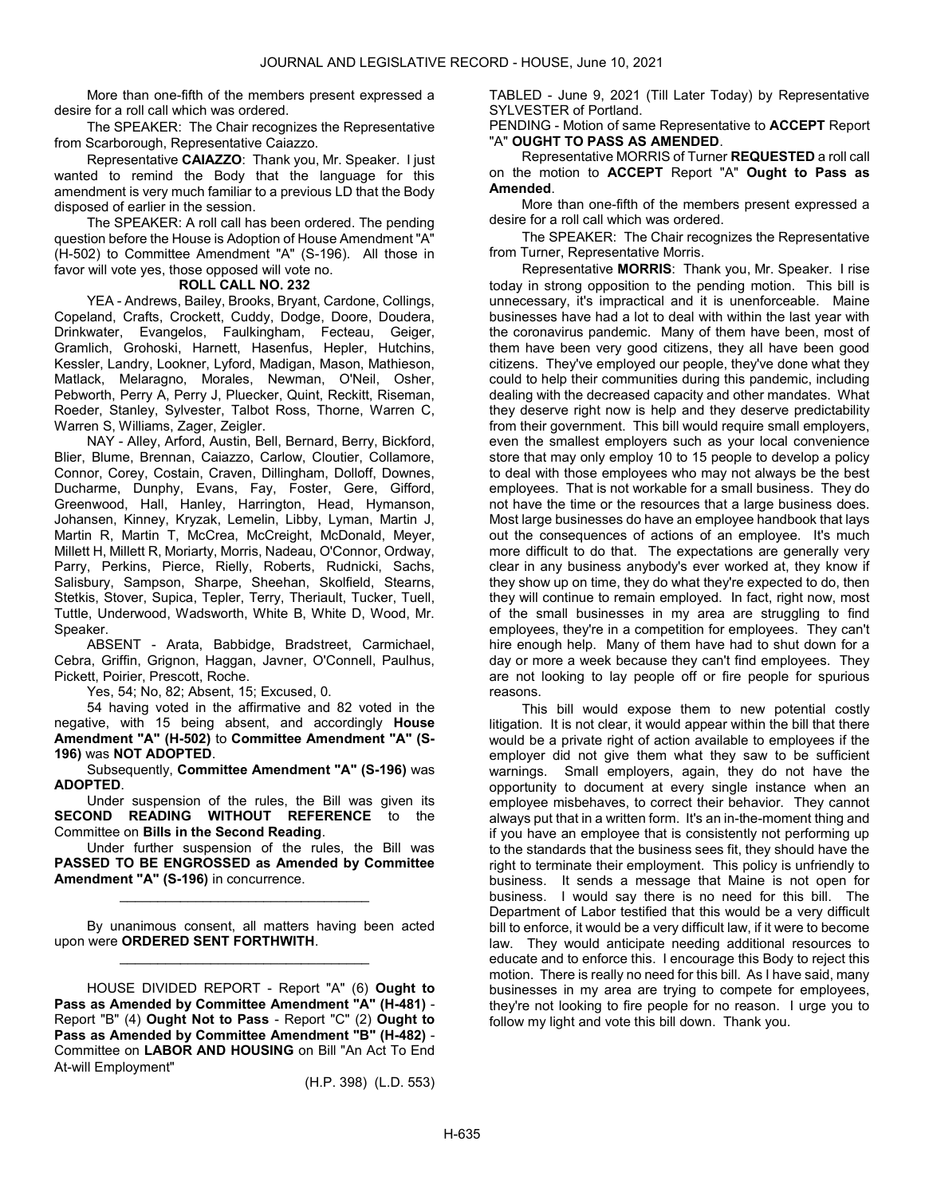More than one-fifth of the members present expressed a desire for a roll call which was ordered.

The SPEAKER: The Chair recognizes the Representative from Scarborough, Representative Caiazzo.

Representative CAIAZZO: Thank you, Mr. Speaker. I just wanted to remind the Body that the language for this amendment is very much familiar to a previous LD that the Body disposed of earlier in the session.

 The SPEAKER: A roll call has been ordered. The pending question before the House is Adoption of House Amendment "A" (H-502) to Committee Amendment "A" (S-196). All those in favor will vote yes, those opposed will vote no.

# ROLL CALL NO. 232

 YEA - Andrews, Bailey, Brooks, Bryant, Cardone, Collings, Copeland, Crafts, Crockett, Cuddy, Dodge, Doore, Doudera, Drinkwater, Evangelos, Faulkingham, Fecteau, Geiger, Gramlich, Grohoski, Harnett, Hasenfus, Hepler, Hutchins, Kessler, Landry, Lookner, Lyford, Madigan, Mason, Mathieson, Matlack, Melaragno, Morales, Newman, O'Neil, Osher, Pebworth, Perry A, Perry J, Pluecker, Quint, Reckitt, Riseman, Roeder, Stanley, Sylvester, Talbot Ross, Thorne, Warren C, Warren S, Williams, Zager, Zeigler.

 NAY - Alley, Arford, Austin, Bell, Bernard, Berry, Bickford, Blier, Blume, Brennan, Caiazzo, Carlow, Cloutier, Collamore, Connor, Corey, Costain, Craven, Dillingham, Dolloff, Downes, Ducharme, Dunphy, Evans, Fay, Foster, Gere, Gifford, Greenwood, Hall, Hanley, Harrington, Head, Hymanson, Johansen, Kinney, Kryzak, Lemelin, Libby, Lyman, Martin J, Martin R, Martin T, McCrea, McCreight, McDonald, Meyer, Millett H, Millett R, Moriarty, Morris, Nadeau, O'Connor, Ordway, Parry, Perkins, Pierce, Rielly, Roberts, Rudnicki, Sachs, Salisbury, Sampson, Sharpe, Sheehan, Skolfield, Stearns, Stetkis, Stover, Supica, Tepler, Terry, Theriault, Tucker, Tuell, Tuttle, Underwood, Wadsworth, White B, White D, Wood, Mr. Speaker.

 ABSENT - Arata, Babbidge, Bradstreet, Carmichael, Cebra, Griffin, Grignon, Haggan, Javner, O'Connell, Paulhus, Pickett, Poirier, Prescott, Roche.

Yes, 54; No, 82; Absent, 15; Excused, 0.

 54 having voted in the affirmative and 82 voted in the negative, with 15 being absent, and accordingly House Amendment "A" (H-502) to Committee Amendment "A" (S-196) was NOT ADOPTED.

 Subsequently, Committee Amendment "A" (S-196) was ADOPTED.

 Under suspension of the rules, the Bill was given its SECOND READING WITHOUT REFERENCE to the Committee on Bills in the Second Reading.

 Under further suspension of the rules, the Bill was PASSED TO BE ENGROSSED as Amended by Committee Amendment "A" (S-196) in concurrence.

\_\_\_\_\_\_\_\_\_\_\_\_\_\_\_\_\_\_\_\_\_\_\_\_\_\_\_\_\_\_\_\_\_

 By unanimous consent, all matters having been acted upon were ORDERED SENT FORTHWITH. \_\_\_\_\_\_\_\_\_\_\_\_\_\_\_\_\_\_\_\_\_\_\_\_\_\_\_\_\_\_\_\_\_

 HOUSE DIVIDED REPORT - Report "A" (6) Ought to Pass as Amended by Committee Amendment "A" (H-481) - Report "B" (4) Ought Not to Pass - Report "C" (2) Ought to Pass as Amended by Committee Amendment "B" (H-482) - Committee on LABOR AND HOUSING on Bill "An Act To End At-will Employment"

(H.P. 398) (L.D. 553)

TABLED - June 9, 2021 (Till Later Today) by Representative SYLVESTER of Portland.

PENDING - Motion of same Representative to ACCEPT Report "A" OUGHT TO PASS AS AMENDED.

 Representative MORRIS of Turner REQUESTED a roll call on the motion to ACCEPT Report "A" Ought to Pass as Amended.

 More than one-fifth of the members present expressed a desire for a roll call which was ordered.

The SPEAKER: The Chair recognizes the Representative from Turner, Representative Morris.

Representative MORRIS: Thank you, Mr. Speaker. I rise today in strong opposition to the pending motion. This bill is unnecessary, it's impractical and it is unenforceable. Maine businesses have had a lot to deal with within the last year with the coronavirus pandemic. Many of them have been, most of them have been very good citizens, they all have been good citizens. They've employed our people, they've done what they could to help their communities during this pandemic, including dealing with the decreased capacity and other mandates. What they deserve right now is help and they deserve predictability from their government. This bill would require small employers, even the smallest employers such as your local convenience store that may only employ 10 to 15 people to develop a policy to deal with those employees who may not always be the best employees. That is not workable for a small business. They do not have the time or the resources that a large business does. Most large businesses do have an employee handbook that lays out the consequences of actions of an employee. It's much more difficult to do that. The expectations are generally very clear in any business anybody's ever worked at, they know if they show up on time, they do what they're expected to do, then they will continue to remain employed. In fact, right now, most of the small businesses in my area are struggling to find employees, they're in a competition for employees. They can't hire enough help. Many of them have had to shut down for a day or more a week because they can't find employees. They are not looking to lay people off or fire people for spurious reasons.

This bill would expose them to new potential costly litigation. It is not clear, it would appear within the bill that there would be a private right of action available to employees if the employer did not give them what they saw to be sufficient warnings. Small employers, again, they do not have the opportunity to document at every single instance when an employee misbehaves, to correct their behavior. They cannot always put that in a written form. It's an in-the-moment thing and if you have an employee that is consistently not performing up to the standards that the business sees fit, they should have the right to terminate their employment. This policy is unfriendly to business. It sends a message that Maine is not open for business. I would say there is no need for this bill. The Department of Labor testified that this would be a very difficult bill to enforce, it would be a very difficult law, if it were to become law. They would anticipate needing additional resources to educate and to enforce this. I encourage this Body to reject this motion. There is really no need for this bill. As I have said, many businesses in my area are trying to compete for employees, they're not looking to fire people for no reason. I urge you to follow my light and vote this bill down. Thank you.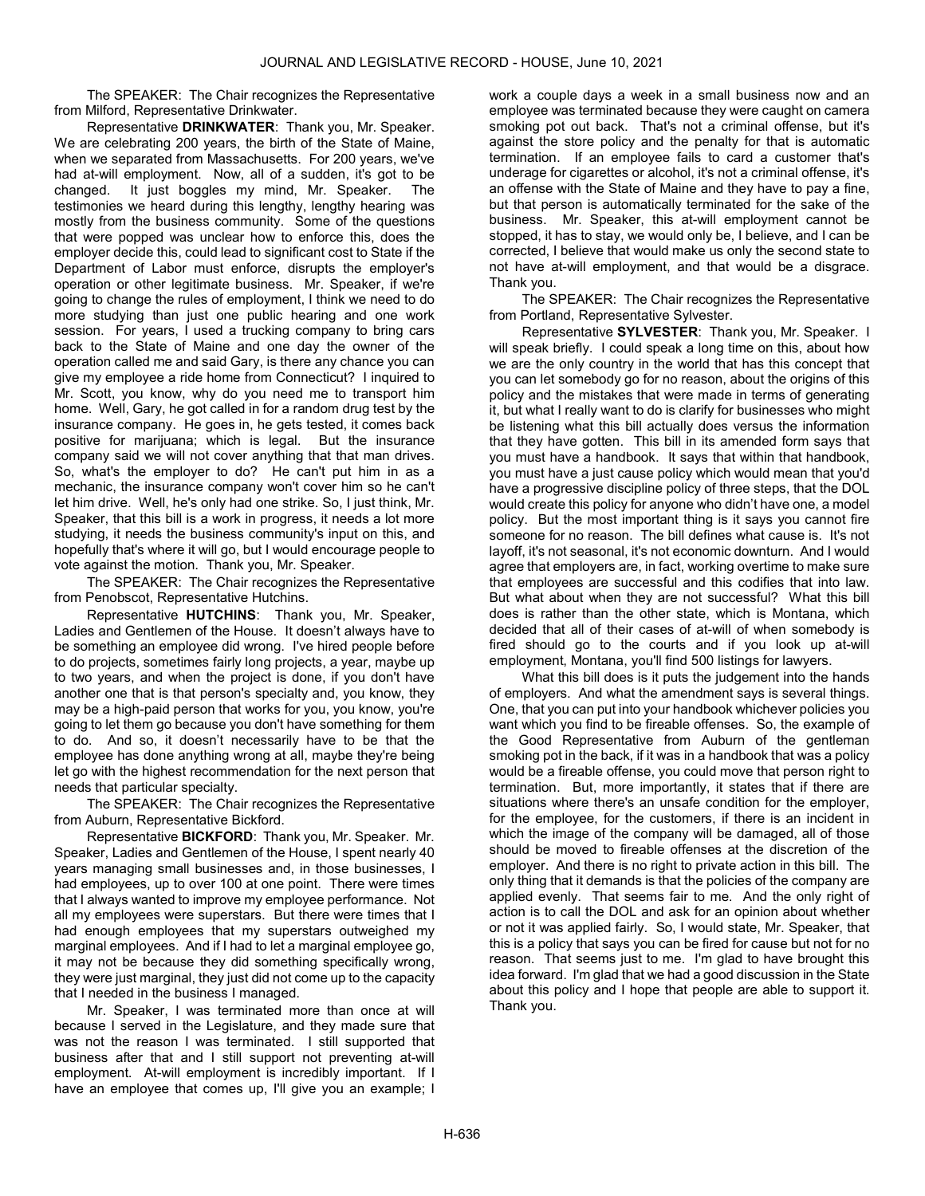The SPEAKER: The Chair recognizes the Representative from Milford, Representative Drinkwater.

Representative DRINKWATER: Thank you, Mr. Speaker. We are celebrating 200 years, the birth of the State of Maine, when we separated from Massachusetts. For 200 years, we've had at-will employment. Now, all of a sudden, it's got to be changed. It just boggles my mind, Mr. Speaker. The testimonies we heard during this lengthy, lengthy hearing was mostly from the business community. Some of the questions that were popped was unclear how to enforce this, does the employer decide this, could lead to significant cost to State if the Department of Labor must enforce, disrupts the employer's operation or other legitimate business. Mr. Speaker, if we're going to change the rules of employment, I think we need to do more studying than just one public hearing and one work session. For years, I used a trucking company to bring cars back to the State of Maine and one day the owner of the operation called me and said Gary, is there any chance you can give my employee a ride home from Connecticut? I inquired to Mr. Scott, you know, why do you need me to transport him home. Well, Gary, he got called in for a random drug test by the insurance company. He goes in, he gets tested, it comes back positive for marijuana; which is legal. But the insurance company said we will not cover anything that that man drives. So, what's the employer to do? He can't put him in as a mechanic, the insurance company won't cover him so he can't let him drive. Well, he's only had one strike. So, I just think, Mr. Speaker, that this bill is a work in progress, it needs a lot more studying, it needs the business community's input on this, and hopefully that's where it will go, but I would encourage people to vote against the motion. Thank you, Mr. Speaker.

The SPEAKER: The Chair recognizes the Representative from Penobscot, Representative Hutchins.

Representative HUTCHINS: Thank you, Mr. Speaker, Ladies and Gentlemen of the House. It doesn't always have to be something an employee did wrong. I've hired people before to do projects, sometimes fairly long projects, a year, maybe up to two years, and when the project is done, if you don't have another one that is that person's specialty and, you know, they may be a high-paid person that works for you, you know, you're going to let them go because you don't have something for them to do. And so, it doesn't necessarily have to be that the employee has done anything wrong at all, maybe they're being let go with the highest recommendation for the next person that needs that particular specialty.

The SPEAKER: The Chair recognizes the Representative from Auburn, Representative Bickford.

Representative BICKFORD: Thank you, Mr. Speaker. Mr. Speaker, Ladies and Gentlemen of the House, I spent nearly 40 years managing small businesses and, in those businesses, I had employees, up to over 100 at one point. There were times that I always wanted to improve my employee performance. Not all my employees were superstars. But there were times that I had enough employees that my superstars outweighed my marginal employees. And if I had to let a marginal employee go, it may not be because they did something specifically wrong, they were just marginal, they just did not come up to the capacity that I needed in the business I managed.

Mr. Speaker, I was terminated more than once at will because I served in the Legislature, and they made sure that was not the reason I was terminated. I still supported that business after that and I still support not preventing at-will employment. At-will employment is incredibly important. If I have an employee that comes up, I'll give you an example; I

work a couple days a week in a small business now and an employee was terminated because they were caught on camera smoking pot out back. That's not a criminal offense, but it's against the store policy and the penalty for that is automatic termination. If an employee fails to card a customer that's underage for cigarettes or alcohol, it's not a criminal offense, it's an offense with the State of Maine and they have to pay a fine, but that person is automatically terminated for the sake of the business. Mr. Speaker, this at-will employment cannot be stopped, it has to stay, we would only be, I believe, and I can be corrected, I believe that would make us only the second state to not have at-will employment, and that would be a disgrace. Thank you.

The SPEAKER: The Chair recognizes the Representative from Portland, Representative Sylvester.

Representative SYLVESTER: Thank you, Mr. Speaker. I will speak briefly. I could speak a long time on this, about how we are the only country in the world that has this concept that you can let somebody go for no reason, about the origins of this policy and the mistakes that were made in terms of generating it, but what I really want to do is clarify for businesses who might be listening what this bill actually does versus the information that they have gotten. This bill in its amended form says that you must have a handbook. It says that within that handbook, you must have a just cause policy which would mean that you'd have a progressive discipline policy of three steps, that the DOL would create this policy for anyone who didn't have one, a model policy. But the most important thing is it says you cannot fire someone for no reason. The bill defines what cause is. It's not layoff, it's not seasonal, it's not economic downturn. And I would agree that employers are, in fact, working overtime to make sure that employees are successful and this codifies that into law. But what about when they are not successful? What this bill does is rather than the other state, which is Montana, which decided that all of their cases of at-will of when somebody is fired should go to the courts and if you look up at-will employment, Montana, you'll find 500 listings for lawyers.

What this bill does is it puts the judgement into the hands of employers. And what the amendment says is several things. One, that you can put into your handbook whichever policies you want which you find to be fireable offenses. So, the example of the Good Representative from Auburn of the gentleman smoking pot in the back, if it was in a handbook that was a policy would be a fireable offense, you could move that person right to termination. But, more importantly, it states that if there are situations where there's an unsafe condition for the employer, for the employee, for the customers, if there is an incident in which the image of the company will be damaged, all of those should be moved to fireable offenses at the discretion of the employer. And there is no right to private action in this bill. The only thing that it demands is that the policies of the company are applied evenly. That seems fair to me. And the only right of action is to call the DOL and ask for an opinion about whether or not it was applied fairly. So, I would state, Mr. Speaker, that this is a policy that says you can be fired for cause but not for no reason. That seems just to me. I'm glad to have brought this idea forward. I'm glad that we had a good discussion in the State about this policy and I hope that people are able to support it. Thank you.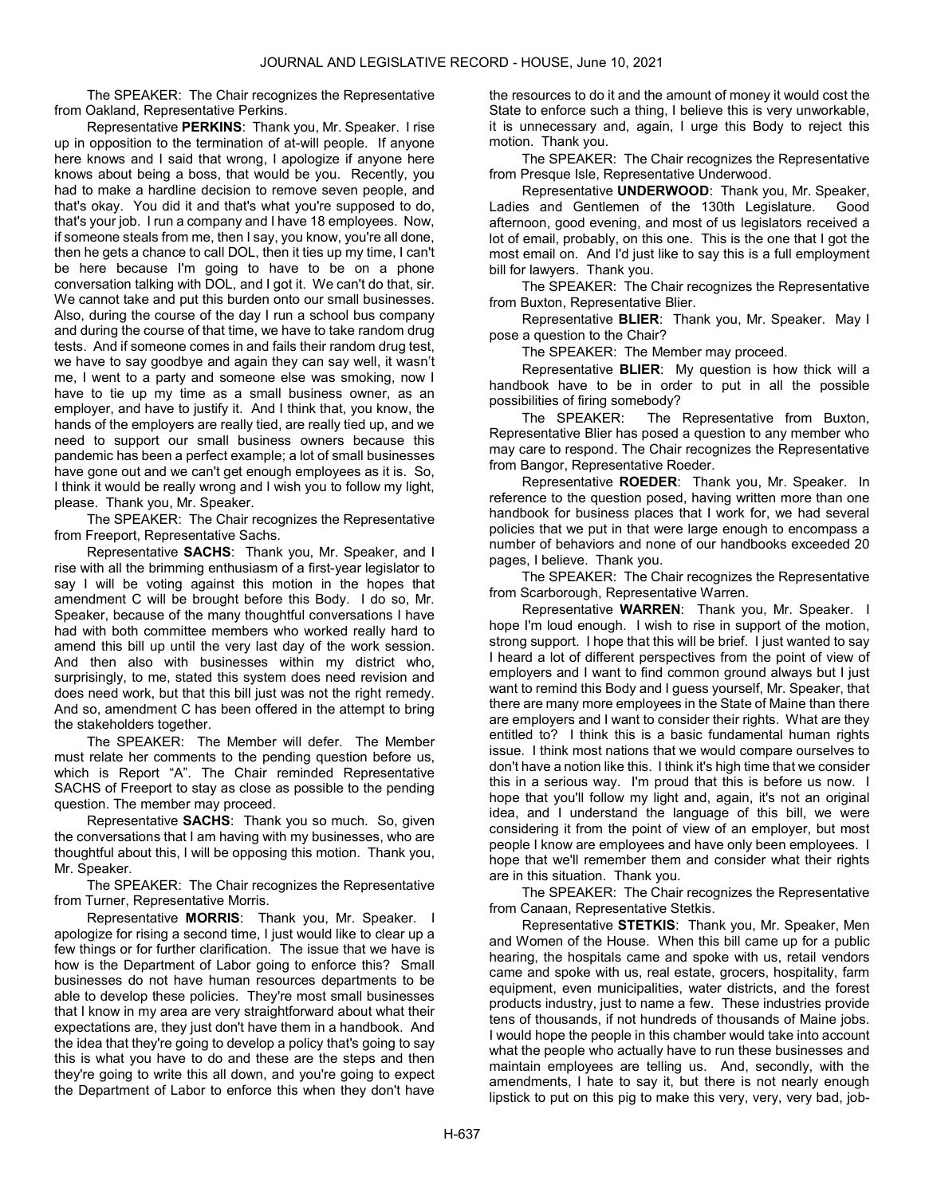The SPEAKER: The Chair recognizes the Representative from Oakland, Representative Perkins.

Representative PERKINS: Thank you, Mr. Speaker. I rise up in opposition to the termination of at-will people. If anyone here knows and I said that wrong, I apologize if anyone here knows about being a boss, that would be you. Recently, you had to make a hardline decision to remove seven people, and that's okay. You did it and that's what you're supposed to do, that's your job. I run a company and I have 18 employees. Now, if someone steals from me, then I say, you know, you're all done, then he gets a chance to call DOL, then it ties up my time, I can't be here because I'm going to have to be on a phone conversation talking with DOL, and I got it. We can't do that, sir. We cannot take and put this burden onto our small businesses. Also, during the course of the day I run a school bus company and during the course of that time, we have to take random drug tests. And if someone comes in and fails their random drug test, we have to say goodbye and again they can say well, it wasn't me, I went to a party and someone else was smoking, now I have to tie up my time as a small business owner, as an employer, and have to justify it. And I think that, you know, the hands of the employers are really tied, are really tied up, and we need to support our small business owners because this pandemic has been a perfect example; a lot of small businesses have gone out and we can't get enough employees as it is. So, I think it would be really wrong and I wish you to follow my light, please. Thank you, Mr. Speaker.

The SPEAKER: The Chair recognizes the Representative from Freeport, Representative Sachs.

Representative SACHS: Thank you, Mr. Speaker, and I rise with all the brimming enthusiasm of a first-year legislator to say I will be voting against this motion in the hopes that amendment C will be brought before this Body. I do so, Mr. Speaker, because of the many thoughtful conversations I have had with both committee members who worked really hard to amend this bill up until the very last day of the work session. And then also with businesses within my district who, surprisingly, to me, stated this system does need revision and does need work, but that this bill just was not the right remedy. And so, amendment C has been offered in the attempt to bring the stakeholders together.

The SPEAKER: The Member will defer. The Member must relate her comments to the pending question before us, which is Report "A". The Chair reminded Representative SACHS of Freeport to stay as close as possible to the pending question. The member may proceed.

Representative SACHS: Thank you so much. So, given the conversations that I am having with my businesses, who are thoughtful about this, I will be opposing this motion. Thank you, Mr. Speaker.

The SPEAKER: The Chair recognizes the Representative from Turner, Representative Morris.

Representative **MORRIS:** Thank you, Mr. Speaker. I apologize for rising a second time, I just would like to clear up a few things or for further clarification. The issue that we have is how is the Department of Labor going to enforce this? Small businesses do not have human resources departments to be able to develop these policies. They're most small businesses that I know in my area are very straightforward about what their expectations are, they just don't have them in a handbook. And the idea that they're going to develop a policy that's going to say this is what you have to do and these are the steps and then they're going to write this all down, and you're going to expect the Department of Labor to enforce this when they don't have

the resources to do it and the amount of money it would cost the State to enforce such a thing, I believe this is very unworkable, it is unnecessary and, again, I urge this Body to reject this motion. Thank you.

The SPEAKER: The Chair recognizes the Representative from Presque Isle, Representative Underwood.

Representative UNDERWOOD: Thank you, Mr. Speaker, Ladies and Gentlemen of the 130th Legislature. Good afternoon, good evening, and most of us legislators received a lot of email, probably, on this one. This is the one that I got the most email on. And I'd just like to say this is a full employment bill for lawyers. Thank you.

The SPEAKER: The Chair recognizes the Representative from Buxton, Representative Blier.

Representative BLIER: Thank you, Mr. Speaker. May I pose a question to the Chair?

The SPEAKER: The Member may proceed.

Representative BLIER: My question is how thick will a handbook have to be in order to put in all the possible possibilities of firing somebody?

The SPEAKER: The Representative from Buxton, Representative Blier has posed a question to any member who may care to respond. The Chair recognizes the Representative from Bangor, Representative Roeder.

Representative ROEDER: Thank you, Mr. Speaker. In reference to the question posed, having written more than one handbook for business places that I work for, we had several policies that we put in that were large enough to encompass a number of behaviors and none of our handbooks exceeded 20 pages, I believe. Thank you.

The SPEAKER: The Chair recognizes the Representative from Scarborough, Representative Warren.

Representative WARREN: Thank you, Mr. Speaker. I hope I'm loud enough. I wish to rise in support of the motion, strong support. I hope that this will be brief. I just wanted to say I heard a lot of different perspectives from the point of view of employers and I want to find common ground always but I just want to remind this Body and I guess yourself, Mr. Speaker, that there are many more employees in the State of Maine than there are employers and I want to consider their rights. What are they entitled to? I think this is a basic fundamental human rights issue. I think most nations that we would compare ourselves to don't have a notion like this. I think it's high time that we consider this in a serious way. I'm proud that this is before us now. I hope that you'll follow my light and, again, it's not an original idea, and I understand the language of this bill, we were considering it from the point of view of an employer, but most people I know are employees and have only been employees. I hope that we'll remember them and consider what their rights are in this situation. Thank you.

The SPEAKER: The Chair recognizes the Representative from Canaan, Representative Stetkis.

Representative STETKIS: Thank you, Mr. Speaker, Men and Women of the House. When this bill came up for a public hearing, the hospitals came and spoke with us, retail vendors came and spoke with us, real estate, grocers, hospitality, farm equipment, even municipalities, water districts, and the forest products industry, just to name a few. These industries provide tens of thousands, if not hundreds of thousands of Maine jobs. I would hope the people in this chamber would take into account what the people who actually have to run these businesses and maintain employees are telling us. And, secondly, with the amendments, I hate to say it, but there is not nearly enough lipstick to put on this pig to make this very, very, very bad, job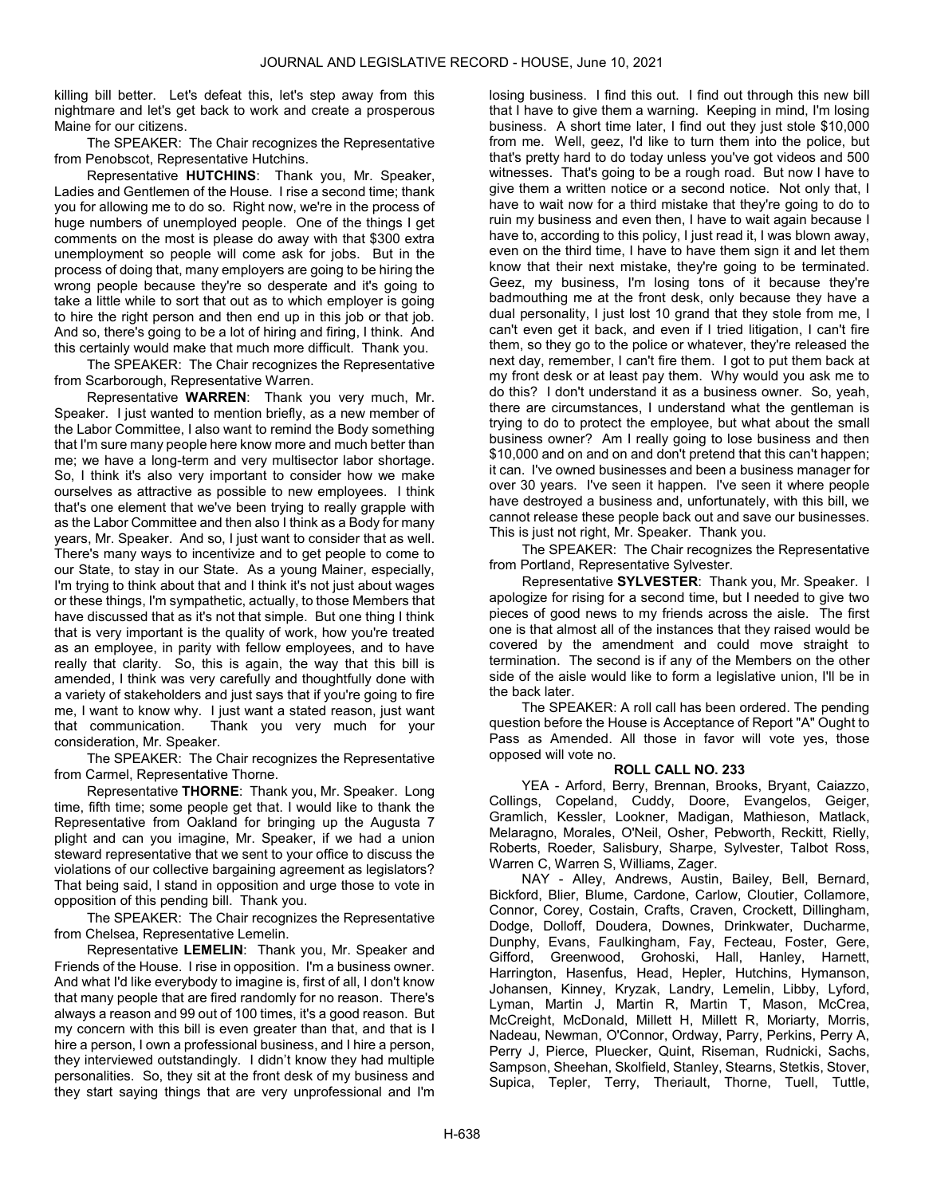killing bill better. Let's defeat this, let's step away from this nightmare and let's get back to work and create a prosperous Maine for our citizens.

The SPEAKER: The Chair recognizes the Representative from Penobscot, Representative Hutchins.

Representative HUTCHINS: Thank you, Mr. Speaker, Ladies and Gentlemen of the House. I rise a second time; thank you for allowing me to do so. Right now, we're in the process of huge numbers of unemployed people. One of the things I get comments on the most is please do away with that \$300 extra unemployment so people will come ask for jobs. But in the process of doing that, many employers are going to be hiring the wrong people because they're so desperate and it's going to take a little while to sort that out as to which employer is going to hire the right person and then end up in this job or that job. And so, there's going to be a lot of hiring and firing, I think. And this certainly would make that much more difficult. Thank you.

The SPEAKER: The Chair recognizes the Representative from Scarborough, Representative Warren.

Representative WARREN: Thank you very much, Mr. Speaker. I just wanted to mention briefly, as a new member of the Labor Committee, I also want to remind the Body something that I'm sure many people here know more and much better than me; we have a long-term and very multisector labor shortage. So, I think it's also very important to consider how we make ourselves as attractive as possible to new employees. I think that's one element that we've been trying to really grapple with as the Labor Committee and then also I think as a Body for many years, Mr. Speaker. And so, I just want to consider that as well. There's many ways to incentivize and to get people to come to our State, to stay in our State. As a young Mainer, especially, I'm trying to think about that and I think it's not just about wages or these things, I'm sympathetic, actually, to those Members that have discussed that as it's not that simple. But one thing I think that is very important is the quality of work, how you're treated as an employee, in parity with fellow employees, and to have really that clarity. So, this is again, the way that this bill is amended, I think was very carefully and thoughtfully done with a variety of stakeholders and just says that if you're going to fire me, I want to know why. I just want a stated reason, just want that communication. Thank you very much for your consideration, Mr. Speaker.

The SPEAKER: The Chair recognizes the Representative from Carmel, Representative Thorne.

Representative THORNE: Thank you, Mr. Speaker. Long time, fifth time; some people get that. I would like to thank the Representative from Oakland for bringing up the Augusta 7 plight and can you imagine, Mr. Speaker, if we had a union steward representative that we sent to your office to discuss the violations of our collective bargaining agreement as legislators? That being said, I stand in opposition and urge those to vote in opposition of this pending bill. Thank you.

The SPEAKER: The Chair recognizes the Representative from Chelsea, Representative Lemelin.

Representative LEMELIN: Thank you, Mr. Speaker and Friends of the House. I rise in opposition. I'm a business owner. And what I'd like everybody to imagine is, first of all, I don't know that many people that are fired randomly for no reason. There's always a reason and 99 out of 100 times, it's a good reason. But my concern with this bill is even greater than that, and that is I hire a person, I own a professional business, and I hire a person, they interviewed outstandingly. I didn't know they had multiple personalities. So, they sit at the front desk of my business and they start saying things that are very unprofessional and I'm

losing business. I find this out. I find out through this new bill that I have to give them a warning. Keeping in mind, I'm losing business. A short time later, I find out they just stole \$10,000 from me. Well, geez, I'd like to turn them into the police, but that's pretty hard to do today unless you've got videos and 500 witnesses. That's going to be a rough road. But now I have to give them a written notice or a second notice. Not only that, I have to wait now for a third mistake that they're going to do to ruin my business and even then, I have to wait again because I have to, according to this policy, I just read it, I was blown away, even on the third time, I have to have them sign it and let them know that their next mistake, they're going to be terminated. Geez, my business, I'm losing tons of it because they're badmouthing me at the front desk, only because they have a dual personality, I just lost 10 grand that they stole from me, I can't even get it back, and even if I tried litigation, I can't fire them, so they go to the police or whatever, they're released the next day, remember, I can't fire them. I got to put them back at my front desk or at least pay them. Why would you ask me to do this? I don't understand it as a business owner. So, yeah, there are circumstances, I understand what the gentleman is trying to do to protect the employee, but what about the small business owner? Am I really going to lose business and then \$10,000 and on and on and don't pretend that this can't happen; it can. I've owned businesses and been a business manager for over 30 years. I've seen it happen. I've seen it where people have destroyed a business and, unfortunately, with this bill, we cannot release these people back out and save our businesses. This is just not right, Mr. Speaker. Thank you.

The SPEAKER: The Chair recognizes the Representative from Portland, Representative Sylvester.

Representative SYLVESTER: Thank you, Mr. Speaker. I apologize for rising for a second time, but I needed to give two pieces of good news to my friends across the aisle. The first one is that almost all of the instances that they raised would be covered by the amendment and could move straight to termination. The second is if any of the Members on the other side of the aisle would like to form a legislative union, I'll be in the back later.

 The SPEAKER: A roll call has been ordered. The pending question before the House is Acceptance of Report "A" Ought to Pass as Amended. All those in favor will vote yes, those opposed will vote no.

# ROLL CALL NO. 233

 YEA - Arford, Berry, Brennan, Brooks, Bryant, Caiazzo, Collings, Copeland, Cuddy, Doore, Evangelos, Geiger, Gramlich, Kessler, Lookner, Madigan, Mathieson, Matlack, Melaragno, Morales, O'Neil, Osher, Pebworth, Reckitt, Rielly, Roberts, Roeder, Salisbury, Sharpe, Sylvester, Talbot Ross, Warren C, Warren S, Williams, Zager.

 NAY - Alley, Andrews, Austin, Bailey, Bell, Bernard, Bickford, Blier, Blume, Cardone, Carlow, Cloutier, Collamore, Connor, Corey, Costain, Crafts, Craven, Crockett, Dillingham, Dodge, Dolloff, Doudera, Downes, Drinkwater, Ducharme, Dunphy, Evans, Faulkingham, Fay, Fecteau, Foster, Gere, Gifford, Greenwood, Grohoski, Hall, Hanley, Harnett, Harrington, Hasenfus, Head, Hepler, Hutchins, Hymanson, Johansen, Kinney, Kryzak, Landry, Lemelin, Libby, Lyford, Lyman, Martin J, Martin R, Martin T, Mason, McCrea, McCreight, McDonald, Millett H, Millett R, Moriarty, Morris, Nadeau, Newman, O'Connor, Ordway, Parry, Perkins, Perry A, Perry J, Pierce, Pluecker, Quint, Riseman, Rudnicki, Sachs, Sampson, Sheehan, Skolfield, Stanley, Stearns, Stetkis, Stover, Supica, Tepler, Terry, Theriault, Thorne, Tuell, Tuttle,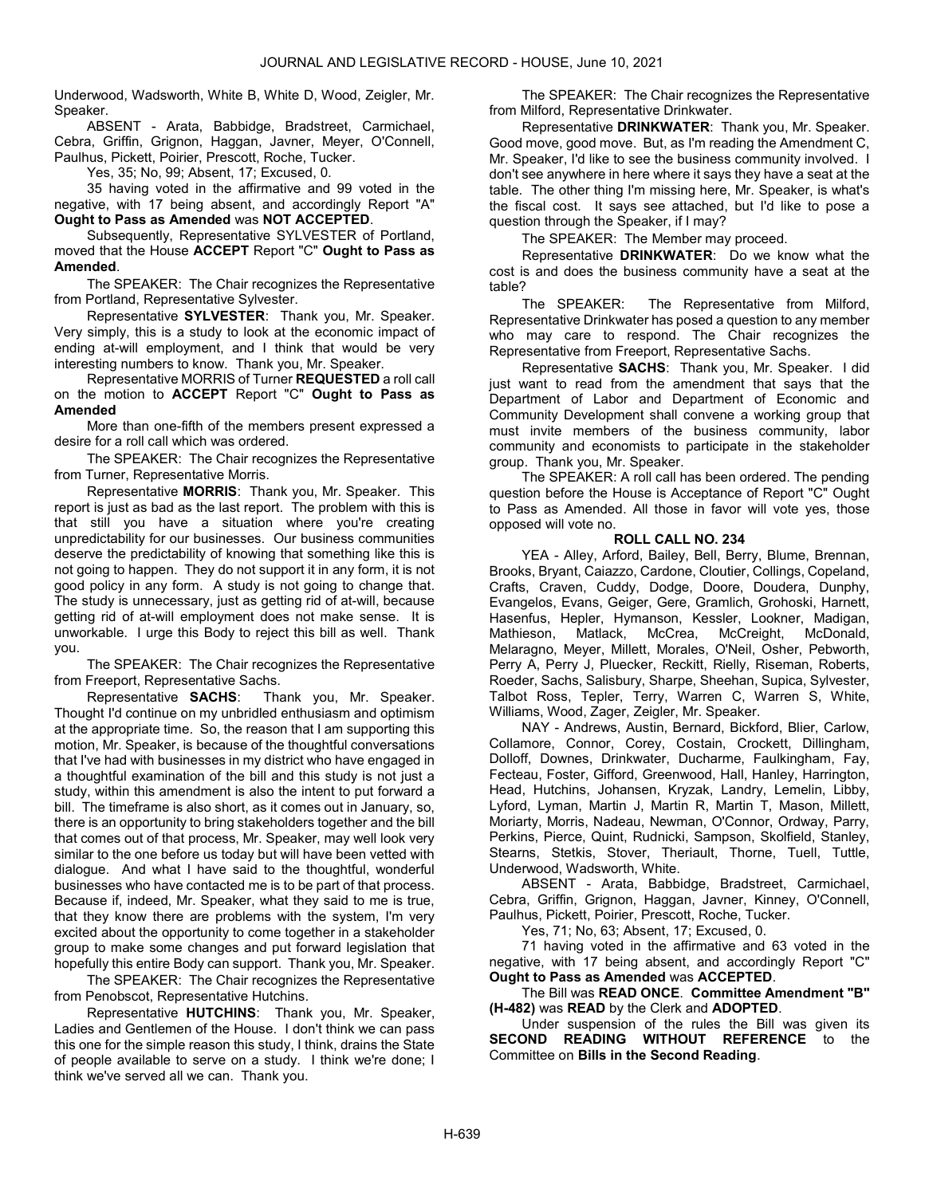Underwood, Wadsworth, White B, White D, Wood, Zeigler, Mr. Speaker.

 ABSENT - Arata, Babbidge, Bradstreet, Carmichael, Cebra, Griffin, Grignon, Haggan, Javner, Meyer, O'Connell, Paulhus, Pickett, Poirier, Prescott, Roche, Tucker.

Yes, 35; No, 99; Absent, 17; Excused, 0.

 35 having voted in the affirmative and 99 voted in the negative, with 17 being absent, and accordingly Report "A" Ought to Pass as Amended was NOT ACCEPTED.

 Subsequently, Representative SYLVESTER of Portland, moved that the House ACCEPT Report "C" Ought to Pass as Amended.

The SPEAKER: The Chair recognizes the Representative from Portland, Representative Sylvester.

Representative SYLVESTER: Thank you, Mr. Speaker. Very simply, this is a study to look at the economic impact of ending at-will employment, and I think that would be very interesting numbers to know. Thank you, Mr. Speaker.

 Representative MORRIS of Turner REQUESTED a roll call on the motion to ACCEPT Report "C" Ought to Pass as Amended

 More than one-fifth of the members present expressed a desire for a roll call which was ordered.

The SPEAKER: The Chair recognizes the Representative from Turner, Representative Morris.

Representative MORRIS: Thank you, Mr. Speaker. This report is just as bad as the last report. The problem with this is that still you have a situation where you're creating unpredictability for our businesses. Our business communities deserve the predictability of knowing that something like this is not going to happen. They do not support it in any form, it is not good policy in any form. A study is not going to change that. The study is unnecessary, just as getting rid of at-will, because getting rid of at-will employment does not make sense. It is unworkable. I urge this Body to reject this bill as well. Thank you.

The SPEAKER: The Chair recognizes the Representative from Freeport, Representative Sachs.

Representative SACHS: Thank you, Mr. Speaker. Thought I'd continue on my unbridled enthusiasm and optimism at the appropriate time. So, the reason that I am supporting this motion, Mr. Speaker, is because of the thoughtful conversations that I've had with businesses in my district who have engaged in a thoughtful examination of the bill and this study is not just a study, within this amendment is also the intent to put forward a bill. The timeframe is also short, as it comes out in January, so, there is an opportunity to bring stakeholders together and the bill that comes out of that process, Mr. Speaker, may well look very similar to the one before us today but will have been vetted with dialogue. And what I have said to the thoughtful, wonderful businesses who have contacted me is to be part of that process. Because if, indeed, Mr. Speaker, what they said to me is true, that they know there are problems with the system, I'm very excited about the opportunity to come together in a stakeholder group to make some changes and put forward legislation that hopefully this entire Body can support. Thank you, Mr. Speaker.

The SPEAKER: The Chair recognizes the Representative from Penobscot, Representative Hutchins.

Representative HUTCHINS: Thank you, Mr. Speaker, Ladies and Gentlemen of the House. I don't think we can pass this one for the simple reason this study, I think, drains the State of people available to serve on a study. I think we're done; I think we've served all we can. Thank you.

The SPEAKER: The Chair recognizes the Representative from Milford, Representative Drinkwater.

Representative DRINKWATER: Thank you, Mr. Speaker. Good move, good move. But, as I'm reading the Amendment C, Mr. Speaker, I'd like to see the business community involved. I don't see anywhere in here where it says they have a seat at the table. The other thing I'm missing here, Mr. Speaker, is what's the fiscal cost. It says see attached, but I'd like to pose a question through the Speaker, if I may?

The SPEAKER: The Member may proceed.

Representative DRINKWATER: Do we know what the cost is and does the business community have a seat at the table?

The SPEAKER: The Representative from Milford, Representative Drinkwater has posed a question to any member who may care to respond. The Chair recognizes the Representative from Freeport, Representative Sachs.

Representative SACHS: Thank you, Mr. Speaker. I did just want to read from the amendment that says that the Department of Labor and Department of Economic and Community Development shall convene a working group that must invite members of the business community, labor community and economists to participate in the stakeholder group. Thank you, Mr. Speaker.

 The SPEAKER: A roll call has been ordered. The pending question before the House is Acceptance of Report "C" Ought to Pass as Amended. All those in favor will vote yes, those opposed will vote no.

# ROLL CALL NO. 234

 YEA - Alley, Arford, Bailey, Bell, Berry, Blume, Brennan, Brooks, Bryant, Caiazzo, Cardone, Cloutier, Collings, Copeland, Crafts, Craven, Cuddy, Dodge, Doore, Doudera, Dunphy, Evangelos, Evans, Geiger, Gere, Gramlich, Grohoski, Harnett, Hasenfus, Hepler, Hymanson, Kessler, Lookner, Madigan,<br>Mathieson, Matlack, McCrea, McCreight, McDonald, Matlack, McCrea, McCreight, McDonald, Melaragno, Meyer, Millett, Morales, O'Neil, Osher, Pebworth, Perry A, Perry J, Pluecker, Reckitt, Rielly, Riseman, Roberts, Roeder, Sachs, Salisbury, Sharpe, Sheehan, Supica, Sylvester, Talbot Ross, Tepler, Terry, Warren C, Warren S, White, Williams, Wood, Zager, Zeigler, Mr. Speaker.

 NAY - Andrews, Austin, Bernard, Bickford, Blier, Carlow, Collamore, Connor, Corey, Costain, Crockett, Dillingham, Dolloff, Downes, Drinkwater, Ducharme, Faulkingham, Fay, Fecteau, Foster, Gifford, Greenwood, Hall, Hanley, Harrington, Head, Hutchins, Johansen, Kryzak, Landry, Lemelin, Libby, Lyford, Lyman, Martin J, Martin R, Martin T, Mason, Millett, Moriarty, Morris, Nadeau, Newman, O'Connor, Ordway, Parry, Perkins, Pierce, Quint, Rudnicki, Sampson, Skolfield, Stanley, Stearns, Stetkis, Stover, Theriault, Thorne, Tuell, Tuttle, Underwood, Wadsworth, White.

 ABSENT - Arata, Babbidge, Bradstreet, Carmichael, Cebra, Griffin, Grignon, Haggan, Javner, Kinney, O'Connell, Paulhus, Pickett, Poirier, Prescott, Roche, Tucker.

Yes, 71; No, 63; Absent, 17; Excused, 0.

 71 having voted in the affirmative and 63 voted in the negative, with 17 being absent, and accordingly Report "C" Ought to Pass as Amended was ACCEPTED.

 The Bill was READ ONCE. Committee Amendment "B" (H-482) was READ by the Clerk and ADOPTED.

 Under suspension of the rules the Bill was given its SECOND READING WITHOUT REFERENCE to the Committee on Bills in the Second Reading.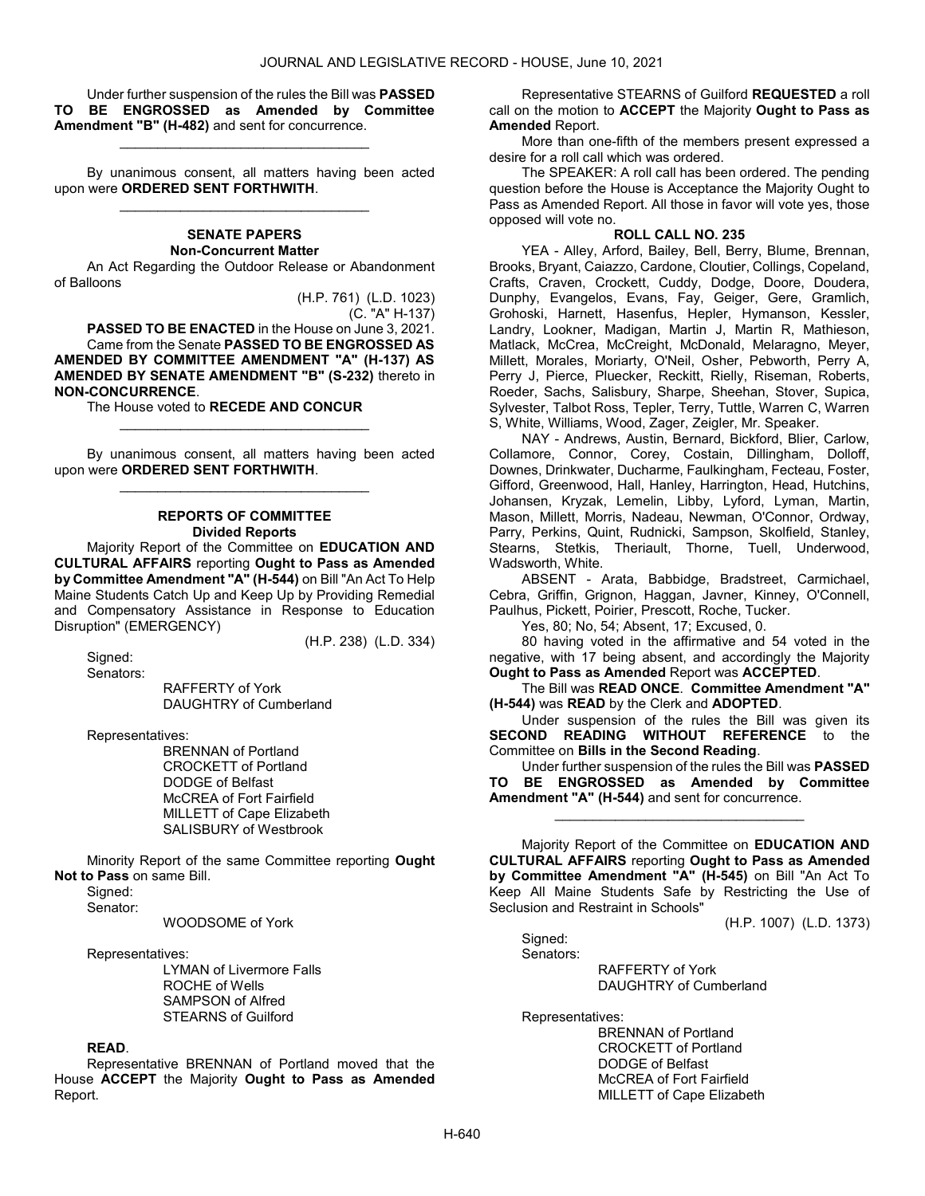Under further suspension of the rules the Bill was PASSED TO BE ENGROSSED as Amended by Committee Amendment "B" (H-482) and sent for concurrence.

\_\_\_\_\_\_\_\_\_\_\_\_\_\_\_\_\_\_\_\_\_\_\_\_\_\_\_\_\_\_\_\_\_

 By unanimous consent, all matters having been acted upon were ORDERED SENT FORTHWITH. \_\_\_\_\_\_\_\_\_\_\_\_\_\_\_\_\_\_\_\_\_\_\_\_\_\_\_\_\_\_\_\_\_

#### SENATE PAPERS Non-Concurrent Matter

 An Act Regarding the Outdoor Release or Abandonment of Balloons

> (H.P. 761) (L.D. 1023) (C. "A" H-137)

PASSED TO BE ENACTED in the House on June 3, 2021. Came from the Senate PASSED TO BE ENGROSSED AS AMENDED BY COMMITTEE AMENDMENT "A" (H-137) AS AMENDED BY SENATE AMENDMENT "B" (S-232) thereto in NON-CONCURRENCE.

The House voted to RECEDE AND CONCUR

 By unanimous consent, all matters having been acted upon were ORDERED SENT FORTHWITH. \_\_\_\_\_\_\_\_\_\_\_\_\_\_\_\_\_\_\_\_\_\_\_\_\_\_\_\_\_\_\_\_\_

\_\_\_\_\_\_\_\_\_\_\_\_\_\_\_\_\_\_\_\_\_\_\_\_\_\_\_\_\_\_\_\_\_

#### REPORTS OF COMMITTEE Divided Reports

 Majority Report of the Committee on EDUCATION AND CULTURAL AFFAIRS reporting Ought to Pass as Amended by Committee Amendment "A" (H-544) on Bill "An Act To Help Maine Students Catch Up and Keep Up by Providing Remedial and Compensatory Assistance in Response to Education Disruption" (EMERGENCY)

(H.P. 238) (L.D. 334)

 Signed: Senators:

 RAFFERTY of York DAUGHTRY of Cumberland

Representatives:

 BRENNAN of Portland CROCKETT of Portland DODGE of Belfast McCREA of Fort Fairfield MILLETT of Cape Elizabeth SALISBURY of Westbrook

 Minority Report of the same Committee reporting Ought Not to Pass on same Bill.

Signed:

Senator:

#### WOODSOME of York

Representatives:

 LYMAN of Livermore Falls ROCHE of Wells SAMPSON of Alfred STEARNS of Guilford

# READ.

 Representative BRENNAN of Portland moved that the House ACCEPT the Majority Ought to Pass as Amended Report.

 Representative STEARNS of Guilford REQUESTED a roll call on the motion to ACCEPT the Majority Ought to Pass as Amended Report.

 More than one-fifth of the members present expressed a desire for a roll call which was ordered.

 The SPEAKER: A roll call has been ordered. The pending question before the House is Acceptance the Majority Ought to Pass as Amended Report. All those in favor will vote yes, those opposed will vote no.

# ROLL CALL NO. 235

 YEA - Alley, Arford, Bailey, Bell, Berry, Blume, Brennan, Brooks, Bryant, Caiazzo, Cardone, Cloutier, Collings, Copeland, Crafts, Craven, Crockett, Cuddy, Dodge, Doore, Doudera, Dunphy, Evangelos, Evans, Fay, Geiger, Gere, Gramlich, Grohoski, Harnett, Hasenfus, Hepler, Hymanson, Kessler, Landry, Lookner, Madigan, Martin J, Martin R, Mathieson, Matlack, McCrea, McCreight, McDonald, Melaragno, Meyer, Millett, Morales, Moriarty, O'Neil, Osher, Pebworth, Perry A, Perry J, Pierce, Pluecker, Reckitt, Rielly, Riseman, Roberts, Roeder, Sachs, Salisbury, Sharpe, Sheehan, Stover, Supica, Sylvester, Talbot Ross, Tepler, Terry, Tuttle, Warren C, Warren S, White, Williams, Wood, Zager, Zeigler, Mr. Speaker.

 NAY - Andrews, Austin, Bernard, Bickford, Blier, Carlow, Collamore, Connor, Corey, Costain, Dillingham, Dolloff, Downes, Drinkwater, Ducharme, Faulkingham, Fecteau, Foster, Gifford, Greenwood, Hall, Hanley, Harrington, Head, Hutchins, Johansen, Kryzak, Lemelin, Libby, Lyford, Lyman, Martin, Mason, Millett, Morris, Nadeau, Newman, O'Connor, Ordway, Parry, Perkins, Quint, Rudnicki, Sampson, Skolfield, Stanley, Stearns, Stetkis, Theriault, Thorne, Tuell, Underwood, Wadsworth, White.

 ABSENT - Arata, Babbidge, Bradstreet, Carmichael, Cebra, Griffin, Grignon, Haggan, Javner, Kinney, O'Connell, Paulhus, Pickett, Poirier, Prescott, Roche, Tucker.

Yes, 80; No, 54; Absent, 17; Excused, 0.

 80 having voted in the affirmative and 54 voted in the negative, with 17 being absent, and accordingly the Majority Ought to Pass as Amended Report was ACCEPTED.

 The Bill was READ ONCE. Committee Amendment "A" (H-544) was READ by the Clerk and ADOPTED.

 Under suspension of the rules the Bill was given its SECOND READING WITHOUT REFERENCE to the Committee on Bills in the Second Reading.

 Under further suspension of the rules the Bill was PASSED TO BE ENGROSSED as Amended by Committee Amendment "A" (H-544) and sent for concurrence.

\_\_\_\_\_\_\_\_\_\_\_\_\_\_\_\_\_\_\_\_\_\_\_\_\_\_\_\_\_\_\_\_\_

 Majority Report of the Committee on EDUCATION AND CULTURAL AFFAIRS reporting Ought to Pass as Amended by Committee Amendment "A" (H-545) on Bill "An Act To Keep All Maine Students Safe by Restricting the Use of Seclusion and Restraint in Schools"

(H.P. 1007) (L.D. 1373)

 Signed: Senators:

 RAFFERTY of York DAUGHTRY of Cumberland

Representatives:

 BRENNAN of Portland CROCKETT of Portland DODGE of Belfast McCREA of Fort Fairfield MILLETT of Cape Elizabeth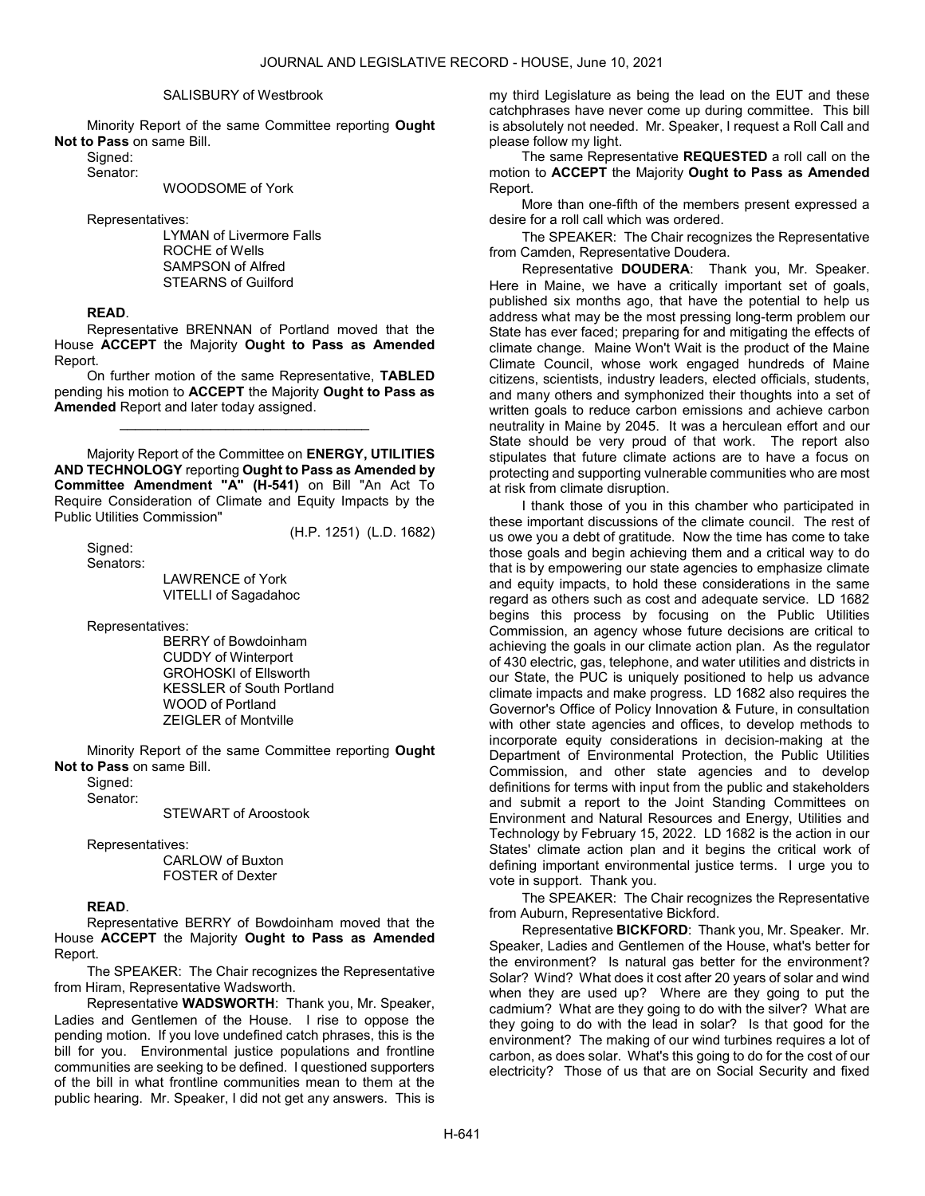#### SALISBURY of Westbrook

 Minority Report of the same Committee reporting Ought Not to Pass on same Bill.

Signed:

Senator:

WOODSOME of York

Representatives:

 LYMAN of Livermore Falls ROCHE of Wells SAMPSON of Alfred STEARNS of Guilford

#### READ.

 Representative BRENNAN of Portland moved that the House ACCEPT the Majority Ought to Pass as Amended Report.

 On further motion of the same Representative, TABLED pending his motion to ACCEPT the Majority Ought to Pass as Amended Report and later today assigned.

\_\_\_\_\_\_\_\_\_\_\_\_\_\_\_\_\_\_\_\_\_\_\_\_\_\_\_\_\_\_\_\_\_

 Majority Report of the Committee on ENERGY, UTILITIES AND TECHNOLOGY reporting Ought to Pass as Amended by Committee Amendment "A" (H-541) on Bill "An Act To Require Consideration of Climate and Equity Impacts by the Public Utilities Commission"

 Signed: Senators: (H.P. 1251) (L.D. 1682)

 LAWRENCE of York VITELLI of Sagadahoc

Representatives:

 BERRY of Bowdoinham CUDDY of Winterport GROHOSKI of Ellsworth KESSLER of South Portland WOOD of Portland ZEIGLER of Montville

 Minority Report of the same Committee reporting Ought Not to Pass on same Bill.

Sianed:

Senator:

STEWART of Aroostook

Representatives:

 CARLOW of Buxton FOSTER of Dexter

# READ.

 Representative BERRY of Bowdoinham moved that the House ACCEPT the Majority Ought to Pass as Amended Report.

The SPEAKER: The Chair recognizes the Representative from Hiram, Representative Wadsworth.

Representative WADSWORTH: Thank you, Mr. Speaker, Ladies and Gentlemen of the House. I rise to oppose the pending motion. If you love undefined catch phrases, this is the bill for you. Environmental justice populations and frontline communities are seeking to be defined. I questioned supporters of the bill in what frontline communities mean to them at the public hearing. Mr. Speaker, I did not get any answers. This is

my third Legislature as being the lead on the EUT and these catchphrases have never come up during committee. This bill is absolutely not needed. Mr. Speaker, I request a Roll Call and please follow my light.

 The same Representative REQUESTED a roll call on the motion to ACCEPT the Majority Ought to Pass as Amended Report.

 More than one-fifth of the members present expressed a desire for a roll call which was ordered.

The SPEAKER: The Chair recognizes the Representative from Camden, Representative Doudera.

Representative DOUDERA: Thank you, Mr. Speaker. Here in Maine, we have a critically important set of goals, published six months ago, that have the potential to help us address what may be the most pressing long-term problem our State has ever faced; preparing for and mitigating the effects of climate change. Maine Won't Wait is the product of the Maine Climate Council, whose work engaged hundreds of Maine citizens, scientists, industry leaders, elected officials, students, and many others and symphonized their thoughts into a set of written goals to reduce carbon emissions and achieve carbon neutrality in Maine by 2045. It was a herculean effort and our State should be very proud of that work. The report also stipulates that future climate actions are to have a focus on protecting and supporting vulnerable communities who are most at risk from climate disruption.

I thank those of you in this chamber who participated in these important discussions of the climate council. The rest of us owe you a debt of gratitude. Now the time has come to take those goals and begin achieving them and a critical way to do that is by empowering our state agencies to emphasize climate and equity impacts, to hold these considerations in the same regard as others such as cost and adequate service. LD 1682 begins this process by focusing on the Public Utilities Commission, an agency whose future decisions are critical to achieving the goals in our climate action plan. As the regulator of 430 electric, gas, telephone, and water utilities and districts in our State, the PUC is uniquely positioned to help us advance climate impacts and make progress. LD 1682 also requires the Governor's Office of Policy Innovation & Future, in consultation with other state agencies and offices, to develop methods to incorporate equity considerations in decision-making at the Department of Environmental Protection, the Public Utilities Commission, and other state agencies and to develop definitions for terms with input from the public and stakeholders and submit a report to the Joint Standing Committees on Environment and Natural Resources and Energy, Utilities and Technology by February 15, 2022. LD 1682 is the action in our States' climate action plan and it begins the critical work of defining important environmental justice terms. I urge you to vote in support. Thank you.

The SPEAKER: The Chair recognizes the Representative from Auburn, Representative Bickford.

Representative BICKFORD: Thank you, Mr. Speaker. Mr. Speaker, Ladies and Gentlemen of the House, what's better for the environment? Is natural gas better for the environment? Solar? Wind? What does it cost after 20 years of solar and wind when they are used up? Where are they going to put the cadmium? What are they going to do with the silver? What are they going to do with the lead in solar? Is that good for the environment? The making of our wind turbines requires a lot of carbon, as does solar. What's this going to do for the cost of our electricity? Those of us that are on Social Security and fixed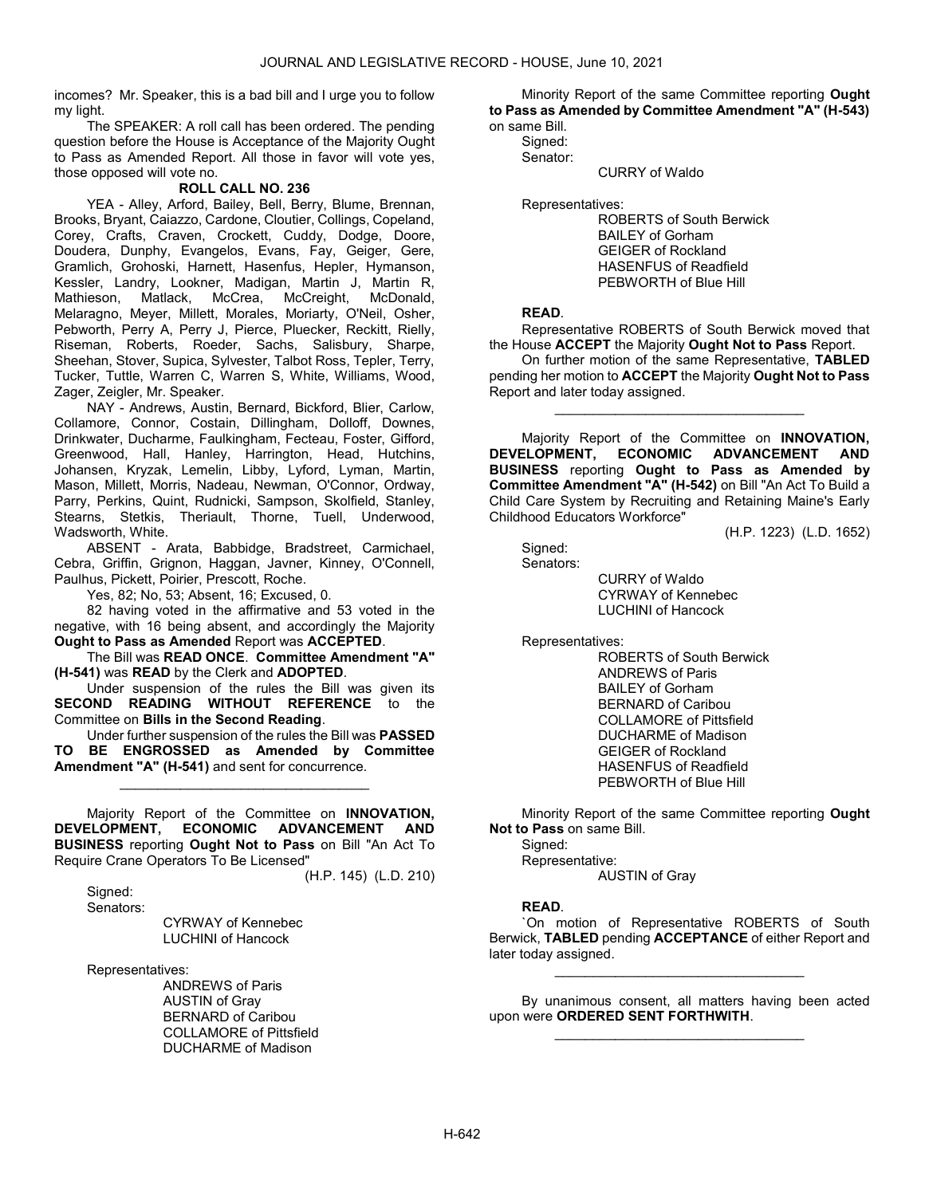incomes? Mr. Speaker, this is a bad bill and I urge you to follow my light.

 The SPEAKER: A roll call has been ordered. The pending question before the House is Acceptance of the Majority Ought to Pass as Amended Report. All those in favor will vote yes, those opposed will vote no.

# ROLL CALL NO. 236

 YEA - Alley, Arford, Bailey, Bell, Berry, Blume, Brennan, Brooks, Bryant, Caiazzo, Cardone, Cloutier, Collings, Copeland, Corey, Crafts, Craven, Crockett, Cuddy, Dodge, Doore, Doudera, Dunphy, Evangelos, Evans, Fay, Geiger, Gere, Gramlich, Grohoski, Harnett, Hasenfus, Hepler, Hymanson, Kessler, Landry, Lookner, Madigan, Martin J, Martin R, Mathieson, Matlack, McCrea, McCreight, McDonald, Melaragno, Meyer, Millett, Morales, Moriarty, O'Neil, Osher, Pebworth, Perry A, Perry J, Pierce, Pluecker, Reckitt, Rielly, Riseman, Roberts, Roeder, Sachs, Salisbury, Sharpe, Sheehan, Stover, Supica, Sylvester, Talbot Ross, Tepler, Terry, Tucker, Tuttle, Warren C, Warren S, White, Williams, Wood, Zager, Zeigler, Mr. Speaker.

 NAY - Andrews, Austin, Bernard, Bickford, Blier, Carlow, Collamore, Connor, Costain, Dillingham, Dolloff, Downes, Drinkwater, Ducharme, Faulkingham, Fecteau, Foster, Gifford, Greenwood, Hall, Hanley, Harrington, Head, Hutchins, Johansen, Kryzak, Lemelin, Libby, Lyford, Lyman, Martin, Mason, Millett, Morris, Nadeau, Newman, O'Connor, Ordway, Parry, Perkins, Quint, Rudnicki, Sampson, Skolfield, Stanley, Stearns, Stetkis, Theriault, Thorne, Tuell, Underwood, Wadsworth, White.

 ABSENT - Arata, Babbidge, Bradstreet, Carmichael, Cebra, Griffin, Grignon, Haggan, Javner, Kinney, O'Connell, Paulhus, Pickett, Poirier, Prescott, Roche.

Yes, 82; No, 53; Absent, 16; Excused, 0.

 82 having voted in the affirmative and 53 voted in the negative, with 16 being absent, and accordingly the Majority Ought to Pass as Amended Report was ACCEPTED.

 The Bill was READ ONCE. Committee Amendment "A" (H-541) was READ by the Clerk and ADOPTED.

 Under suspension of the rules the Bill was given its SECOND READING WITHOUT REFERENCE to the Committee on Bills in the Second Reading.

 Under further suspension of the rules the Bill was PASSED BE ENGROSSED as Amended by Committee Amendment "A" (H-541) and sent for concurrence.

\_\_\_\_\_\_\_\_\_\_\_\_\_\_\_\_\_\_\_\_\_\_\_\_\_\_\_\_\_\_\_\_\_

 Majority Report of the Committee on INNOVATION, DEVELOPMENT, ECONOMIC ADVANCEMENT AND BUSINESS reporting Ought Not to Pass on Bill "An Act To Require Crane Operators To Be Licensed"

(H.P. 145) (L.D. 210)

Signed:

Senators:

 CYRWAY of Kennebec LUCHINI of Hancock

Representatives:

 ANDREWS of Paris AUSTIN of Gray BERNARD of Caribou COLLAMORE of Pittsfield DUCHARME of Madison

 Minority Report of the same Committee reporting Ought to Pass as Amended by Committee Amendment "A" (H-543)

on same Bill. Signed: Senator:

CURRY of Waldo

Representatives:

 ROBERTS of South Berwick BAILEY of Gorham GEIGER of Rockland HASENFUS of Readfield PEBWORTH of Blue Hill

# READ.

 Representative ROBERTS of South Berwick moved that the House ACCEPT the Majority Ought Not to Pass Report.

 On further motion of the same Representative, TABLED pending her motion to ACCEPT the Majority Ought Not to Pass Report and later today assigned.

\_\_\_\_\_\_\_\_\_\_\_\_\_\_\_\_\_\_\_\_\_\_\_\_\_\_\_\_\_\_\_\_\_

 Majority Report of the Committee on INNOVATION, DEVELOPMENT, ECONOMIC ADVANCEMENT AND BUSINESS reporting Ought to Pass as Amended by Committee Amendment "A" (H-542) on Bill "An Act To Build a Child Care System by Recruiting and Retaining Maine's Early Childhood Educators Workforce"

(H.P. 1223) (L.D. 1652)

 Signed: Senators:

 CURRY of Waldo CYRWAY of Kennebec LUCHINI of Hancock

Representatives:

 ROBERTS of South Berwick ANDREWS of Paris BAILEY of Gorham BERNARD of Caribou COLLAMORE of Pittsfield DUCHARME of Madison GEIGER of Rockland HASENFUS of Readfield PEBWORTH of Blue Hill

 Minority Report of the same Committee reporting Ought Not to Pass on same Bill.

 Signed: Representative: AUSTIN of Gray

# READ.

 `On motion of Representative ROBERTS of South Berwick, TABLED pending ACCEPTANCE of either Report and later today assigned.

\_\_\_\_\_\_\_\_\_\_\_\_\_\_\_\_\_\_\_\_\_\_\_\_\_\_\_\_\_\_\_\_\_

 By unanimous consent, all matters having been acted upon were ORDERED SENT FORTHWITH. \_\_\_\_\_\_\_\_\_\_\_\_\_\_\_\_\_\_\_\_\_\_\_\_\_\_\_\_\_\_\_\_\_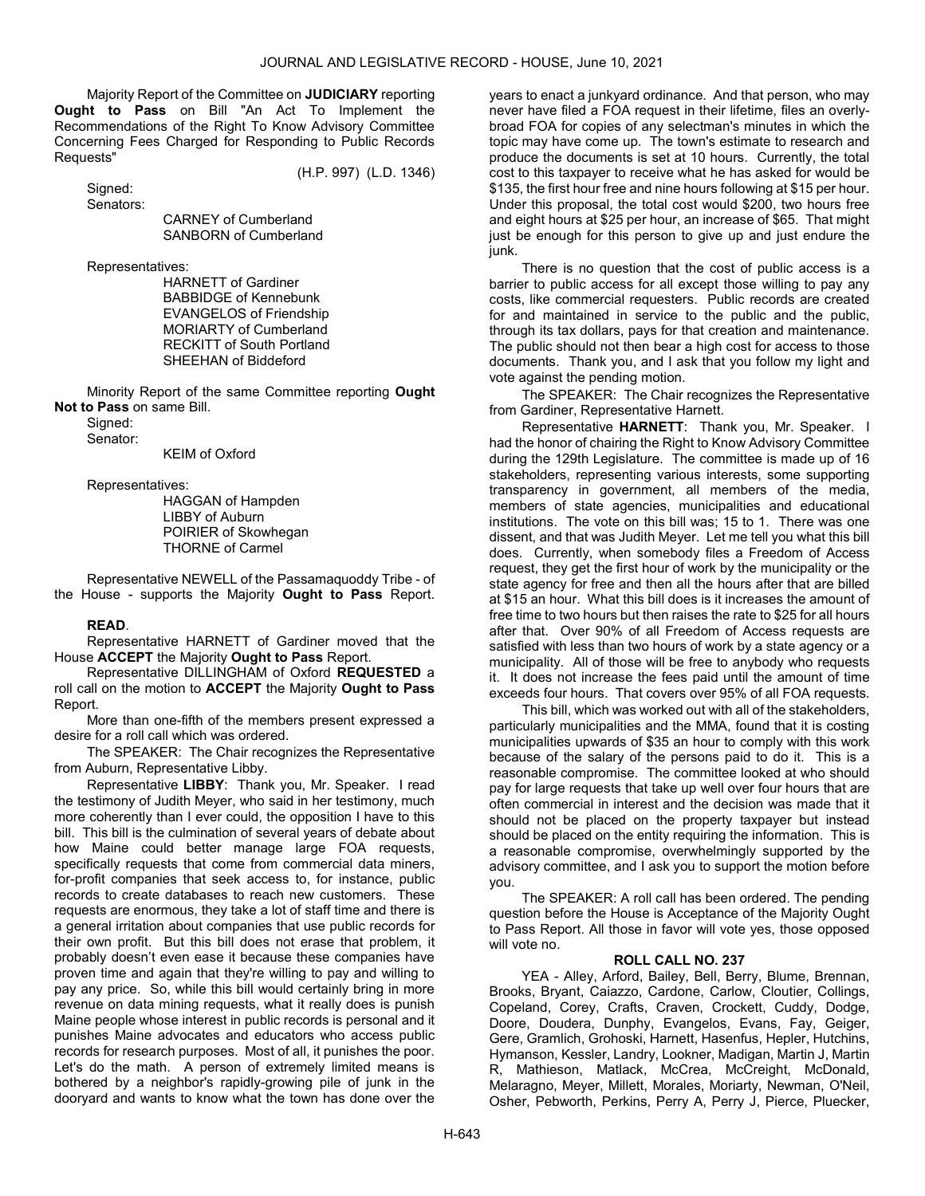Majority Report of the Committee on JUDICIARY reporting Ought to Pass on Bill "An Act To Implement the Recommendations of the Right To Know Advisory Committee Concerning Fees Charged for Responding to Public Records Requests"

(H.P. 997) (L.D. 1346)

 Signed: Senators:

 CARNEY of Cumberland SANBORN of Cumberland

Representatives:

 HARNETT of Gardiner BABBIDGE of Kennebunk EVANGELOS of Friendship MORIARTY of Cumberland RECKITT of South Portland SHEEHAN of Biddeford

 Minority Report of the same Committee reporting Ought Not to Pass on same Bill.

 Signed: Senator:

KEIM of Oxford

Representatives:

 HAGGAN of Hampden LIBBY of Auburn POIRIER of Skowhegan THORNE of Carmel

 Representative NEWELL of the Passamaquoddy Tribe - of the House - supports the Majority Ought to Pass Report.

# READ.

 Representative HARNETT of Gardiner moved that the House ACCEPT the Majority Ought to Pass Report.

 Representative DILLINGHAM of Oxford REQUESTED a roll call on the motion to ACCEPT the Majority Ought to Pass Report.

 More than one-fifth of the members present expressed a desire for a roll call which was ordered.

The SPEAKER: The Chair recognizes the Representative from Auburn, Representative Libby.

Representative LIBBY: Thank you, Mr. Speaker. I read the testimony of Judith Meyer, who said in her testimony, much more coherently than I ever could, the opposition I have to this bill. This bill is the culmination of several years of debate about how Maine could better manage large FOA requests, specifically requests that come from commercial data miners, for-profit companies that seek access to, for instance, public records to create databases to reach new customers. These requests are enormous, they take a lot of staff time and there is a general irritation about companies that use public records for their own profit. But this bill does not erase that problem, it probably doesn't even ease it because these companies have proven time and again that they're willing to pay and willing to pay any price. So, while this bill would certainly bring in more revenue on data mining requests, what it really does is punish Maine people whose interest in public records is personal and it punishes Maine advocates and educators who access public records for research purposes. Most of all, it punishes the poor. Let's do the math. A person of extremely limited means is bothered by a neighbor's rapidly-growing pile of junk in the dooryard and wants to know what the town has done over the

years to enact a junkyard ordinance. And that person, who may never have filed a FOA request in their lifetime, files an overlybroad FOA for copies of any selectman's minutes in which the topic may have come up. The town's estimate to research and produce the documents is set at 10 hours. Currently, the total cost to this taxpayer to receive what he has asked for would be \$135, the first hour free and nine hours following at \$15 per hour. Under this proposal, the total cost would \$200, two hours free and eight hours at \$25 per hour, an increase of \$65. That might just be enough for this person to give up and just endure the junk.

There is no question that the cost of public access is a barrier to public access for all except those willing to pay any costs, like commercial requesters. Public records are created for and maintained in service to the public and the public, through its tax dollars, pays for that creation and maintenance. The public should not then bear a high cost for access to those documents. Thank you, and I ask that you follow my light and vote against the pending motion.

The SPEAKER: The Chair recognizes the Representative from Gardiner, Representative Harnett.

Representative HARNETT: Thank you, Mr. Speaker. I had the honor of chairing the Right to Know Advisory Committee during the 129th Legislature. The committee is made up of 16 stakeholders, representing various interests, some supporting transparency in government, all members of the media, members of state agencies, municipalities and educational institutions. The vote on this bill was; 15 to 1. There was one dissent, and that was Judith Meyer. Let me tell you what this bill does. Currently, when somebody files a Freedom of Access request, they get the first hour of work by the municipality or the state agency for free and then all the hours after that are billed at \$15 an hour. What this bill does is it increases the amount of free time to two hours but then raises the rate to \$25 for all hours after that. Over 90% of all Freedom of Access requests are satisfied with less than two hours of work by a state agency or a municipality. All of those will be free to anybody who requests it. It does not increase the fees paid until the amount of time exceeds four hours. That covers over 95% of all FOA requests.

This bill, which was worked out with all of the stakeholders, particularly municipalities and the MMA, found that it is costing municipalities upwards of \$35 an hour to comply with this work because of the salary of the persons paid to do it. This is a reasonable compromise. The committee looked at who should pay for large requests that take up well over four hours that are often commercial in interest and the decision was made that it should not be placed on the property taxpayer but instead should be placed on the entity requiring the information. This is a reasonable compromise, overwhelmingly supported by the advisory committee, and I ask you to support the motion before you.

 The SPEAKER: A roll call has been ordered. The pending question before the House is Acceptance of the Majority Ought to Pass Report. All those in favor will vote yes, those opposed will vote no.

# ROLL CALL NO. 237

 YEA - Alley, Arford, Bailey, Bell, Berry, Blume, Brennan, Brooks, Bryant, Caiazzo, Cardone, Carlow, Cloutier, Collings, Copeland, Corey, Crafts, Craven, Crockett, Cuddy, Dodge, Doore, Doudera, Dunphy, Evangelos, Evans, Fay, Geiger, Gere, Gramlich, Grohoski, Harnett, Hasenfus, Hepler, Hutchins, Hymanson, Kessler, Landry, Lookner, Madigan, Martin J, Martin R, Mathieson, Matlack, McCrea, McCreight, McDonald, Melaragno, Meyer, Millett, Morales, Moriarty, Newman, O'Neil, Osher, Pebworth, Perkins, Perry A, Perry J, Pierce, Pluecker,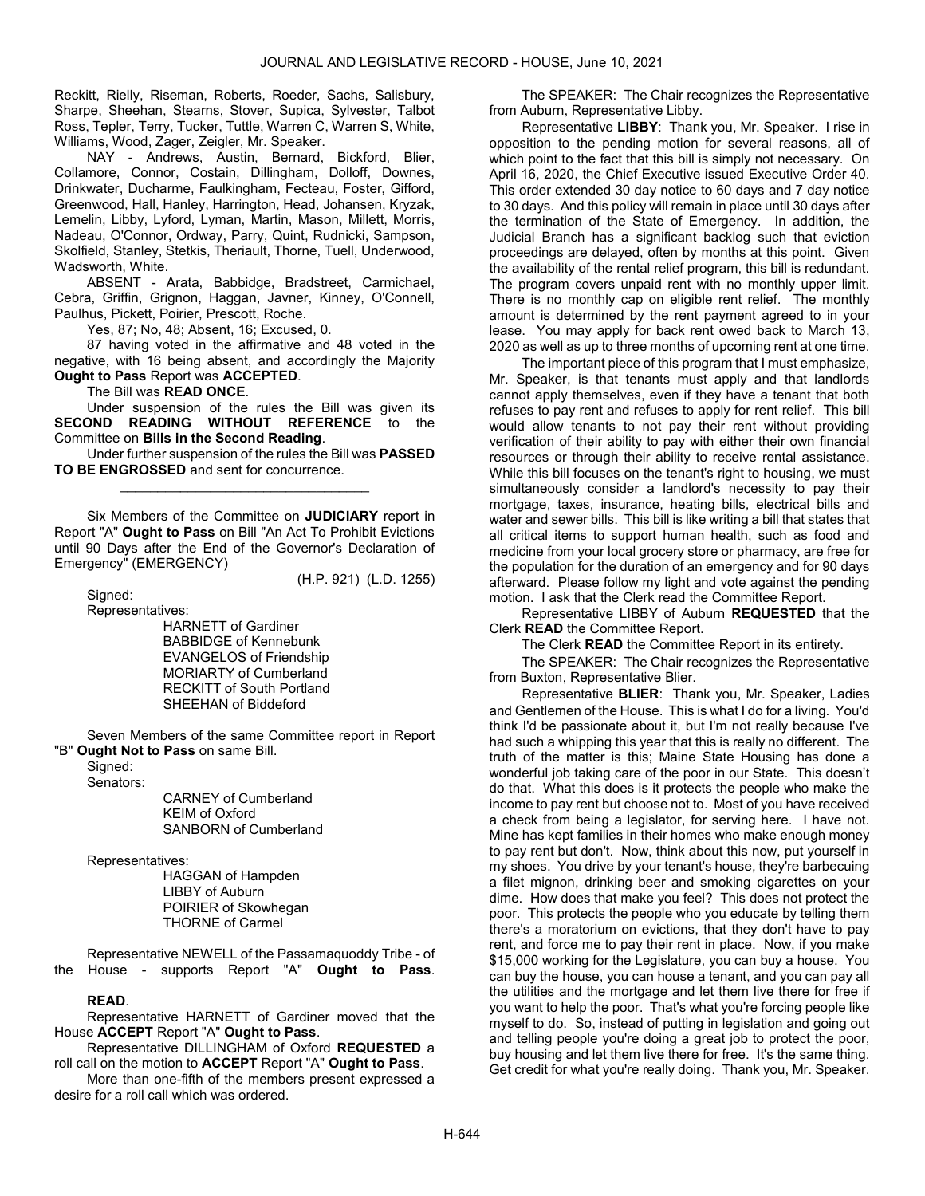Reckitt, Rielly, Riseman, Roberts, Roeder, Sachs, Salisbury, Sharpe, Sheehan, Stearns, Stover, Supica, Sylvester, Talbot Ross, Tepler, Terry, Tucker, Tuttle, Warren C, Warren S, White, Williams, Wood, Zager, Zeigler, Mr. Speaker.

 NAY - Andrews, Austin, Bernard, Bickford, Blier, Collamore, Connor, Costain, Dillingham, Dolloff, Downes, Drinkwater, Ducharme, Faulkingham, Fecteau, Foster, Gifford, Greenwood, Hall, Hanley, Harrington, Head, Johansen, Kryzak, Lemelin, Libby, Lyford, Lyman, Martin, Mason, Millett, Morris, Nadeau, O'Connor, Ordway, Parry, Quint, Rudnicki, Sampson, Skolfield, Stanley, Stetkis, Theriault, Thorne, Tuell, Underwood, Wadsworth, White.

 ABSENT - Arata, Babbidge, Bradstreet, Carmichael, Cebra, Griffin, Grignon, Haggan, Javner, Kinney, O'Connell, Paulhus, Pickett, Poirier, Prescott, Roche.

Yes, 87; No, 48; Absent, 16; Excused, 0.

 87 having voted in the affirmative and 48 voted in the negative, with 16 being absent, and accordingly the Majority Ought to Pass Report was ACCEPTED.

The Bill was READ ONCE.

 Under suspension of the rules the Bill was given its SECOND READING WITHOUT REFERENCE to the Committee on Bills in the Second Reading.

 Under further suspension of the rules the Bill was PASSED TO BE ENGROSSED and sent for concurrence. \_\_\_\_\_\_\_\_\_\_\_\_\_\_\_\_\_\_\_\_\_\_\_\_\_\_\_\_\_\_\_\_\_

Six Members of the Committee on JUDICIARY report in Report "A" Ought to Pass on Bill "An Act To Prohibit Evictions until 90 Days after the End of the Governor's Declaration of Emergency" (EMERGENCY)

Signed:

(H.P. 921) (L.D. 1255)

Representatives:

 HARNETT of Gardiner BABBIDGE of Kennebunk EVANGELOS of Friendship MORIARTY of Cumberland RECKITT of South Portland SHEEHAN of Biddeford

 Seven Members of the same Committee report in Report "B" Ought Not to Pass on same Bill.

 Signed: Senators:

 CARNEY of Cumberland KEIM of Oxford SANBORN of Cumberland

Representatives:

 HAGGAN of Hampden LIBBY of Auburn POIRIER of Skowhegan THORNE of Carmel

Representative NEWELL of the Passamaquoddy Tribe - of<br>the House - supports Report "A" Ought to Pass. House - supports Report "A" Ought to Pass.

# READ.

 Representative HARNETT of Gardiner moved that the House ACCEPT Report "A" Ought to Pass.

 Representative DILLINGHAM of Oxford REQUESTED a roll call on the motion to ACCEPT Report "A" Ought to Pass.

 More than one-fifth of the members present expressed a desire for a roll call which was ordered.

The SPEAKER: The Chair recognizes the Representative from Auburn, Representative Libby.

Representative LIBBY: Thank you, Mr. Speaker. I rise in opposition to the pending motion for several reasons, all of which point to the fact that this bill is simply not necessary. On April 16, 2020, the Chief Executive issued Executive Order 40. This order extended 30 day notice to 60 days and 7 day notice to 30 days. And this policy will remain in place until 30 days after the termination of the State of Emergency. In addition, the Judicial Branch has a significant backlog such that eviction proceedings are delayed, often by months at this point. Given the availability of the rental relief program, this bill is redundant. The program covers unpaid rent with no monthly upper limit. There is no monthly cap on eligible rent relief. The monthly amount is determined by the rent payment agreed to in your lease. You may apply for back rent owed back to March 13, 2020 as well as up to three months of upcoming rent at one time.

The important piece of this program that I must emphasize, Mr. Speaker, is that tenants must apply and that landlords cannot apply themselves, even if they have a tenant that both refuses to pay rent and refuses to apply for rent relief. This bill would allow tenants to not pay their rent without providing verification of their ability to pay with either their own financial resources or through their ability to receive rental assistance. While this bill focuses on the tenant's right to housing, we must simultaneously consider a landlord's necessity to pay their mortgage, taxes, insurance, heating bills, electrical bills and water and sewer bills. This bill is like writing a bill that states that all critical items to support human health, such as food and medicine from your local grocery store or pharmacy, are free for the population for the duration of an emergency and for 90 days afterward. Please follow my light and vote against the pending motion. I ask that the Clerk read the Committee Report.

 Representative LIBBY of Auburn REQUESTED that the Clerk READ the Committee Report.

The Clerk **READ** the Committee Report in its entirety.

The SPEAKER: The Chair recognizes the Representative from Buxton, Representative Blier.

Representative BLIER: Thank you, Mr. Speaker, Ladies and Gentlemen of the House. This is what I do for a living. You'd think I'd be passionate about it, but I'm not really because I've had such a whipping this year that this is really no different. The truth of the matter is this; Maine State Housing has done a wonderful job taking care of the poor in our State. This doesn't do that. What this does is it protects the people who make the income to pay rent but choose not to. Most of you have received a check from being a legislator, for serving here. I have not. Mine has kept families in their homes who make enough money to pay rent but don't. Now, think about this now, put yourself in my shoes. You drive by your tenant's house, they're barbecuing a filet mignon, drinking beer and smoking cigarettes on your dime. How does that make you feel? This does not protect the poor. This protects the people who you educate by telling them there's a moratorium on evictions, that they don't have to pay rent, and force me to pay their rent in place. Now, if you make \$15,000 working for the Legislature, you can buy a house. You can buy the house, you can house a tenant, and you can pay all the utilities and the mortgage and let them live there for free if you want to help the poor. That's what you're forcing people like myself to do. So, instead of putting in legislation and going out and telling people you're doing a great job to protect the poor, buy housing and let them live there for free. It's the same thing. Get credit for what you're really doing. Thank you, Mr. Speaker.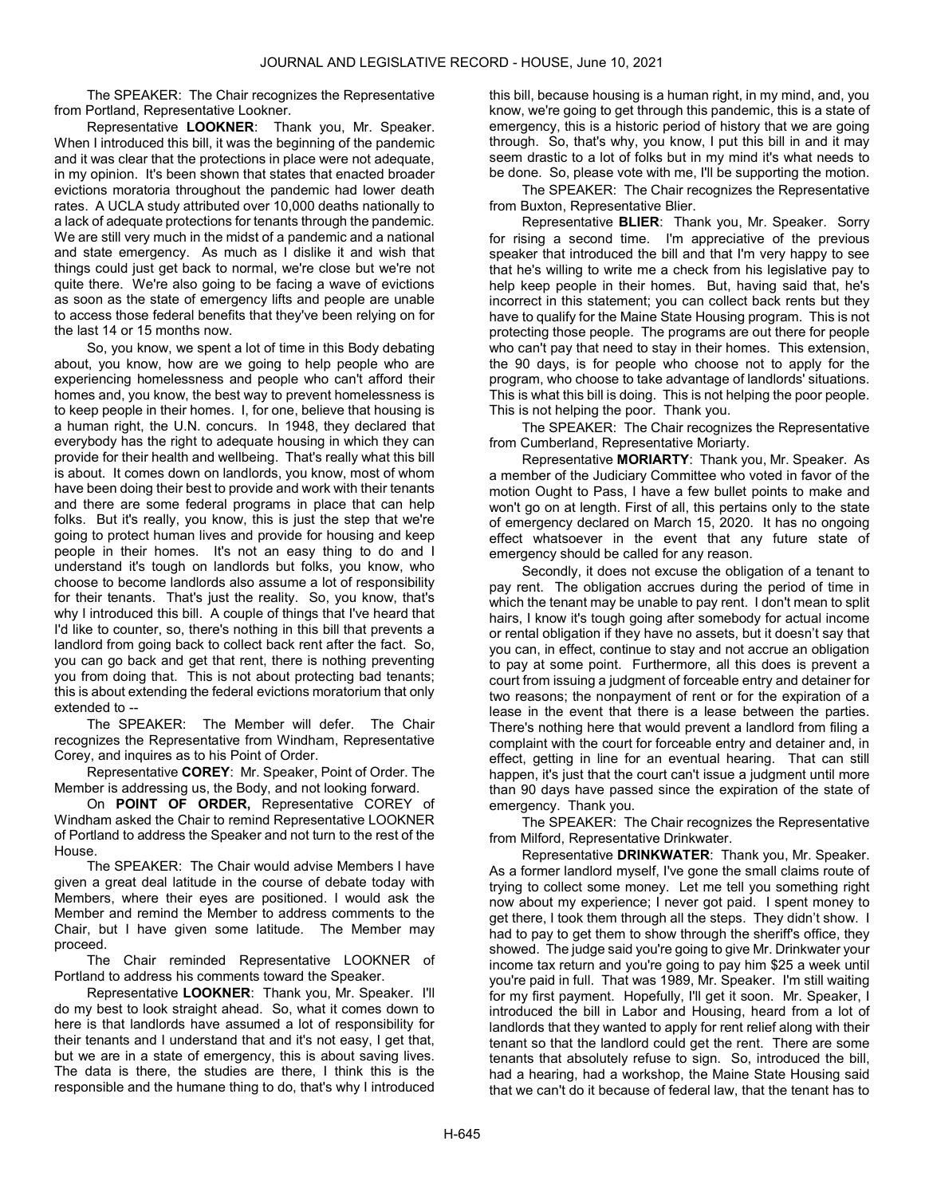The SPEAKER: The Chair recognizes the Representative from Portland, Representative Lookner.

Representative LOOKNER: Thank you, Mr. Speaker. When I introduced this bill, it was the beginning of the pandemic and it was clear that the protections in place were not adequate, in my opinion. It's been shown that states that enacted broader evictions moratoria throughout the pandemic had lower death rates. A UCLA study attributed over 10,000 deaths nationally to a lack of adequate protections for tenants through the pandemic. We are still very much in the midst of a pandemic and a national and state emergency. As much as I dislike it and wish that things could just get back to normal, we're close but we're not quite there. We're also going to be facing a wave of evictions as soon as the state of emergency lifts and people are unable to access those federal benefits that they've been relying on for the last 14 or 15 months now.

So, you know, we spent a lot of time in this Body debating about, you know, how are we going to help people who are experiencing homelessness and people who can't afford their homes and, you know, the best way to prevent homelessness is to keep people in their homes. I, for one, believe that housing is a human right, the U.N. concurs. In 1948, they declared that everybody has the right to adequate housing in which they can provide for their health and wellbeing. That's really what this bill is about. It comes down on landlords, you know, most of whom have been doing their best to provide and work with their tenants and there are some federal programs in place that can help folks. But it's really, you know, this is just the step that we're going to protect human lives and provide for housing and keep people in their homes. It's not an easy thing to do and I understand it's tough on landlords but folks, you know, who choose to become landlords also assume a lot of responsibility for their tenants. That's just the reality. So, you know, that's why I introduced this bill. A couple of things that I've heard that I'd like to counter, so, there's nothing in this bill that prevents a landlord from going back to collect back rent after the fact. So, you can go back and get that rent, there is nothing preventing you from doing that. This is not about protecting bad tenants; this is about extending the federal evictions moratorium that only extended to --

The SPEAKER: The Member will defer. The Chair recognizes the Representative from Windham, Representative Corey, and inquires as to his Point of Order.

Representative COREY: Mr. Speaker, Point of Order. The Member is addressing us, the Body, and not looking forward.

On POINT OF ORDER, Representative COREY of Windham asked the Chair to remind Representative LOOKNER of Portland to address the Speaker and not turn to the rest of the House.

The SPEAKER: The Chair would advise Members I have given a great deal latitude in the course of debate today with Members, where their eyes are positioned. I would ask the Member and remind the Member to address comments to the Chair, but I have given some latitude. The Member may proceed.

 The Chair reminded Representative LOOKNER of Portland to address his comments toward the Speaker.

Representative LOOKNER: Thank you, Mr. Speaker. I'll do my best to look straight ahead. So, what it comes down to here is that landlords have assumed a lot of responsibility for their tenants and I understand that and it's not easy, I get that, but we are in a state of emergency, this is about saving lives. The data is there, the studies are there, I think this is the responsible and the humane thing to do, that's why I introduced this bill, because housing is a human right, in my mind, and, you know, we're going to get through this pandemic, this is a state of emergency, this is a historic period of history that we are going through. So, that's why, you know, I put this bill in and it may seem drastic to a lot of folks but in my mind it's what needs to be done. So, please vote with me, I'll be supporting the motion.

The SPEAKER: The Chair recognizes the Representative from Buxton, Representative Blier.

Representative BLIER: Thank you, Mr. Speaker. Sorry for rising a second time. I'm appreciative of the previous speaker that introduced the bill and that I'm very happy to see that he's willing to write me a check from his legislative pay to help keep people in their homes. But, having said that, he's incorrect in this statement; you can collect back rents but they have to qualify for the Maine State Housing program. This is not protecting those people. The programs are out there for people who can't pay that need to stay in their homes. This extension, the 90 days, is for people who choose not to apply for the program, who choose to take advantage of landlords' situations. This is what this bill is doing. This is not helping the poor people. This is not helping the poor. Thank you.

The SPEAKER: The Chair recognizes the Representative from Cumberland, Representative Moriarty.

Representative MORIARTY: Thank you, Mr. Speaker. As a member of the Judiciary Committee who voted in favor of the motion Ought to Pass, I have a few bullet points to make and won't go on at length. First of all, this pertains only to the state of emergency declared on March 15, 2020. It has no ongoing effect whatsoever in the event that any future state of emergency should be called for any reason.

Secondly, it does not excuse the obligation of a tenant to pay rent. The obligation accrues during the period of time in which the tenant may be unable to pay rent. I don't mean to split hairs, I know it's tough going after somebody for actual income or rental obligation if they have no assets, but it doesn't say that you can, in effect, continue to stay and not accrue an obligation to pay at some point. Furthermore, all this does is prevent a court from issuing a judgment of forceable entry and detainer for two reasons; the nonpayment of rent or for the expiration of a lease in the event that there is a lease between the parties. There's nothing here that would prevent a landlord from filing a complaint with the court for forceable entry and detainer and, in effect, getting in line for an eventual hearing. That can still happen, it's just that the court can't issue a judgment until more than 90 days have passed since the expiration of the state of emergency. Thank you.

The SPEAKER: The Chair recognizes the Representative from Milford, Representative Drinkwater.

Representative DRINKWATER: Thank you, Mr. Speaker. As a former landlord myself, I've gone the small claims route of trying to collect some money. Let me tell you something right now about my experience; I never got paid. I spent money to get there, I took them through all the steps. They didn't show. I had to pay to get them to show through the sheriff's office, they showed. The judge said you're going to give Mr. Drinkwater your income tax return and you're going to pay him \$25 a week until you're paid in full. That was 1989, Mr. Speaker. I'm still waiting for my first payment. Hopefully, I'll get it soon. Mr. Speaker, I introduced the bill in Labor and Housing, heard from a lot of landlords that they wanted to apply for rent relief along with their tenant so that the landlord could get the rent. There are some tenants that absolutely refuse to sign. So, introduced the bill, had a hearing, had a workshop, the Maine State Housing said that we can't do it because of federal law, that the tenant has to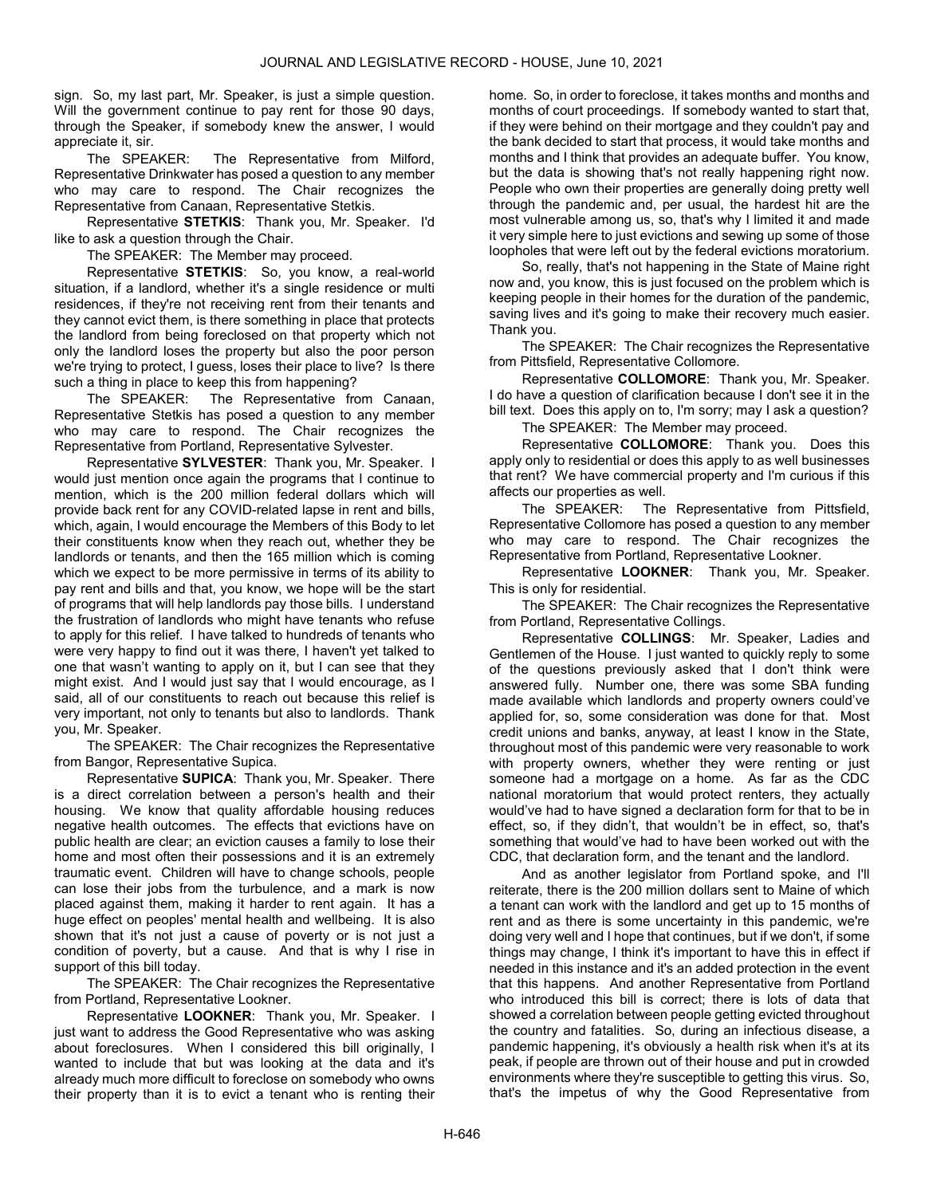sign. So, my last part, Mr. Speaker, is just a simple question. Will the government continue to pay rent for those 90 days, through the Speaker, if somebody knew the answer, I would appreciate it, sir.

The SPEAKER: The Representative from Milford, Representative Drinkwater has posed a question to any member who may care to respond. The Chair recognizes the Representative from Canaan, Representative Stetkis.

Representative STETKIS: Thank you, Mr. Speaker. I'd like to ask a question through the Chair.

The SPEAKER: The Member may proceed.

Representative STETKIS: So, you know, a real-world situation, if a landlord, whether it's a single residence or multi residences, if they're not receiving rent from their tenants and they cannot evict them, is there something in place that protects the landlord from being foreclosed on that property which not only the landlord loses the property but also the poor person we're trying to protect, I guess, loses their place to live? Is there such a thing in place to keep this from happening?

The SPEAKER: The Representative from Canaan, Representative Stetkis has posed a question to any member who may care to respond. The Chair recognizes the Representative from Portland, Representative Sylvester.

Representative SYLVESTER: Thank you, Mr. Speaker. I would just mention once again the programs that I continue to mention, which is the 200 million federal dollars which will provide back rent for any COVID-related lapse in rent and bills, which, again, I would encourage the Members of this Body to let their constituents know when they reach out, whether they be landlords or tenants, and then the 165 million which is coming which we expect to be more permissive in terms of its ability to pay rent and bills and that, you know, we hope will be the start of programs that will help landlords pay those bills. I understand the frustration of landlords who might have tenants who refuse to apply for this relief. I have talked to hundreds of tenants who were very happy to find out it was there, I haven't yet talked to one that wasn't wanting to apply on it, but I can see that they might exist. And I would just say that I would encourage, as I said, all of our constituents to reach out because this relief is very important, not only to tenants but also to landlords. Thank you, Mr. Speaker.

The SPEAKER: The Chair recognizes the Representative from Bangor, Representative Supica.

Representative SUPICA: Thank you, Mr. Speaker. There is a direct correlation between a person's health and their housing. We know that quality affordable housing reduces negative health outcomes. The effects that evictions have on public health are clear; an eviction causes a family to lose their home and most often their possessions and it is an extremely traumatic event. Children will have to change schools, people can lose their jobs from the turbulence, and a mark is now placed against them, making it harder to rent again. It has a huge effect on peoples' mental health and wellbeing. It is also shown that it's not just a cause of poverty or is not just a condition of poverty, but a cause. And that is why I rise in support of this bill today.

The SPEAKER: The Chair recognizes the Representative from Portland, Representative Lookner.

Representative LOOKNER: Thank you, Mr. Speaker. I just want to address the Good Representative who was asking about foreclosures. When I considered this bill originally, I wanted to include that but was looking at the data and it's already much more difficult to foreclose on somebody who owns their property than it is to evict a tenant who is renting their home. So, in order to foreclose, it takes months and months and months of court proceedings. If somebody wanted to start that, if they were behind on their mortgage and they couldn't pay and the bank decided to start that process, it would take months and months and I think that provides an adequate buffer. You know, but the data is showing that's not really happening right now. People who own their properties are generally doing pretty well through the pandemic and, per usual, the hardest hit are the most vulnerable among us, so, that's why I limited it and made it very simple here to just evictions and sewing up some of those loopholes that were left out by the federal evictions moratorium.

So, really, that's not happening in the State of Maine right now and, you know, this is just focused on the problem which is keeping people in their homes for the duration of the pandemic, saving lives and it's going to make their recovery much easier. Thank you.

The SPEAKER: The Chair recognizes the Representative from Pittsfield, Representative Collomore.

Representative COLLOMORE: Thank you, Mr. Speaker. I do have a question of clarification because I don't see it in the bill text. Does this apply on to, I'm sorry; may I ask a question?

The SPEAKER: The Member may proceed.

Representative COLLOMORE: Thank you. Does this apply only to residential or does this apply to as well businesses that rent? We have commercial property and I'm curious if this affects our properties as well.

The SPEAKER: The Representative from Pittsfield, Representative Collomore has posed a question to any member who may care to respond. The Chair recognizes the Representative from Portland, Representative Lookner.

Representative LOOKNER: Thank you, Mr. Speaker. This is only for residential.

The SPEAKER: The Chair recognizes the Representative from Portland, Representative Collings.

Representative COLLINGS: Mr. Speaker, Ladies and Gentlemen of the House. I just wanted to quickly reply to some of the questions previously asked that I don't think were answered fully. Number one, there was some SBA funding made available which landlords and property owners could've applied for, so, some consideration was done for that. Most credit unions and banks, anyway, at least I know in the State, throughout most of this pandemic were very reasonable to work with property owners, whether they were renting or just someone had a mortgage on a home. As far as the CDC national moratorium that would protect renters, they actually would've had to have signed a declaration form for that to be in effect, so, if they didn't, that wouldn't be in effect, so. that's something that would've had to have been worked out with the CDC, that declaration form, and the tenant and the landlord.

And as another legislator from Portland spoke, and I'll reiterate, there is the 200 million dollars sent to Maine of which a tenant can work with the landlord and get up to 15 months of rent and as there is some uncertainty in this pandemic, we're doing very well and I hope that continues, but if we don't, if some things may change, I think it's important to have this in effect if needed in this instance and it's an added protection in the event that this happens. And another Representative from Portland who introduced this bill is correct; there is lots of data that showed a correlation between people getting evicted throughout the country and fatalities. So, during an infectious disease, a pandemic happening, it's obviously a health risk when it's at its peak, if people are thrown out of their house and put in crowded environments where they're susceptible to getting this virus. So, that's the impetus of why the Good Representative from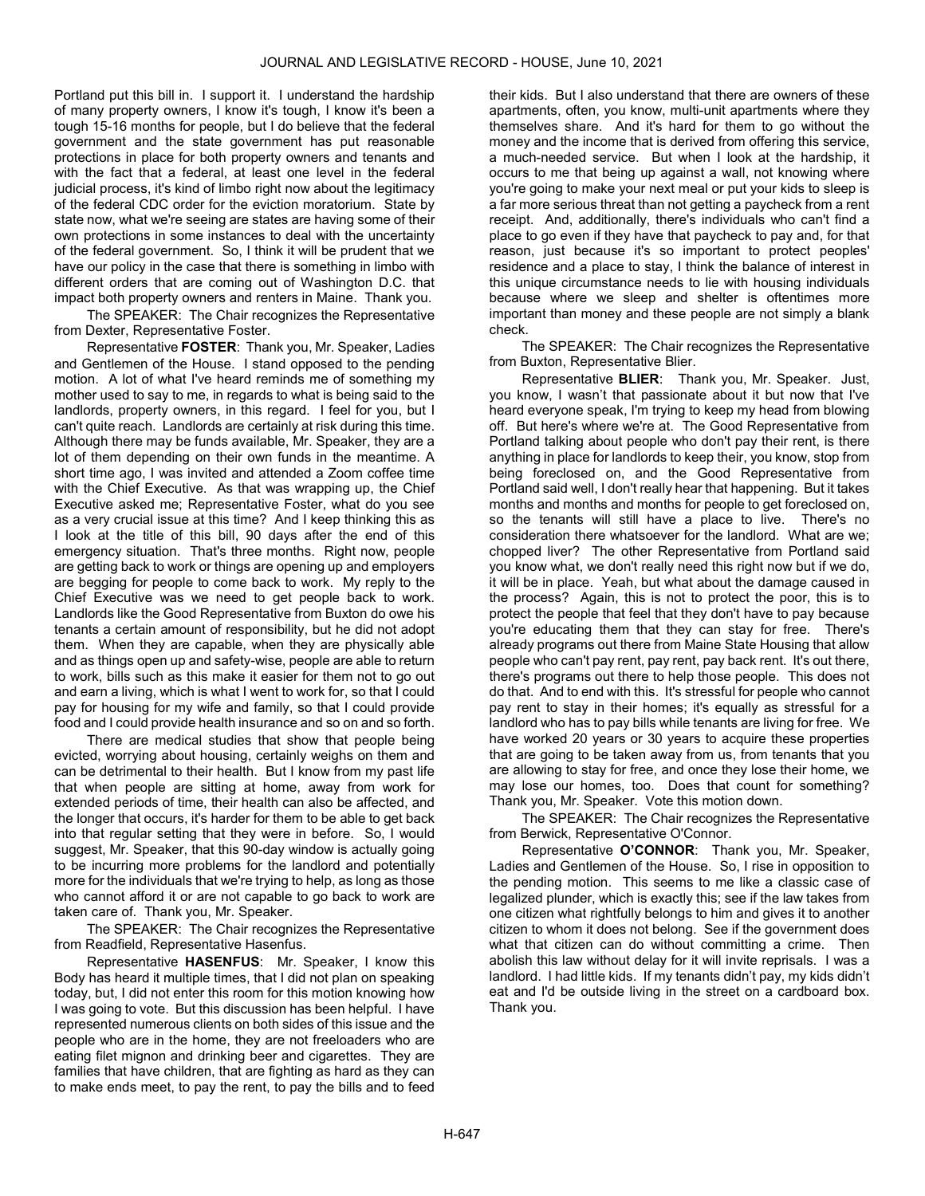Portland put this bill in. I support it. I understand the hardship of many property owners, I know it's tough, I know it's been a tough 15-16 months for people, but I do believe that the federal government and the state government has put reasonable protections in place for both property owners and tenants and with the fact that a federal, at least one level in the federal judicial process, it's kind of limbo right now about the legitimacy of the federal CDC order for the eviction moratorium. State by state now, what we're seeing are states are having some of their own protections in some instances to deal with the uncertainty of the federal government. So, I think it will be prudent that we have our policy in the case that there is something in limbo with different orders that are coming out of Washington D.C. that impact both property owners and renters in Maine. Thank you.

The SPEAKER: The Chair recognizes the Representative from Dexter, Representative Foster.

Representative FOSTER: Thank you, Mr. Speaker, Ladies and Gentlemen of the House. I stand opposed to the pending motion. A lot of what I've heard reminds me of something my mother used to say to me, in regards to what is being said to the landlords, property owners, in this regard. I feel for you, but I can't quite reach. Landlords are certainly at risk during this time. Although there may be funds available, Mr. Speaker, they are a lot of them depending on their own funds in the meantime. A short time ago, I was invited and attended a Zoom coffee time with the Chief Executive. As that was wrapping up, the Chief Executive asked me; Representative Foster, what do you see as a very crucial issue at this time? And I keep thinking this as I look at the title of this bill, 90 days after the end of this emergency situation. That's three months. Right now, people are getting back to work or things are opening up and employers are begging for people to come back to work. My reply to the Chief Executive was we need to get people back to work. Landlords like the Good Representative from Buxton do owe his tenants a certain amount of responsibility, but he did not adopt them. When they are capable, when they are physically able and as things open up and safety-wise, people are able to return to work, bills such as this make it easier for them not to go out and earn a living, which is what I went to work for, so that I could pay for housing for my wife and family, so that I could provide food and I could provide health insurance and so on and so forth.

There are medical studies that show that people being evicted, worrying about housing, certainly weighs on them and can be detrimental to their health. But I know from my past life that when people are sitting at home, away from work for extended periods of time, their health can also be affected, and the longer that occurs, it's harder for them to be able to get back into that regular setting that they were in before. So, I would suggest, Mr. Speaker, that this 90-day window is actually going to be incurring more problems for the landlord and potentially more for the individuals that we're trying to help, as long as those who cannot afford it or are not capable to go back to work are taken care of. Thank you, Mr. Speaker.

The SPEAKER: The Chair recognizes the Representative from Readfield, Representative Hasenfus.

Representative HASENFUS: Mr. Speaker, I know this Body has heard it multiple times, that I did not plan on speaking today, but, I did not enter this room for this motion knowing how I was going to vote. But this discussion has been helpful. I have represented numerous clients on both sides of this issue and the people who are in the home, they are not freeloaders who are eating filet mignon and drinking beer and cigarettes. They are families that have children, that are fighting as hard as they can to make ends meet, to pay the rent, to pay the bills and to feed

their kids. But I also understand that there are owners of these apartments, often, you know, multi-unit apartments where they themselves share. And it's hard for them to go without the money and the income that is derived from offering this service, a much-needed service. But when I look at the hardship, it occurs to me that being up against a wall, not knowing where you're going to make your next meal or put your kids to sleep is a far more serious threat than not getting a paycheck from a rent receipt. And, additionally, there's individuals who can't find a place to go even if they have that paycheck to pay and, for that reason, just because it's so important to protect peoples' residence and a place to stay, I think the balance of interest in this unique circumstance needs to lie with housing individuals because where we sleep and shelter is oftentimes more important than money and these people are not simply a blank check.

The SPEAKER: The Chair recognizes the Representative from Buxton, Representative Blier.

Representative BLIER: Thank you, Mr. Speaker. Just, you know, I wasn't that passionate about it but now that I've heard everyone speak, I'm trying to keep my head from blowing off. But here's where we're at. The Good Representative from Portland talking about people who don't pay their rent, is there anything in place for landlords to keep their, you know, stop from being foreclosed on, and the Good Representative from Portland said well, I don't really hear that happening. But it takes months and months and months for people to get foreclosed on, so the tenants will still have a place to live. There's no consideration there whatsoever for the landlord. What are we; chopped liver? The other Representative from Portland said you know what, we don't really need this right now but if we do, it will be in place. Yeah, but what about the damage caused in the process? Again, this is not to protect the poor, this is to protect the people that feel that they don't have to pay because you're educating them that they can stay for free. There's already programs out there from Maine State Housing that allow people who can't pay rent, pay rent, pay back rent. It's out there, there's programs out there to help those people. This does not do that. And to end with this. It's stressful for people who cannot pay rent to stay in their homes; it's equally as stressful for a landlord who has to pay bills while tenants are living for free. We have worked 20 years or 30 years to acquire these properties that are going to be taken away from us, from tenants that you are allowing to stay for free, and once they lose their home, we may lose our homes, too. Does that count for something? Thank you, Mr. Speaker. Vote this motion down.

The SPEAKER: The Chair recognizes the Representative from Berwick, Representative O'Connor.

Representative O'CONNOR: Thank you, Mr. Speaker, Ladies and Gentlemen of the House. So, I rise in opposition to the pending motion. This seems to me like a classic case of legalized plunder, which is exactly this; see if the law takes from one citizen what rightfully belongs to him and gives it to another citizen to whom it does not belong. See if the government does what that citizen can do without committing a crime. Then abolish this law without delay for it will invite reprisals. I was a landlord. I had little kids. If my tenants didn't pay, my kids didn't eat and I'd be outside living in the street on a cardboard box. Thank you.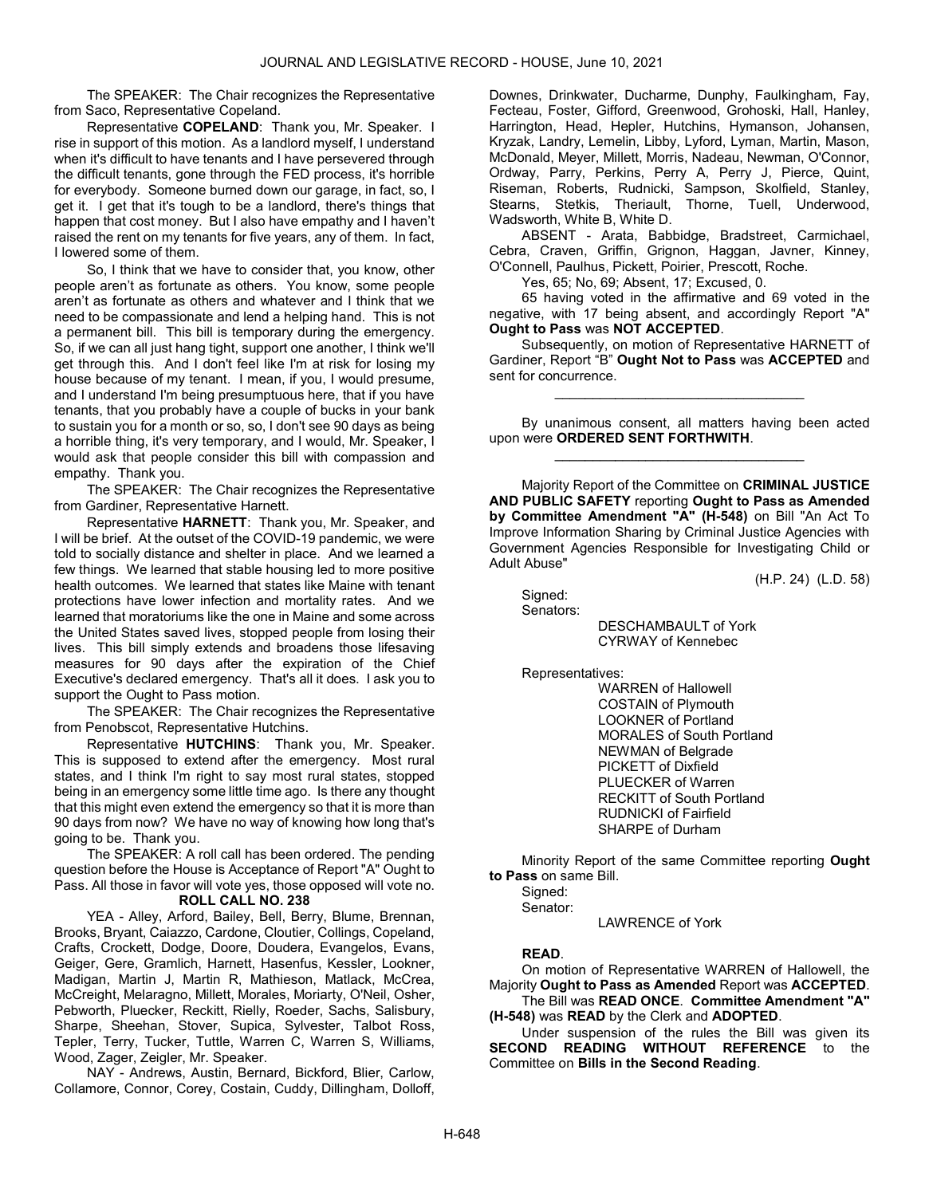The SPEAKER: The Chair recognizes the Representative from Saco, Representative Copeland.

Representative COPELAND: Thank you, Mr. Speaker. I rise in support of this motion. As a landlord myself, I understand when it's difficult to have tenants and I have persevered through the difficult tenants, gone through the FED process, it's horrible for everybody. Someone burned down our garage, in fact, so, I get it. I get that it's tough to be a landlord, there's things that happen that cost money. But I also have empathy and I haven't raised the rent on my tenants for five years, any of them. In fact, I lowered some of them.

So, I think that we have to consider that, you know, other people aren't as fortunate as others. You know, some people aren't as fortunate as others and whatever and I think that we need to be compassionate and lend a helping hand. This is not a permanent bill. This bill is temporary during the emergency. So, if we can all just hang tight, support one another, I think we'll get through this. And I don't feel like I'm at risk for losing my house because of my tenant. I mean, if you, I would presume, and I understand I'm being presumptuous here, that if you have tenants, that you probably have a couple of bucks in your bank to sustain you for a month or so, so, I don't see 90 days as being a horrible thing, it's very temporary, and I would, Mr. Speaker, I would ask that people consider this bill with compassion and empathy. Thank you.

The SPEAKER: The Chair recognizes the Representative from Gardiner, Representative Harnett.

Representative HARNETT: Thank you, Mr. Speaker, and I will be brief. At the outset of the COVID-19 pandemic, we were told to socially distance and shelter in place. And we learned a few things. We learned that stable housing led to more positive health outcomes. We learned that states like Maine with tenant protections have lower infection and mortality rates. And we learned that moratoriums like the one in Maine and some across the United States saved lives, stopped people from losing their lives. This bill simply extends and broadens those lifesaving measures for 90 days after the expiration of the Chief Executive's declared emergency. That's all it does. I ask you to support the Ought to Pass motion.

The SPEAKER: The Chair recognizes the Representative from Penobscot, Representative Hutchins.

Representative HUTCHINS: Thank you, Mr. Speaker. This is supposed to extend after the emergency. Most rural states, and I think I'm right to say most rural states, stopped being in an emergency some little time ago. Is there any thought that this might even extend the emergency so that it is more than 90 days from now? We have no way of knowing how long that's going to be. Thank you.

 The SPEAKER: A roll call has been ordered. The pending question before the House is Acceptance of Report "A" Ought to Pass. All those in favor will vote yes, those opposed will vote no. ROLL CALL NO. 238

 YEA - Alley, Arford, Bailey, Bell, Berry, Blume, Brennan, Brooks, Bryant, Caiazzo, Cardone, Cloutier, Collings, Copeland, Crafts, Crockett, Dodge, Doore, Doudera, Evangelos, Evans, Geiger, Gere, Gramlich, Harnett, Hasenfus, Kessler, Lookner, Madigan, Martin J, Martin R, Mathieson, Matlack, McCrea, McCreight, Melaragno, Millett, Morales, Moriarty, O'Neil, Osher, Pebworth, Pluecker, Reckitt, Rielly, Roeder, Sachs, Salisbury, Sharpe, Sheehan, Stover, Supica, Sylvester, Talbot Ross, Tepler, Terry, Tucker, Tuttle, Warren C, Warren S, Williams, Wood, Zager, Zeigler, Mr. Speaker.

 NAY - Andrews, Austin, Bernard, Bickford, Blier, Carlow, Collamore, Connor, Corey, Costain, Cuddy, Dillingham, Dolloff, Downes, Drinkwater, Ducharme, Dunphy, Faulkingham, Fay, Fecteau, Foster, Gifford, Greenwood, Grohoski, Hall, Hanley, Harrington, Head, Hepler, Hutchins, Hymanson, Johansen, Kryzak, Landry, Lemelin, Libby, Lyford, Lyman, Martin, Mason, McDonald, Meyer, Millett, Morris, Nadeau, Newman, O'Connor, Ordway, Parry, Perkins, Perry A, Perry J, Pierce, Quint, Riseman, Roberts, Rudnicki, Sampson, Skolfield, Stanley, Stearns, Stetkis, Theriault, Thorne, Tuell, Underwood, Wadsworth, White B, White D.

 ABSENT - Arata, Babbidge, Bradstreet, Carmichael, Cebra, Craven, Griffin, Grignon, Haggan, Javner, Kinney, O'Connell, Paulhus, Pickett, Poirier, Prescott, Roche.

Yes, 65; No, 69; Absent, 17; Excused, 0.

 65 having voted in the affirmative and 69 voted in the negative, with 17 being absent, and accordingly Report "A" Ought to Pass was NOT ACCEPTED.

 Subsequently, on motion of Representative HARNETT of Gardiner, Report "B" Ought Not to Pass was ACCEPTED and sent for concurrence.

\_\_\_\_\_\_\_\_\_\_\_\_\_\_\_\_\_\_\_\_\_\_\_\_\_\_\_\_\_\_\_\_\_

 By unanimous consent, all matters having been acted upon were ORDERED SENT FORTHWITH. \_\_\_\_\_\_\_\_\_\_\_\_\_\_\_\_\_\_\_\_\_\_\_\_\_\_\_\_\_\_\_\_\_

 Majority Report of the Committee on CRIMINAL JUSTICE AND PUBLIC SAFETY reporting Ought to Pass as Amended by Committee Amendment "A" (H-548) on Bill "An Act To Improve Information Sharing by Criminal Justice Agencies with Government Agencies Responsible for Investigating Child or Adult Abuse"

(H.P. 24) (L.D. 58)

 Signed: Senators:

 DESCHAMBAULT of York CYRWAY of Kennebec

Representatives:

 WARREN of Hallowell COSTAIN of Plymouth LOOKNER of Portland MORALES of South Portland NEWMAN of Belgrade PICKETT of Dixfield PLUECKER of Warren RECKITT of South Portland RUDNICKI of Fairfield SHARPE of Durham

 Minority Report of the same Committee reporting Ought to Pass on same Bill.

 Signed: Senator:

LAWRENCE of York

# READ.

 On motion of Representative WARREN of Hallowell, the Majority Ought to Pass as Amended Report was ACCEPTED. The Bill was READ ONCE. Committee Amendment "A" (H-548) was READ by the Clerk and ADOPTED.

Under suspension of the rules the Bill was given its<br>**DND READING WITHOUT REFERENCE** to the SECOND READING WITHOUT Committee on Bills in the Second Reading.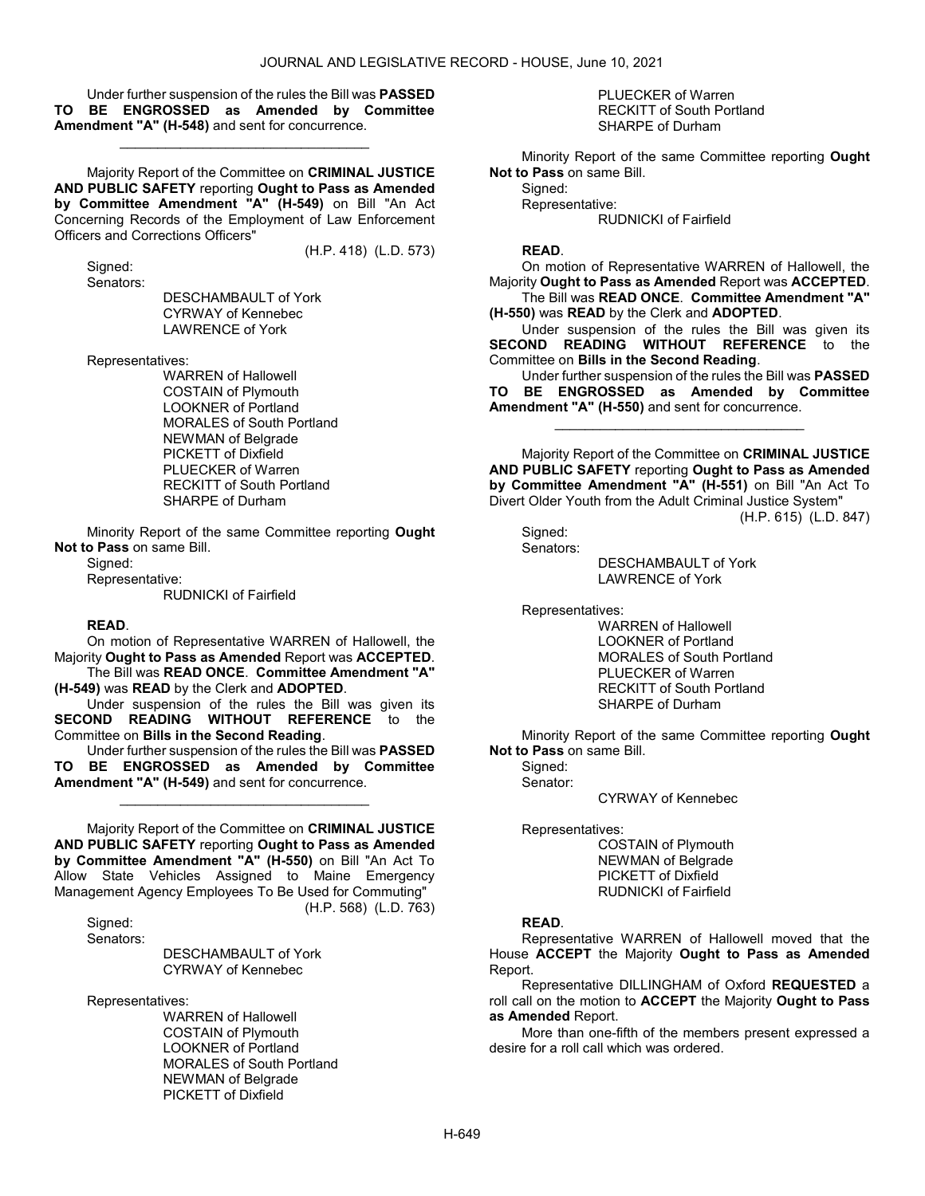(H.P. 418) (L.D. 573)

 Under further suspension of the rules the Bill was PASSED TO BE ENGROSSED as Amended by Committee Amendment "A" (H-548) and sent for concurrence.

\_\_\_\_\_\_\_\_\_\_\_\_\_\_\_\_\_\_\_\_\_\_\_\_\_\_\_\_\_\_\_\_\_

 Majority Report of the Committee on CRIMINAL JUSTICE AND PUBLIC SAFETY reporting Ought to Pass as Amended by Committee Amendment "A" (H-549) on Bill "An Act Concerning Records of the Employment of Law Enforcement Officers and Corrections Officers"

 Signed: Senators:

 DESCHAMBAULT of York CYRWAY of Kennebec LAWRENCE of York

Representatives:

 WARREN of Hallowell COSTAIN of Plymouth LOOKNER of Portland MORALES of South Portland NEWMAN of Belgrade PICKETT of Dixfield PLUECKER of Warren RECKITT of South Portland SHARPE of Durham

 Minority Report of the same Committee reporting Ought Not to Pass on same Bill.

Signed:

Representative:

RUDNICKI of Fairfield

#### READ.

 On motion of Representative WARREN of Hallowell, the Majority Ought to Pass as Amended Report was ACCEPTED. The Bill was READ ONCE. Committee Amendment "A"

(H-549) was READ by the Clerk and ADOPTED.

 Under suspension of the rules the Bill was given its SECOND READING WITHOUT REFERENCE to the Committee on Bills in the Second Reading.

 Under further suspension of the rules the Bill was PASSED BE ENGROSSED as Amended by Committee Amendment "A" (H-549) and sent for concurrence.

\_\_\_\_\_\_\_\_\_\_\_\_\_\_\_\_\_\_\_\_\_\_\_\_\_\_\_\_\_\_\_\_\_

 Majority Report of the Committee on CRIMINAL JUSTICE AND PUBLIC SAFETY reporting Ought to Pass as Amended by Committee Amendment "A" (H-550) on Bill "An Act To Allow State Vehicles Assigned to Maine Emergency Management Agency Employees To Be Used for Commuting" (H.P. 568) (L.D. 763)

 Signed: Senators:

DESCHAMBAULT of York CYRWAY of Kennebec

Representatives:

 WARREN of Hallowell COSTAIN of Plymouth LOOKNER of Portland MORALES of South Portland NEWMAN of Belgrade PICKETT of Dixfield

 PLUECKER of Warren RECKITT of South Portland SHARPE of Durham

 Minority Report of the same Committee reporting Ought Not to Pass on same Bill.

 Signed: Representative: RUDNICKI of Fairfield

#### READ.

 On motion of Representative WARREN of Hallowell, the Majority Ought to Pass as Amended Report was ACCEPTED. The Bill was READ ONCE. Committee Amendment "A"

(H-550) was READ by the Clerk and ADOPTED.

 Under suspension of the rules the Bill was given its SECOND READING WITHOUT REFERENCE to the Committee on Bills in the Second Reading.

 Under further suspension of the rules the Bill was PASSED TO BE ENGROSSED as Amended by Committee Amendment "A" (H-550) and sent for concurrence.

\_\_\_\_\_\_\_\_\_\_\_\_\_\_\_\_\_\_\_\_\_\_\_\_\_\_\_\_\_\_\_\_\_

 Majority Report of the Committee on CRIMINAL JUSTICE AND PUBLIC SAFETY reporting Ought to Pass as Amended by Committee Amendment "A" (H-551) on Bill "An Act To Divert Older Youth from the Adult Criminal Justice System"

(H.P. 615) (L.D. 847)

 Signed: Senators:

 DESCHAMBAULT of York LAWRENCE of York

Representatives:

 WARREN of Hallowell LOOKNER of Portland MORALES of South Portland PLUECKER of Warren RECKITT of South Portland SHARPE of Durham

 Minority Report of the same Committee reporting Ought Not to Pass on same Bill.

 Signed: Senator:

CYRWAY of Kennebec

Representatives:

 COSTAIN of Plymouth NEWMAN of Belgrade PICKETT of Dixfield RUDNICKI of Fairfield

#### READ.

 Representative WARREN of Hallowell moved that the House ACCEPT the Majority Ought to Pass as Amended Report.

 Representative DILLINGHAM of Oxford REQUESTED a roll call on the motion to ACCEPT the Majority Ought to Pass as Amended Report.

 More than one-fifth of the members present expressed a desire for a roll call which was ordered.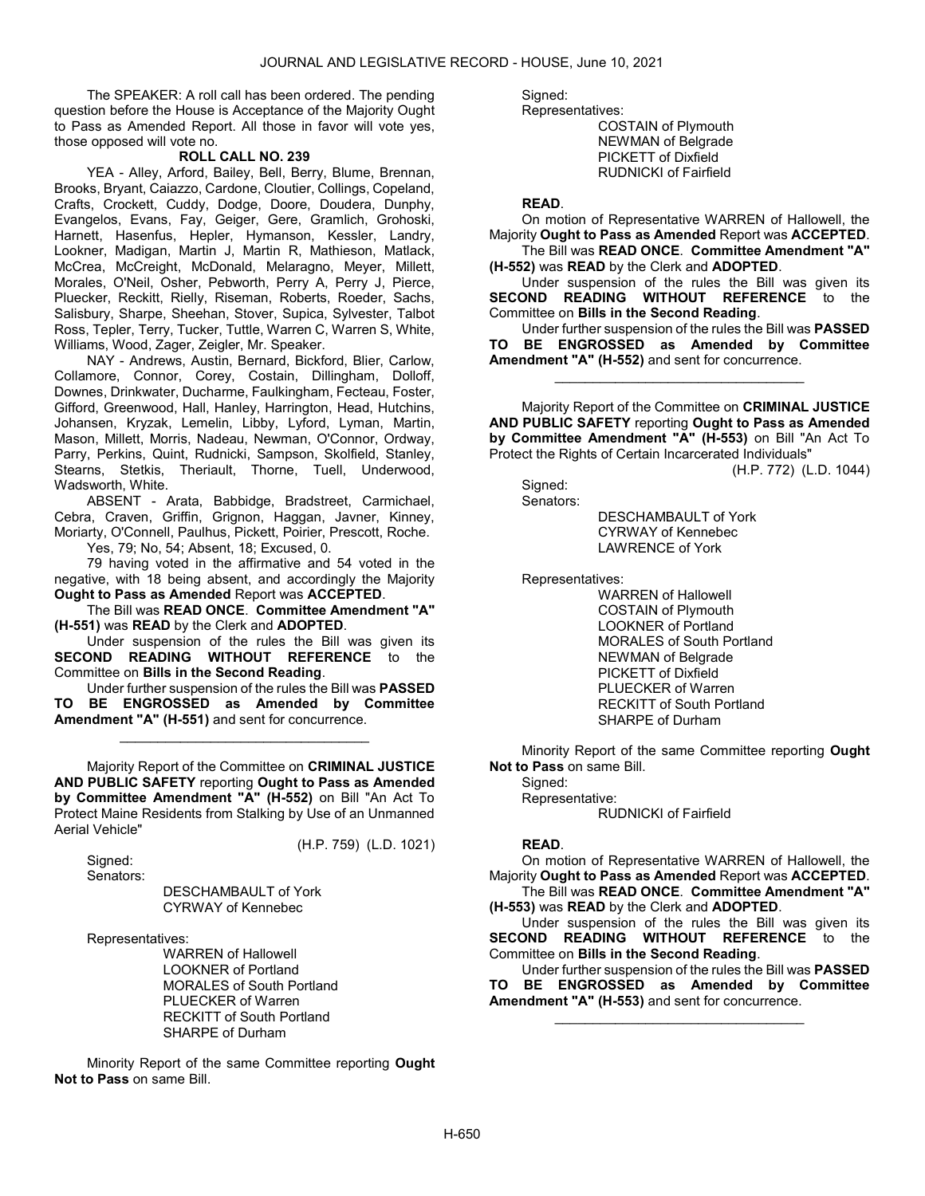The SPEAKER: A roll call has been ordered. The pending question before the House is Acceptance of the Majority Ought to Pass as Amended Report. All those in favor will vote yes, those opposed will vote no.

## ROLL CALL NO. 239

 YEA - Alley, Arford, Bailey, Bell, Berry, Blume, Brennan, Brooks, Bryant, Caiazzo, Cardone, Cloutier, Collings, Copeland, Crafts, Crockett, Cuddy, Dodge, Doore, Doudera, Dunphy, Evangelos, Evans, Fay, Geiger, Gere, Gramlich, Grohoski, Harnett, Hasenfus, Hepler, Hymanson, Kessler, Landry, Lookner, Madigan, Martin J, Martin R, Mathieson, Matlack, McCrea, McCreight, McDonald, Melaragno, Meyer, Millett, Morales, O'Neil, Osher, Pebworth, Perry A, Perry J, Pierce, Pluecker, Reckitt, Rielly, Riseman, Roberts, Roeder, Sachs, Salisbury, Sharpe, Sheehan, Stover, Supica, Sylvester, Talbot Ross, Tepler, Terry, Tucker, Tuttle, Warren C, Warren S, White, Williams, Wood, Zager, Zeigler, Mr. Speaker.

 NAY - Andrews, Austin, Bernard, Bickford, Blier, Carlow, Collamore, Connor, Corey, Costain, Dillingham, Dolloff, Downes, Drinkwater, Ducharme, Faulkingham, Fecteau, Foster, Gifford, Greenwood, Hall, Hanley, Harrington, Head, Hutchins, Johansen, Kryzak, Lemelin, Libby, Lyford, Lyman, Martin, Mason, Millett, Morris, Nadeau, Newman, O'Connor, Ordway, Parry, Perkins, Quint, Rudnicki, Sampson, Skolfield, Stanley, Stearns, Stetkis, Theriault, Thorne, Tuell, Underwood, Wadsworth, White.

 ABSENT - Arata, Babbidge, Bradstreet, Carmichael, Cebra, Craven, Griffin, Grignon, Haggan, Javner, Kinney, Moriarty, O'Connell, Paulhus, Pickett, Poirier, Prescott, Roche.

Yes, 79; No, 54; Absent, 18; Excused, 0.

 79 having voted in the affirmative and 54 voted in the negative, with 18 being absent, and accordingly the Majority Ought to Pass as Amended Report was ACCEPTED.

 The Bill was READ ONCE. Committee Amendment "A" (H-551) was READ by the Clerk and ADOPTED.

 Under suspension of the rules the Bill was given its SECOND READING WITHOUT REFERENCE to the Committee on Bills in the Second Reading.

 Under further suspension of the rules the Bill was PASSED TO BE ENGROSSED as Amended by Committee Amendment "A" (H-551) and sent for concurrence.

\_\_\_\_\_\_\_\_\_\_\_\_\_\_\_\_\_\_\_\_\_\_\_\_\_\_\_\_\_\_\_\_\_

 Majority Report of the Committee on CRIMINAL JUSTICE AND PUBLIC SAFETY reporting Ought to Pass as Amended by Committee Amendment "A" (H-552) on Bill "An Act To Protect Maine Residents from Stalking by Use of an Unmanned Aerial Vehicle"

(H.P. 759) (L.D. 1021)

 Signed: Senators:

> DESCHAMBAULT of York CYRWAY of Kennebec

Representatives:

 WARREN of Hallowell LOOKNER of Portland MORALES of South Portland PLUECKER of Warren RECKITT of South Portland SHARPE of Durham

 Minority Report of the same Committee reporting Ought Not to Pass on same Bill.

Signed: Representatives:

 COSTAIN of Plymouth NEWMAN of Belgrade PICKETT of Dixfield

RUDNICKI of Fairfield

READ.

 On motion of Representative WARREN of Hallowell, the Majority Ought to Pass as Amended Report was ACCEPTED.

 The Bill was READ ONCE. Committee Amendment "A" (H-552) was READ by the Clerk and ADOPTED.

 Under suspension of the rules the Bill was given its SECOND READING WITHOUT REFERENCE to the Committee on Bills in the Second Reading.

 Under further suspension of the rules the Bill was PASSED TO BE ENGROSSED as Amended by Committee Amendment "A" (H-552) and sent for concurrence.

\_\_\_\_\_\_\_\_\_\_\_\_\_\_\_\_\_\_\_\_\_\_\_\_\_\_\_\_\_\_\_\_\_

 Majority Report of the Committee on CRIMINAL JUSTICE AND PUBLIC SAFETY reporting Ought to Pass as Amended by Committee Amendment "A" (H-553) on Bill "An Act To Protect the Rights of Certain Incarcerated Individuals"

(H.P. 772) (L.D. 1044)

 Signed: Senators:

 DESCHAMBAULT of York CYRWAY of Kennebec LAWRENCE of York

Representatives:

 WARREN of Hallowell COSTAIN of Plymouth LOOKNER of Portland MORALES of South Portland NEWMAN of Belgrade PICKETT of Dixfield PLUECKER of Warren RECKITT of South Portland SHARPE of Durham

 Minority Report of the same Committee reporting Ought Not to Pass on same Bill.

Signed:

Representative:

RUDNICKI of Fairfield

#### READ.

 On motion of Representative WARREN of Hallowell, the Majority Ought to Pass as Amended Report was ACCEPTED. The Bill was READ ONCE. Committee Amendment "A"

(H-553) was READ by the Clerk and ADOPTED.

 Under suspension of the rules the Bill was given its SECOND READING WITHOUT REFERENCE to the Committee on Bills in the Second Reading.

 Under further suspension of the rules the Bill was PASSED TO BE ENGROSSED as Amended by Committee Amendment "A" (H-553) and sent for concurrence.

\_\_\_\_\_\_\_\_\_\_\_\_\_\_\_\_\_\_\_\_\_\_\_\_\_\_\_\_\_\_\_\_\_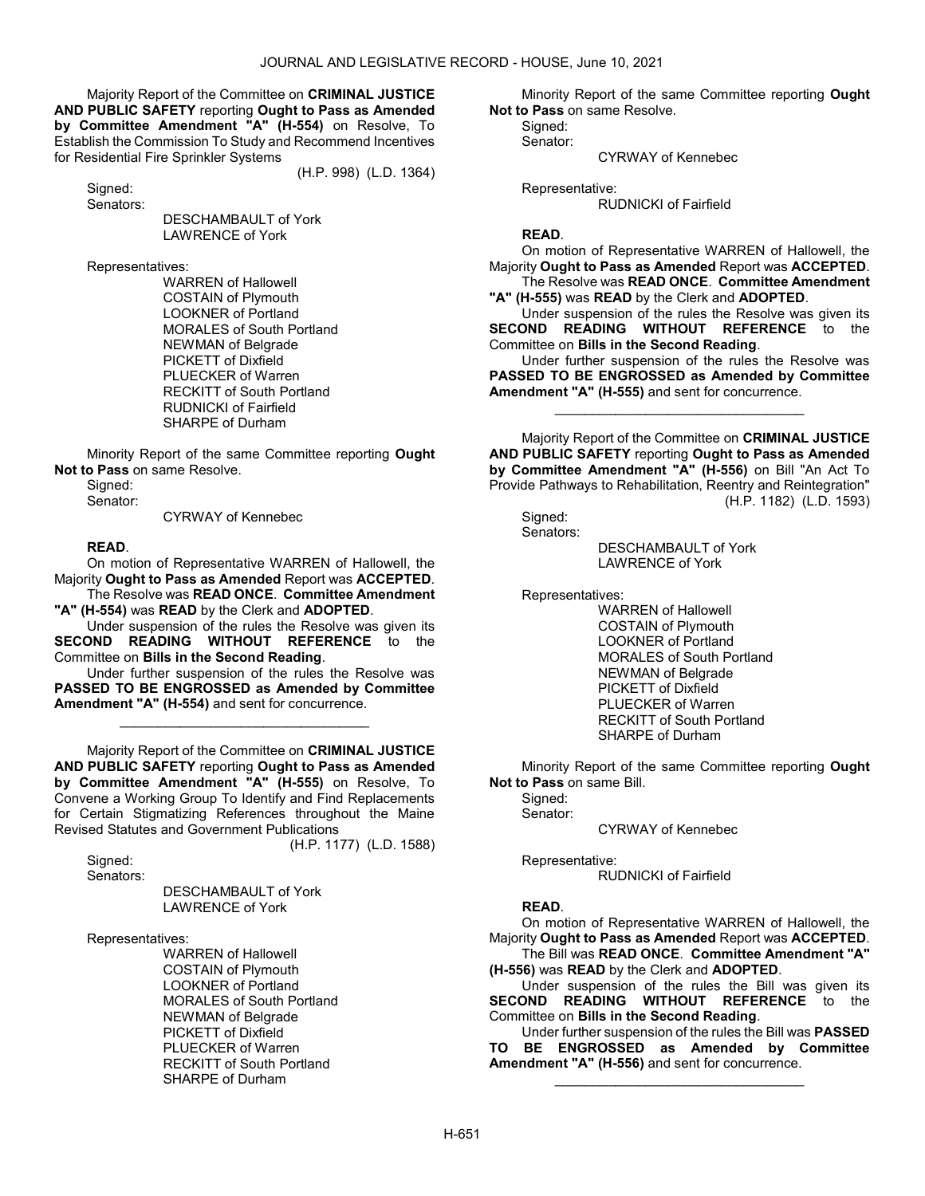Majority Report of the Committee on CRIMINAL JUSTICE AND PUBLIC SAFETY reporting Ought to Pass as Amended by Committee Amendment "A" (H-554) on Resolve, To Establish the Commission To Study and Recommend Incentives for Residential Fire Sprinkler Systems

(H.P. 998) (L.D. 1364)

 Signed: Senators:

 DESCHAMBAULT of York LAWRENCE of York

Representatives:

 WARREN of Hallowell COSTAIN of Plymouth LOOKNER of Portland MORALES of South Portland NEWMAN of Belgrade PICKETT of Dixfield PLUECKER of Warren RECKITT of South Portland RUDNICKI of Fairfield SHARPE of Durham

 Minority Report of the same Committee reporting Ought Not to Pass on same Resolve.

Signed:

Senator:

CYRWAY of Kennebec

#### READ.

 On motion of Representative WARREN of Hallowell, the Majority Ought to Pass as Amended Report was ACCEPTED.

 The Resolve was READ ONCE. Committee Amendment "A" (H-554) was READ by the Clerk and ADOPTED.

 Under suspension of the rules the Resolve was given its SECOND READING WITHOUT REFERENCE to the Committee on Bills in the Second Reading.

 Under further suspension of the rules the Resolve was PASSED TO BE ENGROSSED as Amended by Committee Amendment "A" (H-554) and sent for concurrence.

\_\_\_\_\_\_\_\_\_\_\_\_\_\_\_\_\_\_\_\_\_\_\_\_\_\_\_\_\_\_\_\_\_

 Majority Report of the Committee on CRIMINAL JUSTICE AND PUBLIC SAFETY reporting Ought to Pass as Amended by Committee Amendment "A" (H-555) on Resolve, To Convene a Working Group To Identify and Find Replacements for Certain Stigmatizing References throughout the Maine Revised Statutes and Government Publications (H.P. 1177) (L.D. 1588)

Signed:

Senators:

 DESCHAMBAULT of York LAWRENCE of York

Representatives:

 WARREN of Hallowell COSTAIN of Plymouth LOOKNER of Portland MORALES of South Portland NEWMAN of Belgrade PICKETT of Dixfield PLUECKER of Warren RECKITT of South Portland SHARPE of Durham

 Minority Report of the same Committee reporting Ought Not to Pass on same Resolve.

 Signed: Senator:

CYRWAY of Kennebec

Representative:

RUDNICKI of Fairfield

#### READ.

 On motion of Representative WARREN of Hallowell, the Majority Ought to Pass as Amended Report was ACCEPTED. The Resolve was READ ONCE. Committee Amendment

"A" (H-555) was READ by the Clerk and ADOPTED.

 Under suspension of the rules the Resolve was given its SECOND READING WITHOUT REFERENCE to the Committee on Bills in the Second Reading.

 Under further suspension of the rules the Resolve was PASSED TO BE ENGROSSED as Amended by Committee Amendment "A" (H-555) and sent for concurrence.

\_\_\_\_\_\_\_\_\_\_\_\_\_\_\_\_\_\_\_\_\_\_\_\_\_\_\_\_\_\_\_\_\_

 Majority Report of the Committee on CRIMINAL JUSTICE AND PUBLIC SAFETY reporting Ought to Pass as Amended by Committee Amendment "A" (H-556) on Bill "An Act To Provide Pathways to Rehabilitation, Reentry and Reintegration" (H.P. 1182) (L.D. 1593)

Signed:

Senators:

DESCHAMBAULT of York LAWRENCE of York

Representatives:

 WARREN of Hallowell COSTAIN of Plymouth LOOKNER of Portland MORALES of South Portland NEWMAN of Belgrade PICKETT of Dixfield PLUECKER of Warren RECKITT of South Portland SHARPE of Durham

 Minority Report of the same Committee reporting Ought Not to Pass on same Bill.

 Signed: Senator:

CYRWAY of Kennebec

Representative:

RUDNICKI of Fairfield

# READ.

 On motion of Representative WARREN of Hallowell, the Majority Ought to Pass as Amended Report was ACCEPTED.

 The Bill was READ ONCE. Committee Amendment "A" (H-556) was READ by the Clerk and ADOPTED.

 Under suspension of the rules the Bill was given its SECOND READING WITHOUT REFERENCE to the Committee on Bills in the Second Reading.

 Under further suspension of the rules the Bill was PASSED TO BE ENGROSSED as Amended by Committee Amendment "A" (H-556) and sent for concurrence.

\_\_\_\_\_\_\_\_\_\_\_\_\_\_\_\_\_\_\_\_\_\_\_\_\_\_\_\_\_\_\_\_\_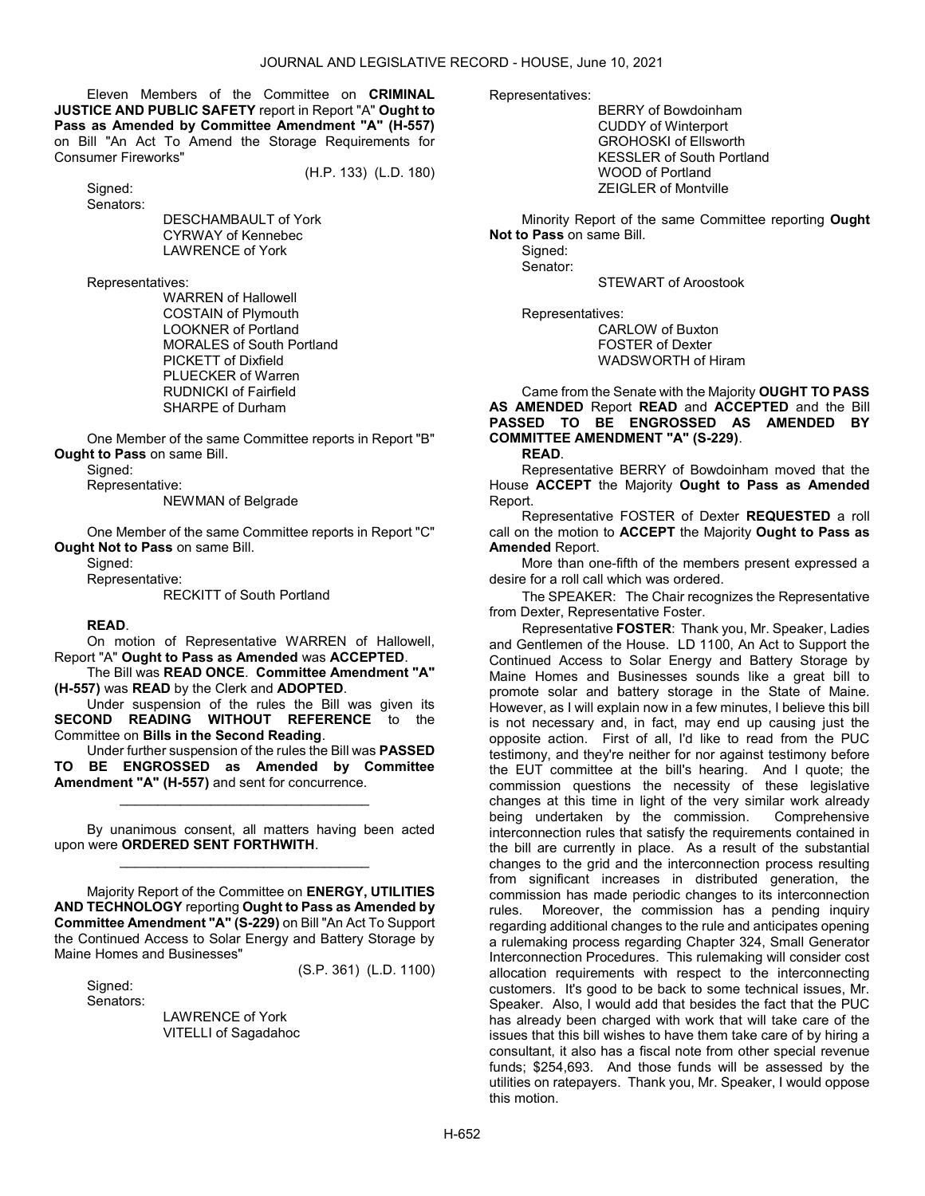Eleven Members of the Committee on CRIMINAL JUSTICE AND PUBLIC SAFETY report in Report "A" Ought to Pass as Amended by Committee Amendment "A" (H-557) on Bill "An Act To Amend the Storage Requirements for Consumer Fireworks"

(H.P. 133) (L.D. 180)

 Signed: Senators:

 DESCHAMBAULT of York CYRWAY of Kennebec LAWRENCE of York

Representatives:

 WARREN of Hallowell COSTAIN of Plymouth LOOKNER of Portland MORALES of South Portland PICKETT of Dixfield PLUECKER of Warren RUDNICKI of Fairfield SHARPE of Durham

 One Member of the same Committee reports in Report "B" Ought to Pass on same Bill.

Signed:

Representative:

NEWMAN of Belgrade

One Member of the same Committee reports in Report "C" Ought Not to Pass on same Bill.

Signed:

Representative:

RECKITT of South Portland

# READ.

 On motion of Representative WARREN of Hallowell, Report "A" Ought to Pass as Amended was ACCEPTED.

 The Bill was READ ONCE. Committee Amendment "A" (H-557) was READ by the Clerk and ADOPTED.

 Under suspension of the rules the Bill was given its SECOND READING WITHOUT REFERENCE to the Committee on Bills in the Second Reading.

 Under further suspension of the rules the Bill was PASSED BE ENGROSSED as Amended by Committee Amendment "A" (H-557) and sent for concurrence.

\_\_\_\_\_\_\_\_\_\_\_\_\_\_\_\_\_\_\_\_\_\_\_\_\_\_\_\_\_\_\_\_\_

 By unanimous consent, all matters having been acted upon were ORDERED SENT FORTHWITH. \_\_\_\_\_\_\_\_\_\_\_\_\_\_\_\_\_\_\_\_\_\_\_\_\_\_\_\_\_\_\_\_\_

 Majority Report of the Committee on ENERGY, UTILITIES AND TECHNOLOGY reporting Ought to Pass as Amended by Committee Amendment "A" (S-229) on Bill "An Act To Support the Continued Access to Solar Energy and Battery Storage by Maine Homes and Businesses"

 Signed: Senators: (S.P. 361) (L.D. 1100)

 LAWRENCE of York VITELLI of Sagadahoc Representatives:

 BERRY of Bowdoinham CUDDY of Winterport GROHOSKI of Ellsworth KESSLER of South Portland WOOD of Portland ZEIGLER of Montville

 Minority Report of the same Committee reporting Ought Not to Pass on same Bill.

 Signed: Senator:

STEWART of Aroostook

Representatives:

 CARLOW of Buxton FOSTER of Dexter WADSWORTH of Hiram

 Came from the Senate with the Majority OUGHT TO PASS AS AMENDED Report READ and ACCEPTED and the Bill PASSED TO BE ENGROSSED AS AMENDED BY COMMITTEE AMENDMENT "A" (S-229).

READ.

 Representative BERRY of Bowdoinham moved that the House ACCEPT the Majority Ought to Pass as Amended Report.

 Representative FOSTER of Dexter REQUESTED a roll call on the motion to ACCEPT the Majority Ought to Pass as Amended Report.

 More than one-fifth of the members present expressed a desire for a roll call which was ordered.

The SPEAKER: The Chair recognizes the Representative from Dexter, Representative Foster.

Representative FOSTER: Thank you, Mr. Speaker, Ladies and Gentlemen of the House. LD 1100, An Act to Support the Continued Access to Solar Energy and Battery Storage by Maine Homes and Businesses sounds like a great bill to promote solar and battery storage in the State of Maine. However, as I will explain now in a few minutes, I believe this bill is not necessary and, in fact, may end up causing just the opposite action. First of all, I'd like to read from the PUC testimony, and they're neither for nor against testimony before the EUT committee at the bill's hearing. And I quote; the commission questions the necessity of these legislative changes at this time in light of the very similar work already being undertaken by the commission. Comprehensive interconnection rules that satisfy the requirements contained in the bill are currently in place. As a result of the substantial changes to the grid and the interconnection process resulting from significant increases in distributed generation, the commission has made periodic changes to its interconnection rules. Moreover, the commission has a pending inquiry regarding additional changes to the rule and anticipates opening a rulemaking process regarding Chapter 324, Small Generator Interconnection Procedures. This rulemaking will consider cost allocation requirements with respect to the interconnecting customers. It's good to be back to some technical issues, Mr. Speaker. Also, I would add that besides the fact that the PUC has already been charged with work that will take care of the issues that this bill wishes to have them take care of by hiring a consultant, it also has a fiscal note from other special revenue funds; \$254,693. And those funds will be assessed by the utilities on ratepayers. Thank you, Mr. Speaker, I would oppose this motion.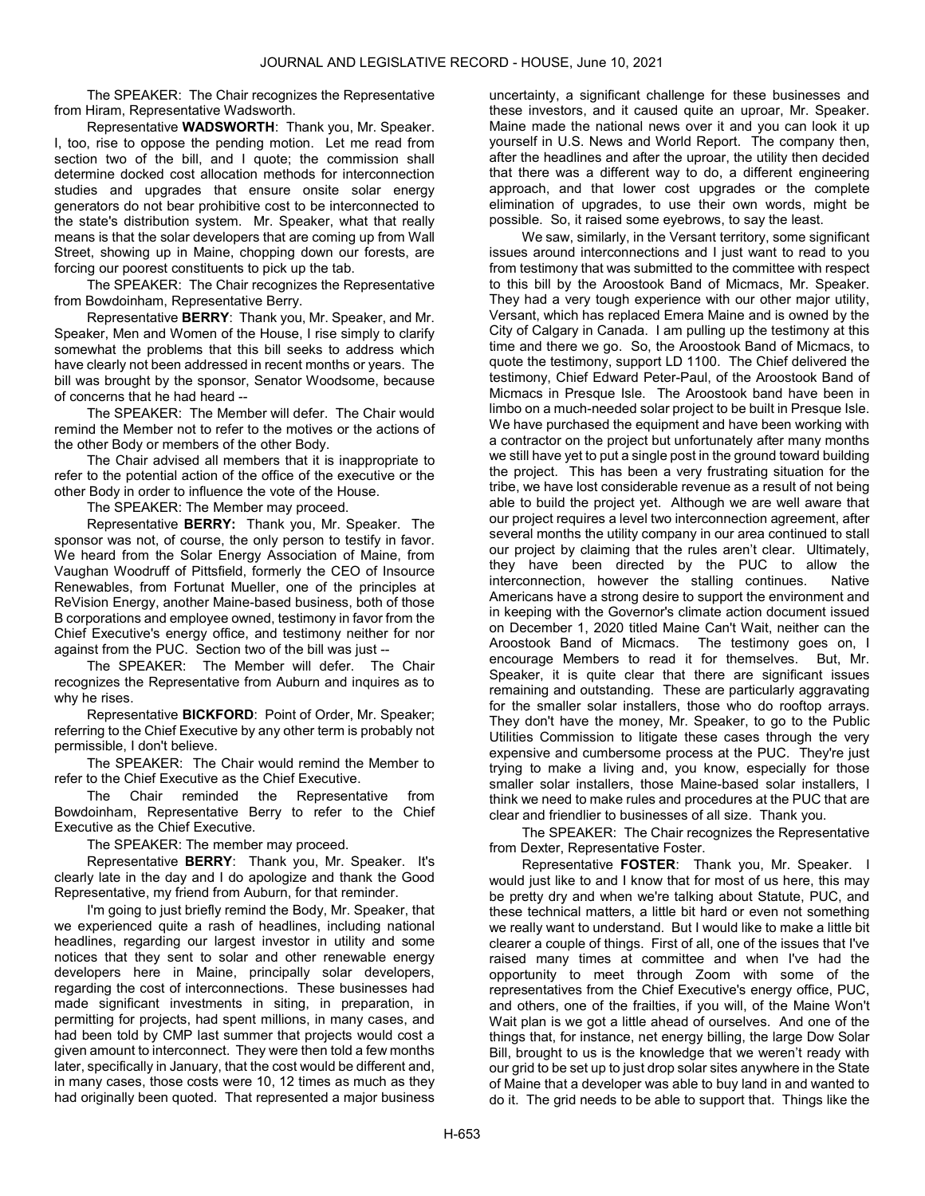The SPEAKER: The Chair recognizes the Representative from Hiram, Representative Wadsworth.

Representative WADSWORTH: Thank you, Mr. Speaker. I, too, rise to oppose the pending motion. Let me read from section two of the bill, and I quote; the commission shall determine docked cost allocation methods for interconnection studies and upgrades that ensure onsite solar energy generators do not bear prohibitive cost to be interconnected to the state's distribution system. Mr. Speaker, what that really means is that the solar developers that are coming up from Wall Street, showing up in Maine, chopping down our forests, are forcing our poorest constituents to pick up the tab.

The SPEAKER: The Chair recognizes the Representative from Bowdoinham, Representative Berry.

Representative BERRY: Thank you, Mr. Speaker, and Mr. Speaker, Men and Women of the House, I rise simply to clarify somewhat the problems that this bill seeks to address which have clearly not been addressed in recent months or years. The bill was brought by the sponsor, Senator Woodsome, because of concerns that he had heard --

The SPEAKER: The Member will defer. The Chair would remind the Member not to refer to the motives or the actions of the other Body or members of the other Body.

 The Chair advised all members that it is inappropriate to refer to the potential action of the office of the executive or the other Body in order to influence the vote of the House.

The SPEAKER: The Member may proceed.

Representative BERRY: Thank you, Mr. Speaker. The sponsor was not, of course, the only person to testify in favor. We heard from the Solar Energy Association of Maine, from Vaughan Woodruff of Pittsfield, formerly the CEO of Insource Renewables, from Fortunat Mueller, one of the principles at ReVision Energy, another Maine-based business, both of those B corporations and employee owned, testimony in favor from the Chief Executive's energy office, and testimony neither for nor against from the PUC. Section two of the bill was just --

The SPEAKER: The Member will defer. The Chair recognizes the Representative from Auburn and inquires as to why he rises.

Representative BICKFORD: Point of Order, Mr. Speaker; referring to the Chief Executive by any other term is probably not permissible, I don't believe.

The SPEAKER: The Chair would remind the Member to refer to the Chief Executive as the Chief Executive.

 The Chair reminded the Representative from Bowdoinham, Representative Berry to refer to the Chief Executive as the Chief Executive.

The SPEAKER: The member may proceed.

Representative BERRY: Thank you, Mr. Speaker. It's clearly late in the day and I do apologize and thank the Good Representative, my friend from Auburn, for that reminder.

I'm going to just briefly remind the Body, Mr. Speaker, that we experienced quite a rash of headlines, including national headlines, regarding our largest investor in utility and some notices that they sent to solar and other renewable energy developers here in Maine, principally solar developers, regarding the cost of interconnections. These businesses had made significant investments in siting, in preparation, in permitting for projects, had spent millions, in many cases, and had been told by CMP last summer that projects would cost a given amount to interconnect. They were then told a few months later, specifically in January, that the cost would be different and, in many cases, those costs were 10, 12 times as much as they had originally been quoted. That represented a major business

uncertainty, a significant challenge for these businesses and these investors, and it caused quite an uproar, Mr. Speaker. Maine made the national news over it and you can look it up yourself in U.S. News and World Report. The company then, after the headlines and after the uproar, the utility then decided that there was a different way to do, a different engineering approach, and that lower cost upgrades or the complete elimination of upgrades, to use their own words, might be possible. So, it raised some eyebrows, to say the least.

We saw, similarly, in the Versant territory, some significant issues around interconnections and I just want to read to you from testimony that was submitted to the committee with respect to this bill by the Aroostook Band of Micmacs, Mr. Speaker. They had a very tough experience with our other major utility, Versant, which has replaced Emera Maine and is owned by the City of Calgary in Canada. I am pulling up the testimony at this time and there we go. So, the Aroostook Band of Micmacs, to quote the testimony, support LD 1100. The Chief delivered the testimony, Chief Edward Peter-Paul, of the Aroostook Band of Micmacs in Presque Isle. The Aroostook band have been in limbo on a much-needed solar project to be built in Presque Isle. We have purchased the equipment and have been working with a contractor on the project but unfortunately after many months we still have yet to put a single post in the ground toward building the project. This has been a very frustrating situation for the tribe, we have lost considerable revenue as a result of not being able to build the project yet. Although we are well aware that our project requires a level two interconnection agreement, after several months the utility company in our area continued to stall our project by claiming that the rules aren't clear. Ultimately, they have been directed by the PUC to allow the interconnection, however the stalling continues. Native Americans have a strong desire to support the environment and in keeping with the Governor's climate action document issued on December 1, 2020 titled Maine Can't Wait, neither can the Aroostook Band of Micmacs. The testimony goes on, I encourage Members to read it for themselves. But, Mr. Speaker, it is quite clear that there are significant issues remaining and outstanding. These are particularly aggravating for the smaller solar installers, those who do rooftop arrays. They don't have the money, Mr. Speaker, to go to the Public Utilities Commission to litigate these cases through the very expensive and cumbersome process at the PUC. They're just trying to make a living and, you know, especially for those smaller solar installers, those Maine-based solar installers, I think we need to make rules and procedures at the PUC that are clear and friendlier to businesses of all size. Thank you.

The SPEAKER: The Chair recognizes the Representative from Dexter, Representative Foster.

Representative FOSTER: Thank you, Mr. Speaker. I would just like to and I know that for most of us here, this may be pretty dry and when we're talking about Statute, PUC, and these technical matters, a little bit hard or even not something we really want to understand. But I would like to make a little bit clearer a couple of things. First of all, one of the issues that I've raised many times at committee and when I've had the opportunity to meet through Zoom with some of the representatives from the Chief Executive's energy office, PUC, and others, one of the frailties, if you will, of the Maine Won't Wait plan is we got a little ahead of ourselves. And one of the things that, for instance, net energy billing, the large Dow Solar Bill, brought to us is the knowledge that we weren't ready with our grid to be set up to just drop solar sites anywhere in the State of Maine that a developer was able to buy land in and wanted to do it. The grid needs to be able to support that. Things like the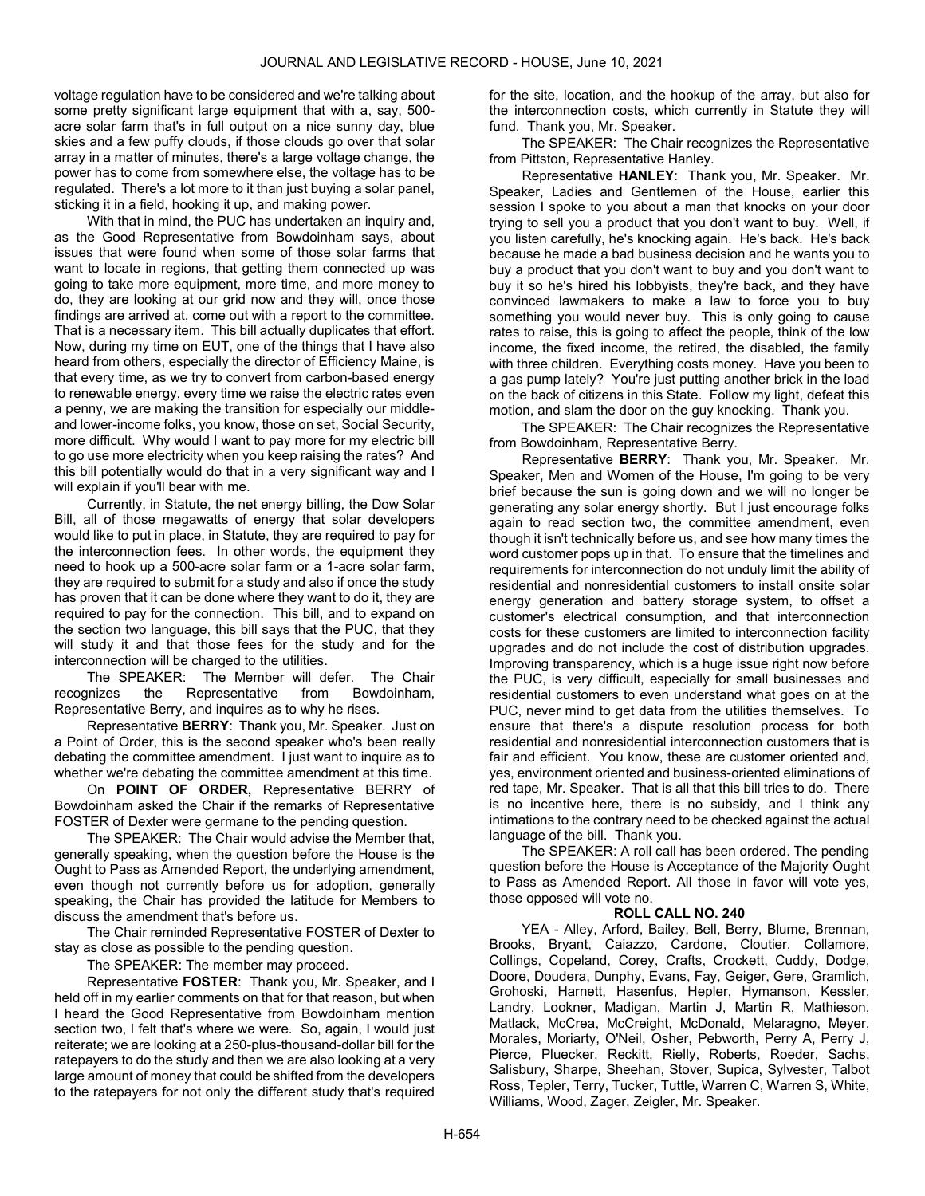voltage regulation have to be considered and we're talking about some pretty significant large equipment that with a, say, 500 acre solar farm that's in full output on a nice sunny day, blue skies and a few puffy clouds, if those clouds go over that solar array in a matter of minutes, there's a large voltage change, the power has to come from somewhere else, the voltage has to be regulated. There's a lot more to it than just buying a solar panel, sticking it in a field, hooking it up, and making power.

With that in mind, the PUC has undertaken an inquiry and, as the Good Representative from Bowdoinham says, about issues that were found when some of those solar farms that want to locate in regions, that getting them connected up was going to take more equipment, more time, and more money to do, they are looking at our grid now and they will, once those findings are arrived at, come out with a report to the committee. That is a necessary item. This bill actually duplicates that effort. Now, during my time on EUT, one of the things that I have also heard from others, especially the director of Efficiency Maine, is that every time, as we try to convert from carbon-based energy to renewable energy, every time we raise the electric rates even a penny, we are making the transition for especially our middleand lower-income folks, you know, those on set, Social Security, more difficult. Why would I want to pay more for my electric bill to go use more electricity when you keep raising the rates? And this bill potentially would do that in a very significant way and I will explain if you'll bear with me.

Currently, in Statute, the net energy billing, the Dow Solar Bill, all of those megawatts of energy that solar developers would like to put in place, in Statute, they are required to pay for the interconnection fees. In other words, the equipment they need to hook up a 500-acre solar farm or a 1-acre solar farm, they are required to submit for a study and also if once the study has proven that it can be done where they want to do it, they are required to pay for the connection. This bill, and to expand on the section two language, this bill says that the PUC, that they will study it and that those fees for the study and for the interconnection will be charged to the utilities.

The SPEAKER: The Member will defer. The Chair recognizes the Representative from Bowdoinham, Representative Berry, and inquires as to why he rises.

Representative BERRY: Thank you, Mr. Speaker. Just on a Point of Order, this is the second speaker who's been really debating the committee amendment. I just want to inquire as to whether we're debating the committee amendment at this time.

 On POINT OF ORDER, Representative BERRY of Bowdoinham asked the Chair if the remarks of Representative FOSTER of Dexter were germane to the pending question.

The SPEAKER: The Chair would advise the Member that, generally speaking, when the question before the House is the Ought to Pass as Amended Report, the underlying amendment, even though not currently before us for adoption, generally speaking, the Chair has provided the latitude for Members to discuss the amendment that's before us.

 The Chair reminded Representative FOSTER of Dexter to stay as close as possible to the pending question.

The SPEAKER: The member may proceed.

Representative FOSTER: Thank you, Mr. Speaker, and I held off in my earlier comments on that for that reason, but when I heard the Good Representative from Bowdoinham mention section two, I felt that's where we were. So, again, I would just reiterate; we are looking at a 250-plus-thousand-dollar bill for the ratepayers to do the study and then we are also looking at a very large amount of money that could be shifted from the developers to the ratepayers for not only the different study that's required for the site, location, and the hookup of the array, but also for the interconnection costs, which currently in Statute they will fund. Thank you, Mr. Speaker.

The SPEAKER: The Chair recognizes the Representative from Pittston, Representative Hanley.

Representative HANLEY: Thank you, Mr. Speaker. Mr. Speaker, Ladies and Gentlemen of the House, earlier this session I spoke to you about a man that knocks on your door trying to sell you a product that you don't want to buy. Well, if you listen carefully, he's knocking again. He's back. He's back because he made a bad business decision and he wants you to buy a product that you don't want to buy and you don't want to buy it so he's hired his lobbyists, they're back, and they have convinced lawmakers to make a law to force you to buy something you would never buy. This is only going to cause rates to raise, this is going to affect the people, think of the low income, the fixed income, the retired, the disabled, the family with three children. Everything costs money. Have you been to a gas pump lately? You're just putting another brick in the load on the back of citizens in this State. Follow my light, defeat this motion, and slam the door on the guy knocking. Thank you.

The SPEAKER: The Chair recognizes the Representative from Bowdoinham, Representative Berry.

Representative BERRY: Thank you, Mr. Speaker. Mr. Speaker, Men and Women of the House, I'm going to be very brief because the sun is going down and we will no longer be generating any solar energy shortly. But I just encourage folks again to read section two, the committee amendment, even though it isn't technically before us, and see how many times the word customer pops up in that. To ensure that the timelines and requirements for interconnection do not unduly limit the ability of residential and nonresidential customers to install onsite solar energy generation and battery storage system, to offset a customer's electrical consumption, and that interconnection costs for these customers are limited to interconnection facility upgrades and do not include the cost of distribution upgrades. Improving transparency, which is a huge issue right now before the PUC, is very difficult, especially for small businesses and residential customers to even understand what goes on at the PUC, never mind to get data from the utilities themselves. To ensure that there's a dispute resolution process for both residential and nonresidential interconnection customers that is fair and efficient. You know, these are customer oriented and, yes, environment oriented and business-oriented eliminations of red tape, Mr. Speaker. That is all that this bill tries to do. There is no incentive here, there is no subsidy, and I think any intimations to the contrary need to be checked against the actual language of the bill. Thank you.

 The SPEAKER: A roll call has been ordered. The pending question before the House is Acceptance of the Majority Ought to Pass as Amended Report. All those in favor will vote yes, those opposed will vote no.

# ROLL CALL NO. 240

 YEA - Alley, Arford, Bailey, Bell, Berry, Blume, Brennan, Brooks, Bryant, Caiazzo, Cardone, Cloutier, Collamore, Collings, Copeland, Corey, Crafts, Crockett, Cuddy, Dodge, Doore, Doudera, Dunphy, Evans, Fay, Geiger, Gere, Gramlich, Grohoski, Harnett, Hasenfus, Hepler, Hymanson, Kessler, Landry, Lookner, Madigan, Martin J, Martin R, Mathieson, Matlack, McCrea, McCreight, McDonald, Melaragno, Meyer, Morales, Moriarty, O'Neil, Osher, Pebworth, Perry A, Perry J, Pierce, Pluecker, Reckitt, Rielly, Roberts, Roeder, Sachs, Salisbury, Sharpe, Sheehan, Stover, Supica, Sylvester, Talbot Ross, Tepler, Terry, Tucker, Tuttle, Warren C, Warren S, White, Williams, Wood, Zager, Zeigler, Mr. Speaker.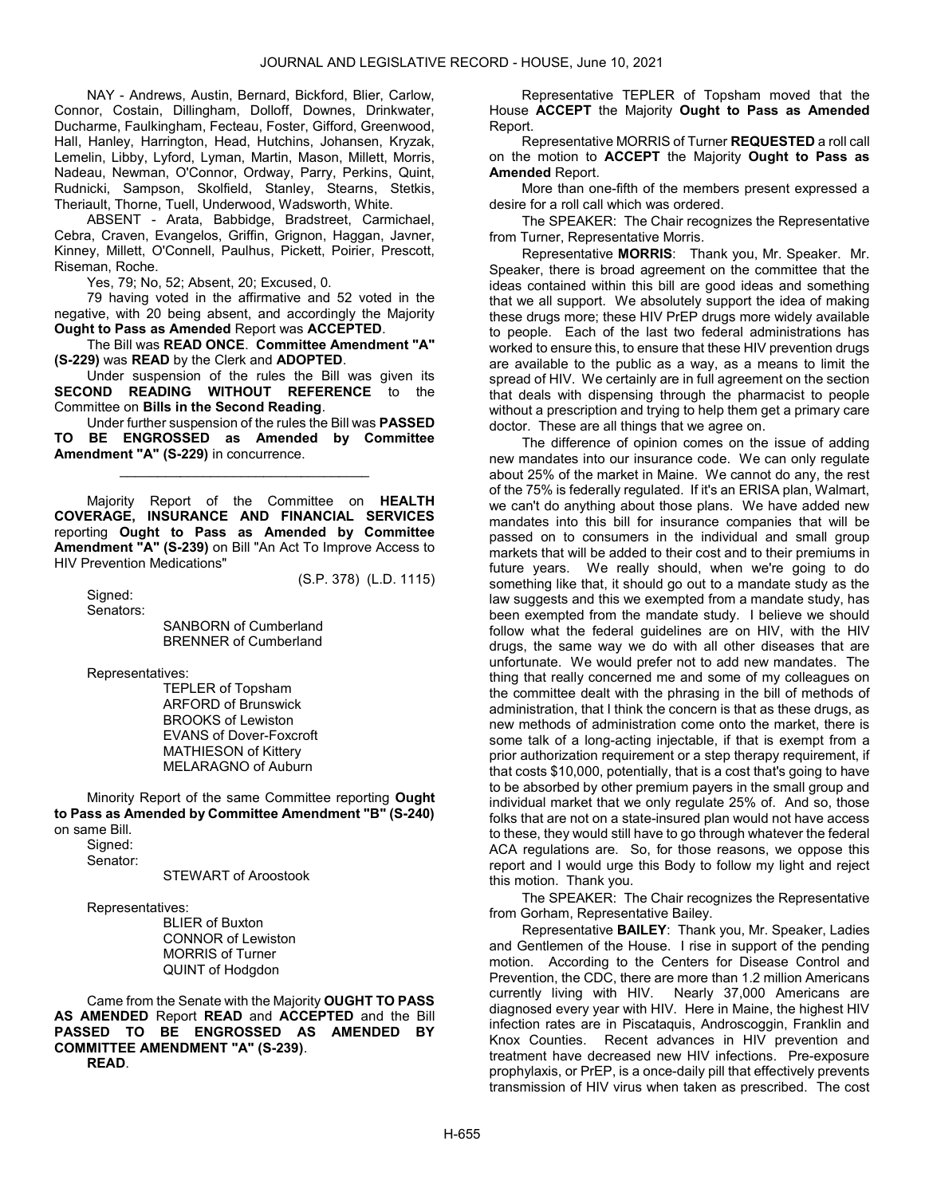NAY - Andrews, Austin, Bernard, Bickford, Blier, Carlow, Connor, Costain, Dillingham, Dolloff, Downes, Drinkwater, Ducharme, Faulkingham, Fecteau, Foster, Gifford, Greenwood, Hall, Hanley, Harrington, Head, Hutchins, Johansen, Kryzak, Lemelin, Libby, Lyford, Lyman, Martin, Mason, Millett, Morris, Nadeau, Newman, O'Connor, Ordway, Parry, Perkins, Quint, Rudnicki, Sampson, Skolfield, Stanley, Stearns, Stetkis, Theriault, Thorne, Tuell, Underwood, Wadsworth, White.

 ABSENT - Arata, Babbidge, Bradstreet, Carmichael, Cebra, Craven, Evangelos, Griffin, Grignon, Haggan, Javner, Kinney, Millett, O'Connell, Paulhus, Pickett, Poirier, Prescott, Riseman, Roche.

Yes, 79; No, 52; Absent, 20; Excused, 0.

 79 having voted in the affirmative and 52 voted in the negative, with 20 being absent, and accordingly the Majority Ought to Pass as Amended Report was ACCEPTED.

 The Bill was READ ONCE. Committee Amendment "A" (S-229) was READ by the Clerk and ADOPTED.

 Under suspension of the rules the Bill was given its SECOND READING WITHOUT REFERENCE to the Committee on Bills in the Second Reading.

 Under further suspension of the rules the Bill was PASSED TO BE ENGROSSED as Amended by Committee Amendment "A" (S-229) in concurrence.

\_\_\_\_\_\_\_\_\_\_\_\_\_\_\_\_\_\_\_\_\_\_\_\_\_\_\_\_\_\_\_\_\_

 Majority Report of the Committee on HEALTH COVERAGE, INSURANCE AND FINANCIAL SERVICES reporting Ought to Pass as Amended by Committee Amendment "A" (S-239) on Bill "An Act To Improve Access to HIV Prevention Medications"

 Signed: Senators: (S.P. 378) (L.D. 1115)

 SANBORN of Cumberland BRENNER of Cumberland

Representatives:

 TEPLER of Topsham ARFORD of Brunswick BROOKS of Lewiston EVANS of Dover-Foxcroft MATHIESON of Kittery MELARAGNO of Auburn

 Minority Report of the same Committee reporting Ought to Pass as Amended by Committee Amendment "B" (S-240) on same Bill.

 Signed: Senator:

STEWART of Aroostook

Representatives:

 BLIER of Buxton CONNOR of Lewiston MORRIS of Turner QUINT of Hodgdon

 Came from the Senate with the Majority OUGHT TO PASS AS AMENDED Report READ and ACCEPTED and the Bill PASSED TO BE ENGROSSED AS AMENDED BY COMMITTEE AMENDMENT "A" (S-239). READ.

 Representative TEPLER of Topsham moved that the House ACCEPT the Majority Ought to Pass as Amended Report.

 Representative MORRIS of Turner REQUESTED a roll call on the motion to ACCEPT the Majority Ought to Pass as Amended Report.

 More than one-fifth of the members present expressed a desire for a roll call which was ordered.

The SPEAKER: The Chair recognizes the Representative from Turner, Representative Morris.

Representative MORRIS: Thank you, Mr. Speaker. Mr. Speaker, there is broad agreement on the committee that the ideas contained within this bill are good ideas and something that we all support. We absolutely support the idea of making these drugs more; these HIV PrEP drugs more widely available to people. Each of the last two federal administrations has worked to ensure this, to ensure that these HIV prevention drugs are available to the public as a way, as a means to limit the spread of HIV. We certainly are in full agreement on the section that deals with dispensing through the pharmacist to people without a prescription and trying to help them get a primary care doctor. These are all things that we agree on.

The difference of opinion comes on the issue of adding new mandates into our insurance code. We can only regulate about 25% of the market in Maine. We cannot do any, the rest of the 75% is federally regulated. If it's an ERISA plan, Walmart, we can't do anything about those plans. We have added new mandates into this bill for insurance companies that will be passed on to consumers in the individual and small group markets that will be added to their cost and to their premiums in future years. We really should, when we're going to do something like that, it should go out to a mandate study as the law suggests and this we exempted from a mandate study, has been exempted from the mandate study. I believe we should follow what the federal guidelines are on HIV, with the HIV drugs, the same way we do with all other diseases that are unfortunate. We would prefer not to add new mandates. The thing that really concerned me and some of my colleagues on the committee dealt with the phrasing in the bill of methods of administration, that I think the concern is that as these drugs, as new methods of administration come onto the market, there is some talk of a long-acting injectable, if that is exempt from a prior authorization requirement or a step therapy requirement, if that costs \$10,000, potentially, that is a cost that's going to have to be absorbed by other premium payers in the small group and individual market that we only regulate 25% of. And so, those folks that are not on a state-insured plan would not have access to these, they would still have to go through whatever the federal ACA regulations are. So, for those reasons, we oppose this report and I would urge this Body to follow my light and reject this motion. Thank you.

The SPEAKER: The Chair recognizes the Representative from Gorham, Representative Bailey.

Representative BAILEY: Thank you, Mr. Speaker, Ladies and Gentlemen of the House. I rise in support of the pending motion. According to the Centers for Disease Control and Prevention, the CDC, there are more than 1.2 million Americans currently living with HIV. Nearly 37,000 Americans are diagnosed every year with HIV. Here in Maine, the highest HIV infection rates are in Piscataquis, Androscoggin, Franklin and Knox Counties. Recent advances in HIV prevention and treatment have decreased new HIV infections. Pre-exposure prophylaxis, or PrEP, is a once-daily pill that effectively prevents transmission of HIV virus when taken as prescribed. The cost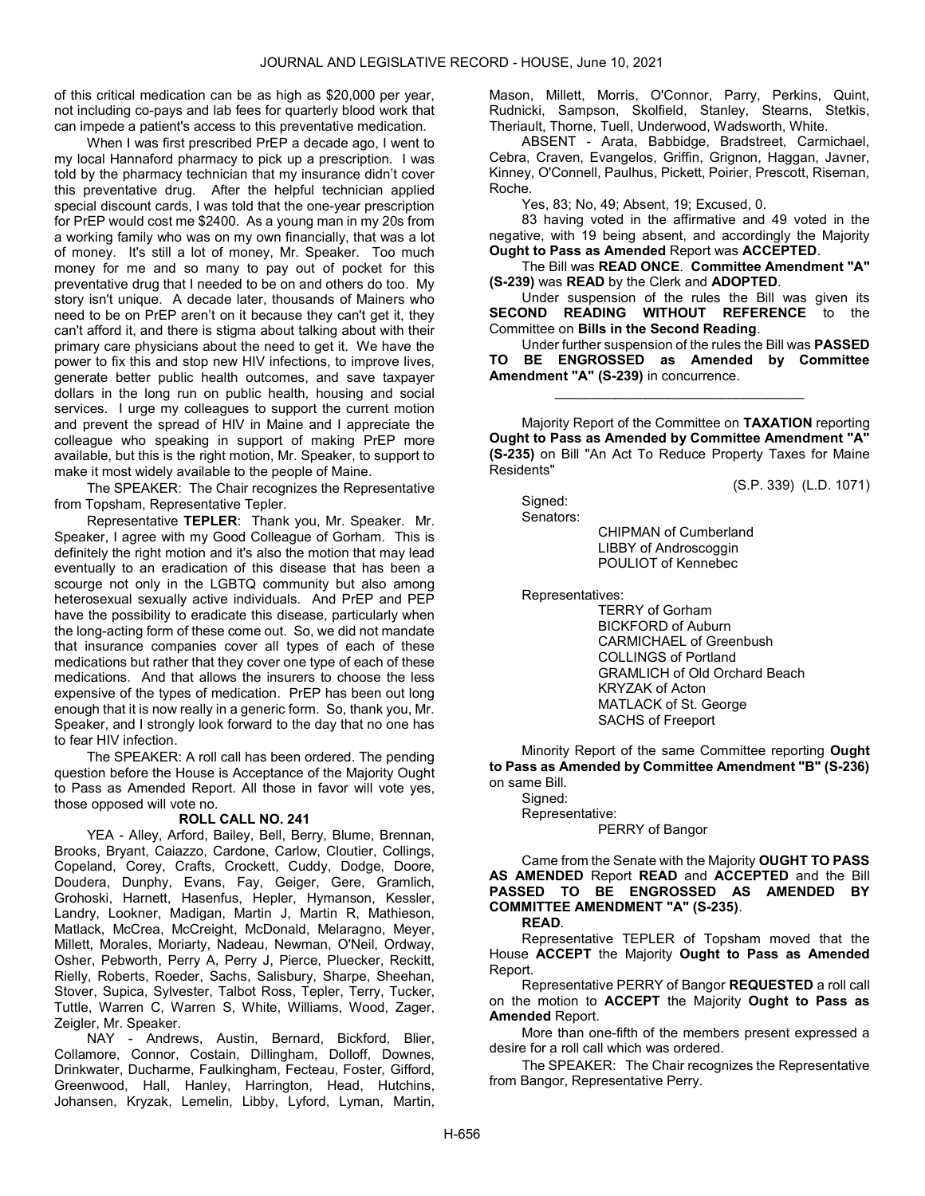of this critical medication can be as high as \$20,000 per year, not including co-pays and lab fees for quarterly blood work that can impede a patient's access to this preventative medication.

When I was first prescribed PrEP a decade ago, I went to my local Hannaford pharmacy to pick up a prescription. I was told by the pharmacy technician that my insurance didn't cover this preventative drug. After the helpful technician applied special discount cards, I was told that the one-year prescription for PrEP would cost me \$2400. As a young man in my 20s from a working family who was on my own financially, that was a lot of money. It's still a lot of money, Mr. Speaker. Too much money for me and so many to pay out of pocket for this preventative drug that I needed to be on and others do too. My story isn't unique. A decade later, thousands of Mainers who need to be on PrEP aren't on it because they can't get it, they can't afford it, and there is stigma about talking about with their primary care physicians about the need to get it. We have the power to fix this and stop new HIV infections, to improve lives, generate better public health outcomes, and save taxpayer dollars in the long run on public health, housing and social services. I urge my colleagues to support the current motion and prevent the spread of HIV in Maine and I appreciate the colleague who speaking in support of making PrEP more available, but this is the right motion, Mr. Speaker, to support to make it most widely available to the people of Maine.

The SPEAKER: The Chair recognizes the Representative from Topsham, Representative Tepler.

Representative TEPLER: Thank you, Mr. Speaker. Mr. Speaker, I agree with my Good Colleague of Gorham. This is definitely the right motion and it's also the motion that may lead eventually to an eradication of this disease that has been a scourge not only in the LGBTQ community but also among heterosexual sexually active individuals. And PrEP and PEP have the possibility to eradicate this disease, particularly when the long-acting form of these come out. So, we did not mandate that insurance companies cover all types of each of these medications but rather that they cover one type of each of these medications. And that allows the insurers to choose the less expensive of the types of medication. PrEP has been out long enough that it is now really in a generic form. So, thank you, Mr. Speaker, and I strongly look forward to the day that no one has to fear HIV infection.

 The SPEAKER: A roll call has been ordered. The pending question before the House is Acceptance of the Majority Ought to Pass as Amended Report. All those in favor will vote yes, those opposed will vote no.

# ROLL CALL NO. 241

 YEA - Alley, Arford, Bailey, Bell, Berry, Blume, Brennan, Brooks, Bryant, Caiazzo, Cardone, Carlow, Cloutier, Collings, Copeland, Corey, Crafts, Crockett, Cuddy, Dodge, Doore, Doudera, Dunphy, Evans, Fay, Geiger, Gere, Gramlich, Grohoski, Harnett, Hasenfus, Hepler, Hymanson, Kessler, Landry, Lookner, Madigan, Martin J, Martin R, Mathieson, Matlack, McCrea, McCreight, McDonald, Melaragno, Meyer, Millett, Morales, Moriarty, Nadeau, Newman, O'Neil, Ordway, Osher, Pebworth, Perry A, Perry J, Pierce, Pluecker, Reckitt, Rielly, Roberts, Roeder, Sachs, Salisbury, Sharpe, Sheehan, Stover, Supica, Sylvester, Talbot Ross, Tepler, Terry, Tucker, Tuttle, Warren C, Warren S, White, Williams, Wood, Zager, Zeigler, Mr. Speaker.

 NAY - Andrews, Austin, Bernard, Bickford, Blier, Collamore, Connor, Costain, Dillingham, Dolloff, Downes, Drinkwater, Ducharme, Faulkingham, Fecteau, Foster, Gifford, Greenwood, Hall, Hanley, Harrington, Head, Hutchins, Johansen, Kryzak, Lemelin, Libby, Lyford, Lyman, Martin, Mason, Millett, Morris, O'Connor, Parry, Perkins, Quint, Rudnicki, Sampson, Skolfield, Stanley, Stearns, Stetkis, Theriault, Thorne, Tuell, Underwood, Wadsworth, White.

 ABSENT - Arata, Babbidge, Bradstreet, Carmichael, Cebra, Craven, Evangelos, Griffin, Grignon, Haggan, Javner, Kinney, O'Connell, Paulhus, Pickett, Poirier, Prescott, Riseman, Roche.

Yes, 83; No, 49; Absent, 19; Excused, 0.

 83 having voted in the affirmative and 49 voted in the negative, with 19 being absent, and accordingly the Majority Ought to Pass as Amended Report was ACCEPTED.

 The Bill was READ ONCE. Committee Amendment "A" (S-239) was READ by the Clerk and ADOPTED.

 Under suspension of the rules the Bill was given its SECOND READING WITHOUT REFERENCE to the Committee on Bills in the Second Reading.

 Under further suspension of the rules the Bill was PASSED TO BE ENGROSSED as Amended by Committee Amendment "A" (S-239) in concurrence.

\_\_\_\_\_\_\_\_\_\_\_\_\_\_\_\_\_\_\_\_\_\_\_\_\_\_\_\_\_\_\_\_\_

 Majority Report of the Committee on TAXATION reporting Ought to Pass as Amended by Committee Amendment "A" (S-235) on Bill "An Act To Reduce Property Taxes for Maine Residents"

(S.P. 339) (L.D. 1071)

 Signed: Senators:

 CHIPMAN of Cumberland LIBBY of Androscoggin POULIOT of Kennebec

Representatives:

 TERRY of Gorham BICKFORD of Auburn CARMICHAEL of Greenbush COLLINGS of Portland GRAMLICH of Old Orchard Beach KRYZAK of Acton MATLACK of St. George SACHS of Freeport

 Minority Report of the same Committee reporting Ought to Pass as Amended by Committee Amendment "B" (S-236) on same Bill.

 Signed: Representative: PERRY of Bangor

 Came from the Senate with the Majority OUGHT TO PASS AS AMENDED Report READ and ACCEPTED and the Bill PASSED TO BE ENGROSSED AS AMENDED BY COMMITTEE AMENDMENT "A" (S-235).

#### READ.

 Representative TEPLER of Topsham moved that the House ACCEPT the Majority Ought to Pass as Amended Report.

 Representative PERRY of Bangor REQUESTED a roll call on the motion to **ACCEPT** the Majority **Ought to Pass as** Amended Report.

 More than one-fifth of the members present expressed a desire for a roll call which was ordered.

The SPEAKER: The Chair recognizes the Representative from Bangor, Representative Perry.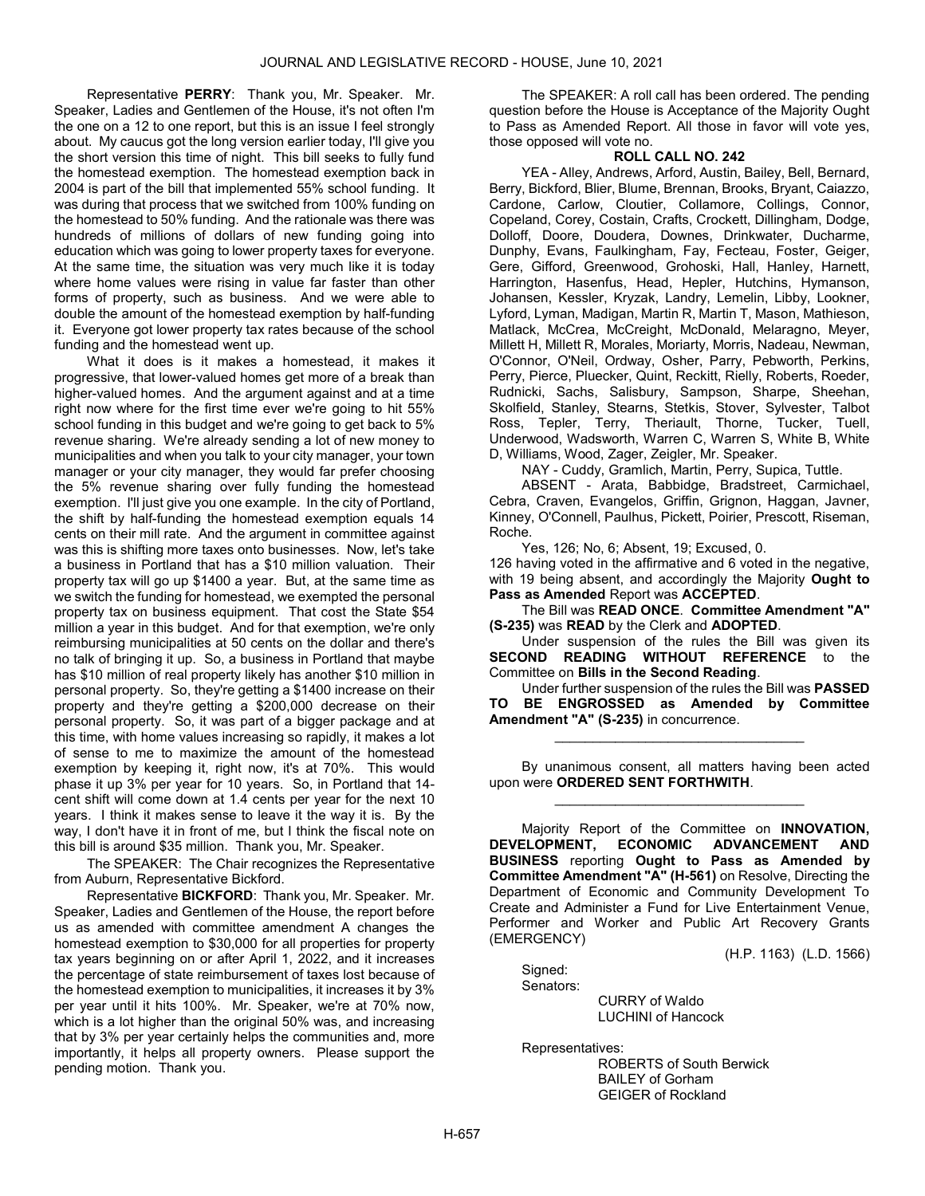Representative PERRY: Thank you, Mr. Speaker. Mr. Speaker, Ladies and Gentlemen of the House, it's not often I'm the one on a 12 to one report, but this is an issue I feel strongly about. My caucus got the long version earlier today, I'll give you the short version this time of night. This bill seeks to fully fund the homestead exemption. The homestead exemption back in 2004 is part of the bill that implemented 55% school funding. It was during that process that we switched from 100% funding on the homestead to 50% funding. And the rationale was there was hundreds of millions of dollars of new funding going into education which was going to lower property taxes for everyone. At the same time, the situation was very much like it is today where home values were rising in value far faster than other forms of property, such as business. And we were able to double the amount of the homestead exemption by half-funding it. Everyone got lower property tax rates because of the school funding and the homestead went up.

What it does is it makes a homestead, it makes it progressive, that lower-valued homes get more of a break than higher-valued homes. And the argument against and at a time right now where for the first time ever we're going to hit 55% school funding in this budget and we're going to get back to 5% revenue sharing. We're already sending a lot of new money to municipalities and when you talk to your city manager, your town manager or your city manager, they would far prefer choosing the 5% revenue sharing over fully funding the homestead exemption. I'll just give you one example. In the city of Portland, the shift by half-funding the homestead exemption equals 14 cents on their mill rate. And the argument in committee against was this is shifting more taxes onto businesses. Now, let's take a business in Portland that has a \$10 million valuation. Their property tax will go up \$1400 a year. But, at the same time as we switch the funding for homestead, we exempted the personal property tax on business equipment. That cost the State \$54 million a year in this budget. And for that exemption, we're only reimbursing municipalities at 50 cents on the dollar and there's no talk of bringing it up. So, a business in Portland that maybe has \$10 million of real property likely has another \$10 million in personal property. So, they're getting a \$1400 increase on their property and they're getting a \$200,000 decrease on their personal property. So, it was part of a bigger package and at this time, with home values increasing so rapidly, it makes a lot of sense to me to maximize the amount of the homestead exemption by keeping it, right now, it's at 70%. This would phase it up 3% per year for 10 years. So, in Portland that 14 cent shift will come down at 1.4 cents per year for the next 10 years. I think it makes sense to leave it the way it is. By the way, I don't have it in front of me, but I think the fiscal note on this bill is around \$35 million. Thank you, Mr. Speaker.

The SPEAKER: The Chair recognizes the Representative from Auburn, Representative Bickford.

Representative BICKFORD: Thank you, Mr. Speaker. Mr. Speaker, Ladies and Gentlemen of the House, the report before us as amended with committee amendment A changes the homestead exemption to \$30,000 for all properties for property tax years beginning on or after April 1, 2022, and it increases the percentage of state reimbursement of taxes lost because of the homestead exemption to municipalities, it increases it by 3% per year until it hits 100%. Mr. Speaker, we're at 70% now, which is a lot higher than the original 50% was, and increasing that by 3% per year certainly helps the communities and, more importantly, it helps all property owners. Please support the pending motion. Thank you.

 The SPEAKER: A roll call has been ordered. The pending question before the House is Acceptance of the Majority Ought to Pass as Amended Report. All those in favor will vote yes, those opposed will vote no.

# ROLL CALL NO. 242

 YEA - Alley, Andrews, Arford, Austin, Bailey, Bell, Bernard, Berry, Bickford, Blier, Blume, Brennan, Brooks, Bryant, Caiazzo, Cardone, Carlow, Cloutier, Collamore, Collings, Connor, Copeland, Corey, Costain, Crafts, Crockett, Dillingham, Dodge, Dolloff, Doore, Doudera, Downes, Drinkwater, Ducharme, Dunphy, Evans, Faulkingham, Fay, Fecteau, Foster, Geiger, Gere, Gifford, Greenwood, Grohoski, Hall, Hanley, Harnett, Harrington, Hasenfus, Head, Hepler, Hutchins, Hymanson, Johansen, Kessler, Kryzak, Landry, Lemelin, Libby, Lookner, Lyford, Lyman, Madigan, Martin R, Martin T, Mason, Mathieson, Matlack, McCrea, McCreight, McDonald, Melaragno, Meyer, Millett H, Millett R, Morales, Moriarty, Morris, Nadeau, Newman, O'Connor, O'Neil, Ordway, Osher, Parry, Pebworth, Perkins, Perry, Pierce, Pluecker, Quint, Reckitt, Rielly, Roberts, Roeder, Rudnicki, Sachs, Salisbury, Sampson, Sharpe, Sheehan, Skolfield, Stanley, Stearns, Stetkis, Stover, Sylvester, Talbot Ross, Tepler, Terry, Theriault, Thorne, Tucker, Tuell, Underwood, Wadsworth, Warren C, Warren S, White B, White D, Williams, Wood, Zager, Zeigler, Mr. Speaker.

NAY - Cuddy, Gramlich, Martin, Perry, Supica, Tuttle.

 ABSENT - Arata, Babbidge, Bradstreet, Carmichael, Cebra, Craven, Evangelos, Griffin, Grignon, Haggan, Javner, Kinney, O'Connell, Paulhus, Pickett, Poirier, Prescott, Riseman, Roche.

Yes, 126; No, 6; Absent, 19; Excused, 0.

126 having voted in the affirmative and 6 voted in the negative, with 19 being absent, and accordingly the Majority Ought to Pass as Amended Report was ACCEPTED.

 The Bill was READ ONCE. Committee Amendment "A" (S-235) was READ by the Clerk and ADOPTED.

 Under suspension of the rules the Bill was given its SECOND READING WITHOUT REFERENCE to the Committee on Bills in the Second Reading.

 Under further suspension of the rules the Bill was PASSED TO BE ENGROSSED as Amended by Committee Amendment "A" (S-235) in concurrence.

\_\_\_\_\_\_\_\_\_\_\_\_\_\_\_\_\_\_\_\_\_\_\_\_\_\_\_\_\_\_\_\_\_

 By unanimous consent, all matters having been acted upon were ORDERED SENT FORTHWITH. \_\_\_\_\_\_\_\_\_\_\_\_\_\_\_\_\_\_\_\_\_\_\_\_\_\_\_\_\_\_\_\_\_

 Majority Report of the Committee on INNOVATION, DEVELOPMENT, ECONOMIC ADVANCEMENT AND BUSINESS reporting Ought to Pass as Amended by Committee Amendment "A" (H-561) on Resolve, Directing the Department of Economic and Community Development To Create and Administer a Fund for Live Entertainment Venue, Performer and Worker and Public Art Recovery Grants (EMERGENCY)

(H.P. 1163) (L.D. 1566)

 Signed: Senators:

 CURRY of Waldo LUCHINI of Hancock

Representatives:

 ROBERTS of South Berwick BAILEY of Gorham GEIGER of Rockland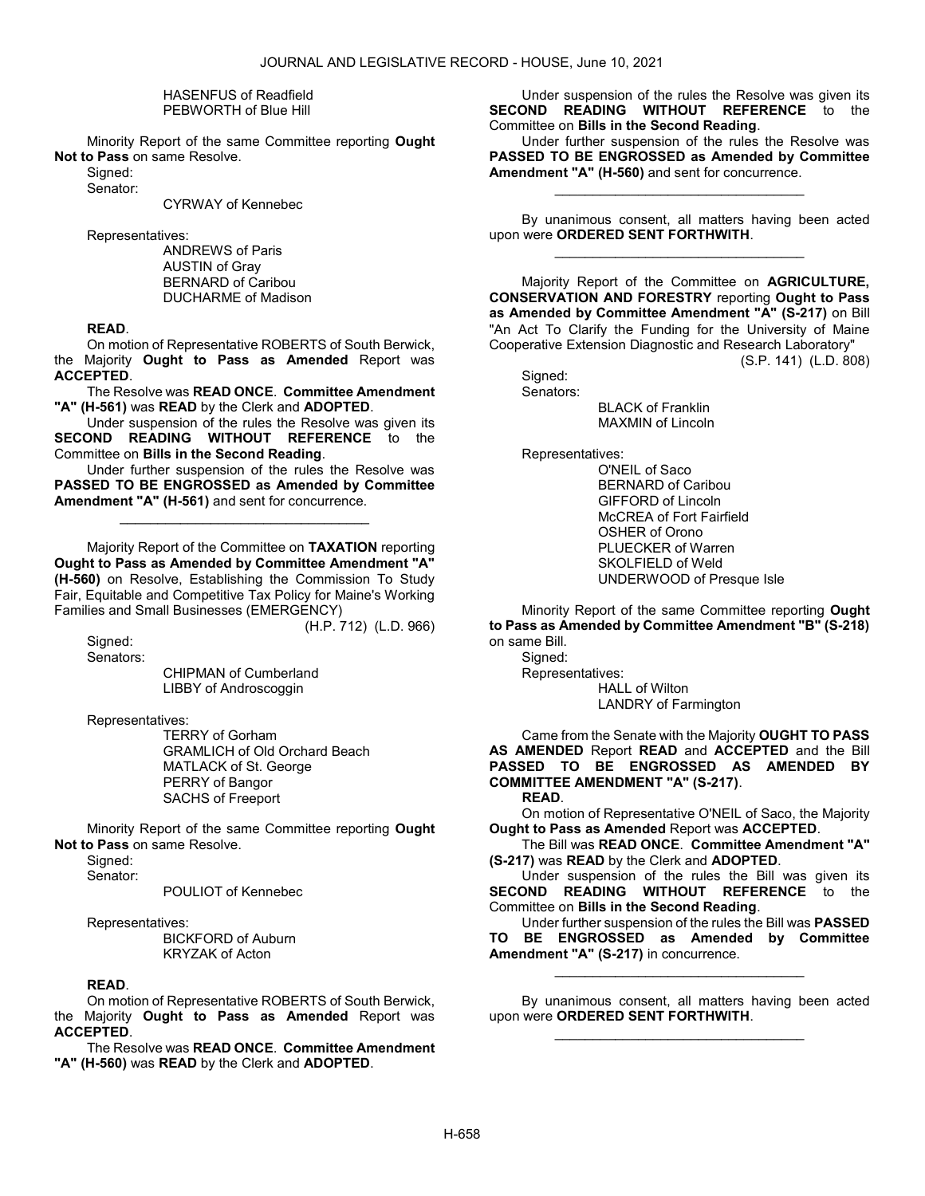#### HASENFUS of Readfield PEBWORTH of Blue Hill

 Minority Report of the same Committee reporting Ought Not to Pass on same Resolve.

Signed: Senator:

CYRWAY of Kennebec

Representatives:

 ANDREWS of Paris AUSTIN of Gray BERNARD of Caribou DUCHARME of Madison

# READ.

 On motion of Representative ROBERTS of South Berwick, the Majority Ought to Pass as Amended Report was ACCEPTED.

The Resolve was READ ONCE. Committee Amendment "A" (H-561) was READ by the Clerk and ADOPTED.

 Under suspension of the rules the Resolve was given its SECOND READING WITHOUT REFERENCE to the Committee on Bills in the Second Reading.

 Under further suspension of the rules the Resolve was PASSED TO BE ENGROSSED as Amended by Committee Amendment "A" (H-561) and sent for concurrence.

\_\_\_\_\_\_\_\_\_\_\_\_\_\_\_\_\_\_\_\_\_\_\_\_\_\_\_\_\_\_\_\_\_

 Majority Report of the Committee on TAXATION reporting Ought to Pass as Amended by Committee Amendment "A" (H-560) on Resolve, Establishing the Commission To Study Fair, Equitable and Competitive Tax Policy for Maine's Working Families and Small Businesses (EMERGENCY)

(H.P. 712) (L.D. 966)

 Signed: Senators:

 CHIPMAN of Cumberland LIBBY of Androscoggin

Representatives:

 TERRY of Gorham GRAMLICH of Old Orchard Beach MATLACK of St. George PERRY of Bangor SACHS of Freeport

 Minority Report of the same Committee reporting Ought Not to Pass on same Resolve.

Sianed:

Senator:

POULIOT of Kennebec

Representatives:

 BICKFORD of Auburn KRYZAK of Acton

# READ.

 On motion of Representative ROBERTS of South Berwick, the Majority Ought to Pass as Amended Report was ACCEPTED.

The Resolve was READ ONCE. Committee Amendment "A" (H-560) was READ by the Clerk and ADOPTED.

 Under suspension of the rules the Resolve was given its SECOND READING WITHOUT REFERENCE to the Committee on Bills in the Second Reading.

 Under further suspension of the rules the Resolve was PASSED TO BE ENGROSSED as Amended by Committee Amendment "A" (H-560) and sent for concurrence.

\_\_\_\_\_\_\_\_\_\_\_\_\_\_\_\_\_\_\_\_\_\_\_\_\_\_\_\_\_\_\_\_\_

 By unanimous consent, all matters having been acted upon were ORDERED SENT FORTHWITH. \_\_\_\_\_\_\_\_\_\_\_\_\_\_\_\_\_\_\_\_\_\_\_\_\_\_\_\_\_\_\_\_\_

 Majority Report of the Committee on AGRICULTURE, CONSERVATION AND FORESTRY reporting Ought to Pass as Amended by Committee Amendment "A" (S-217) on Bill "An Act To Clarify the Funding for the University of Maine Cooperative Extension Diagnostic and Research Laboratory"

(S.P. 141) (L.D. 808)

 Signed: Senators:

 BLACK of Franklin MAXMIN of Lincoln

Representatives:

 O'NEIL of Saco BERNARD of Caribou GIFFORD of Lincoln McCREA of Fort Fairfield OSHER of Orono PLUECKER of Warren SKOLFIELD of Weld UNDERWOOD of Presque Isle

 Minority Report of the same Committee reporting Ought to Pass as Amended by Committee Amendment "B" (S-218) on same Bill.

 Signed: Representatives: HALL of Wilton LANDRY of Farmington

 Came from the Senate with the Majority OUGHT TO PASS AS AMENDED Report READ and ACCEPTED and the Bill PASSED TO BE ENGROSSED AS AMENDED BY COMMITTEE AMENDMENT "A" (S-217).

READ.

 On motion of Representative O'NEIL of Saco, the Majority Ought to Pass as Amended Report was ACCEPTED.

 The Bill was READ ONCE. Committee Amendment "A" (S-217) was READ by the Clerk and ADOPTED.

 Under suspension of the rules the Bill was given its SECOND READING WITHOUT REFERENCE to the Committee on Bills in the Second Reading.

 Under further suspension of the rules the Bill was PASSED TO BE ENGROSSED as Amended by Committee Amendment "A" (S-217) in concurrence.

\_\_\_\_\_\_\_\_\_\_\_\_\_\_\_\_\_\_\_\_\_\_\_\_\_\_\_\_\_\_\_\_\_

 By unanimous consent, all matters having been acted upon were ORDERED SENT FORTHWITH. \_\_\_\_\_\_\_\_\_\_\_\_\_\_\_\_\_\_\_\_\_\_\_\_\_\_\_\_\_\_\_\_\_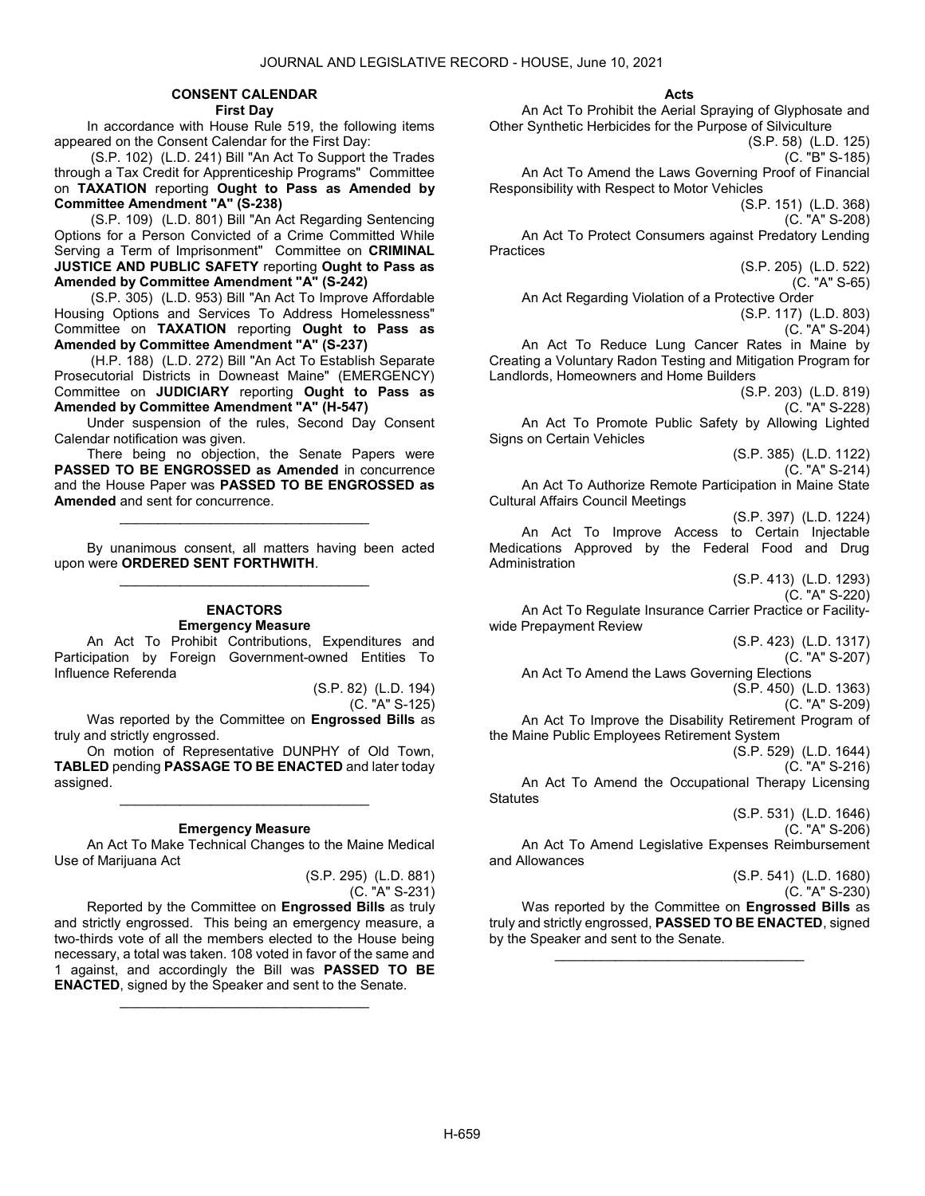# CONSENT CALENDAR

First Day

 In accordance with House Rule 519, the following items appeared on the Consent Calendar for the First Day:

 (S.P. 102) (L.D. 241) Bill "An Act To Support the Trades through a Tax Credit for Apprenticeship Programs" Committee on TAXATION reporting Ought to Pass as Amended by Committee Amendment "A" (S-238)

 (S.P. 109) (L.D. 801) Bill "An Act Regarding Sentencing Options for a Person Convicted of a Crime Committed While Serving a Term of Imprisonment" Committee on CRIMINAL JUSTICE AND PUBLIC SAFETY reporting Ought to Pass as Amended by Committee Amendment "A" (S-242)

 (S.P. 305) (L.D. 953) Bill "An Act To Improve Affordable Housing Options and Services To Address Homelessness" Committee on TAXATION reporting Ought to Pass as Amended by Committee Amendment "A" (S-237)

 (H.P. 188) (L.D. 272) Bill "An Act To Establish Separate Prosecutorial Districts in Downeast Maine" (EMERGENCY) Committee on JUDICIARY reporting Ought to Pass as Amended by Committee Amendment "A" (H-547)

 Under suspension of the rules, Second Day Consent Calendar notification was given.

 There being no objection, the Senate Papers were PASSED TO BE ENGROSSED as Amended in concurrence and the House Paper was PASSED TO BE ENGROSSED as Amended and sent for concurrence.

\_\_\_\_\_\_\_\_\_\_\_\_\_\_\_\_\_\_\_\_\_\_\_\_\_\_\_\_\_\_\_\_\_

 By unanimous consent, all matters having been acted upon were ORDERED SENT FORTHWITH. \_\_\_\_\_\_\_\_\_\_\_\_\_\_\_\_\_\_\_\_\_\_\_\_\_\_\_\_\_\_\_\_\_

#### ENACTORS Emergency Measure

 An Act To Prohibit Contributions, Expenditures and Participation by Foreign Government-owned Entities To Influence Referenda

> (S.P. 82) (L.D. 194) (C. "A" S-125)

Was reported by the Committee on Engrossed Bills as truly and strictly engrossed.

 On motion of Representative DUNPHY of Old Town, TABLED pending PASSAGE TO BE ENACTED and later today assigned.

\_\_\_\_\_\_\_\_\_\_\_\_\_\_\_\_\_\_\_\_\_\_\_\_\_\_\_\_\_\_\_\_\_

# Emergency Measure

 An Act To Make Technical Changes to the Maine Medical Use of Marijuana Act

> (S.P. 295) (L.D. 881) (C. "A" S-231)

 Reported by the Committee on Engrossed Bills as truly and strictly engrossed. This being an emergency measure, a two-thirds vote of all the members elected to the House being necessary, a total was taken. 108 voted in favor of the same and 1 against, and accordingly the Bill was PASSED TO BE ENACTED, signed by the Speaker and sent to the Senate.

\_\_\_\_\_\_\_\_\_\_\_\_\_\_\_\_\_\_\_\_\_\_\_\_\_\_\_\_\_\_\_\_\_

#### Acts

 An Act To Prohibit the Aerial Spraying of Glyphosate and Other Synthetic Herbicides for the Purpose of Silviculture (S.P. 58) (L.D. 125)

(C. "B" S-185)

 An Act To Amend the Laws Governing Proof of Financial Responsibility with Respect to Motor Vehicles

(S.P. 151) (L.D. 368) (C. "A" S-208)

 An Act To Protect Consumers against Predatory Lending **Practices** 

> (S.P. 205) (L.D. 522) (C. "A" S-65)

An Act Regarding Violation of a Protective Order

(S.P. 117) (L.D. 803)

(C. "A" S-204)

 An Act To Reduce Lung Cancer Rates in Maine by Creating a Voluntary Radon Testing and Mitigation Program for Landlords, Homeowners and Home Builders

(S.P. 203) (L.D. 819)

(C. "A" S-228)

 An Act To Promote Public Safety by Allowing Lighted Signs on Certain Vehicles

> (S.P. 385) (L.D. 1122) (C. "A" S-214)

 An Act To Authorize Remote Participation in Maine State Cultural Affairs Council Meetings

(S.P. 397) (L.D. 1224) An Act To Improve Access to Certain Injectable Medications Approved by the Federal Food and Drug Administration

(S.P. 413) (L.D. 1293)

(C. "A" S-220) An Act To Regulate Insurance Carrier Practice or Facilitywide Prepayment Review

(S.P. 423) (L.D. 1317)

(C. "A" S-207) An Act To Amend the Laws Governing Elections

(S.P. 450) (L.D. 1363)

(C. "A" S-209)

 An Act To Improve the Disability Retirement Program of the Maine Public Employees Retirement System

(S.P. 529) (L.D. 1644)

(C. "A" S-216) An Act To Amend the Occupational Therapy Licensing **Statutes** 

> (S.P. 531) (L.D. 1646) (C. "A" S-206)

 An Act To Amend Legislative Expenses Reimbursement and Allowances

> (S.P. 541) (L.D. 1680) (C. "A" S-230)

Was reported by the Committee on Engrossed Bills as truly and strictly engrossed, PASSED TO BE ENACTED, signed by the Speaker and sent to the Senate.

\_\_\_\_\_\_\_\_\_\_\_\_\_\_\_\_\_\_\_\_\_\_\_\_\_\_\_\_\_\_\_\_\_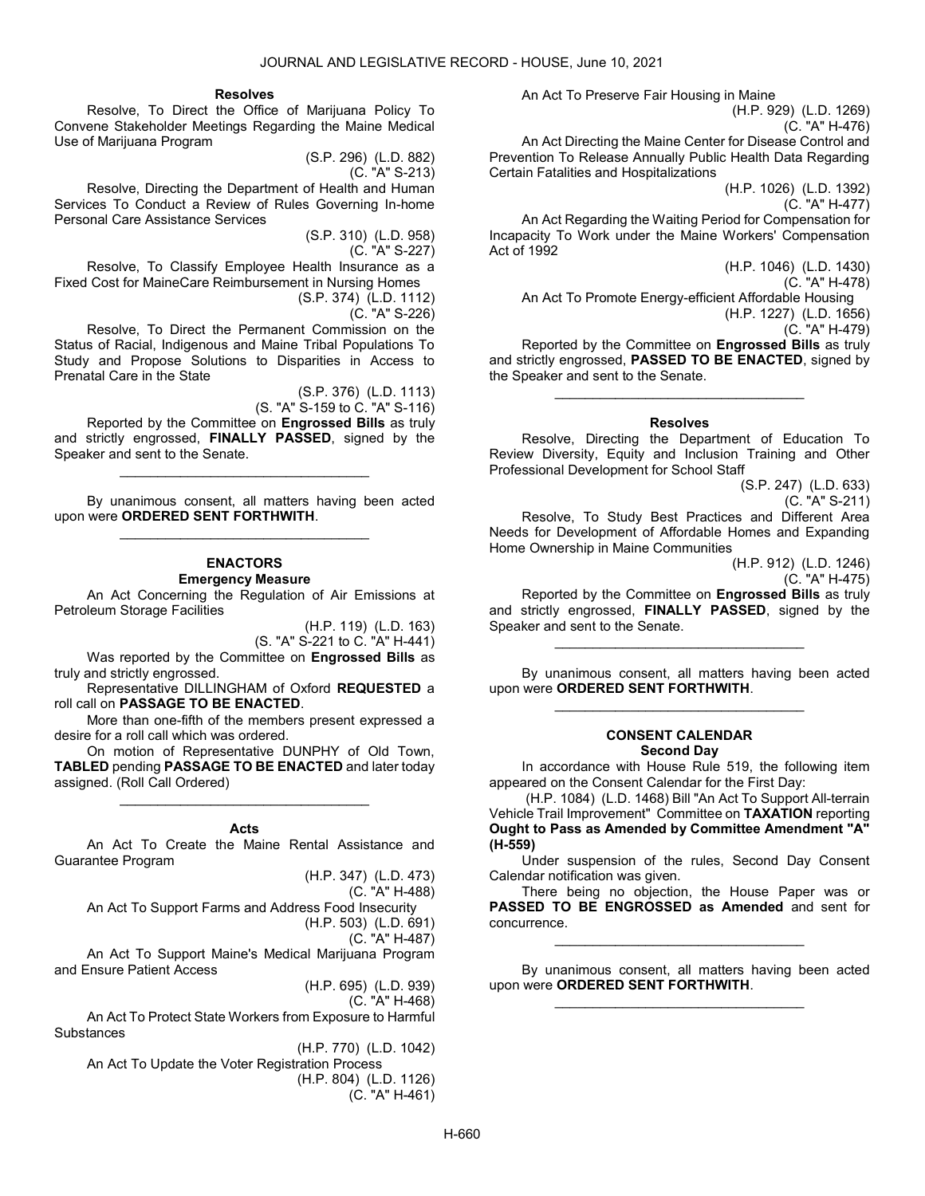#### Resolves

 Resolve, To Direct the Office of Marijuana Policy To Convene Stakeholder Meetings Regarding the Maine Medical Use of Marijuana Program

> (S.P. 296) (L.D. 882) (C. "A" S-213)

 Resolve, Directing the Department of Health and Human Services To Conduct a Review of Rules Governing In-home Personal Care Assistance Services

> (S.P. 310) (L.D. 958) (C. "A" S-227)

 Resolve, To Classify Employee Health Insurance as a Fixed Cost for MaineCare Reimbursement in Nursing Homes (S.P. 374) (L.D. 1112)

(C. "A" S-226)

 Resolve, To Direct the Permanent Commission on the Status of Racial, Indigenous and Maine Tribal Populations To Study and Propose Solutions to Disparities in Access to Prenatal Care in the State

(S.P. 376) (L.D. 1113)

(S. "A" S-159 to C. "A" S-116) Reported by the Committee on **Engrossed Bills** as truly and strictly engrossed, FINALLY PASSED, signed by the Speaker and sent to the Senate.

\_\_\_\_\_\_\_\_\_\_\_\_\_\_\_\_\_\_\_\_\_\_\_\_\_\_\_\_\_\_\_\_\_

 By unanimous consent, all matters having been acted upon were ORDERED SENT FORTHWITH. \_\_\_\_\_\_\_\_\_\_\_\_\_\_\_\_\_\_\_\_\_\_\_\_\_\_\_\_\_\_\_\_\_

# ENACTORS

Emergency Measure

 An Act Concerning the Regulation of Air Emissions at Petroleum Storage Facilities

(H.P. 119) (L.D. 163)

(S. "A" S-221 to C. "A" H-441) Was reported by the Committee on Engrossed Bills as truly and strictly engrossed.

 Representative DILLINGHAM of Oxford REQUESTED a roll call on PASSAGE TO BE ENACTED.

 More than one-fifth of the members present expressed a desire for a roll call which was ordered.

 On motion of Representative DUNPHY of Old Town, TABLED pending PASSAGE TO BE ENACTED and later today assigned. (Roll Call Ordered)

\_\_\_\_\_\_\_\_\_\_\_\_\_\_\_\_\_\_\_\_\_\_\_\_\_\_\_\_\_\_\_\_\_

#### Acts

 An Act To Create the Maine Rental Assistance and Guarantee Program

(H.P. 347) (L.D. 473)

(C. "A" H-488)

 An Act To Support Farms and Address Food Insecurity (H.P. 503) (L.D. 691)

(C. "A" H-487)

 An Act To Support Maine's Medical Marijuana Program and Ensure Patient Access

(H.P. 695) (L.D. 939)

(C. "A" H-468)

 An Act To Protect State Workers from Exposure to Harmful **Substances** 

(H.P. 770) (L.D. 1042) An Act To Update the Voter Registration Process (H.P. 804) (L.D. 1126) (C. "A" H-461) An Act To Preserve Fair Housing in Maine

(H.P. 929) (L.D. 1269)

(C. "A" H-476) An Act Directing the Maine Center for Disease Control and

Prevention To Release Annually Public Health Data Regarding Certain Fatalities and Hospitalizations

(H.P. 1026) (L.D. 1392)

(C. "A" H-477)

 An Act Regarding the Waiting Period for Compensation for Incapacity To Work under the Maine Workers' Compensation Act of 1992

> (H.P. 1046) (L.D. 1430) (C. "A" H-478)

An Act To Promote Energy-efficient Affordable Housing

(H.P. 1227) (L.D. 1656)

(C. "A" H-479) Reported by the Committee on Engrossed Bills as truly and strictly engrossed, PASSED TO BE ENACTED, signed by the Speaker and sent to the Senate.

#### Resolves

\_\_\_\_\_\_\_\_\_\_\_\_\_\_\_\_\_\_\_\_\_\_\_\_\_\_\_\_\_\_\_\_\_

 Resolve, Directing the Department of Education To Review Diversity, Equity and Inclusion Training and Other Professional Development for School Staff

(S.P. 247) (L.D. 633)

(C. "A" S-211)

 Resolve, To Study Best Practices and Different Area Needs for Development of Affordable Homes and Expanding Home Ownership in Maine Communities

(H.P. 912) (L.D. 1246)

(C. "A" H-475)

 Reported by the Committee on Engrossed Bills as truly and strictly engrossed, FINALLY PASSED, signed by the Speaker and sent to the Senate.

\_\_\_\_\_\_\_\_\_\_\_\_\_\_\_\_\_\_\_\_\_\_\_\_\_\_\_\_\_\_\_\_\_

 By unanimous consent, all matters having been acted upon were ORDERED SENT FORTHWITH. \_\_\_\_\_\_\_\_\_\_\_\_\_\_\_\_\_\_\_\_\_\_\_\_\_\_\_\_\_\_\_\_\_

#### CONSENT CALENDAR Second Day

 In accordance with House Rule 519, the following item appeared on the Consent Calendar for the First Day:

 (H.P. 1084) (L.D. 1468) Bill "An Act To Support All-terrain Vehicle Trail Improvement" Committee on TAXATION reporting Ought to Pass as Amended by Committee Amendment "A" (H-559)

 Under suspension of the rules, Second Day Consent Calendar notification was given.

 There being no objection, the House Paper was or PASSED TO BE ENGROSSED as Amended and sent for concurrence.

\_\_\_\_\_\_\_\_\_\_\_\_\_\_\_\_\_\_\_\_\_\_\_\_\_\_\_\_\_\_\_\_\_

 By unanimous consent, all matters having been acted upon were ORDERED SENT FORTHWITH. \_\_\_\_\_\_\_\_\_\_\_\_\_\_\_\_\_\_\_\_\_\_\_\_\_\_\_\_\_\_\_\_\_